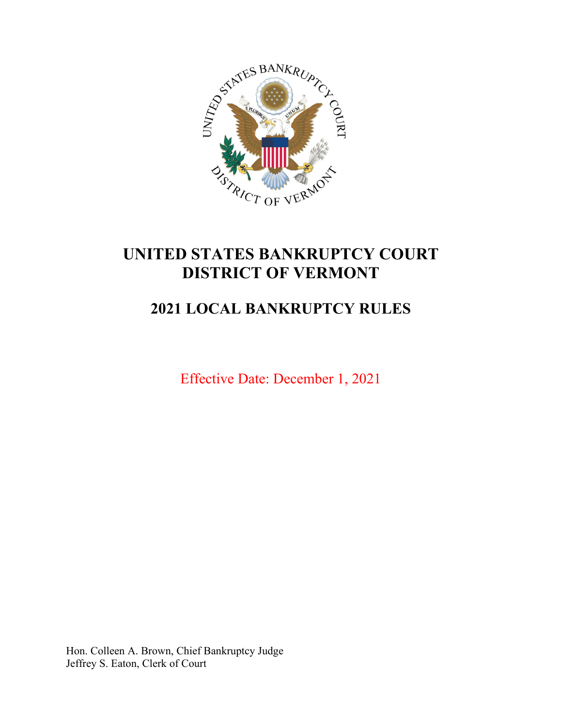

# **UNITED STATES BANKRUPTCY COURT DISTRICT OF VERMONT**

# **2021 LOCAL BANKRUPTCY RULES**

Effective Date: December 1, 2021

Hon. Colleen A. Brown, Chief Bankruptcy Judge Jeffrey S. Eaton, Clerk of Court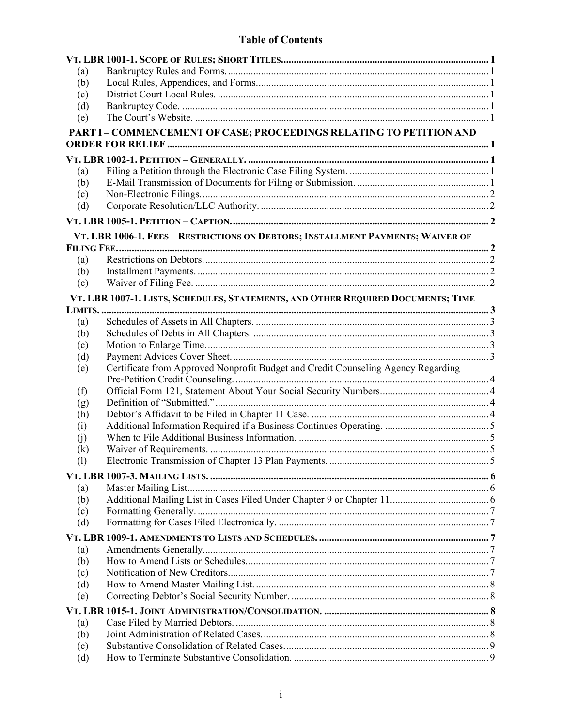| (a)        |                                                                                   |  |
|------------|-----------------------------------------------------------------------------------|--|
| (b)        |                                                                                   |  |
| (c)        |                                                                                   |  |
| (d)        |                                                                                   |  |
| (e)        |                                                                                   |  |
|            | PART I - COMMENCEMENT OF CASE; PROCEEDINGS RELATING TO PETITION AND               |  |
|            |                                                                                   |  |
|            |                                                                                   |  |
| (a)        |                                                                                   |  |
| (b)        |                                                                                   |  |
| (c)        |                                                                                   |  |
| (d)        |                                                                                   |  |
|            |                                                                                   |  |
|            | VT. LBR 1006-1. FEES - RESTRICTIONS ON DEBTORS; INSTALLMENT PAYMENTS; WAIVER OF   |  |
|            |                                                                                   |  |
| (a)        |                                                                                   |  |
| (b)        |                                                                                   |  |
| (c)        |                                                                                   |  |
|            | VT. LBR 1007-1. LISTS, SCHEDULES, STATEMENTS, AND OTHER REQUIRED DOCUMENTS; TIME  |  |
| LIMITS     |                                                                                   |  |
| (a)        |                                                                                   |  |
| (b)        |                                                                                   |  |
| (c)        |                                                                                   |  |
| (d)        |                                                                                   |  |
| (e)        | Certificate from Approved Nonprofit Budget and Credit Counseling Agency Regarding |  |
|            |                                                                                   |  |
| (f)        |                                                                                   |  |
| (g)        |                                                                                   |  |
| (h)        |                                                                                   |  |
| (i)        |                                                                                   |  |
| (j)        |                                                                                   |  |
| (k)        |                                                                                   |  |
| (1)        |                                                                                   |  |
|            |                                                                                   |  |
| (a)        |                                                                                   |  |
| (b)        |                                                                                   |  |
| (c)        |                                                                                   |  |
| (d)        |                                                                                   |  |
|            |                                                                                   |  |
|            |                                                                                   |  |
| (a)        |                                                                                   |  |
| (b)        |                                                                                   |  |
| (c)<br>(d) |                                                                                   |  |
|            |                                                                                   |  |
| (e)        |                                                                                   |  |
|            |                                                                                   |  |
| (a)        |                                                                                   |  |
| (b)        |                                                                                   |  |
| (c)        |                                                                                   |  |
| (d)        |                                                                                   |  |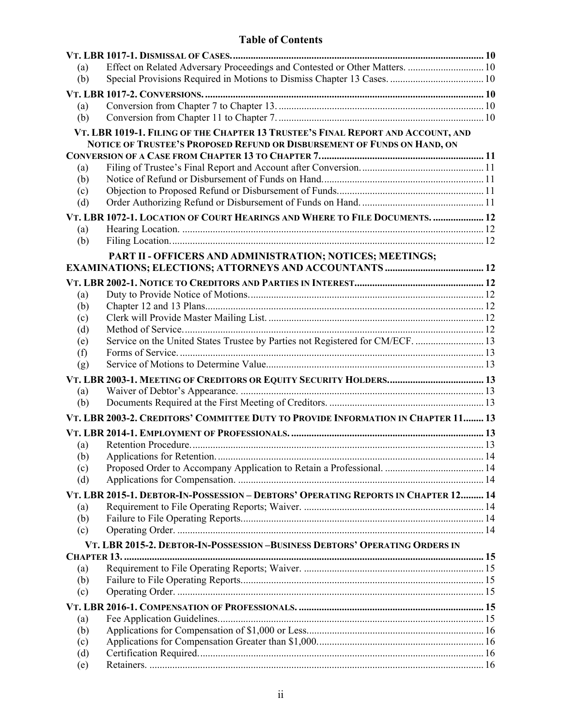| (a) | Effect on Related Adversary Proceedings and Contested or Other Matters.  10        |  |
|-----|------------------------------------------------------------------------------------|--|
| (b) |                                                                                    |  |
|     |                                                                                    |  |
| (a) |                                                                                    |  |
| (b) |                                                                                    |  |
|     | VT. LBR 1019-1. FILING OF THE CHAPTER 13 TRUSTEE'S FINAL REPORT AND ACCOUNT, AND   |  |
|     | NOTICE OF TRUSTEE'S PROPOSED REFUND OR DISBURSEMENT OF FUNDS ON HAND, ON           |  |
|     |                                                                                    |  |
| (a) |                                                                                    |  |
| (b) |                                                                                    |  |
| (c) |                                                                                    |  |
| (d) |                                                                                    |  |
|     | VT. LBR 1072-1. LOCATION OF COURT HEARINGS AND WHERE TO FILE DOCUMENTS.  12        |  |
| (a) |                                                                                    |  |
| (b) |                                                                                    |  |
|     | PART II - OFFICERS AND ADMINISTRATION; NOTICES; MEETINGS;                          |  |
|     |                                                                                    |  |
|     |                                                                                    |  |
| (a) |                                                                                    |  |
| (b) |                                                                                    |  |
| (c) |                                                                                    |  |
| (d) |                                                                                    |  |
| (e) | Service on the United States Trustee by Parties not Registered for CM/ECF.  13     |  |
| (f) |                                                                                    |  |
| (g) |                                                                                    |  |
|     |                                                                                    |  |
| (a) |                                                                                    |  |
| (b) |                                                                                    |  |
|     | VT. LBR 2003-2. CREDITORS' COMMITTEE DUTY TO PROVIDE INFORMATION IN CHAPTER 11 13  |  |
|     |                                                                                    |  |
| (a) |                                                                                    |  |
| (b) |                                                                                    |  |
| (c) |                                                                                    |  |
| (d) |                                                                                    |  |
|     | VT. LBR 2015-1. DEBTOR-IN-POSSESSION – DEBTORS' OPERATING REPORTS IN CHAPTER 12 14 |  |
| (a) |                                                                                    |  |
| (b) |                                                                                    |  |
| (c) |                                                                                    |  |
|     | VT. LBR 2015-2. DEBTOR-IN-POSSESSION-BUSINESS DEBTORS' OPERATING ORDERS IN         |  |
|     |                                                                                    |  |
| (a) |                                                                                    |  |
| (b) |                                                                                    |  |
| (c) |                                                                                    |  |
|     |                                                                                    |  |
| (a) |                                                                                    |  |
| (b) |                                                                                    |  |
| (c) |                                                                                    |  |
| (d) |                                                                                    |  |
| (e) |                                                                                    |  |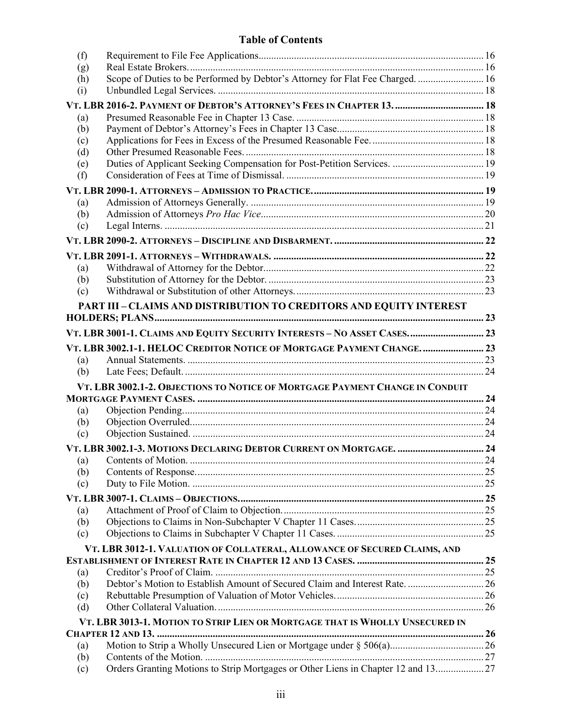| (f)        |                                                                                   |  |
|------------|-----------------------------------------------------------------------------------|--|
| (g)        | Scope of Duties to be Performed by Debtor's Attorney for Flat Fee Charged.  16    |  |
| (h)<br>(i) |                                                                                   |  |
|            |                                                                                   |  |
|            | VT. LBR 2016-2. PAYMENT OF DEBTOR'S ATTORNEY'S FEES IN CHAPTER 13.  18            |  |
| (a)        |                                                                                   |  |
| (b)        |                                                                                   |  |
| (c)<br>(d) |                                                                                   |  |
| (e)        |                                                                                   |  |
| (f)        |                                                                                   |  |
|            |                                                                                   |  |
| (a)        |                                                                                   |  |
| (b)        |                                                                                   |  |
| (c)        |                                                                                   |  |
|            |                                                                                   |  |
|            |                                                                                   |  |
| (a)        |                                                                                   |  |
| (b)        |                                                                                   |  |
| (c)        |                                                                                   |  |
|            | PART III - CLAIMS AND DISTRIBUTION TO CREDITORS AND EQUITY INTEREST               |  |
|            |                                                                                   |  |
|            | VT. LBR 3001-1. CLAIMS AND EQUITY SECURITY INTERESTS - NO ASSET CASES 23          |  |
|            | VT. LBR 3002.1-1. HELOC CREDITOR NOTICE OF MORTGAGE PAYMENT CHANGE.  23           |  |
| (a)        |                                                                                   |  |
| (b)        |                                                                                   |  |
|            | VT. LBR 3002.1-2. OBJECTIONS TO NOTICE OF MORTGAGE PAYMENT CHANGE IN CONDUIT      |  |
|            |                                                                                   |  |
| (a)        |                                                                                   |  |
| (b)        |                                                                                   |  |
| (c)        |                                                                                   |  |
|            |                                                                                   |  |
| (a)        |                                                                                   |  |
| (b)        |                                                                                   |  |
| (c)        |                                                                                   |  |
|            |                                                                                   |  |
| (a)        |                                                                                   |  |
| (b)        |                                                                                   |  |
| (c)        |                                                                                   |  |
|            | VT. LBR 3012-1. VALUATION OF COLLATERAL, ALLOWANCE OF SECURED CLAIMS, AND         |  |
|            |                                                                                   |  |
| (a)        | Debtor's Motion to Establish Amount of Secured Claim and Interest Rate 26         |  |
| (b)<br>(c) |                                                                                   |  |
| (d)        |                                                                                   |  |
|            | VT. LBR 3013-1. MOTION TO STRIP LIEN OR MORTGAGE THAT IS WHOLLY UNSECURED IN      |  |
|            |                                                                                   |  |
| (a)        |                                                                                   |  |
| (b)        |                                                                                   |  |
| (c)        | Orders Granting Motions to Strip Mortgages or Other Liens in Chapter 12 and 13 27 |  |
|            |                                                                                   |  |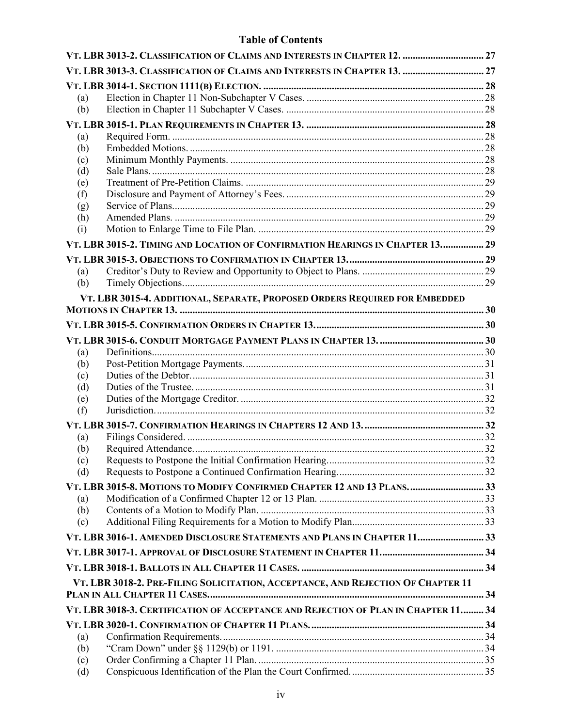|     | VT. LBR 3013-2. CLASSIFICATION OF CLAIMS AND INTERESTS IN CHAPTER 12.  27          |  |
|-----|------------------------------------------------------------------------------------|--|
|     |                                                                                    |  |
|     |                                                                                    |  |
| (a) |                                                                                    |  |
| (b) |                                                                                    |  |
|     |                                                                                    |  |
| (a) |                                                                                    |  |
| (b) |                                                                                    |  |
| (c) |                                                                                    |  |
| (d) |                                                                                    |  |
| (e) |                                                                                    |  |
| (f) |                                                                                    |  |
| (g) |                                                                                    |  |
| (h) |                                                                                    |  |
| (i) | VT. LBR 3015-2. TIMING AND LOCATION OF CONFIRMATION HEARINGS IN CHAPTER 13 29      |  |
|     |                                                                                    |  |
| (a) |                                                                                    |  |
| (b) |                                                                                    |  |
|     |                                                                                    |  |
|     | VT. LBR 3015-4. ADDITIONAL, SEPARATE, PROPOSED ORDERS REQUIRED FOR EMBEDDED        |  |
|     |                                                                                    |  |
|     |                                                                                    |  |
| (a) |                                                                                    |  |
| (b) |                                                                                    |  |
| (c) |                                                                                    |  |
| (d) |                                                                                    |  |
| (e) |                                                                                    |  |
| (f) |                                                                                    |  |
|     |                                                                                    |  |
| (a) |                                                                                    |  |
| (b) |                                                                                    |  |
| (c) |                                                                                    |  |
| (d) |                                                                                    |  |
|     | VT. LBR 3015-8. MOTIONS TO MODIFY CONFIRMED CHAPTER 12 AND 13 PLANS33              |  |
| (a) |                                                                                    |  |
| (b) |                                                                                    |  |
| (c) |                                                                                    |  |
|     | VT. LBR 3016-1. AMENDED DISCLOSURE STATEMENTS AND PLANS IN CHAPTER 11 33           |  |
|     |                                                                                    |  |
|     |                                                                                    |  |
|     | VT. LBR 3018-2. PRE-FILING SOLICITATION, ACCEPTANCE, AND REJECTION OF CHAPTER 11   |  |
|     | VT. LBR 3018-3. CERTIFICATION OF ACCEPTANCE AND REJECTION OF PLAN IN CHAPTER 11 34 |  |
|     |                                                                                    |  |
| (a) |                                                                                    |  |
| (b) |                                                                                    |  |
| (c) |                                                                                    |  |
| (d) |                                                                                    |  |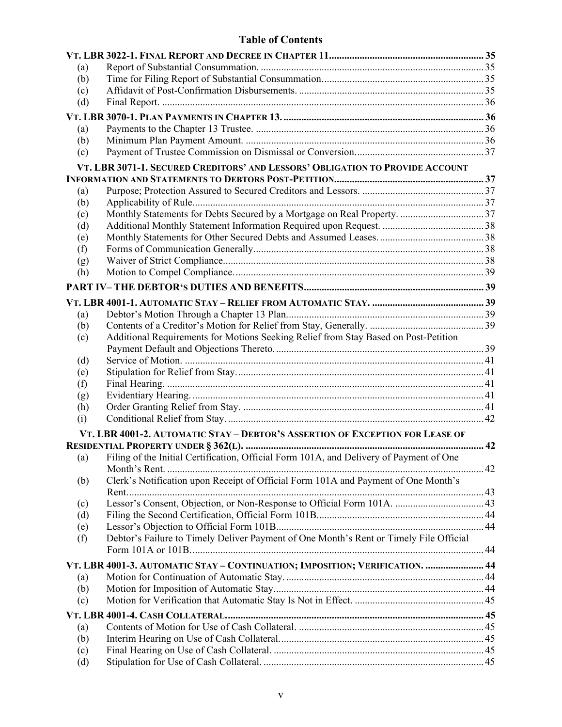| (a)               |                                                                                         |  |
|-------------------|-----------------------------------------------------------------------------------------|--|
| (b)               |                                                                                         |  |
| (c)               |                                                                                         |  |
| (d)               |                                                                                         |  |
|                   |                                                                                         |  |
| (a)               |                                                                                         |  |
| (b)               |                                                                                         |  |
| (c)               |                                                                                         |  |
|                   | VT. LBR 3071-1. SECURED CREDITORS' AND LESSORS' OBLIGATION TO PROVIDE ACCOUNT           |  |
|                   |                                                                                         |  |
| (a)               |                                                                                         |  |
| (b)               |                                                                                         |  |
| (c)               |                                                                                         |  |
| (d)               |                                                                                         |  |
| (e)               |                                                                                         |  |
| (f)               |                                                                                         |  |
| (g)               |                                                                                         |  |
| (h)               |                                                                                         |  |
|                   |                                                                                         |  |
|                   |                                                                                         |  |
|                   |                                                                                         |  |
| (a)               |                                                                                         |  |
| (b)               |                                                                                         |  |
| (c)               | Additional Requirements for Motions Seeking Relief from Stay Based on Post-Petition     |  |
|                   |                                                                                         |  |
| (d)               |                                                                                         |  |
| (e)               |                                                                                         |  |
| (f)               |                                                                                         |  |
| (g)<br>(h)        |                                                                                         |  |
| (i)               |                                                                                         |  |
|                   |                                                                                         |  |
|                   | VT. LBR 4001-2. AUTOMATIC STAY - DEBTOR'S ASSERTION OF EXCEPTION FOR LEASE OF           |  |
|                   | Filing of the Initial Certification, Official Form 101A, and Delivery of Payment of One |  |
| $\left( a\right)$ |                                                                                         |  |
|                   | Clerk's Notification upon Receipt of Official Form 101A and Payment of One Month's      |  |
| (b)               |                                                                                         |  |
|                   |                                                                                         |  |
| (c)<br>(d)        |                                                                                         |  |
| (e)               |                                                                                         |  |
| (f)               | Debtor's Failure to Timely Deliver Payment of One Month's Rent or Timely File Official  |  |
|                   |                                                                                         |  |
|                   |                                                                                         |  |
|                   | VT. LBR 4001-3. AUTOMATIC STAY - CONTINUATION; IMPOSITION; VERIFICATION.  44            |  |
| (a)               |                                                                                         |  |
| (b)               |                                                                                         |  |
| (c)               |                                                                                         |  |
|                   |                                                                                         |  |
| (a)               |                                                                                         |  |
| (b)               |                                                                                         |  |
| (c)               |                                                                                         |  |
| (d)               |                                                                                         |  |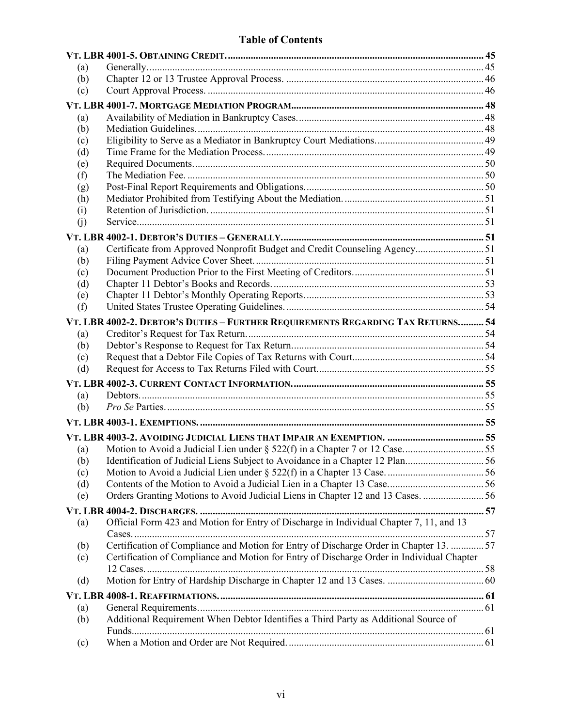| (a)        |                                                                                           |  |
|------------|-------------------------------------------------------------------------------------------|--|
| (b)        |                                                                                           |  |
| (c)        |                                                                                           |  |
|            |                                                                                           |  |
| (a)        |                                                                                           |  |
| (b)        |                                                                                           |  |
| (c)        |                                                                                           |  |
| (d)        |                                                                                           |  |
| (e)        |                                                                                           |  |
| (f)        |                                                                                           |  |
| (g)        |                                                                                           |  |
| (h)        |                                                                                           |  |
| (i)        |                                                                                           |  |
| (j)        |                                                                                           |  |
|            |                                                                                           |  |
|            | Certificate from Approved Nonprofit Budget and Credit Counseling Agency 51                |  |
| (a)<br>(b) |                                                                                           |  |
|            |                                                                                           |  |
| (c)<br>(d) |                                                                                           |  |
| (e)        |                                                                                           |  |
| (f)        |                                                                                           |  |
|            |                                                                                           |  |
|            | VT. LBR 4002-2. DEBTOR'S DUTIES - FURTHER REQUIREMENTS REGARDING TAX RETURNS 54           |  |
| (a)        |                                                                                           |  |
| (b)        |                                                                                           |  |
| (c)        |                                                                                           |  |
| (d)        |                                                                                           |  |
|            |                                                                                           |  |
| (a)        |                                                                                           |  |
| (b)        |                                                                                           |  |
|            |                                                                                           |  |
|            |                                                                                           |  |
|            |                                                                                           |  |
| (a)<br>(b) | Identification of Judicial Liens Subject to Avoidance in a Chapter 12 Plan56              |  |
| (c)        |                                                                                           |  |
| (d)        |                                                                                           |  |
| (e)        | Orders Granting Motions to Avoid Judicial Liens in Chapter 12 and 13 Cases. 56            |  |
|            |                                                                                           |  |
|            |                                                                                           |  |
| (a)        | Official Form 423 and Motion for Entry of Discharge in Individual Chapter 7, 11, and 13   |  |
|            |                                                                                           |  |
| (b)        | Certification of Compliance and Motion for Entry of Discharge Order in Chapter 13.  57    |  |
| (c)        | Certification of Compliance and Motion for Entry of Discharge Order in Individual Chapter |  |
|            |                                                                                           |  |
| (d)        |                                                                                           |  |
|            |                                                                                           |  |
| (a)        |                                                                                           |  |
| (b)        | Additional Requirement When Debtor Identifies a Third Party as Additional Source of       |  |
|            |                                                                                           |  |
| (c)        |                                                                                           |  |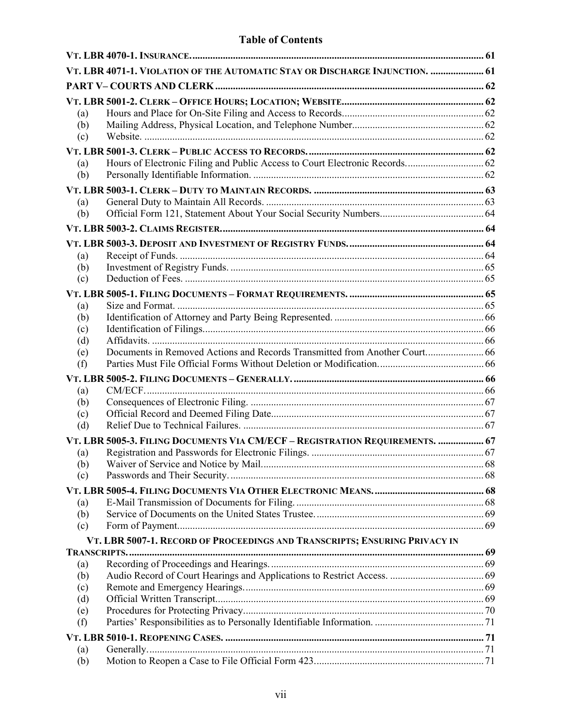|            | VT. LBR 4071-1. VIOLATION OF THE AUTOMATIC STAY OR DISCHARGE INJUNCTION.  61 |  |
|------------|------------------------------------------------------------------------------|--|
|            |                                                                              |  |
|            |                                                                              |  |
| (a)        |                                                                              |  |
| (b)        |                                                                              |  |
| (c)        |                                                                              |  |
|            |                                                                              |  |
| (a)        |                                                                              |  |
| (b)        |                                                                              |  |
|            |                                                                              |  |
| (a)        |                                                                              |  |
| (b)        |                                                                              |  |
|            |                                                                              |  |
|            |                                                                              |  |
| (a)        |                                                                              |  |
| (b)        |                                                                              |  |
| (c)        |                                                                              |  |
|            |                                                                              |  |
| (a)        |                                                                              |  |
| (b)        |                                                                              |  |
| (c)        |                                                                              |  |
| (d)        |                                                                              |  |
| (e)        | Documents in Removed Actions and Records Transmitted from Another Court 66   |  |
| (f)        |                                                                              |  |
|            |                                                                              |  |
| (a)        |                                                                              |  |
| (b)        |                                                                              |  |
| (c)        |                                                                              |  |
| (d)        |                                                                              |  |
|            | VT. LBR 5005-3. FILING DOCUMENTS VIA CM/ECF - REGISTRATION REQUIREMENTS.  67 |  |
| (a)        |                                                                              |  |
| (b)<br>(c) |                                                                              |  |
|            |                                                                              |  |
|            |                                                                              |  |
| (a)<br>(b) |                                                                              |  |
| (c)        |                                                                              |  |
|            | VT. LBR 5007-1. RECORD OF PROCEEDINGS AND TRANSCRIPTS; ENSURING PRIVACY IN   |  |
|            |                                                                              |  |
| (a)        |                                                                              |  |
| (b)        |                                                                              |  |
| (c)        |                                                                              |  |
| (d)        |                                                                              |  |
| (e)        |                                                                              |  |
| (f)        |                                                                              |  |
|            |                                                                              |  |
| (a)        |                                                                              |  |
| (b)        |                                                                              |  |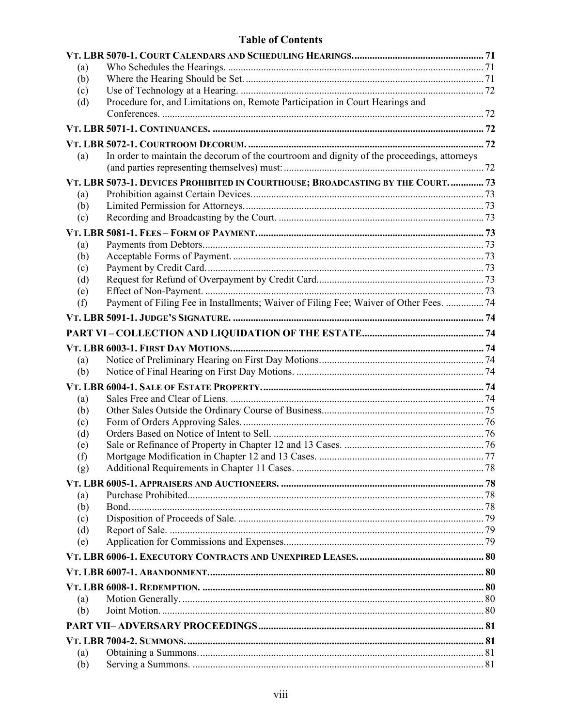| (a) |                                                                                             |  |
|-----|---------------------------------------------------------------------------------------------|--|
| (b) |                                                                                             |  |
| (c) |                                                                                             |  |
| (d) | Procedure for, and Limitations on, Remote Participation in Court Hearings and               |  |
|     |                                                                                             |  |
|     |                                                                                             |  |
|     |                                                                                             |  |
| (a) | In order to maintain the decorum of the courtroom and dignity of the proceedings, attorneys |  |
|     | VT. LBR 5073-1. DEVICES PROHIBITED IN COURTHOUSE; BROADCASTING BY THE COURT 73              |  |
| (a) |                                                                                             |  |
| (b) |                                                                                             |  |
| (c) |                                                                                             |  |
|     |                                                                                             |  |
| (a) |                                                                                             |  |
| (b) |                                                                                             |  |
| (c) |                                                                                             |  |
| (d) |                                                                                             |  |
| (e) |                                                                                             |  |
| (f) | Payment of Filing Fee in Installments; Waiver of Filing Fee; Waiver of Other Fees.  74      |  |
|     |                                                                                             |  |
|     |                                                                                             |  |
|     |                                                                                             |  |
| (a) |                                                                                             |  |
| (b) |                                                                                             |  |
|     |                                                                                             |  |
| (a) |                                                                                             |  |
| (b) |                                                                                             |  |
| (c) |                                                                                             |  |
| (d) |                                                                                             |  |
| (e) |                                                                                             |  |
| (f) |                                                                                             |  |
| (g) |                                                                                             |  |
|     |                                                                                             |  |
| (a) |                                                                                             |  |
| (b) |                                                                                             |  |
| (c) |                                                                                             |  |
| (d) |                                                                                             |  |
| (e) |                                                                                             |  |
|     |                                                                                             |  |
|     |                                                                                             |  |
|     |                                                                                             |  |
| (a) |                                                                                             |  |
| (b) |                                                                                             |  |
|     |                                                                                             |  |
|     |                                                                                             |  |
| (a) |                                                                                             |  |
| (b) |                                                                                             |  |
|     |                                                                                             |  |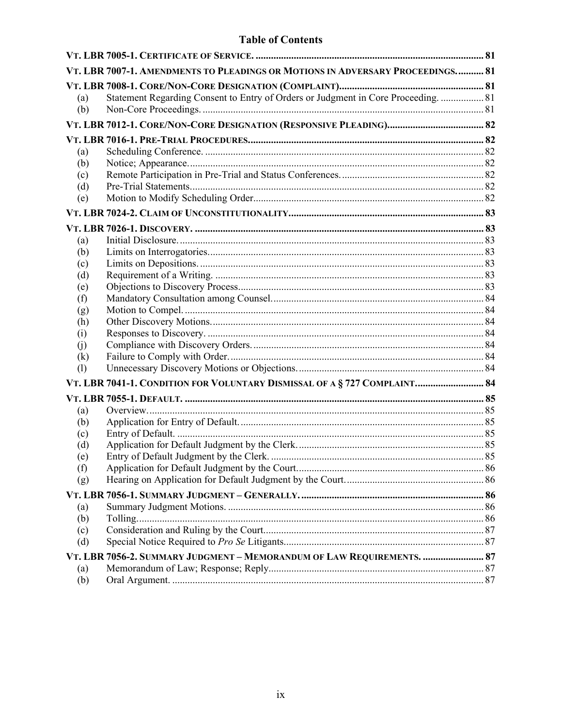|            | VT. LBR 7007-1. AMENDMENTS TO PLEADINGS OR MOTIONS IN ADVERSARY PROCEEDINGS 81     |  |
|------------|------------------------------------------------------------------------------------|--|
|            |                                                                                    |  |
| (a)        | Statement Regarding Consent to Entry of Orders or Judgment in Core Proceeding.  81 |  |
| (b)        |                                                                                    |  |
|            |                                                                                    |  |
|            |                                                                                    |  |
| (a)        |                                                                                    |  |
| (b)        |                                                                                    |  |
| (c)        |                                                                                    |  |
| (d)        |                                                                                    |  |
| (e)        |                                                                                    |  |
|            |                                                                                    |  |
|            |                                                                                    |  |
| (a)        |                                                                                    |  |
| (b)        |                                                                                    |  |
| (c)        |                                                                                    |  |
| (d)        |                                                                                    |  |
| (e)<br>(f) |                                                                                    |  |
| (g)        |                                                                                    |  |
| (h)        |                                                                                    |  |
| (i)        |                                                                                    |  |
| (i)        |                                                                                    |  |
| (k)        |                                                                                    |  |
| (1)        |                                                                                    |  |
|            | VT. LBR 7041-1. CONDITION FOR VOLUNTARY DISMISSAL OF A § 727 COMPLAINT 84          |  |
|            |                                                                                    |  |
| (a)        |                                                                                    |  |
| (b)        |                                                                                    |  |
| (c)        |                                                                                    |  |
| (d)        |                                                                                    |  |
| (e)        |                                                                                    |  |
| (f)        |                                                                                    |  |
| (g)        |                                                                                    |  |
|            |                                                                                    |  |
| (a)        |                                                                                    |  |
| (b)        |                                                                                    |  |
| (c)        |                                                                                    |  |
| (d)        |                                                                                    |  |
|            | VT. LBR 7056-2. SUMMARY JUDGMENT - MEMORANDUM OF LAW REQUIREMENTS.  87             |  |
| (a)        |                                                                                    |  |
| (b)        |                                                                                    |  |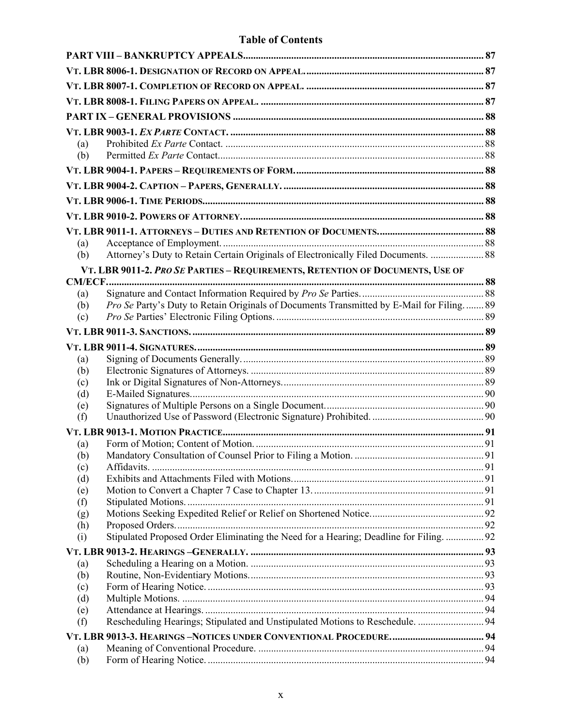| (a)        |                                                                                          |  |
|------------|------------------------------------------------------------------------------------------|--|
| (b)        |                                                                                          |  |
|            |                                                                                          |  |
|            |                                                                                          |  |
|            |                                                                                          |  |
|            |                                                                                          |  |
|            |                                                                                          |  |
| (a)        |                                                                                          |  |
| (b)        | Attorney's Duty to Retain Certain Originals of Electronically Filed Documents.  88       |  |
|            | VT. LBR 9011-2. PRO SE PARTIES - REQUIREMENTS, RETENTION OF DOCUMENTS, USE OF            |  |
|            |                                                                                          |  |
| (a)        |                                                                                          |  |
| (b)        | Pro Se Party's Duty to Retain Originals of Documents Transmitted by E-Mail for Filing 89 |  |
| (c)        |                                                                                          |  |
|            |                                                                                          |  |
|            |                                                                                          |  |
| (a)<br>(b) |                                                                                          |  |
| (c)        |                                                                                          |  |
| (d)        |                                                                                          |  |
| (e)        |                                                                                          |  |
| (f)        |                                                                                          |  |
|            |                                                                                          |  |
| (a)        |                                                                                          |  |
| (b)<br>(c) |                                                                                          |  |
| (d)        |                                                                                          |  |
| (e)        |                                                                                          |  |
| (f)        |                                                                                          |  |
| (g)        |                                                                                          |  |
| (h)        | Stipulated Proposed Order Eliminating the Need for a Hearing; Deadline for Filing.  92   |  |
| (i)        |                                                                                          |  |
| (a)        |                                                                                          |  |
| (b)        |                                                                                          |  |
| (c)        |                                                                                          |  |
| (d)        |                                                                                          |  |
| (e)        |                                                                                          |  |
| (f)        | Rescheduling Hearings; Stipulated and Unstipulated Motions to Reschedule.  94            |  |
|            |                                                                                          |  |
| (a)<br>(b) |                                                                                          |  |
|            |                                                                                          |  |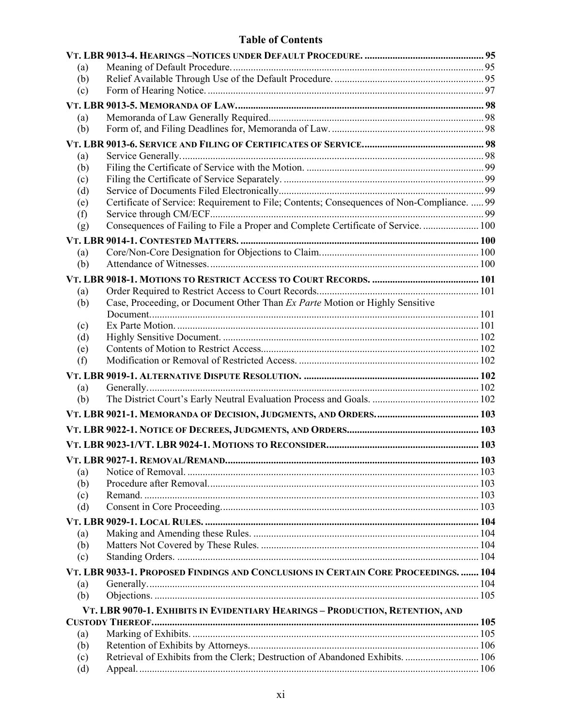| (a)        |                                                                                            |     |
|------------|--------------------------------------------------------------------------------------------|-----|
| (b)        |                                                                                            |     |
| (c)        |                                                                                            |     |
|            |                                                                                            |     |
| (a)        |                                                                                            |     |
| (b)        |                                                                                            |     |
|            |                                                                                            |     |
| (a)        |                                                                                            |     |
| (b)        |                                                                                            |     |
| (c)        |                                                                                            |     |
| (d)        | Certificate of Service: Requirement to File; Contents; Consequences of Non-Compliance.  99 |     |
| (e)<br>(f) |                                                                                            |     |
| (g)        | Consequences of Failing to File a Proper and Complete Certificate of Service.  100         |     |
|            |                                                                                            |     |
| (a)        |                                                                                            |     |
| (b)        |                                                                                            |     |
|            |                                                                                            |     |
|            |                                                                                            |     |
| (a)<br>(b) | Case, Proceeding, or Document Other Than Ex Parte Motion or Highly Sensitive               |     |
|            |                                                                                            |     |
| (c)        |                                                                                            |     |
| (d)        |                                                                                            |     |
| (e)        |                                                                                            |     |
| (f)        |                                                                                            |     |
|            |                                                                                            |     |
| (a)        |                                                                                            |     |
| (b)        |                                                                                            |     |
|            |                                                                                            |     |
|            |                                                                                            |     |
|            |                                                                                            |     |
|            |                                                                                            |     |
|            |                                                                                            | 103 |
| (a)<br>(b) |                                                                                            |     |
| (c)        |                                                                                            |     |
| (d)        |                                                                                            |     |
|            |                                                                                            |     |
| (a)        |                                                                                            |     |
| (b)        |                                                                                            |     |
| (c)        |                                                                                            |     |
|            | VT. LBR 9033-1. PROPOSED FINDINGS AND CONCLUSIONS IN CERTAIN CORE PROCEEDINGS.  104        |     |
| (a)        |                                                                                            |     |
| (b)        |                                                                                            |     |
|            | VT. LBR 9070-1. EXHIBITS IN EVIDENTIARY HEARINGS - PRODUCTION, RETENTION, AND              |     |
|            |                                                                                            |     |
| (a)        |                                                                                            |     |
| (b)        |                                                                                            |     |
| (c)        | Retrieval of Exhibits from the Clerk; Destruction of Abandoned Exhibits.  106              |     |
| (d)        |                                                                                            |     |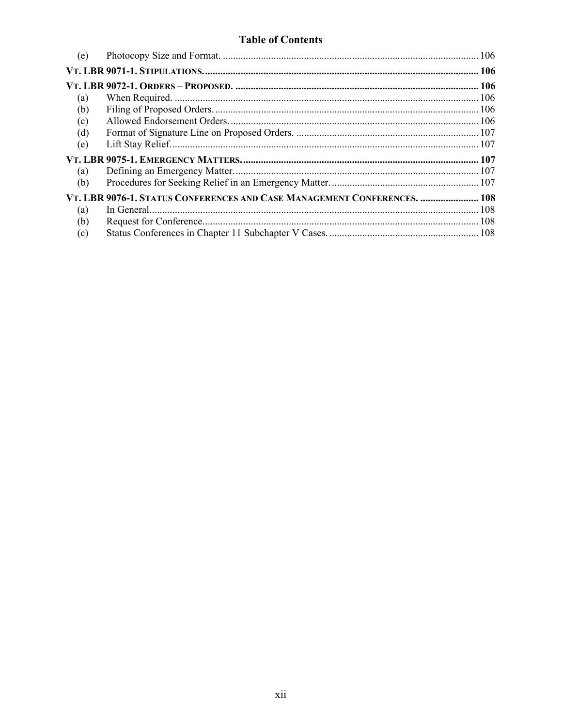| (e) |                                                                          |  |
|-----|--------------------------------------------------------------------------|--|
|     |                                                                          |  |
|     |                                                                          |  |
| (a) |                                                                          |  |
| (b) |                                                                          |  |
| (c) |                                                                          |  |
| (d) |                                                                          |  |
| (e) |                                                                          |  |
|     |                                                                          |  |
|     |                                                                          |  |
| (a) |                                                                          |  |
| (b) |                                                                          |  |
|     | VT. LBR 9076-1. STATUS CONFERENCES AND CASE MANAGEMENT CONFERENCES.  108 |  |
| (a) |                                                                          |  |
| (b) |                                                                          |  |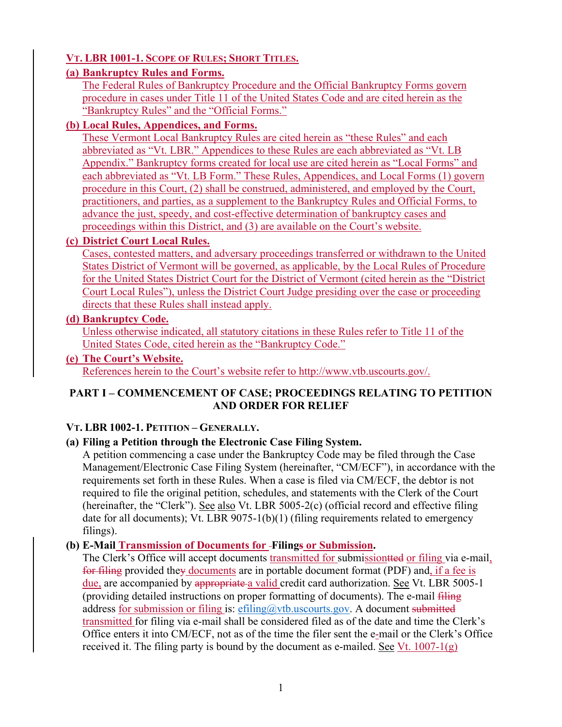# **VT. LBR 1001-1. SCOPE OF RULES; SHORT TITLES.**

#### **(a) Bankruptcy Rules and Forms.**

The Federal Rules of Bankruptcy Procedure and the Official Bankruptcy Forms govern procedure in cases under Title 11 of the United States Code and are cited herein as the "Bankruptcy Rules" and the "Official Forms."

# **(b) Local Rules, Appendices, and Forms.**

These Vermont Local Bankruptcy Rules are cited herein as "these Rules" and each abbreviated as "Vt. LBR." Appendices to these Rules are each abbreviated as "Vt. LB Appendix." Bankruptcy forms created for local use are cited herein as "Local Forms" and each abbreviated as "Vt. LB Form." These Rules, Appendices, and Local Forms (1) govern procedure in this Court, (2) shall be construed, administered, and employed by the Court, practitioners, and parties, as a supplement to the Bankruptcy Rules and Official Forms, to advance the just, speedy, and cost-effective determination of bankruptcy cases and proceedings within this District, and (3) are available on the Court's website.

#### **(c) District Court Local Rules.**

Cases, contested matters, and adversary proceedings transferred or withdrawn to the United States District of Vermont will be governed, as applicable, by the Local Rules of Procedure for the United States District Court for the District of Vermont (cited herein as the "District Court Local Rules"), unless the District Court Judge presiding over the case or proceeding directs that these Rules shall instead apply.

#### **(d) Bankruptcy Code.**

Unless otherwise indicated, all statutory citations in these Rules refer to Title 11 of the United States Code, cited herein as the "Bankruptcy Code."

#### **(e) The Court's Website.**

References herein to the Court's website refer to http://www.vtb.uscourts.gov/.

# **PART I – COMMENCEMENT OF CASE; PROCEEDINGS RELATING TO PETITION AND ORDER FOR RELIEF**

# **VT. LBR 1002-1. PETITION – GENERALLY.**

# **(a) Filing a Petition through the Electronic Case Filing System.**

A petition commencing a case under the Bankruptcy Code may be filed through the Case Management/Electronic Case Filing System (hereinafter, "CM/ECF"), in accordance with the requirements set forth in these Rules. When a case is filed via CM/ECF, the debtor is not required to file the original petition, schedules, and statements with the Clerk of the Court (hereinafter, the "Clerk"). See also Vt. LBR 5005-2(c) (official record and effective filing date for all documents); Vt. LBR 9075-1(b)(1) (filing requirements related to emergency filings).

# **(b) E-Mail Transmission of Documents for Filings or Submission.**

The Clerk's Office will accept documents transmitted for submissiontted or filing via e-mail, for filing provided they documents are in portable document format (PDF) and, if a fee is due, are accompanied by appropriate a valid credit card authorization. See Vt. LBR 5005-1 (providing detailed instructions on proper formatting of documents). The e-mail filing address for submission or filing is:  $\epsilon$ filing@vtb.uscourts.gov. A document submitted transmitted for filing via e-mail shall be considered filed as of the date and time the Clerk's Office enters it into CM/ECF, not as of the time the filer sent the e-mail or the Clerk's Office received it. The filing party is bound by the document as e-mailed. See Vt.  $1007-1(g)$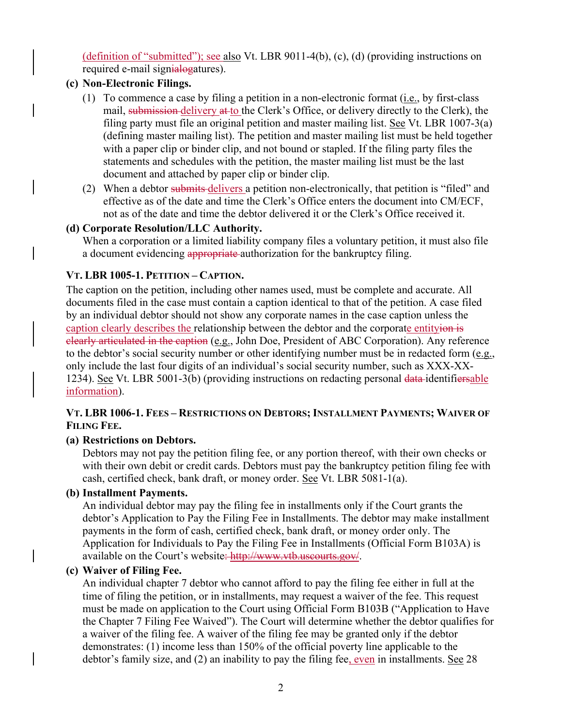(definition of "submitted"); see also Vt. LBR 9011-4(b), (c), (d) (providing instructions on required e-mail signialogatures).

# **(c) Non-Electronic Filings.**

- (1) To commence a case by filing a petition in a non-electronic format (i.e., by first-class mail, submission delivery at to the Clerk's Office, or delivery directly to the Clerk), the filing party must file an original petition and master mailing list. See Vt. LBR 1007-3(a) (defining master mailing list). The petition and master mailing list must be held together with a paper clip or binder clip, and not bound or stapled. If the filing party files the statements and schedules with the petition, the master mailing list must be the last document and attached by paper clip or binder clip.
- (2) When a debtor submits delivers a petition non-electronically, that petition is "filed" and effective as of the date and time the Clerk's Office enters the document into CM/ECF, not as of the date and time the debtor delivered it or the Clerk's Office received it.

# **(d) Corporate Resolution/LLC Authority.**

When a corporation or a limited liability company files a voluntary petition, it must also file a document evidencing appropriate authorization for the bankruptcy filing.

# **VT. LBR 1005-1. PETITION – CAPTION.**

The caption on the petition, including other names used, must be complete and accurate. All documents filed in the case must contain a caption identical to that of the petition. A case filed by an individual debtor should not show any corporate names in the case caption unless the caption clearly describes the relationship between the debtor and the corporate entityion is clearly articulated in the caption (e.g., John Doe, President of ABC Corporation). Any reference to the debtor's social security number or other identifying number must be in redacted form (e.g., only include the last four digits of an individual's social security number, such as XXX-XX-1234). See Vt. LBR 5001-3(b) (providing instructions on redacting personal data-identifiersable information).

#### **VT. LBR 1006-1. FEES – RESTRICTIONS ON DEBTORS; INSTALLMENT PAYMENTS; WAIVER OF FILING FEE.**

#### **(a) Restrictions on Debtors.**

Debtors may not pay the petition filing fee, or any portion thereof, with their own checks or with their own debit or credit cards. Debtors must pay the bankruptcy petition filing fee with cash, certified check, bank draft, or money order. See Vt. LBR 5081-1(a).

#### **(b) Installment Payments.**

An individual debtor may pay the filing fee in installments only if the Court grants the debtor's Application to Pay the Filing Fee in Installments. The debtor may make installment payments in the form of cash, certified check, bank draft, or money order only. The Application for Individuals to Pay the Filing Fee in Installments (Official Form B103A) is available on the Court's website: http://www.vtb.uscourts.gov/.

#### **(c) Waiver of Filing Fee.**

An individual chapter 7 debtor who cannot afford to pay the filing fee either in full at the time of filing the petition, or in installments, may request a waiver of the fee. This request must be made on application to the Court using Official Form B103B ("Application to Have the Chapter 7 Filing Fee Waived"). The Court will determine whether the debtor qualifies for a waiver of the filing fee. A waiver of the filing fee may be granted only if the debtor demonstrates: (1) income less than 150% of the official poverty line applicable to the debtor's family size, and (2) an inability to pay the filing fee, even in installments. See 28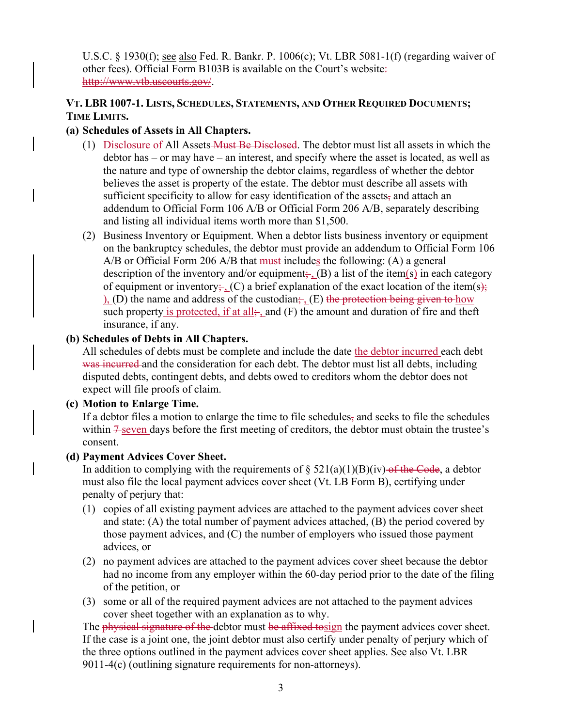U.S.C. § 1930(f); see also Fed. R. Bankr. P. 1006(c); Vt. LBR 5081-1(f) (regarding waiver of other fees). Official Form B103B is available on the Court's website: http://www.vtb.uscourts.gov/.

#### **VT. LBR 1007-1. LISTS, SCHEDULES, STATEMENTS, AND OTHER REQUIRED DOCUMENTS; TIME LIMITS.**

#### **(a) Schedules of Assets in All Chapters.**

- (1) Disclosure of All Assets Must Be Disclosed. The debtor must list all assets in which the debtor has – or may have – an interest, and specify where the asset is located, as well as the nature and type of ownership the debtor claims, regardless of whether the debtor believes the asset is property of the estate. The debtor must describe all assets with sufficient specificity to allow for easy identification of the assets, and attach an addendum to Official Form 106 A/B or Official Form 206 A/B, separately describing and listing all individual items worth more than \$1,500.
- (2) Business Inventory or Equipment. When a debtor lists business inventory or equipment on the bankruptcy schedules, the debtor must provide an addendum to Official Form 106 A/B or Official Form 206 A/B that must includes the following: (A) a general description of the inventory and/or equipment;  $\overline{B}$  a list of the item(s) in each category of equipment or inventory;  $(C)$  a brief explanation of the exact location of the item(s); ), (D) the name and address of the custodian;  $E$  the protection being given to how such property is protected, if at all<sub>i-1</sub> and (F) the amount and duration of fire and theft insurance, if any.

#### **(b) Schedules of Debts in All Chapters.**

All schedules of debts must be complete and include the date the debtor incurred each debt was incurred and the consideration for each debt. The debtor must list all debts, including disputed debts, contingent debts, and debts owed to creditors whom the debtor does not expect will file proofs of claim.

#### **(c) Motion to Enlarge Time.**

If a debtor files a motion to enlarge the time to file schedules, and seeks to file the schedules within  $\frac{1}{2}$  seven days before the first meeting of creditors, the debtor must obtain the trustee's consent.

#### **(d) Payment Advices Cover Sheet.**

In addition to complying with the requirements of  $\S 521(a)(1)(B)(iv)$  of the Code, a debtor must also file the local payment advices cover sheet (Vt. LB Form B), certifying under penalty of perjury that:

- (1) copies of all existing payment advices are attached to the payment advices cover sheet and state: (A) the total number of payment advices attached, (B) the period covered by those payment advices, and (C) the number of employers who issued those payment advices, or
- (2) no payment advices are attached to the payment advices cover sheet because the debtor had no income from any employer within the 60-day period prior to the date of the filing of the petition, or
- (3) some or all of the required payment advices are not attached to the payment advices cover sheet together with an explanation as to why.

The physical signature of the debtor must be affixed to sign the payment advices cover sheet. If the case is a joint one, the joint debtor must also certify under penalty of perjury which of the three options outlined in the payment advices cover sheet applies. See also Vt. LBR 9011-4(c) (outlining signature requirements for non-attorneys).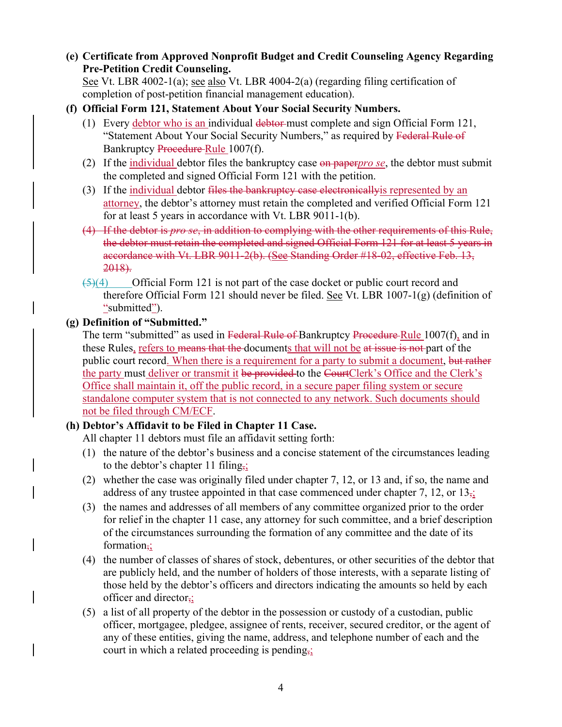**(e) Certificate from Approved Nonprofit Budget and Credit Counseling Agency Regarding Pre-Petition Credit Counseling.** 

See Vt. LBR 4002-1(a); see also Vt. LBR 4004-2(a) (regarding filing certification of completion of post-petition financial management education).

- **(f) Official Form 121, Statement About Your Social Security Numbers.** 
	- (1) Every debtor who is an individual debtor-must complete and sign Official Form  $121$ , "Statement About Your Social Security Numbers," as required by Federal Rule of Bankruptcy Procedure Rule 1007(f).
	- (2) If the individual debtor files the bankruptcy case on paper*pro se*, the debtor must submit the completed and signed Official Form 121 with the petition.
	- (3) If the individual debtor files the bankruptcy case electronically is represented by an attorney, the debtor's attorney must retain the completed and verified Official Form 121 for at least 5 years in accordance with Vt. LBR 9011-1(b).
	- (4) If the debtor is *pro se*, in addition to complying with the other requirements of this Rule, the debtor must retain the completed and signed Official Form 121 for at least 5 years in accordance with Vt. LBR 9011-2(b). (See Standing Order #18-02, effective Feb. 13, 2018).
	- $\frac{5(4)}{2}$  Official Form 121 is not part of the case docket or public court record and therefore Official Form 121 should never be filed. See Vt. LBR 1007-1(g) (definition of "submitted").

#### **(g) Definition of "Submitted."**

The term "submitted" as used in Federal Rule of Bankruptcy Procedure Rule 1007(f), and in these Rules, refers to means that the documents that will not be at issue is not part of the public court record. When there is a requirement for a party to submit a document, but rather the party must deliver or transmit it be provided to the CourtClerk's Office and the Clerk's Office shall maintain it, off the public record, in a secure paper filing system or secure standalone computer system that is not connected to any network. Such documents should not be filed through CM/ECF.

#### **(h) Debtor's Affidavit to be Filed in Chapter 11 Case.**

All chapter 11 debtors must file an affidavit setting forth:

- (1) the nature of the debtor's business and a concise statement of the circumstances leading to the debtor's chapter 11 filing,;
- (2) whether the case was originally filed under chapter 7, 12, or 13 and, if so, the name and address of any trustee appointed in that case commenced under chapter 7, 12, or  $13_{\overline{52}}$
- (3) the names and addresses of all members of any committee organized prior to the order for relief in the chapter 11 case, any attorney for such committee, and a brief description of the circumstances surrounding the formation of any committee and the date of its formation $\frac{1}{2}$
- (4) the number of classes of shares of stock, debentures, or other securities of the debtor that are publicly held, and the number of holders of those interests, with a separate listing of those held by the debtor's officers and directors indicating the amounts so held by each officer and director,;
- (5) a list of all property of the debtor in the possession or custody of a custodian, public officer, mortgagee, pledgee, assignee of rents, receiver, secured creditor, or the agent of any of these entities, giving the name, address, and telephone number of each and the court in which a related proceeding is pending $\frac{1}{2}$ .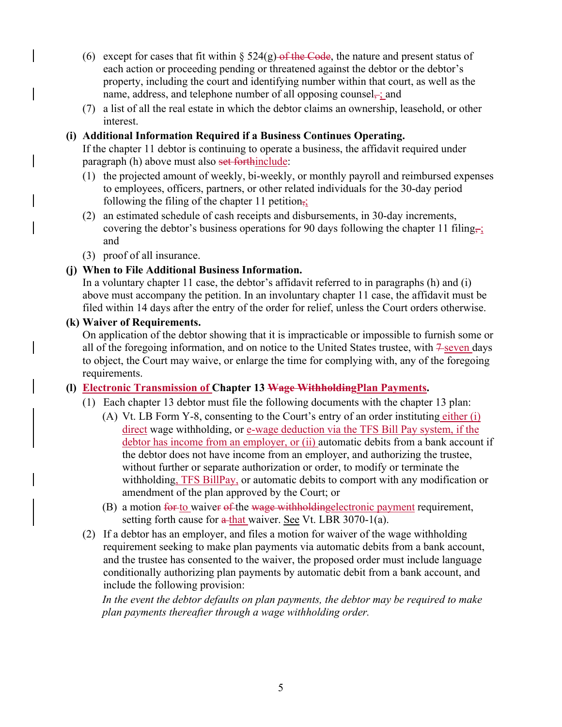- (6) except for cases that fit within  $\S 524(g)$  of the Code, the nature and present status of each action or proceeding pending or threatened against the debtor or the debtor's property, including the court and identifying number within that court, as well as the name, address, and telephone number of all opposing counsel $\rightleftharpoons$ ; and
- (7) a list of all the real estate in which the debtor claims an ownership, leasehold, or other interest.

#### **(i) Additional Information Required if a Business Continues Operating.**

If the chapter 11 debtor is continuing to operate a business, the affidavit required under paragraph (h) above must also set forthinclude:

- (1) the projected amount of weekly, bi-weekly, or monthly payroll and reimbursed expenses to employees, officers, partners, or other related individuals for the 30-day period following the filing of the chapter 11 petition $\overline{\mathbf{r}}$ ;
- (2) an estimated schedule of cash receipts and disbursements, in 30-day increments, covering the debtor's business operations for 90 days following the chapter 11 filing, and
- (3) proof of all insurance.

#### **(j) When to File Additional Business Information.**

In a voluntary chapter 11 case, the debtor's affidavit referred to in paragraphs (h) and (i) above must accompany the petition. In an involuntary chapter 11 case, the affidavit must be filed within 14 days after the entry of the order for relief, unless the Court orders otherwise.

#### **(k) Waiver of Requirements.**

On application of the debtor showing that it is impracticable or impossible to furnish some or all of the foregoing information, and on notice to the United States trustee, with  $\frac{2}{5}$  seven days to object, the Court may waive, or enlarge the time for complying with, any of the foregoing requirements.

#### **(l) Electronic Transmission of Chapter 13 Wage WithholdingPlan Payments.**

- (1) Each chapter 13 debtor must file the following documents with the chapter 13 plan:
	- (A) Vt. LB Form Y-8, consenting to the Court's entry of an order instituting either (i) direct wage withholding, or e-wage deduction via the TFS Bill Pay system, if the debtor has income from an employer, or (ii) automatic debits from a bank account if the debtor does not have income from an employer, and authorizing the trustee, without further or separate authorization or order, to modify or terminate the withholding, TFS BillPay, or automatic debits to comport with any modification or amendment of the plan approved by the Court; or
	- (B) a motion for to waiver of the wage withholding electronic payment requirement, setting forth cause for  $\frac{a - th}{a}$  waiver. See Vt. LBR 3070-1(a).
- (2) If a debtor has an employer, and files a motion for waiver of the wage withholding requirement seeking to make plan payments via automatic debits from a bank account, and the trustee has consented to the waiver, the proposed order must include language conditionally authorizing plan payments by automatic debit from a bank account, and include the following provision:

In the event the debtor defaults on plan payments, the debtor may be required to make *plan payments thereafter through a wage withholding order.*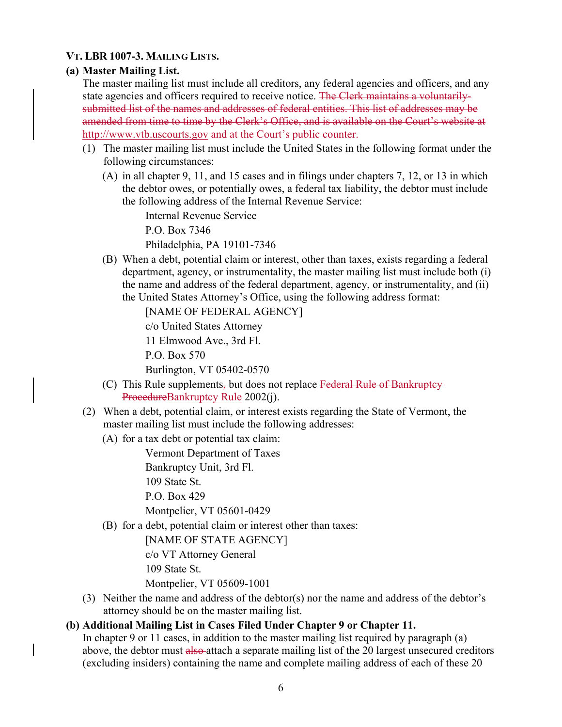#### **VT. LBR 1007-3. MAILING LISTS.**

#### **(a) Master Mailing List.**

The master mailing list must include all creditors, any federal agencies and officers, and any state agencies and officers required to receive notice. The Clerk maintains a voluntarilysubmitted list of the names and addresses of federal entities. This list of addresses may be amended from time to time by the Clerk's Office, and is available on the Court's website at http://www.vtb.uscourts.gov and at the Court's public counter.

- (1) The master mailing list must include the United States in the following format under the following circumstances:
	- (A) in all chapter 9, 11, and 15 cases and in filings under chapters 7, 12, or 13 in which the debtor owes, or potentially owes, a federal tax liability, the debtor must include the following address of the Internal Revenue Service:

Internal Revenue Service

P.O. Box 7346

Philadelphia, PA 19101-7346

(B) When a debt, potential claim or interest, other than taxes, exists regarding a federal department, agency, or instrumentality, the master mailing list must include both (i) the name and address of the federal department, agency, or instrumentality, and (ii) the United States Attorney's Office, using the following address format:

[NAME OF FEDERAL AGENCY]

c/o United States Attorney

11 Elmwood Ave., 3rd Fl.

P.O. Box 570

Burlington, VT 05402-0570

- (C) This Rule supplements, but does not replace Federal Rule of Bankruptcy ProcedureBankruptcy Rule 2002(j).
- (2) When a debt, potential claim, or interest exists regarding the State of Vermont, the master mailing list must include the following addresses:
	- (A) for a tax debt or potential tax claim:

Vermont Department of Taxes

Bankruptcy Unit, 3rd Fl.

109 State St.

P.O. Box 429

Montpelier, VT 05601-0429

(B) for a debt, potential claim or interest other than taxes:

[NAME OF STATE AGENCY]

c/o VT Attorney General

109 State St.

Montpelier, VT 05609-1001

(3) Neither the name and address of the debtor(s) nor the name and address of the debtor's attorney should be on the master mailing list.

#### **(b) Additional Mailing List in Cases Filed Under Chapter 9 or Chapter 11.**

In chapter 9 or 11 cases, in addition to the master mailing list required by paragraph (a) above, the debtor must also attach a separate mailing list of the 20 largest unsecured creditors (excluding insiders) containing the name and complete mailing address of each of these 20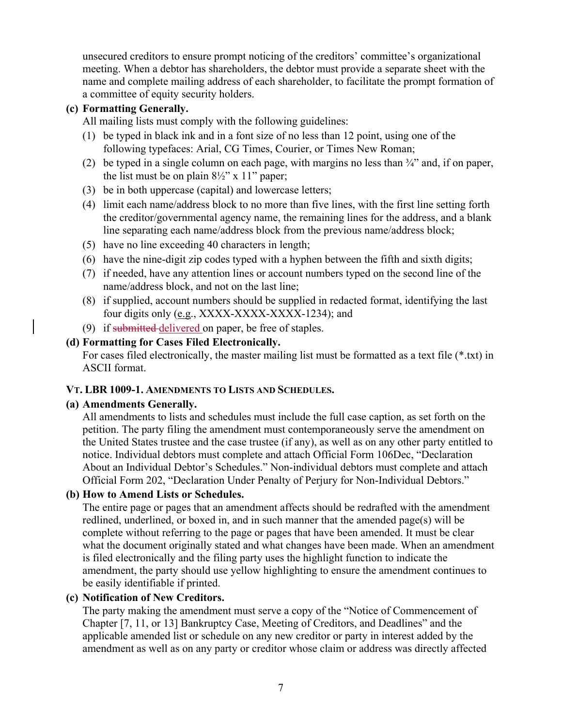unsecured creditors to ensure prompt noticing of the creditors' committee's organizational meeting. When a debtor has shareholders, the debtor must provide a separate sheet with the name and complete mailing address of each shareholder, to facilitate the prompt formation of a committee of equity security holders.

#### **(c) Formatting Generally.**

All mailing lists must comply with the following guidelines:

- (1) be typed in black ink and in a font size of no less than 12 point, using one of the following typefaces: Arial, CG Times, Courier, or Times New Roman;
- (2) be typed in a single column on each page, with margins no less than  $\frac{3}{4}$  and, if on paper, the list must be on plain  $8\frac{1}{2}$ " x 11" paper;
- (3) be in both uppercase (capital) and lowercase letters;
- (4) limit each name/address block to no more than five lines, with the first line setting forth the creditor/governmental agency name, the remaining lines for the address, and a blank line separating each name/address block from the previous name/address block;
- (5) have no line exceeding 40 characters in length;
- (6) have the nine-digit zip codes typed with a hyphen between the fifth and sixth digits;
- (7) if needed, have any attention lines or account numbers typed on the second line of the name/address block, and not on the last line;
- (8) if supplied, account numbers should be supplied in redacted format, identifying the last four digits only (e.g., XXXX-XXXX-XXXX-1234); and
- (9) if submitted delivered on paper, be free of staples.

#### **(d) Formatting for Cases Filed Electronically.**

For cases filed electronically, the master mailing list must be formatted as a text file (\*.txt) in ASCII format.

#### **VT. LBR 1009-1. AMENDMENTS TO LISTS AND SCHEDULES.**

#### **(a) Amendments Generally.**

All amendments to lists and schedules must include the full case caption, as set forth on the petition. The party filing the amendment must contemporaneously serve the amendment on the United States trustee and the case trustee (if any), as well as on any other party entitled to notice. Individual debtors must complete and attach Official Form 106Dec, "Declaration About an Individual Debtor's Schedules." Non-individual debtors must complete and attach Official Form 202, "Declaration Under Penalty of Perjury for Non-Individual Debtors."

#### **(b) How to Amend Lists or Schedules.**

The entire page or pages that an amendment affects should be redrafted with the amendment redlined, underlined, or boxed in, and in such manner that the amended page(s) will be complete without referring to the page or pages that have been amended. It must be clear what the document originally stated and what changes have been made. When an amendment is filed electronically and the filing party uses the highlight function to indicate the amendment, the party should use yellow highlighting to ensure the amendment continues to be easily identifiable if printed.

#### **(c) Notification of New Creditors.**

The party making the amendment must serve a copy of the "Notice of Commencement of Chapter [7, 11, or 13] Bankruptcy Case, Meeting of Creditors, and Deadlines" and the applicable amended list or schedule on any new creditor or party in interest added by the amendment as well as on any party or creditor whose claim or address was directly affected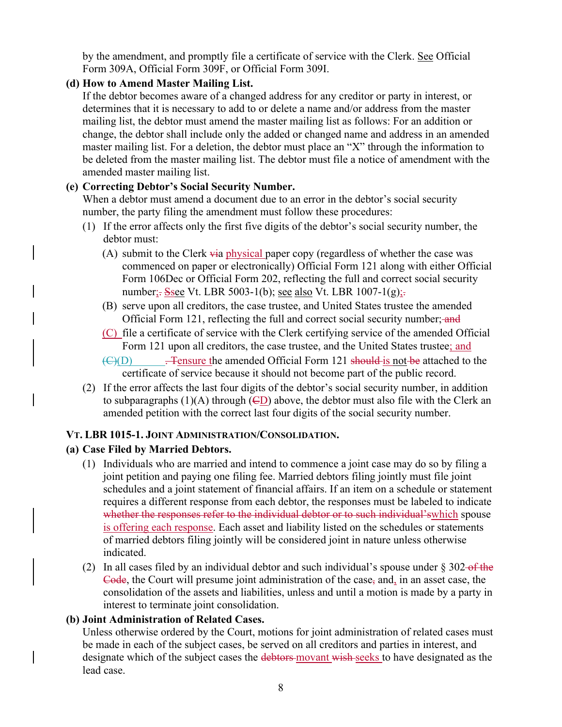by the amendment, and promptly file a certificate of service with the Clerk. See Official Form 309A, Official Form 309F, or Official Form 309I.

# **(d) How to Amend Master Mailing List.**

If the debtor becomes aware of a changed address for any creditor or party in interest, or determines that it is necessary to add to or delete a name and/or address from the master mailing list, the debtor must amend the master mailing list as follows: For an addition or change, the debtor shall include only the added or changed name and address in an amended master mailing list. For a deletion, the debtor must place an "X" through the information to be deleted from the master mailing list. The debtor must file a notice of amendment with the amended master mailing list.

# **(e) Correcting Debtor's Social Security Number.**

When a debtor must amend a document due to an error in the debtor's social security number, the party filing the amendment must follow these procedures:

- (1) If the error affects only the first five digits of the debtor's social security number, the debtor must:
	- (A) submit to the Clerk via physical paper copy (regardless of whether the case was commenced on paper or electronically) Official Form 121 along with either Official Form 106Dec or Official Form 202, reflecting the full and correct social security number<sub>i</sub>. Ssee Vt. LBR 5003-1(b); <u>see also</u> Vt. LBR 1007-1(g)<sub>i</sub>.
	- (B) serve upon all creditors, the case trustee, and United States trustee the amended Official Form 121, reflecting the full and correct social security number; and
	- (C) file a certificate of service with the Clerk certifying service of the amended Official Form 121 upon all creditors, the case trustee, and the United States trustee; and
	- $\overline{(C)(D)}$  . Tensure the amended Official Form 121 should is not be attached to the certificate of service because it should not become part of the public record.
- (2) If the error affects the last four digits of the debtor's social security number, in addition to subparagraphs (1)(A) through  $(\overline{\mathsf{CD}})$  above, the debtor must also file with the Clerk an amended petition with the correct last four digits of the social security number.

#### **VT. LBR 1015-1. JOINT ADMINISTRATION/CONSOLIDATION.**

# **(a) Case Filed by Married Debtors.**

- (1) Individuals who are married and intend to commence a joint case may do so by filing a joint petition and paying one filing fee. Married debtors filing jointly must file joint schedules and a joint statement of financial affairs. If an item on a schedule or statement requires a different response from each debtor, the responses must be labeled to indicate whether the responses refer to the individual debtor or to such individual's which spouse is offering each response. Each asset and liability listed on the schedules or statements of married debtors filing jointly will be considered joint in nature unless otherwise indicated.
- (2) In all cases filed by an individual debtor and such individual's spouse under  $\S 302-6$  the Code, the Court will presume joint administration of the case, and, in an asset case, the consolidation of the assets and liabilities, unless and until a motion is made by a party in interest to terminate joint consolidation.

#### **(b) Joint Administration of Related Cases.**

Unless otherwise ordered by the Court, motions for joint administration of related cases must be made in each of the subject cases, be served on all creditors and parties in interest, and designate which of the subject cases the debtors movant wish seeks to have designated as the lead case.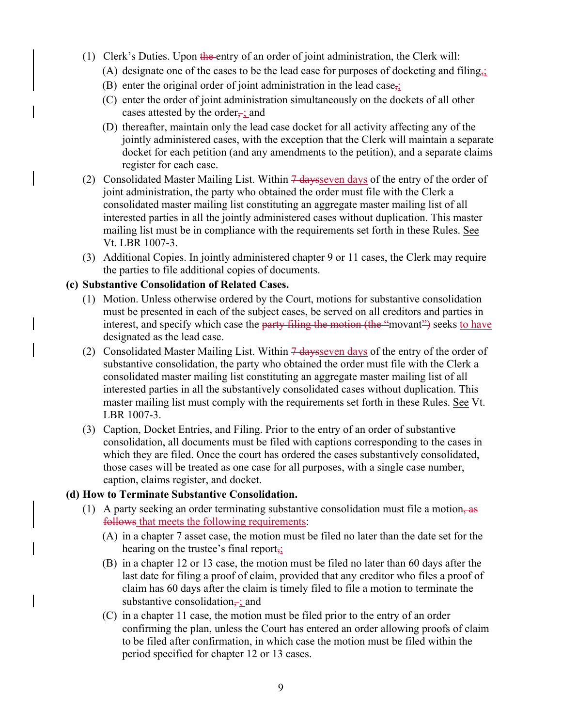- (1) Clerk's Duties. Upon the entry of an order of joint administration, the Clerk will:
	- (A) designate one of the cases to be the lead case for purposes of docketing and filing<sub> $\frac{1}{2}$ </sub>
	- (B) enter the original order of joint administration in the lead case,
	- (C) enter the order of joint administration simultaneously on the dockets of all other cases attested by the order $\frac{1}{2}$ ; and
	- (D) thereafter, maintain only the lead case docket for all activity affecting any of the jointly administered cases, with the exception that the Clerk will maintain a separate docket for each petition (and any amendments to the petition), and a separate claims register for each case.
- (2) Consolidated Master Mailing List. Within  $\frac{7 \text{ days}}{1 \text{ days}}$  of the entry of the order of joint administration, the party who obtained the order must file with the Clerk a consolidated master mailing list constituting an aggregate master mailing list of all interested parties in all the jointly administered cases without duplication. This master mailing list must be in compliance with the requirements set forth in these Rules. See Vt. LBR 1007-3.
- (3) Additional Copies. In jointly administered chapter 9 or 11 cases, the Clerk may require the parties to file additional copies of documents.

#### **(c) Substantive Consolidation of Related Cases.**

- (1) Motion. Unless otherwise ordered by the Court, motions for substantive consolidation must be presented in each of the subject cases, be served on all creditors and parties in interest, and specify which case the party filing the motion (the "movant") seeks to have designated as the lead case.
- (2) Consolidated Master Mailing List. Within  $\frac{4}{9}$  days even days of the entry of the order of substantive consolidation, the party who obtained the order must file with the Clerk a consolidated master mailing list constituting an aggregate master mailing list of all interested parties in all the substantively consolidated cases without duplication. This master mailing list must comply with the requirements set forth in these Rules. See Vt. LBR 1007-3.
- (3) Caption, Docket Entries, and Filing. Prior to the entry of an order of substantive consolidation, all documents must be filed with captions corresponding to the cases in which they are filed. Once the court has ordered the cases substantively consolidated, those cases will be treated as one case for all purposes, with a single case number, caption, claims register, and docket.

#### **(d) How to Terminate Substantive Consolidation.**

- (1) A party seeking an order terminating substantive consolidation must file a motion,  $\frac{1}{100}$ follows that meets the following requirements:
	- (A) in a chapter 7 asset case, the motion must be filed no later than the date set for the hearing on the trustee's final report,;
	- (B) in a chapter 12 or 13 case, the motion must be filed no later than 60 days after the last date for filing a proof of claim, provided that any creditor who files a proof of claim has 60 days after the claim is timely filed to file a motion to terminate the substantive consolidation $\frac{1}{x}$ ; and
	- (C) in a chapter 11 case, the motion must be filed prior to the entry of an order confirming the plan, unless the Court has entered an order allowing proofs of claim to be filed after confirmation, in which case the motion must be filed within the period specified for chapter 12 or 13 cases.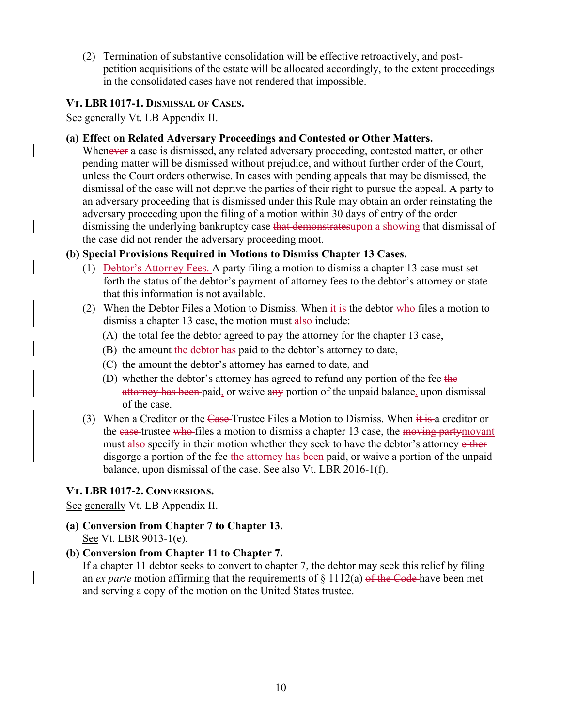(2) Termination of substantive consolidation will be effective retroactively, and postpetition acquisitions of the estate will be allocated accordingly, to the extent proceedings in the consolidated cases have not rendered that impossible.

#### **VT. LBR 1017-1. DISMISSAL OF CASES.**

See generally Vt. LB Appendix II.

#### **(a) Effect on Related Adversary Proceedings and Contested or Other Matters.**

Whenever a case is dismissed, any related adversary proceeding, contested matter, or other pending matter will be dismissed without prejudice, and without further order of the Court, unless the Court orders otherwise. In cases with pending appeals that may be dismissed, the dismissal of the case will not deprive the parties of their right to pursue the appeal. A party to an adversary proceeding that is dismissed under this Rule may obtain an order reinstating the adversary proceeding upon the filing of a motion within 30 days of entry of the order dismissing the underlying bankruptcy case that demonstratesupon a showing that dismissal of the case did not render the adversary proceeding moot.

#### **(b) Special Provisions Required in Motions to Dismiss Chapter 13 Cases.**

- (1) Debtor's Attorney Fees. A party filing a motion to dismiss a chapter 13 case must set forth the status of the debtor's payment of attorney fees to the debtor's attorney or state that this information is not available.
- (2) When the Debtor Files a Motion to Dismiss. When  $\frac{1}{11}$  is the debtor who files a motion to dismiss a chapter 13 case, the motion must also include:
	- (A) the total fee the debtor agreed to pay the attorney for the chapter 13 case,
	- (B) the amount the debtor has paid to the debtor's attorney to date,
	- (C) the amount the debtor's attorney has earned to date, and
	- (D) whether the debtor's attorney has agreed to refund any portion of the fee the attorney has been paid, or waive any portion of the unpaid balance, upon dismissal of the case.
- (3) When a Creditor or the Case-Trustee Files a Motion to Dismiss. When  $\frac{1}{11}$  is a creditor or the case-trustee who-files a motion to dismiss a chapter 13 case, the moving partymovant must also specify in their motion whether they seek to have the debtor's attorney either disgorge a portion of the fee the attorney has been paid, or waive a portion of the unpaid balance, upon dismissal of the case. See also Vt. LBR 2016-1(f).

#### **VT. LBR 1017-2. CONVERSIONS.**

See generally Vt. LB Appendix II.

**(a) Conversion from Chapter 7 to Chapter 13.**  See Vt. LBR 9013-1(e).

#### **(b) Conversion from Chapter 11 to Chapter 7.**

If a chapter 11 debtor seeks to convert to chapter 7, the debtor may seek this relief by filing an *ex parte* motion affirming that the requirements of § 1112(a) of the Code have been met and serving a copy of the motion on the United States trustee.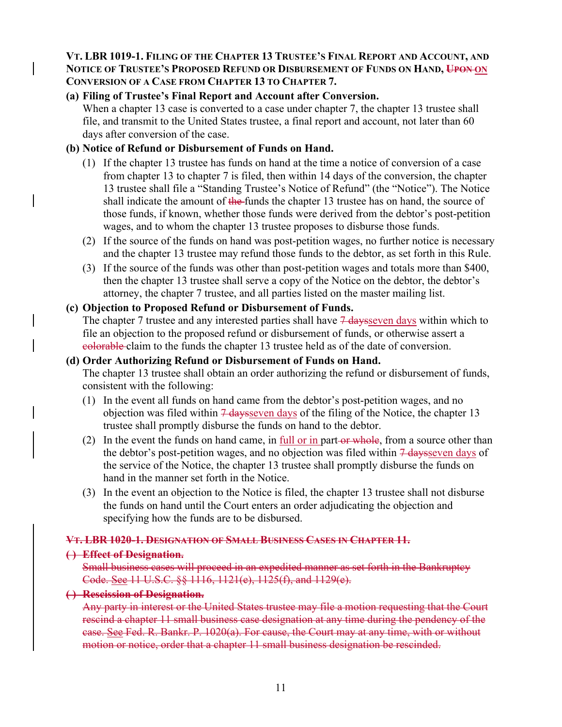#### **VT. LBR 1019-1. FILING OF THE CHAPTER 13 TRUSTEE'S FINAL REPORT AND ACCOUNT, AND NOTICE OF TRUSTEE'S PROPOSED REFUND OR DISBURSEMENT OF FUNDS ON HAND, UPON ON CONVERSION OF A CASE FROM CHAPTER 13 TO CHAPTER 7.**

# **(a) Filing of Trustee's Final Report and Account after Conversion.**

When a chapter 13 case is converted to a case under chapter 7, the chapter 13 trustee shall file, and transmit to the United States trustee, a final report and account, not later than 60 days after conversion of the case.

## **(b) Notice of Refund or Disbursement of Funds on Hand.**

- (1) If the chapter 13 trustee has funds on hand at the time a notice of conversion of a case from chapter 13 to chapter 7 is filed, then within 14 days of the conversion, the chapter 13 trustee shall file a "Standing Trustee's Notice of Refund" (the "Notice"). The Notice shall indicate the amount of the funds the chapter 13 trustee has on hand, the source of those funds, if known, whether those funds were derived from the debtor's post-petition wages, and to whom the chapter 13 trustee proposes to disburse those funds.
- (2) If the source of the funds on hand was post-petition wages, no further notice is necessary and the chapter 13 trustee may refund those funds to the debtor, as set forth in this Rule.
- (3) If the source of the funds was other than post-petition wages and totals more than \$400, then the chapter 13 trustee shall serve a copy of the Notice on the debtor, the debtor's attorney, the chapter 7 trustee, and all parties listed on the master mailing list.

# **(c) Objection to Proposed Refund or Disbursement of Funds.**

The chapter 7 trustee and any interested parties shall have  $\frac{7 \text{ days}}{2 \text{ days}}$  within which to file an objection to the proposed refund or disbursement of funds, or otherwise assert a colorable claim to the funds the chapter 13 trustee held as of the date of conversion.

#### **(d) Order Authorizing Refund or Disbursement of Funds on Hand.**

The chapter 13 trustee shall obtain an order authorizing the refund or disbursement of funds, consistent with the following:

- (1) In the event all funds on hand came from the debtor's post-petition wages, and no objection was filed within  $\frac{7 \text{ days}}{2 \text{ years}}$  of the filing of the Notice, the chapter 13 trustee shall promptly disburse the funds on hand to the debtor.
- (2) In the event the funds on hand came, in full or in part-or whole, from a source other than the debtor's post-petition wages, and no objection was filed within  $\frac{7 \text{ days}}{2 \text{ days}}$  of the service of the Notice, the chapter 13 trustee shall promptly disburse the funds on hand in the manner set forth in the Notice.
- (3) In the event an objection to the Notice is filed, the chapter 13 trustee shall not disburse the funds on hand until the Court enters an order adjudicating the objection and specifying how the funds are to be disbursed.

# **VT. LBR 1020-1. DESIGNATION OF SMALL BUSINESS CASES IN CHAPTER 11.**

#### **( ) Effect of Designation.**

Small business cases will proceed in an expedited manner as set forth in the Bankruptcy Code. See 11 U.S.C. §§ 1116, 1121(e), 1125(f), and 1129(e).

#### **( ) Rescission of Designation.**

Any party in interest or the United States trustee may file a motion requesting that the Court rescind a chapter 11 small business case designation at any time during the pendency of the case. See Fed. R. Bankr. P. 1020(a). For cause, the Court may at any time, with or without motion or notice, order that a chapter 11 small business designation be rescinded.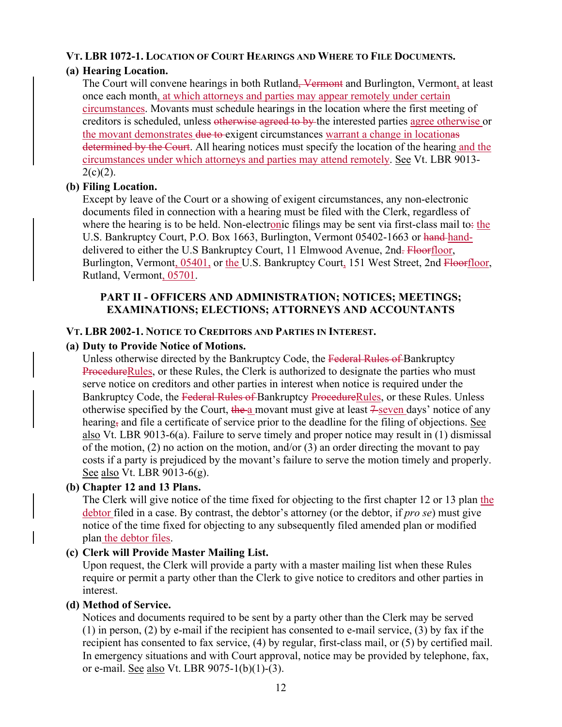# **VT. LBR 1072-1. LOCATION OF COURT HEARINGS AND WHERE TO FILE DOCUMENTS.**

# **(a) Hearing Location.**

The Court will convene hearings in both Rutland<del>, Vermont</del> and Burlington, Vermont, at least once each month, at which attorneys and parties may appear remotely under certain circumstances. Movants must schedule hearings in the location where the first meeting of creditors is scheduled, unless otherwise agreed to by the interested parties agree otherwise or the movant demonstrates due to exigent circumstances warrant a change in locationes determined by the Court. All hearing notices must specify the location of the hearing and the circumstances under which attorneys and parties may attend remotely. See Vt. LBR 9013-  $2(c)(2)$ .

# **(b) Filing Location.**

Except by leave of the Court or a showing of exigent circumstances, any non-electronic documents filed in connection with a hearing must be filed with the Clerk, regardless of where the hearing is to be held. Non-electronic filings may be sent via first-class mail to: the U.S. Bankruptcy Court, P.O. Box 1663, Burlington, Vermont 05402-1663 or hand-handdelivered to either the U.S Bankruptcy Court, 11 Elmwood Avenue, 2nd. Floorfloor, Burlington, Vermont, 05401, or the U.S. Bankruptcy Court, 151 West Street, 2nd Floorfloor, Rutland, Vermont, 05701.

#### **PART II - OFFICERS AND ADMINISTRATION; NOTICES; MEETINGS; EXAMINATIONS; ELECTIONS; ATTORNEYS AND ACCOUNTANTS**

#### **VT. LBR 2002-1. NOTICE TO CREDITORS AND PARTIES IN INTEREST.**

#### **(a) Duty to Provide Notice of Motions.**

Unless otherwise directed by the Bankruptcy Code, the Federal Rules of Bankruptcy ProcedureRules, or these Rules, the Clerk is authorized to designate the parties who must serve notice on creditors and other parties in interest when notice is required under the Bankruptcy Code, the Federal Rules of Bankruptcy ProcedureRules, or these Rules. Unless otherwise specified by the Court, the a movant must give at least  $\frac{2}{\sqrt{2}}$  and  $\frac{2}{\sqrt{2}}$  notice of any hearing, and file a certificate of service prior to the deadline for the filing of objections. See also Vt. LBR 9013-6(a). Failure to serve timely and proper notice may result in (1) dismissal of the motion, (2) no action on the motion, and/or (3) an order directing the movant to pay costs if a party is prejudiced by the movant's failure to serve the motion timely and properly. See also Vt. LBR 9013-6(g).

#### **(b) Chapter 12 and 13 Plans.**

The Clerk will give notice of the time fixed for objecting to the first chapter 12 or 13 plan the debtor filed in a case. By contrast, the debtor's attorney (or the debtor, if *pro se*) must give notice of the time fixed for objecting to any subsequently filed amended plan or modified plan the debtor files.

#### **(c) Clerk will Provide Master Mailing List.**

Upon request, the Clerk will provide a party with a master mailing list when these Rules require or permit a party other than the Clerk to give notice to creditors and other parties in interest.

#### **(d) Method of Service.**

Notices and documents required to be sent by a party other than the Clerk may be served (1) in person, (2) by e-mail if the recipient has consented to e-mail service, (3) by fax if the recipient has consented to fax service, (4) by regular, first-class mail, or (5) by certified mail. In emergency situations and with Court approval, notice may be provided by telephone, fax, or e-mail. See also Vt. LBR 9075-1(b)(1)-(3).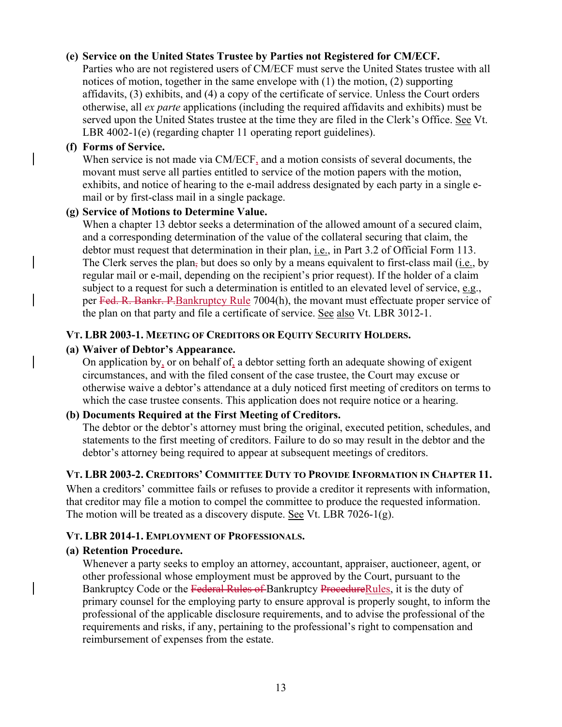#### **(e) Service on the United States Trustee by Parties not Registered for CM/ECF.**

Parties who are not registered users of CM/ECF must serve the United States trustee with all notices of motion, together in the same envelope with (1) the motion, (2) supporting affidavits, (3) exhibits, and (4) a copy of the certificate of service. Unless the Court orders otherwise, all *ex parte* applications (including the required affidavits and exhibits) must be served upon the United States trustee at the time they are filed in the Clerk's Office. See Vt. LBR 4002-1(e) (regarding chapter 11 operating report guidelines).

#### **(f) Forms of Service.**

When service is not made via CM/ECF, and a motion consists of several documents, the movant must serve all parties entitled to service of the motion papers with the motion, exhibits, and notice of hearing to the e-mail address designated by each party in a single email or by first-class mail in a single package.

#### **(g) Service of Motions to Determine Value.**

When a chapter 13 debtor seeks a determination of the allowed amount of a secured claim, and a corresponding determination of the value of the collateral securing that claim, the debtor must request that determination in their plan, i.e., in Part 3.2 of Official Form 113. The Clerk serves the plan, but does so only by a means equivalent to first-class mail (i.e., by regular mail or e-mail, depending on the recipient's prior request). If the holder of a claim subject to a request for such a determination is entitled to an elevated level of service, e.g., per Fed. R. Bankr. P. Bankruptcy Rule 7004(h), the movant must effectuate proper service of the plan on that party and file a certificate of service. See also Vt. LBR 3012-1.

#### **VT. LBR 2003-1. MEETING OF CREDITORS OR EQUITY SECURITY HOLDERS.**

#### **(a) Waiver of Debtor's Appearance.**

On application by, or on behalf of, a debtor setting forth an adequate showing of exigent circumstances, and with the filed consent of the case trustee, the Court may excuse or otherwise waive a debtor's attendance at a duly noticed first meeting of creditors on terms to which the case trustee consents. This application does not require notice or a hearing.

#### **(b) Documents Required at the First Meeting of Creditors.**

The debtor or the debtor's attorney must bring the original, executed petition, schedules, and statements to the first meeting of creditors. Failure to do so may result in the debtor and the debtor's attorney being required to appear at subsequent meetings of creditors.

#### **VT. LBR 2003-2. CREDITORS' COMMITTEE DUTY TO PROVIDE INFORMATION IN CHAPTER 11.**

When a creditors' committee fails or refuses to provide a creditor it represents with information, that creditor may file a motion to compel the committee to produce the requested information. The motion will be treated as a discovery dispute. See Vt. LBR 7026-1(g).

#### **VT. LBR 2014-1. EMPLOYMENT OF PROFESSIONALS.**

#### **(a) Retention Procedure.**

Whenever a party seeks to employ an attorney, accountant, appraiser, auctioneer, agent, or other professional whose employment must be approved by the Court, pursuant to the Bankruptcy Code or the Federal Rules of Bankruptcy ProcedureRules, it is the duty of primary counsel for the employing party to ensure approval is properly sought, to inform the professional of the applicable disclosure requirements, and to advise the professional of the requirements and risks, if any, pertaining to the professional's right to compensation and reimbursement of expenses from the estate.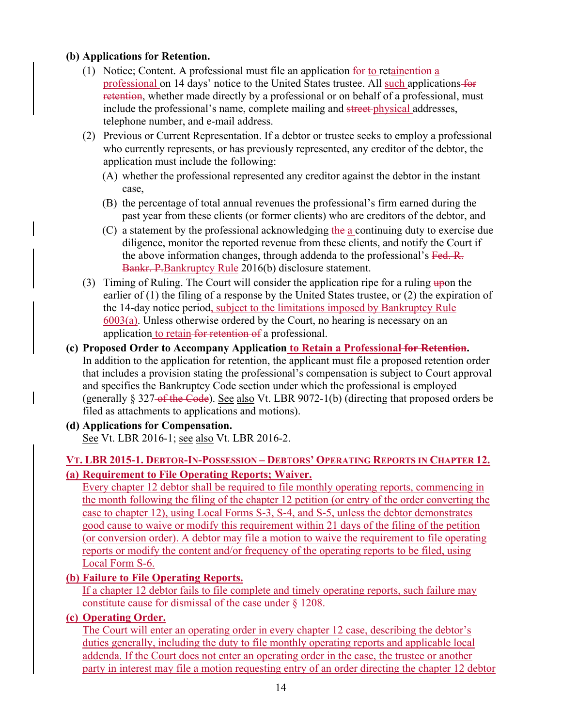# **(b) Applications for Retention.**

- (1) Notice; Content. A professional must file an application  $f^{\text{or}}$  to retainention a professional on 14 days' notice to the United States trustee. All such applications for retention, whether made directly by a professional or on behalf of a professional, must include the professional's name, complete mailing and street physical addresses, telephone number, and e-mail address.
- (2) Previous or Current Representation. If a debtor or trustee seeks to employ a professional who currently represents, or has previously represented, any creditor of the debtor, the application must include the following:
	- (A) whether the professional represented any creditor against the debtor in the instant case,
	- (B) the percentage of total annual revenues the professional's firm earned during the past year from these clients (or former clients) who are creditors of the debtor, and
	- (C) a statement by the professional acknowledging the a continuing duty to exercise due diligence, monitor the reported revenue from these clients, and notify the Court if the above information changes, through addenda to the professional's Fed. R. Bankr. P.Bankruptcy Rule 2016(b) disclosure statement.
- (3) Timing of Ruling. The Court will consider the application ripe for a ruling  $\frac{1}{2}$  upon the earlier of (1) the filing of a response by the United States trustee, or (2) the expiration of the 14-day notice period, subject to the limitations imposed by Bankruptcy Rule 6003(a). Unless otherwise ordered by the Court, no hearing is necessary on an application to retain for retention of a professional.
- **(c) Proposed Order to Accompany Application to Retain a Professional for Retention.**  In addition to the application for retention, the applicant must file a proposed retention order that includes a provision stating the professional's compensation is subject to Court approval and specifies the Bankruptcy Code section under which the professional is employed (generally  $\S 327$ -of the Code). See also Vt. LBR 9072-1(b) (directing that proposed orders be filed as attachments to applications and motions).
- **(d) Applications for Compensation.**  See Vt. LBR 2016-1; see also Vt. LBR 2016-2.

# **VT. LBR 2015-1. DEBTOR-IN-POSSESSION – DEBTORS' OPERATING REPORTS IN CHAPTER 12. (a) Requirement to File Operating Reports; Waiver.**

Every chapter 12 debtor shall be required to file monthly operating reports, commencing in the month following the filing of the chapter 12 petition (or entry of the order converting the case to chapter 12), using Local Forms S-3, S-4, and S-5, unless the debtor demonstrates good cause to waive or modify this requirement within 21 days of the filing of the petition (or conversion order). A debtor may file a motion to waive the requirement to file operating reports or modify the content and/or frequency of the operating reports to be filed, using Local Form S-6.

# **(b) Failure to File Operating Reports.**

If a chapter 12 debtor fails to file complete and timely operating reports, such failure may constitute cause for dismissal of the case under § 1208.

# **(c) Operating Order.**

The Court will enter an operating order in every chapter 12 case, describing the debtor's duties generally, including the duty to file monthly operating reports and applicable local addenda. If the Court does not enter an operating order in the case, the trustee or another party in interest may file a motion requesting entry of an order directing the chapter 12 debtor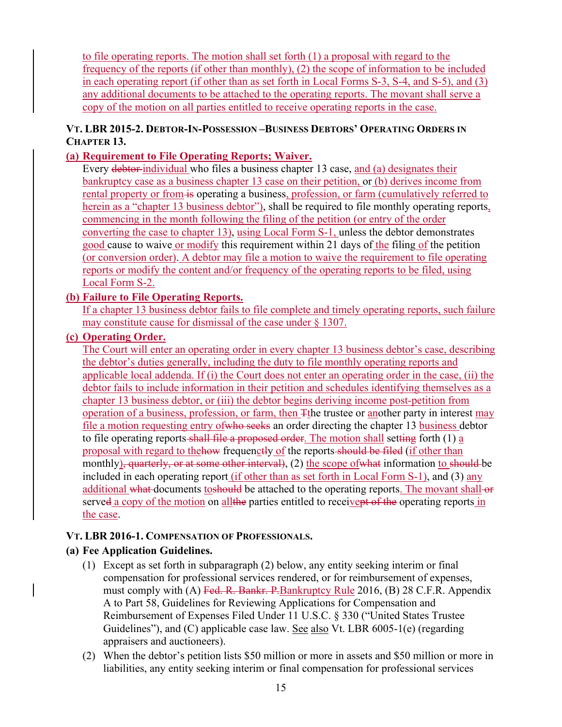to file operating reports. The motion shall set forth (1) a proposal with regard to the frequency of the reports (if other than monthly), (2) the scope of information to be included in each operating report (if other than as set forth in Local Forms S-3, S-4, and S-5), and (3) any additional documents to be attached to the operating reports. The movant shall serve a copy of the motion on all parties entitled to receive operating reports in the case.

## **VT. LBR 2015-2. DEBTOR-IN-POSSESSION –BUSINESS DEBTORS' OPERATING ORDERS IN CHAPTER 13.**

## **(a) Requirement to File Operating Reports; Waiver.**

Every debtor-individual who files a business chapter 13 case, and (a) designates their bankruptcy case as a business chapter 13 case on their petition, or (b) derives income from rental property or from is operating a business, profession, or farm (cumulatively referred to herein as a "chapter 13 business debtor"), shall be required to file monthly operating reports, commencing in the month following the filing of the petition (or entry of the order converting the case to chapter 13), using Local Form S-1, unless the debtor demonstrates good cause to waive or modify this requirement within 21 days of the filing of the petition (or conversion order). A debtor may file a motion to waive the requirement to file operating reports or modify the content and/or frequency of the operating reports to be filed, using Local Form S-2.

#### **(b) Failure to File Operating Reports.**

If a chapter 13 business debtor fails to file complete and timely operating reports, such failure may constitute cause for dismissal of the case under § 1307.

#### **(c) Operating Order.**

The Court will enter an operating order in every chapter 13 business debtor's case, describing the debtor's duties generally, including the duty to file monthly operating reports and applicable local addenda. If (i) the Court does not enter an operating order in the case, (ii) the debtor fails to include information in their petition and schedules identifying themselves as a chapter 13 business debtor, or (iii) the debtor begins deriving income post-petition from operation of a business, profession, or farm, then Tthe trustee or another party in interest may file a motion requesting entry of who seeks an order directing the chapter 13 business debtor to file operating reports shall file a proposed order. The motion shall setting forth (1) a proposal with regard to the how frequenctly of the reports should be filed (if other than monthly), quarterly, or at some other interval), (2) the scope of what information to should be included in each operating report (if other than as set forth in Local Form S-1), and (3) any additional what documents toshould be attached to the operating reports. The movant shall-or served a copy of the motion on all the parties entitled to receivent of the operating reports in the case.

#### **VT. LBR 2016-1. COMPENSATION OF PROFESSIONALS.**

# **(a) Fee Application Guidelines.**

- (1) Except as set forth in subparagraph (2) below, any entity seeking interim or final compensation for professional services rendered, or for reimbursement of expenses, must comply with (A) Fed. R. Bankr. P. Bankruptcy Rule 2016, (B) 28 C.F.R. Appendix A to Part 58, Guidelines for Reviewing Applications for Compensation and Reimbursement of Expenses Filed Under 11 U.S.C. § 330 ("United States Trustee Guidelines"), and (C) applicable case law. See also Vt. LBR 6005-1(e) (regarding appraisers and auctioneers).
- (2) When the debtor's petition lists \$50 million or more in assets and \$50 million or more in liabilities, any entity seeking interim or final compensation for professional services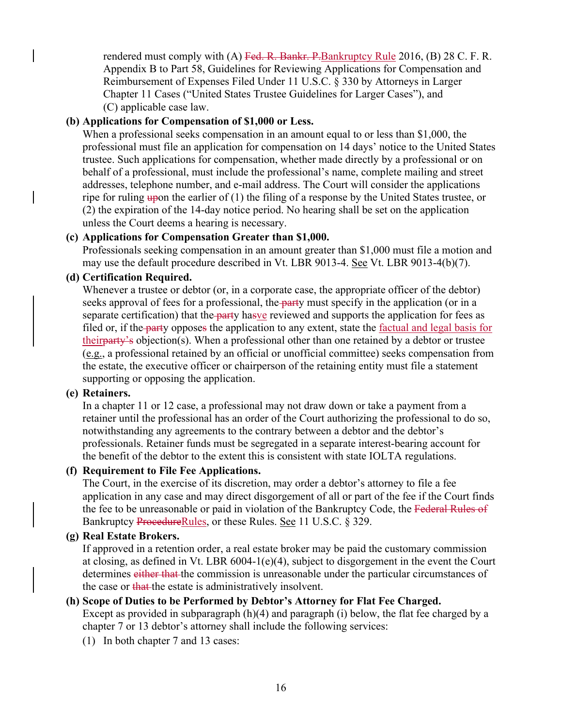rendered must comply with  $(A)$  Fed. R. Bankr. P. Bankruptcy Rule 2016,  $(B)$  28 C. F. R. Appendix B to Part 58, Guidelines for Reviewing Applications for Compensation and Reimbursement of Expenses Filed Under 11 U.S.C. § 330 by Attorneys in Larger Chapter 11 Cases ("United States Trustee Guidelines for Larger Cases"), and (C) applicable case law.

#### **(b) Applications for Compensation of \$1,000 or Less.**

When a professional seeks compensation in an amount equal to or less than \$1,000, the professional must file an application for compensation on 14 days' notice to the United States trustee. Such applications for compensation, whether made directly by a professional or on behalf of a professional, must include the professional's name, complete mailing and street addresses, telephone number, and e-mail address. The Court will consider the applications ripe for ruling upon the earlier of  $(1)$  the filing of a response by the United States trustee, or (2) the expiration of the 14-day notice period. No hearing shall be set on the application unless the Court deems a hearing is necessary.

#### **(c) Applications for Compensation Greater than \$1,000.**

Professionals seeking compensation in an amount greater than \$1,000 must file a motion and may use the default procedure described in Vt. LBR 9013-4. See Vt. LBR 9013-4(b)(7).

#### **(d) Certification Required.**

Whenever a trustee or debtor (or, in a corporate case, the appropriate officer of the debtor) seeks approval of fees for a professional, the party must specify in the application (or in a separate certification) that the party hasve reviewed and supports the application for fees as filed or, if the party opposes the application to any extent, state the <u>factual and legal basis for</u> their<del>party's</del> objection(s). When a professional other than one retained by a debtor or trustee (e.g., a professional retained by an official or unofficial committee) seeks compensation from the estate, the executive officer or chairperson of the retaining entity must file a statement supporting or opposing the application.

#### **(e) Retainers.**

In a chapter 11 or 12 case, a professional may not draw down or take a payment from a retainer until the professional has an order of the Court authorizing the professional to do so, notwithstanding any agreements to the contrary between a debtor and the debtor's professionals. Retainer funds must be segregated in a separate interest-bearing account for the benefit of the debtor to the extent this is consistent with state IOLTA regulations.

#### **(f) Requirement to File Fee Applications.**

The Court, in the exercise of its discretion, may order a debtor's attorney to file a fee application in any case and may direct disgorgement of all or part of the fee if the Court finds the fee to be unreasonable or paid in violation of the Bankruptcy Code, the Federal Rules of Bankruptcy ProcedureRules, or these Rules. See 11 U.S.C. § 329.

#### **(g) Real Estate Brokers.**

If approved in a retention order, a real estate broker may be paid the customary commission at closing, as defined in Vt. LBR 6004-1(e)(4), subject to disgorgement in the event the Court determines either that the commission is unreasonable under the particular circumstances of the case or that the estate is administratively insolvent.

#### **(h) Scope of Duties to be Performed by Debtor's Attorney for Flat Fee Charged.**

Except as provided in subparagraph (h)(4) and paragraph (i) below, the flat fee charged by a chapter 7 or 13 debtor's attorney shall include the following services:

(1) In both chapter 7 and 13 cases: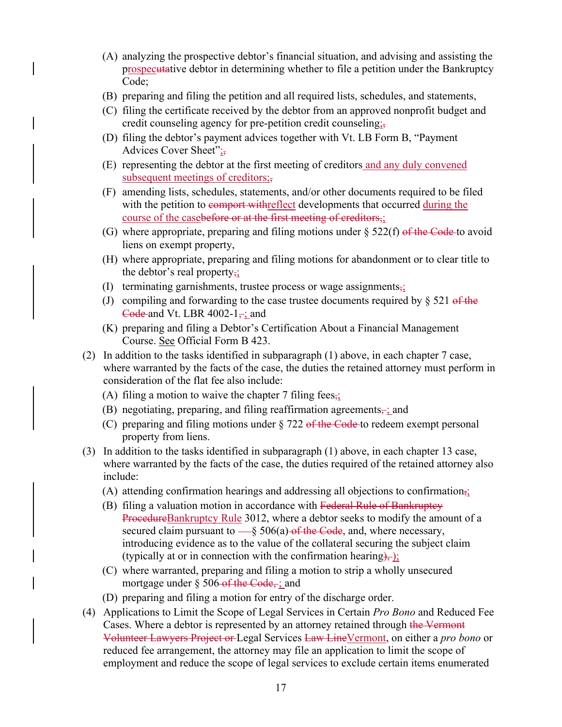- (A) analyzing the prospective debtor's financial situation, and advising and assisting the prospecutative debtor in determining whether to file a petition under the Bankruptcy Code;
- (B) preparing and filing the petition and all required lists, schedules, and statements,
- (C) filing the certificate received by the debtor from an approved nonprofit budget and credit counseling agency for pre-petition credit counseling;
- (D) filing the debtor's payment advices together with Vt. LB Form B, "Payment Advices Cover Sheet";
- (E) representing the debtor at the first meeting of creditors and any duly convened subsequent meetings of creditors;,
- (F) amending lists, schedules, statements, and/or other documents required to be filed with the petition to comport with reflect developments that occurred during the course of the casebefore or at the first meeting of creditors,;
- (G) where appropriate, preparing and filing motions under  $\S$  522(f) of the Code to avoid liens on exempt property,
- (H) where appropriate, preparing and filing motions for abandonment or to clear title to the debtor's real property<sub>;</sub>
- (I) terminating garnishments, trustee process or wage assignments $\frac{1}{2}$
- (J) compiling and forwarding to the case trustee documents required by  $\S 521$  of the Code and Vt. LBR 4002-1 $\div$ ; and
- (K) preparing and filing a Debtor's Certification About a Financial Management Course. See Official Form B 423.
- (2) In addition to the tasks identified in subparagraph (1) above, in each chapter 7 case, where warranted by the facts of the case, the duties the retained attorney must perform in consideration of the flat fee also include:
	- (A) filing a motion to waive the chapter 7 filing fees.
	- (B) negotiating, preparing, and filing reaffirmation agreements $\frac{1}{x}$  and
	- (C) preparing and filing motions under  $\S 722$  of the Code to redeem exempt personal property from liens.
- (3) In addition to the tasks identified in subparagraph (1) above, in each chapter 13 case, where warranted by the facts of the case, the duties required of the retained attorney also include:
	- (A) attending confirmation hearings and addressing all objections to confirmation,;
	- (B) filing a valuation motion in accordance with Federal Rule of Bankruptcy ProcedureBankruptcy Rule 3012, where a debtor seeks to modify the amount of a secured claim pursuant to  $-\S 506(a)$  of the Code, and, where necessary, introducing evidence as to the value of the collateral securing the subject claim (typically at or in connection with the confirmation hearing),  $\frac{1}{2}$ ;
	- (C) where warranted, preparing and filing a motion to strip a wholly unsecured mortgage under  $\S 506$ -of the Code, ; and
	- (D) preparing and filing a motion for entry of the discharge order.
- (4) Applications to Limit the Scope of Legal Services in Certain *Pro Bono* and Reduced Fee Cases. Where a debtor is represented by an attorney retained through the Vermont Volunteer Lawyers Project or Legal Services Law LineVermont, on either a *pro bono* or reduced fee arrangement, the attorney may file an application to limit the scope of employment and reduce the scope of legal services to exclude certain items enumerated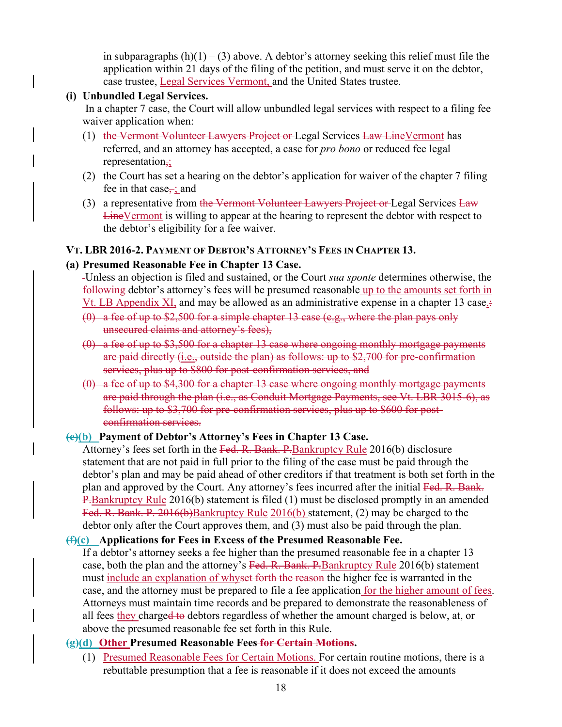in subparagraphs  $(h)(1) - (3)$  above. A debtor's attorney seeking this relief must file the application within 21 days of the filing of the petition, and must serve it on the debtor, case trustee, Legal Services Vermont, and the United States trustee.

#### **(i) Unbundled Legal Services.**

 In a chapter 7 case, the Court will allow unbundled legal services with respect to a filing fee waiver application when:

- (1) the Vermont Volunteer Lawyers Project or Legal Services Law Line Vermont has referred, and an attorney has accepted, a case for *pro bono* or reduced fee legal representation,;
- (2) the Court has set a hearing on the debtor's application for waiver of the chapter 7 filing fee in that case, ; and
- (3) a representative from the Vermont Volunteer Lawyers Project or Legal Services Law LineVermont is willing to appear at the hearing to represent the debtor with respect to the debtor's eligibility for a fee waiver.

#### **VT. LBR 2016-2. PAYMENT OF DEBTOR'S ATTORNEY'S FEES IN CHAPTER 13.**

#### **(a) Presumed Reasonable Fee in Chapter 13 Case.**

- Unless an objection is filed and sustained, or the Court *sua sponte* determines otherwise, the following debtor's attorney's fees will be presumed reasonable up to the amounts set forth in
- Vt. LB Appendix XI, and may be allowed as an administrative expense in a chapter 13 case.
- (0) a fee of up to  $$2,500$  for a simple chapter 13 case (e.g., where the plan pays only unsecured claims and attorney's fees),
- (0) a fee of up to \$3,500 for a chapter 13 case where ongoing monthly mortgage payments are paid directly (i.e., outside the plan) as follows: up to \$2,700 for pre-confirmation services, plus up to \$800 for post-confirmation services, and
- (0) a fee of up to \$4,300 for a chapter 13 case where ongoing monthly mortgage payments are paid through the plan (i.e., as Conduit Mortgage Payments, see Vt. LBR 3015-6), as follows: up to \$3,700 for pre-confirmation services, plus up to \$600 for postconfirmation services.

#### **(e)(b) Payment of Debtor's Attorney's Fees in Chapter 13 Case.**

Attorney's fees set forth in the Fed. R. Bank. P. Bankruptcy Rule 2016(b) disclosure statement that are not paid in full prior to the filing of the case must be paid through the debtor's plan and may be paid ahead of other creditors if that treatment is both set forth in the plan and approved by the Court. Any attorney's fees incurred after the initial Fed. R. Bank. P.Bankruptcy Rule 2016(b) statement is filed (1) must be disclosed promptly in an amended Fed. R. Bank. P. 2016(b)Bankruptcy Rule 2016(b) statement, (2) may be charged to the debtor only after the Court approves them, and (3) must also be paid through the plan.

#### **(f)(c) Applications for Fees in Excess of the Presumed Reasonable Fee.**

If a debtor's attorney seeks a fee higher than the presumed reasonable fee in a chapter 13 case, both the plan and the attorney's Fed. R. Bank. P. Bankruptcy Rule 2016(b) statement must include an explanation of whyset forth the reason the higher fee is warranted in the case, and the attorney must be prepared to file a fee application for the higher amount of fees. Attorneys must maintain time records and be prepared to demonstrate the reasonableness of all fees they charged to debtors regardless of whether the amount charged is below, at, or above the presumed reasonable fee set forth in this Rule.

#### **(g)(d) Other Presumed Reasonable Fees for Certain Motions.**

(1) Presumed Reasonable Fees for Certain Motions. For certain routine motions, there is a rebuttable presumption that a fee is reasonable if it does not exceed the amounts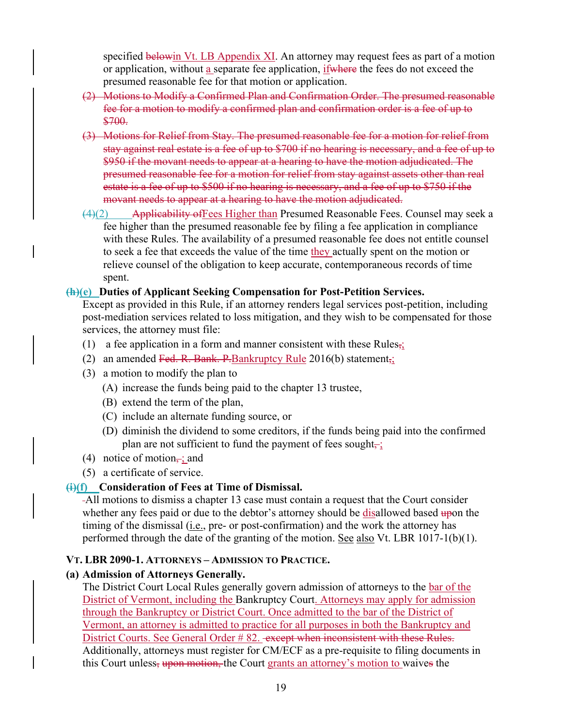specified belowin Vt. LB Appendix XI. An attorney may request fees as part of a motion or application, without a separate fee application, if where the fees do not exceed the presumed reasonable fee for that motion or application.

- (2) Motions to Modify a Confirmed Plan and Confirmation Order. The presumed reasonable fee for a motion to modify a confirmed plan and confirmation order is a fee of up to \$700.
- (3) Motions for Relief from Stay. The presumed reasonable fee for a motion for relief from stay against real estate is a fee of up to \$700 if no hearing is necessary, and a fee of up to \$950 if the movant needs to appear at a hearing to have the motion adjudicated. The presumed reasonable fee for a motion for relief from stay against assets other than real estate is a fee of up to \$500 if no hearing is necessary, and a fee of up to \$750 if the movant needs to appear at a hearing to have the motion adjudicated.
- $\frac{4}{2}$  Applicability of Fees Higher than Presumed Reasonable Fees. Counsel may seek a fee higher than the presumed reasonable fee by filing a fee application in compliance with these Rules. The availability of a presumed reasonable fee does not entitle counsel to seek a fee that exceeds the value of the time they actually spent on the motion or relieve counsel of the obligation to keep accurate, contemporaneous records of time spent.

#### **(h)(e) Duties of Applicant Seeking Compensation for Post-Petition Services.**

Except as provided in this Rule, if an attorney renders legal services post-petition, including post-mediation services related to loss mitigation, and they wish to be compensated for those services, the attorney must file:

- (1) a fee application in a form and manner consistent with these Rules $\frac{1}{2}$
- (2) an amended Fed. R. Bank. P. Bankruptcy Rule  $2016(b)$  statement,;
- (3) a motion to modify the plan to
	- (A) increase the funds being paid to the chapter 13 trustee,
	- (B) extend the term of the plan,
	- (C) include an alternate funding source, or
	- (D) diminish the dividend to some creditors, if the funds being paid into the confirmed plan are not sufficient to fund the payment of fees sought $\frac{1}{x}$
- (4) notice of motion $\frac{1}{x}$  and
- (5) a certificate of service.

#### **(i)(f) Consideration of Fees at Time of Dismissal.**

All motions to dismiss a chapter 13 case must contain a request that the Court consider whether any fees paid or due to the debtor's attorney should be disallowed based upon the timing of the dismissal (i.e., pre- or post-confirmation) and the work the attorney has performed through the date of the granting of the motion. See also Vt. LBR 1017-1(b)(1).

#### **VT. LBR 2090-1. ATTORNEYS – ADMISSION TO PRACTICE.**

#### **(a) Admission of Attorneys Generally.**

The District Court Local Rules generally govern admission of attorneys to the bar of the District of Vermont, including the Bankruptcy Court. Attorneys may apply for admission through the Bankruptcy or District Court. Once admitted to the bar of the District of Vermont, an attorney is admitted to practice for all purposes in both the Bankruptcy and District Courts. See General Order # 82. - except when inconsistent with these Rules. Additionally, attorneys must register for CM/ECF as a pre-requisite to filing documents in this Court unless, upon motion, the Court grants an attorney's motion to waives the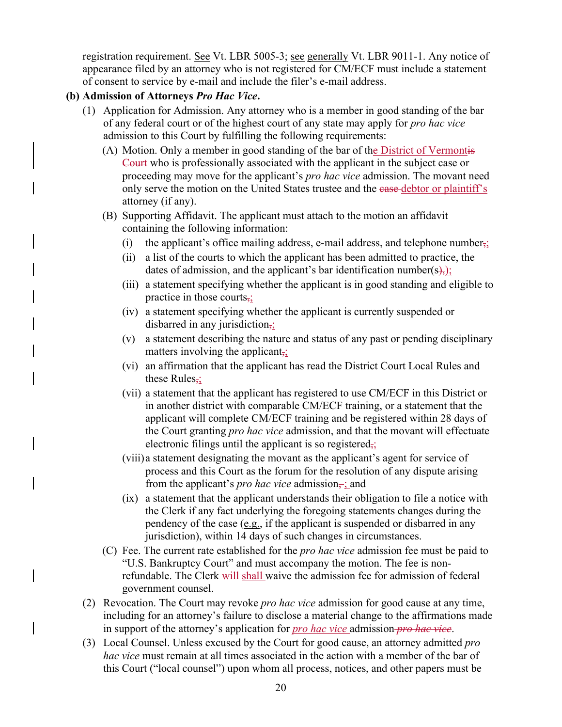registration requirement. See Vt. LBR 5005-3; see generally Vt. LBR 9011-1. Any notice of appearance filed by an attorney who is not registered for CM/ECF must include a statement of consent to service by e-mail and include the filer's e-mail address.

#### **(b) Admission of Attorneys** *Pro Hac Vice***.**

- (1) Application for Admission. Any attorney who is a member in good standing of the bar of any federal court or of the highest court of any state may apply for *pro hac vice* admission to this Court by fulfilling the following requirements:
	- (A) Motion. Only a member in good standing of the bar of the District of Vermontis Court who is professionally associated with the applicant in the subject case or proceeding may move for the applicant's *pro hac vice* admission. The movant need only serve the motion on the United States trustee and the ease debtor or plaintiff's attorney (if any).
	- (B) Supporting Affidavit. The applicant must attach to the motion an affidavit containing the following information:
		- (i) the applicant's office mailing address, e-mail address, and telephone number,;
		- (ii) a list of the courts to which the applicant has been admitted to practice, the dates of admission, and the applicant's bar identification number(s),);
		- (iii) a statement specifying whether the applicant is in good standing and eligible to practice in those courts,;
		- (iv) a statement specifying whether the applicant is currently suspended or disbarred in any jurisdiction,;
		- (v) a statement describing the nature and status of any past or pending disciplinary matters involving the applicant $\frac{1}{2}$
		- (vi) an affirmation that the applicant has read the District Court Local Rules and these Rules<sub>7</sub>;
		- (vii) a statement that the applicant has registered to use CM/ECF in this District or in another district with comparable CM/ECF training, or a statement that the applicant will complete CM/ECF training and be registered within 28 days of the Court granting *pro hac vice* admission, and that the movant will effectuate electronic filings until the applicant is so registered $\frac{1}{2}$
		- (viii)a statement designating the movant as the applicant's agent for service of process and this Court as the forum for the resolution of any dispute arising from the applicant's *pro hac vice* admission $\frac{1}{r}$  and
		- (ix) a statement that the applicant understands their obligation to file a notice with the Clerk if any fact underlying the foregoing statements changes during the pendency of the case (e.g., if the applicant is suspended or disbarred in any jurisdiction), within 14 days of such changes in circumstances.
	- (C) Fee. The current rate established for the *pro hac vice* admission fee must be paid to "U.S. Bankruptcy Court" and must accompany the motion. The fee is nonrefundable. The Clerk will shall waive the admission fee for admission of federal government counsel.
- (2) Revocation. The Court may revoke *pro hac vice* admission for good cause at any time, including for an attorney's failure to disclose a material change to the affirmations made in support of the attorney's application for *pro hac vice* admission *pro hac vice*.
- (3) Local Counsel. Unless excused by the Court for good cause, an attorney admitted *pro hac vice* must remain at all times associated in the action with a member of the bar of this Court ("local counsel") upon whom all process, notices, and other papers must be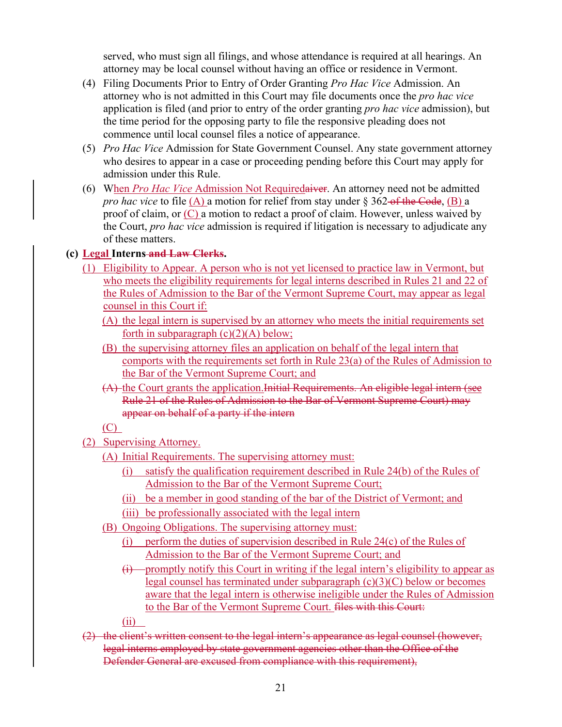served, who must sign all filings, and whose attendance is required at all hearings. An attorney may be local counsel without having an office or residence in Vermont.

- (4) Filing Documents Prior to Entry of Order Granting *Pro Hac Vice* Admission. An attorney who is not admitted in this Court may file documents once the *pro hac vice* application is filed (and prior to entry of the order granting *pro hac vice* admission), but the time period for the opposing party to file the responsive pleading does not commence until local counsel files a notice of appearance.
- (5) *Pro Hac Vice* Admission for State Government Counsel. Any state government attorney who desires to appear in a case or proceeding pending before this Court may apply for admission under this Rule.
- (6) When *Pro Hac Vice* Admission Not Requiredaiver. An attorney need not be admitted *pro hac vice* to file (A) a motion for relief from stay under § 362-of the Code, (B) a proof of claim, or (C) a motion to redact a proof of claim. However, unless waived by the Court, *pro hac vice* admission is required if litigation is necessary to adjudicate any of these matters.

#### **(c) Legal Interns and Law Clerks.**

- (1) Eligibility to Appear. A person who is not yet licensed to practice law in Vermont, but who meets the eligibility requirements for legal interns described in Rules 21 and 22 of the Rules of Admission to the Bar of the Vermont Supreme Court, may appear as legal counsel in this Court if:
	- (A) the legal intern is supervised by an attorney who meets the initial requirements set forth in subparagraph  $(c)(2)(A)$  below;
	- (B) the supervising attorney files an application on behalf of the legal intern that comports with the requirements set forth in Rule 23(a) of the Rules of Admission to the Bar of the Vermont Supreme Court; and
	- (A) the Court grants the application.Initial Requirements. An eligible legal intern (see Rule 21 of the Rules of Admission to the Bar of Vermont Supreme Court) may appear on behalf of a party if the intern

 $(C)$ 

- (2) Supervising Attorney.
	- (A) Initial Requirements. The supervising attorney must:
		- (i) satisfy the qualification requirement described in Rule 24(b) of the Rules of Admission to the Bar of the Vermont Supreme Court;
		- (ii) be a member in good standing of the bar of the District of Vermont; and

(iii) be professionally associated with the legal intern

- (B) Ongoing Obligations. The supervising attorney must:
	- (i) perform the duties of supervision described in Rule 24(c) of the Rules of Admission to the Bar of the Vermont Supreme Court; and
	- $(i)$  promptly notify this Court in writing if the legal intern's eligibility to appear as legal counsel has terminated under subparagraph (c)(3)(C) below or becomes aware that the legal intern is otherwise ineligible under the Rules of Admission to the Bar of the Vermont Supreme Court. files with this Court:

(ii)

(2) the client's written consent to the legal intern's appearance as legal counsel (however, legal interns employed by state government agencies other than the Office of the Defender General are excused from compliance with this requirement),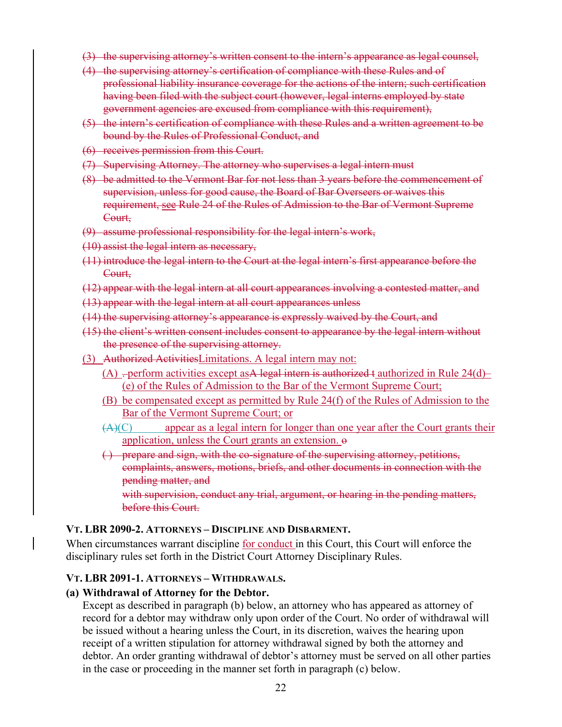- (3) the supervising attorney's written consent to the intern's appearance as legal counsel,
- (4) the supervising attorney's certification of compliance with these Rules and of professional liability insurance coverage for the actions of the intern; such certification having been filed with the subject court (however, legal interns employed by state government agencies are excused from compliance with this requirement),
- (5) the intern's certification of compliance with these Rules and a written agreement to be bound by the Rules of Professional Conduct, and
- (6) receives permission from this Court.
- (7) Supervising Attorney. The attorney who supervises a legal intern must
- (8) be admitted to the Vermont Bar for not less than 3 years before the commencement of supervision, unless for good cause, the Board of Bar Overseers or waives this requirement, see Rule 24 of the Rules of Admission to the Bar of Vermont Supreme Court,
- (9) assume professional responsibility for the legal intern's work,
- (10) assist the legal intern as necessary,
- (11) introduce the legal intern to the Court at the legal intern's first appearance before the Court,
- (12) appear with the legal intern at all court appearances involving a contested matter, and
- (13) appear with the legal intern at all court appearances unless
- (14) the supervising attorney's appearance is expressly waived by the Court, and
- (15) the client's written consent includes consent to appearance by the legal intern without the presence of the supervising attorney.
- (3) Authorized ActivitiesLimitations. A legal intern may not:
	- (A)  $-$  perform activities except as A legal intern is authorized t authorized in Rule 24(d)– (e) of the Rules of Admission to the Bar of the Vermont Supreme Court;
	- (B) be compensated except as permitted by Rule 24(f) of the Rules of Admission to the Bar of the Vermont Supreme Court; or
	- $(A)(C)$  appear as a legal intern for longer than one year after the Court grants their application, unless the Court grants an extension.  $\theta$
	- ( ) prepare and sign, with the co-signature of the supervising attorney, petitions, complaints, answers, motions, briefs, and other documents in connection with the pending matter, and

with supervision, conduct any trial, argument, or hearing in the pending matters, before this Court.

#### **VT. LBR 2090-2. ATTORNEYS – DISCIPLINE AND DISBARMENT.**

When circumstances warrant discipline <u>for conduct</u> in this Court, this Court will enforce the disciplinary rules set forth in the District Court Attorney Disciplinary Rules.

#### **VT. LBR 2091-1. ATTORNEYS – WITHDRAWALS.**

#### **(a) Withdrawal of Attorney for the Debtor.**

Except as described in paragraph (b) below, an attorney who has appeared as attorney of record for a debtor may withdraw only upon order of the Court. No order of withdrawal will be issued without a hearing unless the Court, in its discretion, waives the hearing upon receipt of a written stipulation for attorney withdrawal signed by both the attorney and debtor. An order granting withdrawal of debtor's attorney must be served on all other parties in the case or proceeding in the manner set forth in paragraph (c) below.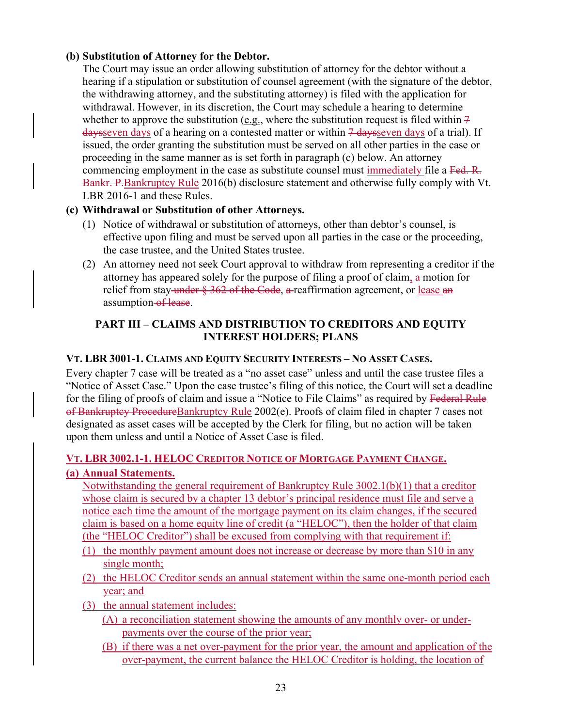#### **(b) Substitution of Attorney for the Debtor.**

The Court may issue an order allowing substitution of attorney for the debtor without a hearing if a stipulation or substitution of counsel agreement (with the signature of the debtor, the withdrawing attorney, and the substituting attorney) is filed with the application for withdrawal. However, in its discretion, the Court may schedule a hearing to determine whether to approve the substitution (e.g., where the substitution request is filed within  $\frac{1}{7}$  $d$ aysseven days of a hearing on a contested matter or within  $\frac{1}{4}$  daysseven days of a trial). If issued, the order granting the substitution must be served on all other parties in the case or proceeding in the same manner as is set forth in paragraph (c) below. An attorney commencing employment in the case as substitute counsel must immediately file a Fed. R. Bankr. P. Bankruptcy Rule 2016(b) disclosure statement and otherwise fully comply with Vt. LBR 2016-1 and these Rules.

# **(c) Withdrawal or Substitution of other Attorneys.**

- (1) Notice of withdrawal or substitution of attorneys, other than debtor's counsel, is effective upon filing and must be served upon all parties in the case or the proceeding, the case trustee, and the United States trustee.
- (2) An attorney need not seek Court approval to withdraw from representing a creditor if the attorney has appeared solely for the purpose of filing a proof of claim,  $a$ -motion for relief from stay-under § 362 of the Code, a reaffirmation agreement, or lease an assumption of lease.

# **PART III – CLAIMS AND DISTRIBUTION TO CREDITORS AND EQUITY INTEREST HOLDERS; PLANS**

# **VT. LBR 3001-1. CLAIMS AND EQUITY SECURITY INTERESTS – NO ASSET CASES.**

Every chapter 7 case will be treated as a "no asset case" unless and until the case trustee files a "Notice of Asset Case." Upon the case trustee's filing of this notice, the Court will set a deadline for the filing of proofs of claim and issue a "Notice to File Claims" as required by Federal Rule of Bankruptcy ProcedureBankruptcy Rule 2002(e). Proofs of claim filed in chapter 7 cases not designated as asset cases will be accepted by the Clerk for filing, but no action will be taken upon them unless and until a Notice of Asset Case is filed.

# **VT. LBR 3002.1-1. HELOC CREDITOR NOTICE OF MORTGAGE PAYMENT CHANGE. (a) Annual Statements.**

Notwithstanding the general requirement of Bankruptcy Rule 3002.1(b)(1) that a creditor whose claim is secured by a chapter 13 debtor's principal residence must file and serve a notice each time the amount of the mortgage payment on its claim changes, if the secured claim is based on a home equity line of credit (a "HELOC"), then the holder of that claim (the "HELOC Creditor") shall be excused from complying with that requirement if:

- (1) the monthly payment amount does not increase or decrease by more than \$10 in any single month;
- (2) the HELOC Creditor sends an annual statement within the same one-month period each year; and
- (3) the annual statement includes:
	- (A) a reconciliation statement showing the amounts of any monthly over- or underpayments over the course of the prior year;
	- (B) if there was a net over-payment for the prior year, the amount and application of the over-payment, the current balance the HELOC Creditor is holding, the location of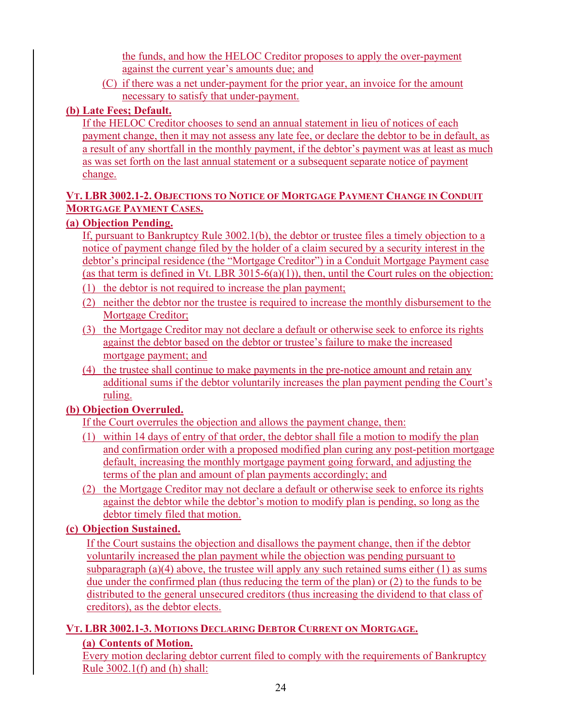the funds, and how the HELOC Creditor proposes to apply the over-payment against the current year's amounts due; and

(C) if there was a net under-payment for the prior year, an invoice for the amount necessary to satisfy that under-payment.

# **(b) Late Fees; Default.**

If the HELOC Creditor chooses to send an annual statement in lieu of notices of each payment change, then it may not assess any late fee, or declare the debtor to be in default, as a result of any shortfall in the monthly payment, if the debtor's payment was at least as much as was set forth on the last annual statement or a subsequent separate notice of payment change.

## **VT. LBR 3002.1-2. OBJECTIONS TO NOTICE OF MORTGAGE PAYMENT CHANGE IN CONDUIT MORTGAGE PAYMENT CASES.**

# **(a) Objection Pending.**

If, pursuant to Bankruptcy Rule 3002.1(b), the debtor or trustee files a timely objection to a notice of payment change filed by the holder of a claim secured by a security interest in the debtor's principal residence (the "Mortgage Creditor") in a Conduit Mortgage Payment case (as that term is defined in Vt. LBR  $3015-6(a)(1)$ ), then, until the Court rules on the objection:

- (1) the debtor is not required to increase the plan payment;
- (2) neither the debtor nor the trustee is required to increase the monthly disbursement to the Mortgage Creditor;
- (3) the Mortgage Creditor may not declare a default or otherwise seek to enforce its rights against the debtor based on the debtor or trustee's failure to make the increased mortgage payment; and
- (4) the trustee shall continue to make payments in the pre-notice amount and retain any additional sums if the debtor voluntarily increases the plan payment pending the Court's ruling.

# **(b) Objection Overruled.**

If the Court overrules the objection and allows the payment change, then:

- (1) within 14 days of entry of that order, the debtor shall file a motion to modify the plan and confirmation order with a proposed modified plan curing any post-petition mortgage default, increasing the monthly mortgage payment going forward, and adjusting the terms of the plan and amount of plan payments accordingly; and
- (2) the Mortgage Creditor may not declare a default or otherwise seek to enforce its rights against the debtor while the debtor's motion to modify plan is pending, so long as the debtor timely filed that motion.

# **(c) Objection Sustained.**

If the Court sustains the objection and disallows the payment change, then if the debtor voluntarily increased the plan payment while the objection was pending pursuant to subparagraph (a)(4) above, the trustee will apply any such retained sums either  $(1)$  as sums due under the confirmed plan (thus reducing the term of the plan) or (2) to the funds to be distributed to the general unsecured creditors (thus increasing the dividend to that class of creditors), as the debtor elects.

# **VT. LBR 3002.1-3. MOTIONS DECLARING DEBTOR CURRENT ON MORTGAGE.**

# **(a) Contents of Motion.**

Every motion declaring debtor current filed to comply with the requirements of Bankruptcy Rule 3002.1(f) and (h) shall: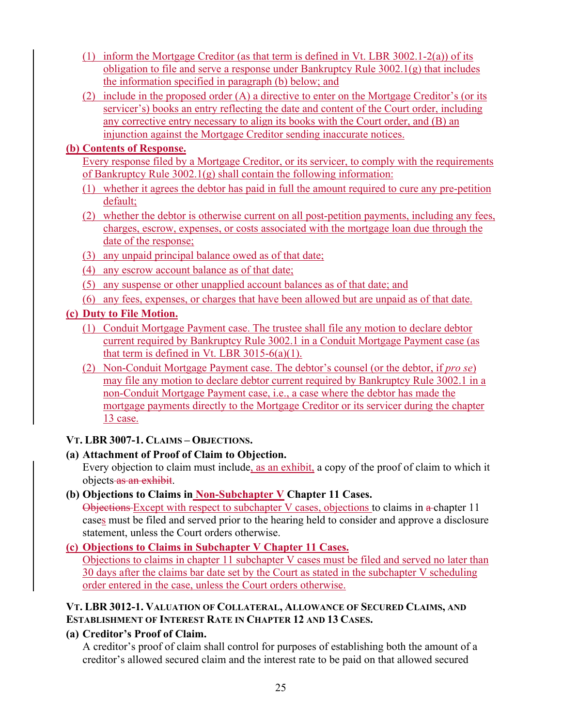- (1) inform the Mortgage Creditor (as that term is defined in Vt. LBR 3002.1-2(a)) of its obligation to file and serve a response under Bankruptcy Rule 3002.1(g) that includes the information specified in paragraph (b) below; and
- (2) include in the proposed order (A) a directive to enter on the Mortgage Creditor's (or its servicer's) books an entry reflecting the date and content of the Court order, including any corrective entry necessary to align its books with the Court order, and (B) an injunction against the Mortgage Creditor sending inaccurate notices.

## **(b) Contents of Response.**

- Every response filed by a Mortgage Creditor, or its servicer, to comply with the requirements of Bankruptcy Rule 3002.1(g) shall contain the following information:
- (1) whether it agrees the debtor has paid in full the amount required to cure any pre-petition default;
- (2) whether the debtor is otherwise current on all post-petition payments, including any fees, charges, escrow, expenses, or costs associated with the mortgage loan due through the date of the response;
- (3) any unpaid principal balance owed as of that date;
- (4) any escrow account balance as of that date;
- (5) any suspense or other unapplied account balances as of that date; and
- (6) any fees, expenses, or charges that have been allowed but are unpaid as of that date.

# **(c) Duty to File Motion.**

- (1) Conduit Mortgage Payment case. The trustee shall file any motion to declare debtor current required by Bankruptcy Rule 3002.1 in a Conduit Mortgage Payment case (as that term is defined in Vt. LBR  $3015-6(a)(1)$ .
- (2) Non-Conduit Mortgage Payment case. The debtor's counsel (or the debtor, if *pro se*) may file any motion to declare debtor current required by Bankruptcy Rule 3002.1 in a non-Conduit Mortgage Payment case, i.e., a case where the debtor has made the mortgage payments directly to the Mortgage Creditor or its servicer during the chapter 13 case.

# **VT. LBR 3007-1. CLAIMS – OBJECTIONS.**

# **(a) Attachment of Proof of Claim to Objection.**

Every objection to claim must include, as an exhibit, a copy of the proof of claim to which it objects as an exhibit.

# **(b) Objections to Claims in Non-Subchapter V Chapter 11 Cases.**

Objections Except with respect to subchapter V cases, objections to claims in a chapter 11 cases must be filed and served prior to the hearing held to consider and approve a disclosure statement, unless the Court orders otherwise.

# **(c) Objections to Claims in Subchapter V Chapter 11 Cases.**

Objections to claims in chapter 11 subchapter V cases must be filed and served no later than 30 days after the claims bar date set by the Court as stated in the subchapter V scheduling order entered in the case, unless the Court orders otherwise.

## **VT. LBR 3012-1. VALUATION OF COLLATERAL, ALLOWANCE OF SECURED CLAIMS, AND ESTABLISHMENT OF INTEREST RATE IN CHAPTER 12 AND 13 CASES.**

# **(a) Creditor's Proof of Claim.**

A creditor's proof of claim shall control for purposes of establishing both the amount of a creditor's allowed secured claim and the interest rate to be paid on that allowed secured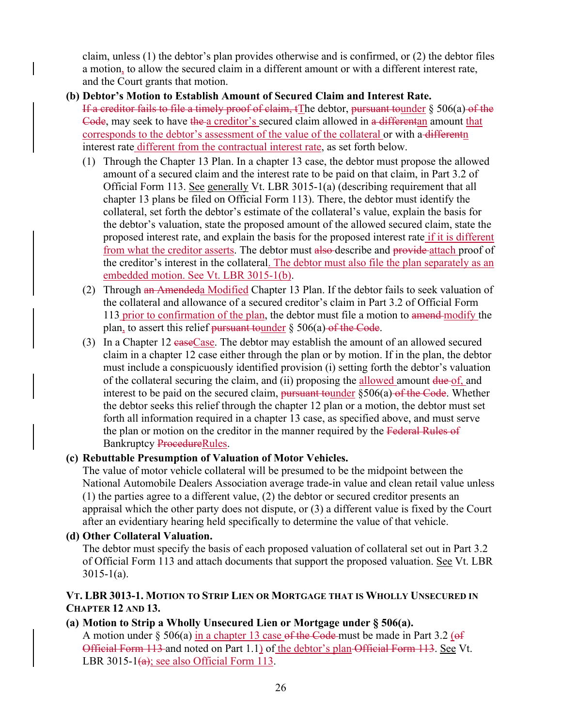claim, unless (1) the debtor's plan provides otherwise and is confirmed, or (2) the debtor files a motion, to allow the secured claim in a different amount or with a different interest rate, and the Court grants that motion.

## **(b) Debtor's Motion to Establish Amount of Secured Claim and Interest Rate.**

If a creditor fails to file a timely proof of claim,  $t$ The debtor, pursuant tounder  $\S$  506(a) of the Code, may seek to have the a creditor's secured claim allowed in a differentan amount that corresponds to the debtor's assessment of the value of the collateral or with a differentn interest rate different from the contractual interest rate, as set forth below.

- (1) Through the Chapter 13 Plan. In a chapter 13 case, the debtor must propose the allowed amount of a secured claim and the interest rate to be paid on that claim, in Part 3.2 of Official Form 113. See generally Vt. LBR 3015-1(a) (describing requirement that all chapter 13 plans be filed on Official Form 113). There, the debtor must identify the collateral, set forth the debtor's estimate of the collateral's value, explain the basis for the debtor's valuation, state the proposed amount of the allowed secured claim, state the proposed interest rate, and explain the basis for the proposed interest rate if it is different from what the creditor asserts. The debtor must also describe and provide attach proof of the creditor's interest in the collateral. The debtor must also file the plan separately as an embedded motion. See Vt. LBR 3015-1(b).
- (2) Through an Amendeda Modified Chapter 13 Plan. If the debtor fails to seek valuation of the collateral and allowance of a secured creditor's claim in Part 3.2 of Official Form 113 prior to confirmation of the plan, the debtor must file a motion to amend-modify the plan, to assert this relief pursuant tounder  $\S$  506(a) of the Code.
- (3) In a Chapter 12 easeCase. The debtor may establish the amount of an allowed secured claim in a chapter 12 case either through the plan or by motion. If in the plan, the debtor must include a conspicuously identified provision (i) setting forth the debtor's valuation of the collateral securing the claim, and (ii) proposing the allowed amount due of, and interest to be paid on the secured claim, pursuant tounder  $\S 506(a)$  of the Code. Whether the debtor seeks this relief through the chapter 12 plan or a motion, the debtor must set forth all information required in a chapter 13 case, as specified above, and must serve the plan or motion on the creditor in the manner required by the Federal Rules of Bankruptcy ProcedureRules.

## **(c) Rebuttable Presumption of Valuation of Motor Vehicles.**

The value of motor vehicle collateral will be presumed to be the midpoint between the National Automobile Dealers Association average trade-in value and clean retail value unless (1) the parties agree to a different value, (2) the debtor or secured creditor presents an appraisal which the other party does not dispute, or (3) a different value is fixed by the Court after an evidentiary hearing held specifically to determine the value of that vehicle.

## **(d) Other Collateral Valuation.**

The debtor must specify the basis of each proposed valuation of collateral set out in Part 3.2 of Official Form 113 and attach documents that support the proposed valuation. See Vt. LBR 3015-1(a).

## **VT. LBR 3013-1. MOTION TO STRIP LIEN OR MORTGAGE THAT IS WHOLLY UNSECURED IN CHAPTER 12 AND 13.**

## **(a) Motion to Strip a Wholly Unsecured Lien or Mortgage under § 506(a).**

A motion under  $\S 506(a)$  in a chapter 13 case of the Code must be made in Part 3.2 (of Official Form 113 and noted on Part 1.1) of the debtor's plan Official Form 113. See Vt. LBR 3015-1 $(a)$ ; see also Official Form 113.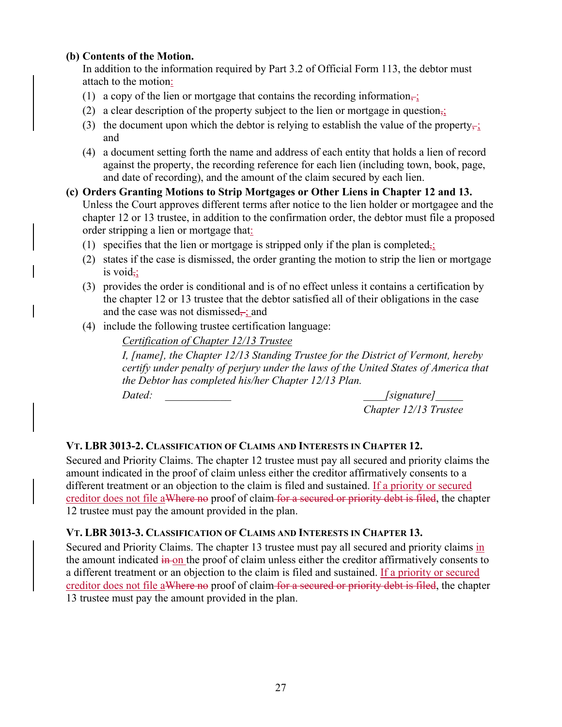## **(b) Contents of the Motion.**

In addition to the information required by Part 3.2 of Official Form 113, the debtor must attach to the motion:

- (1) a copy of the lien or mortgage that contains the recording information–;
- (2) a clear description of the property subject to the lien or mortgage in question<sub> $\overline{12}$ </sub>
- (3) the document upon which the debtor is relying to establish the value of the property $\frac{1}{2}$ and
- (4) a document setting forth the name and address of each entity that holds a lien of record against the property, the recording reference for each lien (including town, book, page, and date of recording), and the amount of the claim secured by each lien.
- **(c) Orders Granting Motions to Strip Mortgages or Other Liens in Chapter 12 and 13.**  Unless the Court approves different terms after notice to the lien holder or mortgagee and the chapter 12 or 13 trustee, in addition to the confirmation order, the debtor must file a proposed order stripping a lien or mortgage that:
	- (1) specifies that the lien or mortgage is stripped only if the plan is completed,;
	- (2) states if the case is dismissed, the order granting the motion to strip the lien or mortgage is void $\frac{1}{2}$ ;
	- (3) provides the order is conditional and is of no effect unless it contains a certification by the chapter 12 or 13 trustee that the debtor satisfied all of their obligations in the case and the case was not dismissed $\div$ ; and
	- (4) include the following trustee certification language:

*Certification of Chapter 12/13 Trustee* 

*I, [name], the Chapter 12/13 Standing Trustee for the District of Vermont, hereby certify under penalty of perjury under the laws of the United States of America that the Debtor has completed his/her Chapter 12/13 Plan.* 

Dated:  $\qquad \qquad$  *Dated:*  $\qquad \qquad$  *Signature*]  *Chapter 12/13 Trustee*

## **VT. LBR 3013-2. CLASSIFICATION OF CLAIMS AND INTERESTS IN CHAPTER 12.**

Secured and Priority Claims. The chapter 12 trustee must pay all secured and priority claims the amount indicated in the proof of claim unless either the creditor affirmatively consents to a different treatment or an objection to the claim is filed and sustained. If a priority or secured creditor does not file aWhere no proof of claim for a secured or priority debt is filed, the chapter 12 trustee must pay the amount provided in the plan.

## **VT. LBR 3013-3. CLASSIFICATION OF CLAIMS AND INTERESTS IN CHAPTER 13.**

Secured and Priority Claims. The chapter 13 trustee must pay all secured and priority claims in the amount indicated in on the proof of claim unless either the creditor affirmatively consents to a different treatment or an objection to the claim is filed and sustained. If a priority or secured creditor does not file aWhere no proof of claim for a secured or priority debt is filed, the chapter 13 trustee must pay the amount provided in the plan.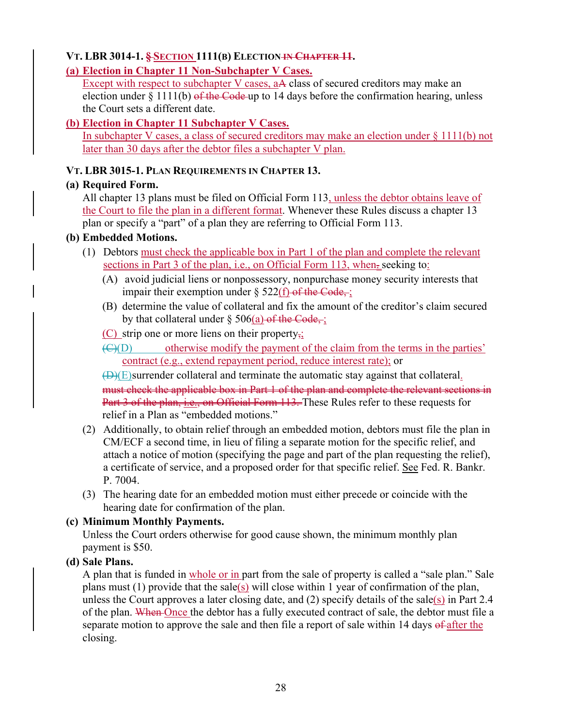# **VT. LBR 3014-1. § SECTION 1111(B) ELECTION IN CHAPTER 11.**

## **(a) Election in Chapter 11 Non-Subchapter V Cases.**

Except with respect to subchapter V cases, aA class of secured creditors may make an election under  $\S 1111(b)$  of the Code-up to 14 days before the confirmation hearing, unless the Court sets a different date.

## **(b) Election in Chapter 11 Subchapter V Cases.**

In subchapter V cases, a class of secured creditors may make an election under § 1111(b) not later than 30 days after the debtor files a subchapter V plan.

## **VT. LBR 3015-1. PLAN REQUIREMENTS IN CHAPTER 13.**

## **(a) Required Form.**

All chapter 13 plans must be filed on Official Form 113, unless the debtor obtains leave of the Court to file the plan in a different format. Whenever these Rules discuss a chapter 13 plan or specify a "part" of a plan they are referring to Official Form 113.

## **(b) Embedded Motions.**

- (1) Debtors must check the applicable box in Part 1 of the plan and complete the relevant sections in Part 3 of the plan, i.e., on Official Form 113, when. seeking to:
	- (A) avoid judicial liens or nonpossessory, nonpurchase money security interests that impair their exemption under  $\S 522(f)$  of the Code,;
	- (B) determine the value of collateral and fix the amount of the creditor's claim secured by that collateral under  $\S 506(a)$  of the Code,;
	- (C) strip one or more liens on their property,;

 $\overline{(C)(D)}$  otherwise modify the payment of the claim from the terms in the parties' contract (e.g., extend repayment period, reduce interest rate); or

 $(D)(E)$ surrender collateral and terminate the automatic stay against that collateral. must check the applicable box in Part 1 of the plan and complete the relevant sections in Part 3 of the plan, i.e., on Official Form 113. These Rules refer to these requests for relief in a Plan as "embedded motions."

- (2) Additionally, to obtain relief through an embedded motion, debtors must file the plan in CM/ECF a second time, in lieu of filing a separate motion for the specific relief, and attach a notice of motion (specifying the page and part of the plan requesting the relief), a certificate of service, and a proposed order for that specific relief. See Fed. R. Bankr. P. 7004.
- (3) The hearing date for an embedded motion must either precede or coincide with the hearing date for confirmation of the plan.

# **(c) Minimum Monthly Payments.**

Unless the Court orders otherwise for good cause shown, the minimum monthly plan payment is \$50.

## **(d) Sale Plans.**

A plan that is funded in whole or in part from the sale of property is called a "sale plan." Sale plans must (1) provide that the sale(s) will close within 1 year of confirmation of the plan, unless the Court approves a later closing date, and (2) specify details of the sale(s) in Part 2.4 of the plan. When Once the debtor has a fully executed contract of sale, the debtor must file a separate motion to approve the sale and then file a report of sale within 14 days of after the closing.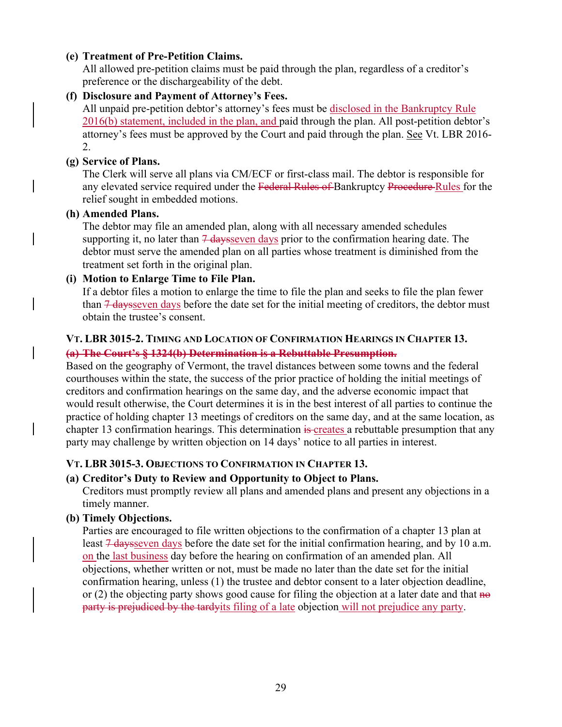## **(e) Treatment of Pre-Petition Claims.**

All allowed pre-petition claims must be paid through the plan, regardless of a creditor's preference or the dischargeability of the debt.

### **(f) Disclosure and Payment of Attorney's Fees.**

All unpaid pre-petition debtor's attorney's fees must be disclosed in the Bankruptcy Rule 2016(b) statement, included in the plan, and paid through the plan. All post-petition debtor's attorney's fees must be approved by the Court and paid through the plan. See Vt. LBR 2016-2.

### **(g) Service of Plans.**

The Clerk will serve all plans via CM/ECF or first-class mail. The debtor is responsible for any elevated service required under the Federal Rules of Bankruptcy Procedure Rules for the relief sought in embedded motions.

#### **(h) Amended Plans.**

The debtor may file an amended plan, along with all necessary amended schedules supporting it, no later than  $\frac{7}{4}$  daysseven days prior to the confirmation hearing date. The debtor must serve the amended plan on all parties whose treatment is diminished from the treatment set forth in the original plan.

### **(i) Motion to Enlarge Time to File Plan.**

If a debtor files a motion to enlarge the time to file the plan and seeks to file the plan fewer than  $\frac{1}{4}$  days seven days before the date set for the initial meeting of creditors, the debtor must obtain the trustee's consent.

## **VT. LBR 3015-2. TIMING AND LOCATION OF CONFIRMATION HEARINGS IN CHAPTER 13. (a) The Court's § 1324(b) Determination is a Rebuttable Presumption.**

Based on the geography of Vermont, the travel distances between some towns and the federal courthouses within the state, the success of the prior practice of holding the initial meetings of creditors and confirmation hearings on the same day, and the adverse economic impact that would result otherwise, the Court determines it is in the best interest of all parties to continue the practice of holding chapter 13 meetings of creditors on the same day, and at the same location, as chapter 13 confirmation hearings. This determination is creates a rebuttable presumption that any party may challenge by written objection on 14 days' notice to all parties in interest.

## **VT. LBR 3015-3. OBJECTIONS TO CONFIRMATION IN CHAPTER 13.**

## **(a) Creditor's Duty to Review and Opportunity to Object to Plans.**

Creditors must promptly review all plans and amended plans and present any objections in a timely manner.

## **(b) Timely Objections.**

Parties are encouraged to file written objections to the confirmation of a chapter 13 plan at least  $7$  days seven days before the date set for the initial confirmation hearing, and by 10 a.m. on the last business day before the hearing on confirmation of an amended plan. All objections, whether written or not, must be made no later than the date set for the initial confirmation hearing, unless (1) the trustee and debtor consent to a later objection deadline, or (2) the objecting party shows good cause for filing the objection at a later date and that  $\theta$ party is prejudiced by the tardyits filing of a late objection will not prejudice any party.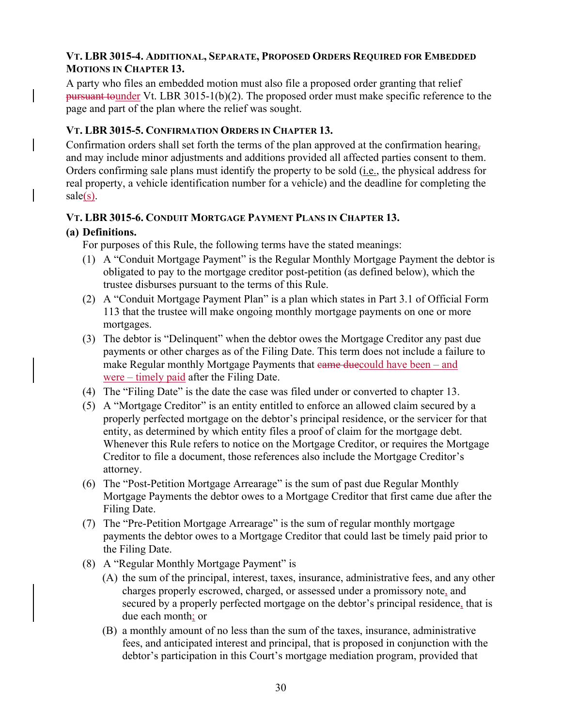## **VT. LBR 3015-4. ADDITIONAL, SEPARATE, PROPOSED ORDERS REQUIRED FOR EMBEDDED MOTIONS IN CHAPTER 13.**

A party who files an embedded motion must also file a proposed order granting that relief pursuant tounder Vt. LBR 3015-1(b)(2). The proposed order must make specific reference to the page and part of the plan where the relief was sought.

## **VT. LBR 3015-5. CONFIRMATION ORDERS IN CHAPTER 13.**

Confirmation orders shall set forth the terms of the plan approved at the confirmation hearing, and may include minor adjustments and additions provided all affected parties consent to them. Orders confirming sale plans must identify the property to be sold (*i.e.*, the physical address for real property, a vehicle identification number for a vehicle) and the deadline for completing the  $\text{ sale}(s)$ .

## **VT. LBR 3015-6. CONDUIT MORTGAGE PAYMENT PLANS IN CHAPTER 13.**

## **(a) Definitions.**

For purposes of this Rule, the following terms have the stated meanings:

- (1) A "Conduit Mortgage Payment" is the Regular Monthly Mortgage Payment the debtor is obligated to pay to the mortgage creditor post-petition (as defined below), which the trustee disburses pursuant to the terms of this Rule.
- (2) A "Conduit Mortgage Payment Plan" is a plan which states in Part 3.1 of Official Form 113 that the trustee will make ongoing monthly mortgage payments on one or more mortgages.
- (3) The debtor is "Delinquent" when the debtor owes the Mortgage Creditor any past due payments or other charges as of the Filing Date. This term does not include a failure to make Regular monthly Mortgage Payments that  $\theta$  earned due of lawe been – and were – timely paid after the Filing Date.
- (4) The "Filing Date" is the date the case was filed under or converted to chapter 13.
- (5) A "Mortgage Creditor" is an entity entitled to enforce an allowed claim secured by a properly perfected mortgage on the debtor's principal residence, or the servicer for that entity, as determined by which entity files a proof of claim for the mortgage debt. Whenever this Rule refers to notice on the Mortgage Creditor, or requires the Mortgage Creditor to file a document, those references also include the Mortgage Creditor's attorney.
- (6) The "Post-Petition Mortgage Arrearage" is the sum of past due Regular Monthly Mortgage Payments the debtor owes to a Mortgage Creditor that first came due after the Filing Date.
- (7) The "Pre-Petition Mortgage Arrearage" is the sum of regular monthly mortgage payments the debtor owes to a Mortgage Creditor that could last be timely paid prior to the Filing Date.
- (8) A "Regular Monthly Mortgage Payment" is
	- (A) the sum of the principal, interest, taxes, insurance, administrative fees, and any other charges properly escrowed, charged, or assessed under a promissory note, and secured by a properly perfected mortgage on the debtor's principal residence, that is due each month; or
	- (B) a monthly amount of no less than the sum of the taxes, insurance, administrative fees, and anticipated interest and principal, that is proposed in conjunction with the debtor's participation in this Court's mortgage mediation program, provided that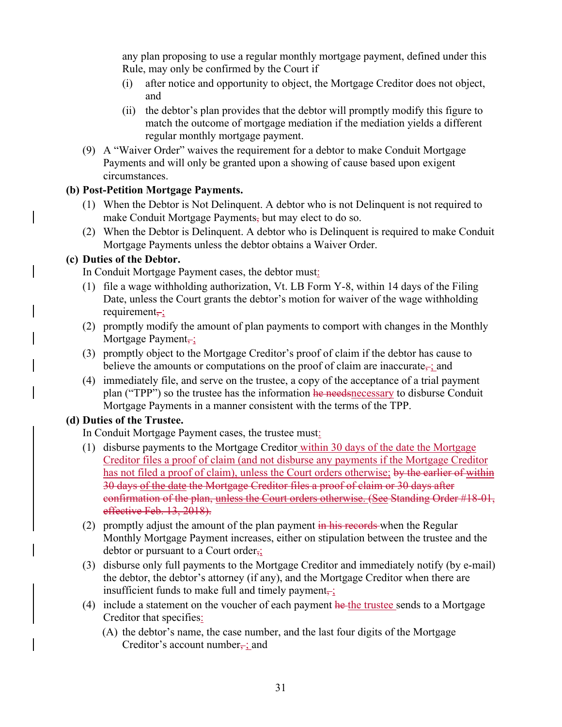any plan proposing to use a regular monthly mortgage payment, defined under this Rule, may only be confirmed by the Court if

- (i) after notice and opportunity to object, the Mortgage Creditor does not object, and
- (ii) the debtor's plan provides that the debtor will promptly modify this figure to match the outcome of mortgage mediation if the mediation yields a different regular monthly mortgage payment.
- (9) A "Waiver Order" waives the requirement for a debtor to make Conduit Mortgage Payments and will only be granted upon a showing of cause based upon exigent circumstances.

## **(b) Post-Petition Mortgage Payments.**

- (1) When the Debtor is Not Delinquent. A debtor who is not Delinquent is not required to make Conduit Mortgage Payments, but may elect to do so.
- (2) When the Debtor is Delinquent. A debtor who is Delinquent is required to make Conduit Mortgage Payments unless the debtor obtains a Waiver Order.

## **(c) Duties of the Debtor.**

In Conduit Mortgage Payment cases, the debtor must:

- (1) file a wage withholding authorization, Vt. LB Form Y-8, within 14 days of the Filing Date, unless the Court grants the debtor's motion for waiver of the wage withholding requirement $\div$ ;
- (2) promptly modify the amount of plan payments to comport with changes in the Monthly Mortgage Payment<sub>-</sub>;
- (3) promptly object to the Mortgage Creditor's proof of claim if the debtor has cause to believe the amounts or computations on the proof of claim are inaccurate,  $\ddot{\ }$ ; and
- (4) immediately file, and serve on the trustee, a copy of the acceptance of a trial payment plan ("TPP") so the trustee has the information he needs necessary to disburse Conduit Mortgage Payments in a manner consistent with the terms of the TPP.

## **(d) Duties of the Trustee.**

In Conduit Mortgage Payment cases, the trustee must:

- (1) disburse payments to the Mortgage Creditor within 30 days of the date the Mortgage Creditor files a proof of claim (and not disburse any payments if the Mortgage Creditor has not filed a proof of claim), unless the Court orders otherwise; by the earlier of within 30 days of the date the Mortgage Creditor files a proof of claim or 30 days after confirmation of the plan, unless the Court orders otherwise. (See Standing Order #18-01, effective Feb. 13, 2018).
- (2) promptly adjust the amount of the plan payment  $\frac{1}{2}$  in his records when the Regular Monthly Mortgage Payment increases, either on stipulation between the trustee and the debtor or pursuant to a Court order,;
- (3) disburse only full payments to the Mortgage Creditor and immediately notify (by e-mail) the debtor, the debtor's attorney (if any), and the Mortgage Creditor when there are insufficient funds to make full and timely payment $\frac{1}{r}$ ;
- (4) include a statement on the voucher of each payment  $he$  the trustee sends to a Mortgage Creditor that specifies:
	- (A) the debtor's name, the case number, and the last four digits of the Mortgage Creditor's account number<sub> $\frac{1}{2}$ </sub> and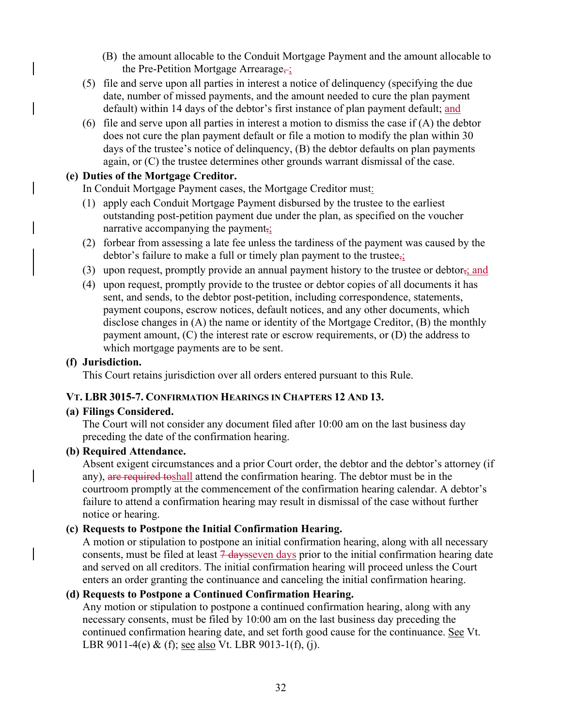- (B) the amount allocable to the Conduit Mortgage Payment and the amount allocable to the Pre-Petition Mortgage Arrearage,
- (5) file and serve upon all parties in interest a notice of delinquency (specifying the due date, number of missed payments, and the amount needed to cure the plan payment default) within 14 days of the debtor's first instance of plan payment default; and
- (6) file and serve upon all parties in interest a motion to dismiss the case if  $(A)$  the debtor does not cure the plan payment default or file a motion to modify the plan within 30 days of the trustee's notice of delinquency, (B) the debtor defaults on plan payments again, or (C) the trustee determines other grounds warrant dismissal of the case.

#### **(e) Duties of the Mortgage Creditor.**

In Conduit Mortgage Payment cases, the Mortgage Creditor must:

- (1) apply each Conduit Mortgage Payment disbursed by the trustee to the earliest outstanding post-petition payment due under the plan, as specified on the voucher narrative accompanying the payment,;
- (2) forbear from assessing a late fee unless the tardiness of the payment was caused by the debtor's failure to make a full or timely plan payment to the trustee $\frac{1}{2}$ ;
- (3) upon request, promptly provide an annual payment history to the trustee or debtor;; and
- (4) upon request, promptly provide to the trustee or debtor copies of all documents it has sent, and sends, to the debtor post-petition, including correspondence, statements, payment coupons, escrow notices, default notices, and any other documents, which disclose changes in (A) the name or identity of the Mortgage Creditor, (B) the monthly payment amount, (C) the interest rate or escrow requirements, or (D) the address to which mortgage payments are to be sent.

#### **(f) Jurisdiction.**

This Court retains jurisdiction over all orders entered pursuant to this Rule.

#### **VT. LBR 3015-7. CONFIRMATION HEARINGS IN CHAPTERS 12 AND 13.**

#### **(a) Filings Considered.**

The Court will not consider any document filed after 10:00 am on the last business day preceding the date of the confirmation hearing.

### **(b) Required Attendance.**

Absent exigent circumstances and a prior Court order, the debtor and the debtor's attorney (if any), are required toshall attend the confirmation hearing. The debtor must be in the courtroom promptly at the commencement of the confirmation hearing calendar. A debtor's failure to attend a confirmation hearing may result in dismissal of the case without further notice or hearing.

#### **(c) Requests to Postpone the Initial Confirmation Hearing.**

A motion or stipulation to postpone an initial confirmation hearing, along with all necessary consents, must be filed at least  $7$  daysseven days prior to the initial confirmation hearing date and served on all creditors. The initial confirmation hearing will proceed unless the Court enters an order granting the continuance and canceling the initial confirmation hearing.

#### **(d) Requests to Postpone a Continued Confirmation Hearing.**

Any motion or stipulation to postpone a continued confirmation hearing, along with any necessary consents, must be filed by 10:00 am on the last business day preceding the continued confirmation hearing date, and set forth good cause for the continuance. See Vt. LBR 9011-4(e) & (f); <u>see also</u> Vt. LBR 9013-1(f), (j).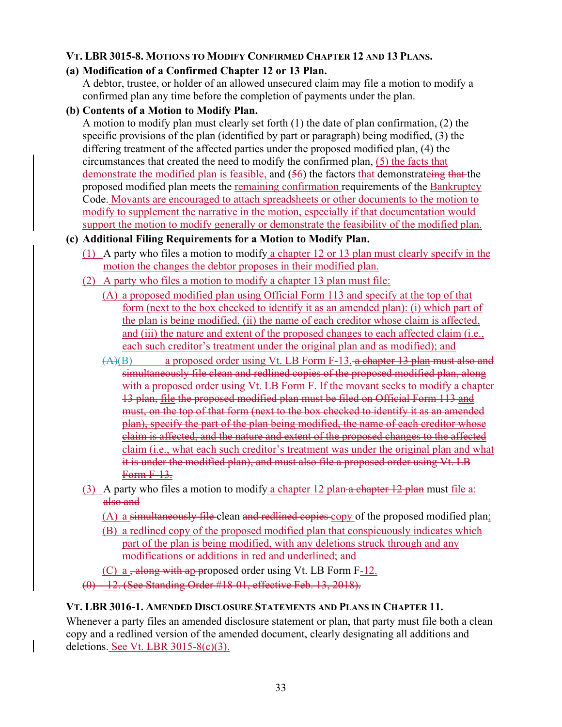## **VT. LBR 3015-8. MOTIONS TO MODIFY CONFIRMED CHAPTER 12 AND 13 PLANS.**

## **(a) Modification of a Confirmed Chapter 12 or 13 Plan.**

A debtor, trustee, or holder of an allowed unsecured claim may file a motion to modify a confirmed plan any time before the completion of payments under the plan.

## **(b) Contents of a Motion to Modify Plan.**

A motion to modify plan must clearly set forth (1) the date of plan confirmation, (2) the specific provisions of the plan (identified by part or paragraph) being modified, (3) the differing treatment of the affected parties under the proposed modified plan, (4) the circumstances that created the need to modify the confirmed plan, (5) the facts that demonstrate the modified plan is feasible, and (56) the factors that demonstrateing that the proposed modified plan meets the remaining confirmation requirements of the Bankruptcy Code. Movants are encouraged to attach spreadsheets or other documents to the motion to modify to supplement the narrative in the motion, especially if that documentation would support the motion to modify generally or demonstrate the feasibility of the modified plan.

## **(c) Additional Filing Requirements for a Motion to Modify Plan.**

- (1) A party who files a motion to modify a chapter 12 or 13 plan must clearly specify in the motion the changes the debtor proposes in their modified plan.
- (2) A party who files a motion to modify a chapter 13 plan must file:
	- (A) a proposed modified plan using Official Form 113 and specify at the top of that form (next to the box checked to identify it as an amended plan): (i) which part of the plan is being modified, (ii) the name of each creditor whose claim is affected, and (iii) the nature and extent of the proposed changes to each affected claim (i.e., each such creditor's treatment under the original plan and as modified); and
	- $(A)(B)$  a proposed order using Vt. LB Form F-13. a chapter 13 plan must also and simultaneously file clean and redlined copies of the proposed modified plan, along with a proposed order using Vt. LB Form F. If the movant seeks to modify a chapter 13 plan, file the proposed modified plan must be filed on Official Form 113 and must, on the top of that form (next to the box checked to identify it as an amended plan), specify the part of the plan being modified, the name of each creditor whose claim is affected, and the nature and extent of the proposed changes to the affected claim (i.e., what each such creditor's treatment was under the original plan and what it is under the modified plan), and must also file a proposed order using Vt. LB Form F-13.
- (3) A party who files a motion to modify a chapter  $12$  plan a chapter  $12$  plan must file a: also and
	- (A) a simultaneously file clean and redlined copies copy of the proposed modified plan;
	- (B) a redlined copy of the proposed modified plan that conspicuously indicates which part of the plan is being modified, with any deletions struck through and any modifications or additions in red and underlined; and
	- (C) a  $\frac{1}{2}$  a  $\frac{1}{2}$  along with ap-proposed order using Vt. LB Form F-12.
- (0) -12. (See Standing Order #18-01, effective Feb. 13, 2018).

## **VT. LBR 3016-1. AMENDED DISCLOSURE STATEMENTS AND PLANS IN CHAPTER 11.**

Whenever a party files an amended disclosure statement or plan, that party must file both a clean copy and a redlined version of the amended document, clearly designating all additions and deletions. See Vt. LBR 3015-8(c)(3).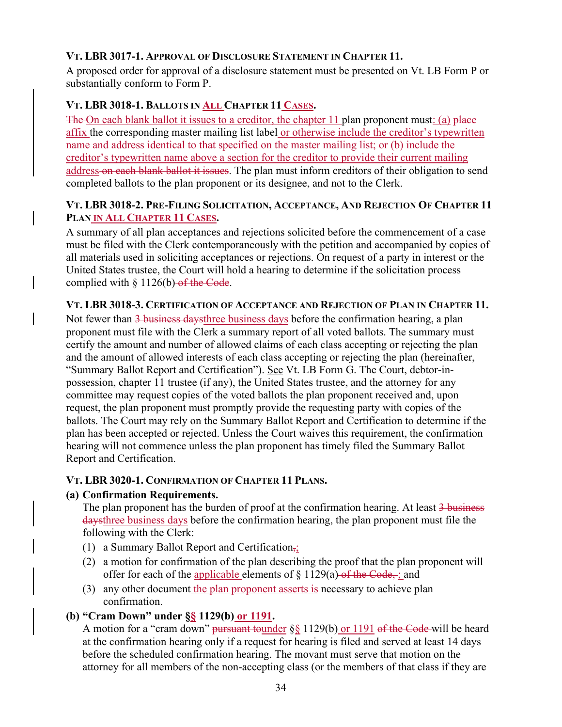## **VT. LBR 3017-1. APPROVAL OF DISCLOSURE STATEMENT IN CHAPTER 11.**

A proposed order for approval of a disclosure statement must be presented on Vt. LB Form P or substantially conform to Form P.

# **VT. LBR 3018-1. BALLOTS IN ALL CHAPTER 11 CASES.**

The On each blank ballot it issues to a creditor, the chapter 11 plan proponent must: (a) place affix the corresponding master mailing list label or otherwise include the creditor's typewritten name and address identical to that specified on the master mailing list; or (b) include the creditor's typewritten name above a section for the creditor to provide their current mailing address on each blank ballot it issues. The plan must inform creditors of their obligation to send completed ballots to the plan proponent or its designee, and not to the Clerk.

## **VT. LBR 3018-2. PRE-FILING SOLICITATION, ACCEPTANCE, AND REJECTION OF CHAPTER 11 PLAN IN ALL CHAPTER 11 CASES.**

A summary of all plan acceptances and rejections solicited before the commencement of a case must be filed with the Clerk contemporaneously with the petition and accompanied by copies of all materials used in soliciting acceptances or rejections. On request of a party in interest or the United States trustee, the Court will hold a hearing to determine if the solicitation process complied with  $§$  1126(b) of the Code.

## **VT. LBR 3018-3. CERTIFICATION OF ACCEPTANCE AND REJECTION OF PLAN IN CHAPTER 11.**

Not fewer than 3 business daysthree business days before the confirmation hearing, a plan proponent must file with the Clerk a summary report of all voted ballots. The summary must certify the amount and number of allowed claims of each class accepting or rejecting the plan and the amount of allowed interests of each class accepting or rejecting the plan (hereinafter, "Summary Ballot Report and Certification"). See Vt. LB Form G. The Court, debtor-inpossession, chapter 11 trustee (if any), the United States trustee, and the attorney for any committee may request copies of the voted ballots the plan proponent received and, upon request, the plan proponent must promptly provide the requesting party with copies of the ballots. The Court may rely on the Summary Ballot Report and Certification to determine if the plan has been accepted or rejected. Unless the Court waives this requirement, the confirmation hearing will not commence unless the plan proponent has timely filed the Summary Ballot Report and Certification.

# **VT. LBR 3020-1. CONFIRMATION OF CHAPTER 11 PLANS.**

## **(a) Confirmation Requirements.**

The plan proponent has the burden of proof at the confirmation hearing. At least 3 business daysthree business days before the confirmation hearing, the plan proponent must file the following with the Clerk:

- (1) a Summary Ballot Report and Certification,;
- (2) a motion for confirmation of the plan describing the proof that the plan proponent will offer for each of the applicable elements of  $\S 1129(a)$  of the Code, ; and
- (3) any other document the plan proponent asserts is necessary to achieve plan confirmation.

# **(b) "Cram Down" under §§ 1129(b) or 1191.**

A motion for a "cram down" pursuant tounder §§ 1129(b) or 1191 of the Code will be heard at the confirmation hearing only if a request for hearing is filed and served at least 14 days before the scheduled confirmation hearing. The movant must serve that motion on the attorney for all members of the non-accepting class (or the members of that class if they are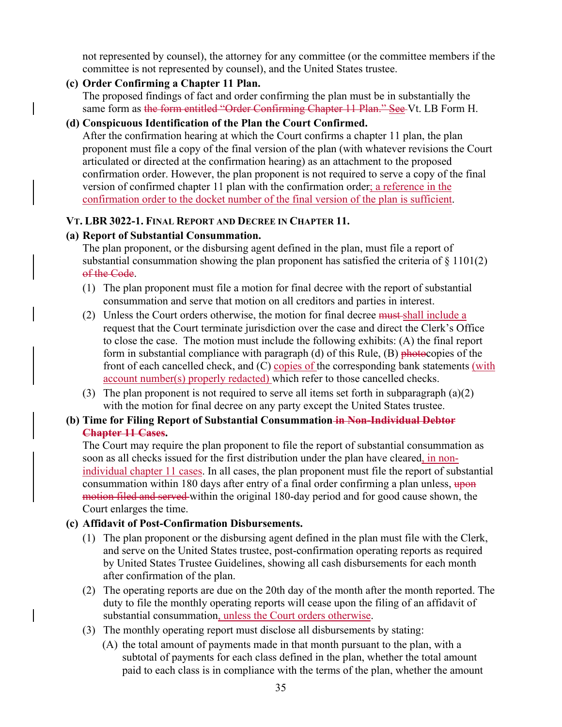not represented by counsel), the attorney for any committee (or the committee members if the committee is not represented by counsel), and the United States trustee.

## **(c) Order Confirming a Chapter 11 Plan.**

The proposed findings of fact and order confirming the plan must be in substantially the same form as the form entitled "Order Confirming Chapter 11 Plan." See Vt. LB Form H.

## **(d) Conspicuous Identification of the Plan the Court Confirmed.**

After the confirmation hearing at which the Court confirms a chapter 11 plan, the plan proponent must file a copy of the final version of the plan (with whatever revisions the Court articulated or directed at the confirmation hearing) as an attachment to the proposed confirmation order. However, the plan proponent is not required to serve a copy of the final version of confirmed chapter 11 plan with the confirmation order; a reference in the confirmation order to the docket number of the final version of the plan is sufficient.

## **VT. LBR 3022-1. FINAL REPORT AND DECREE IN CHAPTER 11.**

### **(a) Report of Substantial Consummation.**

The plan proponent, or the disbursing agent defined in the plan, must file a report of substantial consummation showing the plan proponent has satisfied the criteria of  $\S 1101(2)$ of the Code.

- (1) The plan proponent must file a motion for final decree with the report of substantial consummation and serve that motion on all creditors and parties in interest.
- (2) Unless the Court orders otherwise, the motion for final decree must shall include a request that the Court terminate jurisdiction over the case and direct the Clerk's Office to close the case. The motion must include the following exhibits: (A) the final report form in substantial compliance with paragraph (d) of this Rule,  $(B)$  photocopies of the front of each cancelled check, and (C) copies of the corresponding bank statements (with account number(s) properly redacted) which refer to those cancelled checks.
- (3) The plan proponent is not required to serve all items set forth in subparagraph  $(a)(2)$ with the motion for final decree on any party except the United States trustee.

### **(b) Time for Filing Report of Substantial Consummation in Non-Individual Debtor Chapter 11 Cases.**

The Court may require the plan proponent to file the report of substantial consummation as soon as all checks issued for the first distribution under the plan have cleared, in nonindividual chapter 11 cases. In all cases, the plan proponent must file the report of substantial consummation within 180 days after entry of a final order confirming a plan unless, upon motion filed and served within the original 180-day period and for good cause shown, the Court enlarges the time.

## **(c) Affidavit of Post-Confirmation Disbursements.**

- (1) The plan proponent or the disbursing agent defined in the plan must file with the Clerk, and serve on the United States trustee, post-confirmation operating reports as required by United States Trustee Guidelines, showing all cash disbursements for each month after confirmation of the plan.
- (2) The operating reports are due on the 20th day of the month after the month reported. The duty to file the monthly operating reports will cease upon the filing of an affidavit of substantial consummation, unless the Court orders otherwise.
- (3) The monthly operating report must disclose all disbursements by stating:
	- (A) the total amount of payments made in that month pursuant to the plan, with a subtotal of payments for each class defined in the plan, whether the total amount paid to each class is in compliance with the terms of the plan, whether the amount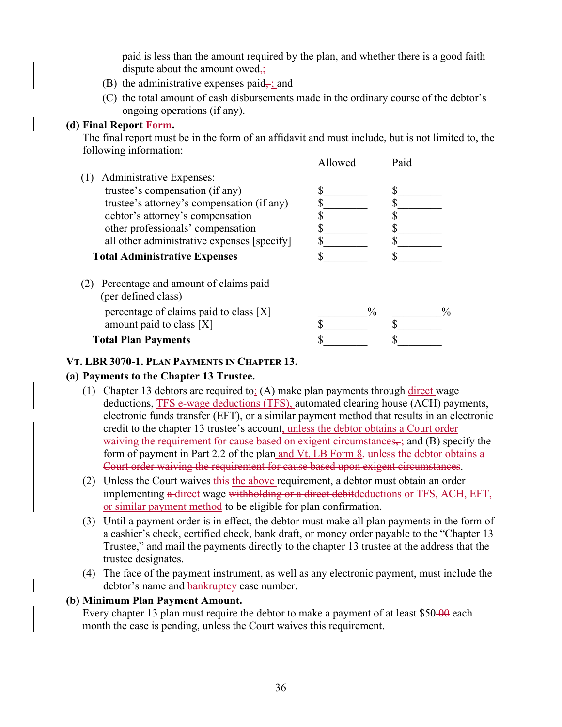paid is less than the amount required by the plan, and whether there is a good faith dispute about the amount owed<sub>7</sub>;

- (B) the administrative expenses paid $\div$ ; and
- (C) the total amount of cash disbursements made in the ordinary course of the debtor's ongoing operations (if any).

### **(d) Final Report Form.**

The final report must be in the form of an affidavit and must include, but is not limited to, the following information:

|                                                             | Allowed | Paid |      |
|-------------------------------------------------------------|---------|------|------|
| Administrative Expenses:                                    |         |      |      |
| trustee's compensation (if any)                             |         |      |      |
| trustee's attorney's compensation (if any)                  |         |      |      |
| debtor's attorney's compensation                            |         |      |      |
| other professionals' compensation                           |         |      |      |
| all other administrative expenses [specify]                 |         |      |      |
| <b>Total Administrative Expenses</b>                        |         |      |      |
| Percentage and amount of claims paid<br>(per defined class) |         |      |      |
| percentage of claims paid to class [X]                      |         | $\%$ | $\%$ |
| amount paid to class [X]                                    |         |      |      |
| <b>Total Plan Payments</b>                                  |         |      |      |

## **VT. LBR 3070-1. PLAN PAYMENTS IN CHAPTER 13.**

## **(a) Payments to the Chapter 13 Trustee.**

- (1) Chapter 13 debtors are required to: (A) make plan payments through direct wage deductions, TFS e-wage deductions (TFS), automated clearing house (ACH) payments, electronic funds transfer (EFT), or a similar payment method that results in an electronic credit to the chapter 13 trustee's account, unless the debtor obtains a Court order waiving the requirement for cause based on exigent circumstances,  $\pm$ ; and (B) specify the form of payment in Part 2.2 of the plan and Vt. LB Form 8, unless the debtor obtains a Court order waiving the requirement for cause based upon exigent circumstances.
- (2) Unless the Court waives this the above requirement, a debtor must obtain an order implementing a-direct wage withholding or a direct debitdeductions or TFS, ACH, EFT, or similar payment method to be eligible for plan confirmation.
- (3) Until a payment order is in effect, the debtor must make all plan payments in the form of a cashier's check, certified check, bank draft, or money order payable to the "Chapter 13 Trustee," and mail the payments directly to the chapter 13 trustee at the address that the trustee designates.
- (4) The face of the payment instrument, as well as any electronic payment, must include the debtor's name and bankruptcy case number.

#### **(b) Minimum Plan Payment Amount.**

Every chapter 13 plan must require the debtor to make a payment of at least \$50.00 each month the case is pending, unless the Court waives this requirement.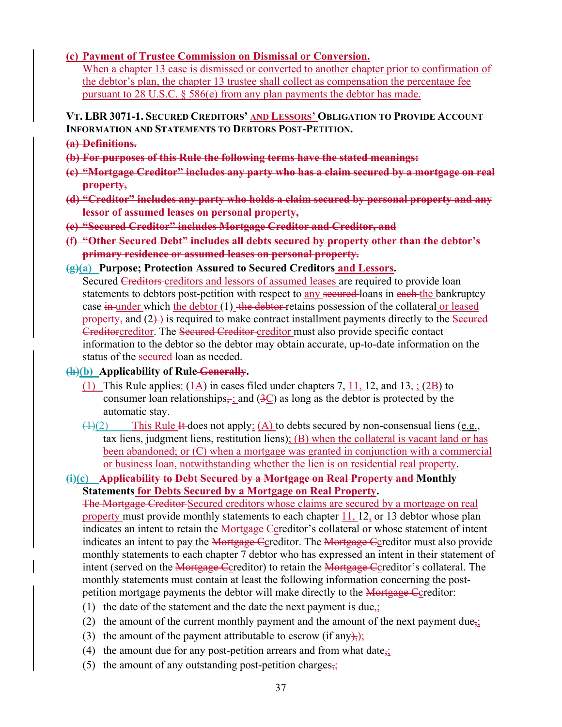#### **(c) Payment of Trustee Commission on Dismissal or Conversion.**

When a chapter 13 case is dismissed or converted to another chapter prior to confirmation of the debtor's plan, the chapter 13 trustee shall collect as compensation the percentage fee pursuant to 28 U.S.C. § 586(e) from any plan payments the debtor has made.

**VT. LBR 3071-1. SECURED CREDITORS' AND LESSORS' OBLIGATION TO PROVIDE ACCOUNT INFORMATION AND STATEMENTS TO DEBTORS POST-PETITION.** 

- **(a) Definitions.**
- **(b) For purposes of this Rule the following terms have the stated meanings:**
- **(c) "Mortgage Creditor" includes any party who has a claim secured by a mortgage on real property,**
- **(d) "Creditor" includes any party who holds a claim secured by personal property and any lessor of assumed leases on personal property,**
- **(e) "Secured Creditor" includes Mortgage Creditor and Creditor, and**
- **(f) "Other Secured Debt" includes all debts secured by property other than the debtor's primary residence or assumed leases on personal property.**
- **(g)(a) Purpose; Protection Assured to Secured Creditors and Lessors.**

Secured Creditors creditors and lessors of assumed leases are required to provide loan statements to debtors post-petition with respect to any secured-loans in each-the bankruptcy case  $\frac{1}{2}$  under which the debtor (1) the debtor retains possession of the collateral or leased property, and  $(2)$  is required to make contract installment payments directly to the Secured Creditorcreditor. The Secured Creditor creditor must also provide specific contact information to the debtor so the debtor may obtain accurate, up-to-date information on the status of the secured-loan as needed.

**(h)(b) Applicability of Rule Generally.** 

- (1) This Rule applies:  $(4A)$  in cases filed under chapters 7, 11, 12, and  $13\div(2B)$  to consumer loan relationships $\frac{1}{2}$ ; and  $(3C)$  as long as the debtor is protected by the automatic stay.
- $(1)(2)$  This Rule It does not apply: (A) to debts secured by non-consensual liens (e.g., tax liens, judgment liens, restitution liens);  $(B)$  when the collateral is vacant land or has been abandoned; or (C) when a mortgage was granted in conjunction with a commercial or business loan, notwithstanding whether the lien is on residential real property.

## **(i)(c) Applicability to Debt Secured by a Mortgage on Real Property and Monthly Statements for Debts Secured by a Mortgage on Real Property.**

The Mortgage Creditor Secured creditors whose claims are secured by a mortgage on real property must provide monthly statements to each chapter 11, 12, or 13 debtor whose plan indicates an intent to retain the Mortgage Ccreditor's collateral or whose statement of intent indicates an intent to pay the Mortgage Ccreditor. The Mortgage Ccreditor must also provide monthly statements to each chapter 7 debtor who has expressed an intent in their statement of intent (served on the Mortgage Ccreditor) to retain the Mortgage Ccreditor's collateral. The monthly statements must contain at least the following information concerning the postpetition mortgage payments the debtor will make directly to the Mortgage Ccreditor:

- (1) the date of the statement and the date the next payment is due,;
- (2) the amount of the current monthly payment and the amount of the next payment due<sub> $\overline{x}$ </sub>;
- (3) the amount of the payment attributable to escrow (if any),
- (4) the amount due for any post-petition arrears and from what date<sub> $\frac{1}{2}$ </sub>
- (5) the amount of any outstanding post-petition charges $\frac{1}{2}$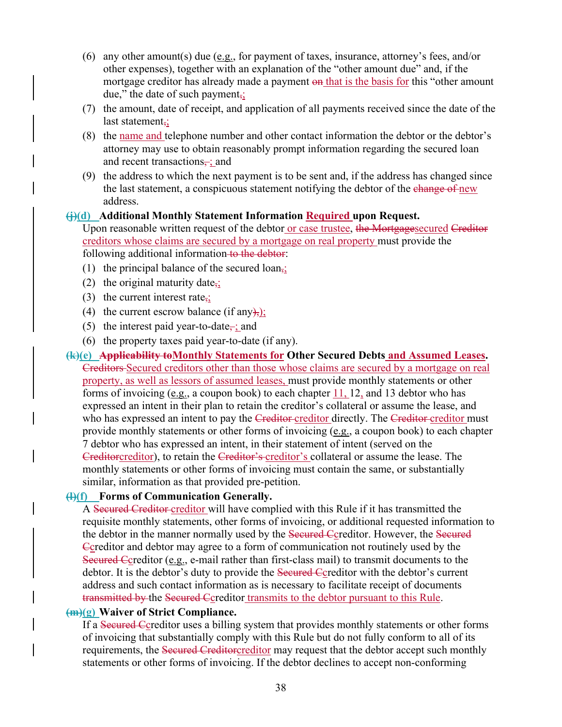- (6) any other amount(s) due (e.g., for payment of taxes, insurance, attorney's fees, and/or other expenses), together with an explanation of the "other amount due" and, if the mortgage creditor has already made a payment on that is the basis for this "other amount due," the date of such payment,;
- (7) the amount, date of receipt, and application of all payments received since the date of the last statement,;
- (8) the name and telephone number and other contact information the debtor or the debtor's attorney may use to obtain reasonably prompt information regarding the secured loan and recent transactions, ; and
- (9) the address to which the next payment is to be sent and, if the address has changed since the last statement, a conspicuous statement notifying the debtor of the change of new address.

#### **(j)(d) Additional Monthly Statement Information Required upon Request.**

Upon reasonable written request of the debtor or case trustee, the Mortgagesecured Creditor creditors whose claims are secured by a mortgage on real property must provide the following additional information to the debtor:

- (1) the principal balance of the secured loan,;
- (2) the original maturity date<sub> $\frac{1}{2}$ </sub>
- (3) the current interest rate;
- (4) the current escrow balance (if any),);
- (5) the interest paid year-to-date<sub>7</sub>; and
- (6) the property taxes paid year-to-date (if any).
- **(k)(e) Applicability toMonthly Statements for Other Secured Debts and Assumed Leases.**  Creditors Secured creditors other than those whose claims are secured by a mortgage on real property, as well as lessors of assumed leases, must provide monthly statements or other forms of invoicing (e.g., a coupon book) to each chapter 11, 12, and 13 debtor who has expressed an intent in their plan to retain the creditor's collateral or assume the lease, and who has expressed an intent to pay the Creditor-creditor directly. The Creditor-creditor must provide monthly statements or other forms of invoicing (e.g., a coupon book) to each chapter 7 debtor who has expressed an intent, in their statement of intent (served on the Creditorcreditor), to retain the Creditor's creditor's collateral or assume the lease. The monthly statements or other forms of invoicing must contain the same, or substantially similar, information as that provided pre-petition.

#### **(l)(f) Forms of Communication Generally.**

A Secured Creditor creditor will have complied with this Rule if it has transmitted the requisite monthly statements, other forms of invoicing, or additional requested information to the debtor in the manner normally used by the Secured Ccreditor. However, the Secured Ccreditor and debtor may agree to a form of communication not routinely used by the Secured Ccreditor (e.g., e-mail rather than first-class mail) to transmit documents to the debtor. It is the debtor's duty to provide the Secured Coreditor with the debtor's current address and such contact information as is necessary to facilitate receipt of documents transmitted by the Secured Ccreditor transmits to the debtor pursuant to this Rule.

#### **(m)(g) Waiver of Strict Compliance.**

If a Secured Ccreditor uses a billing system that provides monthly statements or other forms of invoicing that substantially comply with this Rule but do not fully conform to all of its requirements, the Secured Creditorcreditor may request that the debtor accept such monthly statements or other forms of invoicing. If the debtor declines to accept non-conforming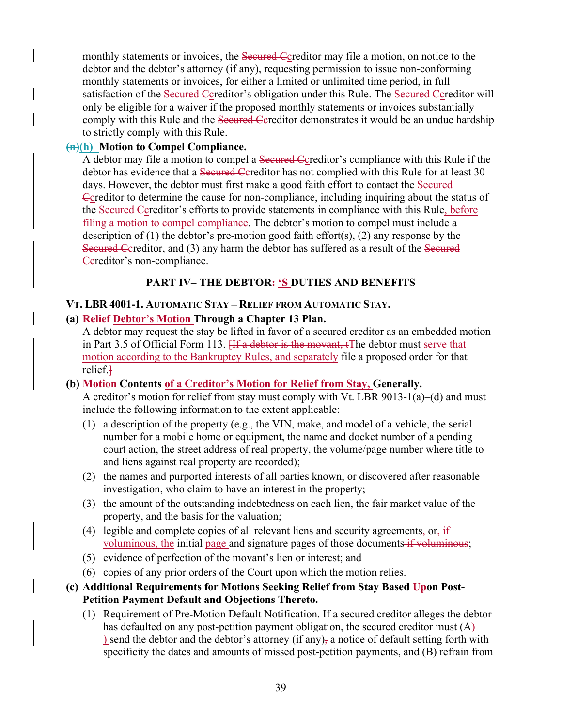monthly statements or invoices, the <del>Secured C</del>creditor may file a motion, on notice to the debtor and the debtor's attorney (if any), requesting permission to issue non-conforming monthly statements or invoices, for either a limited or unlimited time period, in full satisfaction of the Secured Ccreditor's obligation under this Rule. The Secured Ccreditor will only be eligible for a waiver if the proposed monthly statements or invoices substantially comply with this Rule and the Secured Coreditor demonstrates it would be an undue hardship to strictly comply with this Rule.

#### **(n)(h) Motion to Compel Compliance.**

A debtor may file a motion to compel a Secured Coreditor's compliance with this Rule if the debtor has evidence that a Secured Ccreditor has not complied with this Rule for at least 30 days. However, the debtor must first make a good faith effort to contact the Secured Ccreditor to determine the cause for non-compliance, including inquiring about the status of the Secured Ccreditor's efforts to provide statements in compliance with this Rule, before filing a motion to compel compliance. The debtor's motion to compel must include a description of  $(1)$  the debtor's pre-motion good faith effort $(s)$ ,  $(2)$  any response by the Secured Ccreditor, and (3) any harm the debtor has suffered as a result of the Secured Gereditor's non-compliance.

## **PART IV– THE DEBTOR: 'S DUTIES AND BENEFITS**

### **VT. LBR 4001-1. AUTOMATIC STAY – RELIEF FROM AUTOMATIC STAY.**

### **(a) Relief Debtor's Motion Through a Chapter 13 Plan.**

A debtor may request the stay be lifted in favor of a secured creditor as an embedded motion in Part 3.5 of Official Form 113. Heta debtor is the movant, the debtor must serve that motion according to the Bankruptcy Rules, and separately file a proposed order for that relief.]

#### **(b) Motion Contents of a Creditor's Motion for Relief from Stay, Generally.**

A creditor's motion for relief from stay must comply with Vt. LBR 9013-1(a)–(d) and must include the following information to the extent applicable:

- (1) a description of the property (e.g., the VIN, make, and model of a vehicle, the serial number for a mobile home or equipment, the name and docket number of a pending court action, the street address of real property, the volume/page number where title to and liens against real property are recorded);
- (2) the names and purported interests of all parties known, or discovered after reasonable investigation, who claim to have an interest in the property;
- (3) the amount of the outstanding indebtedness on each lien, the fair market value of the property, and the basis for the valuation;
- (4) legible and complete copies of all relevant liens and security agreements, or, if voluminous, the initial page and signature pages of those documents if voluminous;
- (5) evidence of perfection of the movant's lien or interest; and
- (6) copies of any prior orders of the Court upon which the motion relies.
- **(c) Additional Requirements for Motions Seeking Relief from Stay Based Upon Post-Petition Payment Default and Objections Thereto.** 
	- (1) Requirement of Pre-Motion Default Notification. If a secured creditor alleges the debtor has defaulted on any post-petition payment obligation, the secured creditor must (A) ) send the debtor and the debtor's attorney (if any), a notice of default setting forth with specificity the dates and amounts of missed post-petition payments, and (B) refrain from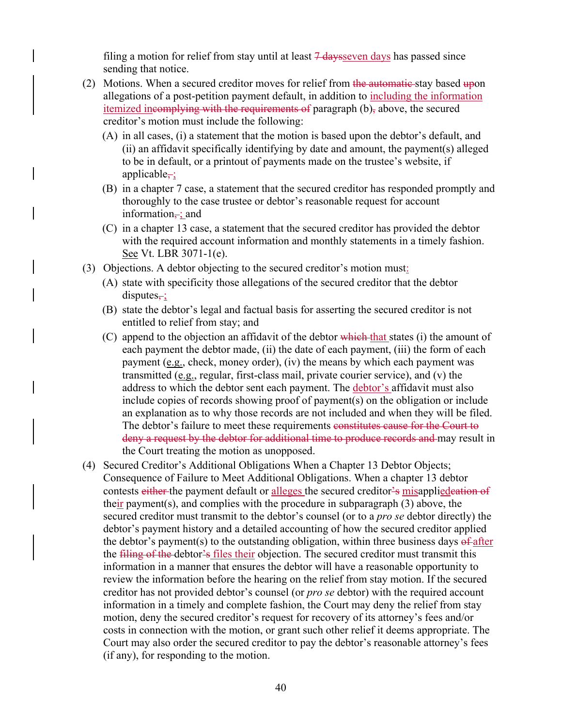filing a motion for relief from stay until at least  $\frac{7 \text{ days}}{1 \text{ days}}$  has passed since sending that notice.

- (2) Motions. When a secured creditor moves for relief from the automatic stay based upon allegations of a post-petition payment default, in addition to including the information itemized incomplying with the requirements of paragraph (b), above, the secured creditor's motion must include the following:
	- (A) in all cases, (i) a statement that the motion is based upon the debtor's default, and (ii) an affidavit specifically identifying by date and amount, the payment(s) alleged to be in default, or a printout of payments made on the trustee's website, if applicable $\div$ ;
	- (B) in a chapter 7 case, a statement that the secured creditor has responded promptly and thoroughly to the case trustee or debtor's reasonable request for account information $\div$ ; and
	- (C) in a chapter 13 case, a statement that the secured creditor has provided the debtor with the required account information and monthly statements in a timely fashion. See Vt. LBR 3071-1(e).
- (3) Objections. A debtor objecting to the secured creditor's motion must:
	- (A) state with specificity those allegations of the secured creditor that the debtor  $disputes_{\overline{z}}$ ;
	- (B) state the debtor's legal and factual basis for asserting the secured creditor is not entitled to relief from stay; and
	- (C) append to the objection an affidavit of the debtor which that states (i) the amount of each payment the debtor made, (ii) the date of each payment, (iii) the form of each payment (e.g., check, money order), (iv) the means by which each payment was transmitted (e.g., regular, first-class mail, private courier service), and (v) the address to which the debtor sent each payment. The debtor's affidavit must also include copies of records showing proof of payment(s) on the obligation or include an explanation as to why those records are not included and when they will be filed. The debtor's failure to meet these requirements constitutes cause for the Court to deny a request by the debtor for additional time to produce records and may result in the Court treating the motion as unopposed.
- (4) Secured Creditor's Additional Obligations When a Chapter 13 Debtor Objects; Consequence of Failure to Meet Additional Obligations. When a chapter 13 debtor contests either the payment default or alleges the secured creditor's misapplied eation of their payment(s), and complies with the procedure in subparagraph (3) above, the secured creditor must transmit to the debtor's counsel (or to a *pro se* debtor directly) the debtor's payment history and a detailed accounting of how the secured creditor applied the debtor's payment(s) to the outstanding obligation, within three business days  $\theta$  after the filing of the debtor's files their objection. The secured creditor must transmit this information in a manner that ensures the debtor will have a reasonable opportunity to review the information before the hearing on the relief from stay motion. If the secured creditor has not provided debtor's counsel (or *pro se* debtor) with the required account information in a timely and complete fashion, the Court may deny the relief from stay motion, deny the secured creditor's request for recovery of its attorney's fees and/or costs in connection with the motion, or grant such other relief it deems appropriate. The Court may also order the secured creditor to pay the debtor's reasonable attorney's fees (if any), for responding to the motion.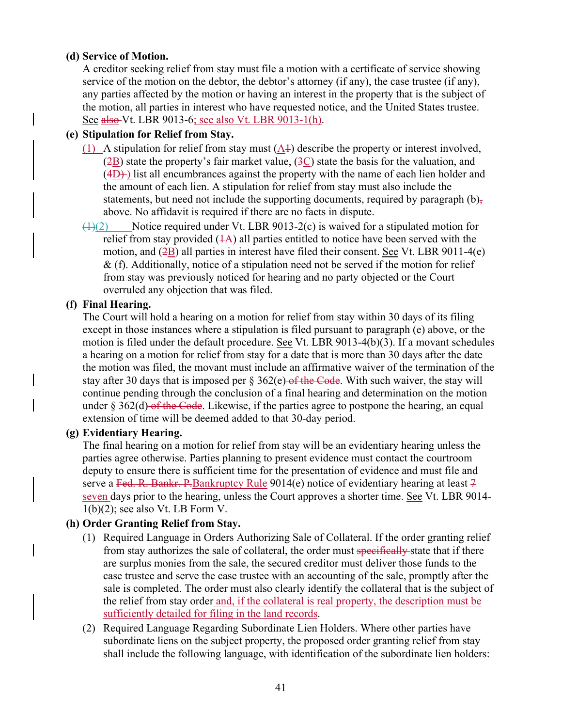### **(d) Service of Motion.**

A creditor seeking relief from stay must file a motion with a certificate of service showing service of the motion on the debtor, the debtor's attorney (if any), the case trustee (if any), any parties affected by the motion or having an interest in the property that is the subject of the motion, all parties in interest who have requested notice, and the United States trustee. See also Vt. LBR 9013-6; see also Vt. LBR 9013-1(h).

### **(e) Stipulation for Relief from Stay.**

- (1) A stipulation for relief from stay must  $(\underline{A}1)$  describe the property or interest involved,  $(2B)$  state the property's fair market value,  $(3C)$  state the basis for the valuation, and  $(4D)$ ) list all encumbrances against the property with the name of each lien holder and the amount of each lien. A stipulation for relief from stay must also include the statements, but need not include the supporting documents, required by paragraph  $(b)$ , above. No affidavit is required if there are no facts in dispute.
- $\left(\frac{1}{2}\right)$  Notice required under Vt. LBR 9013-2(c) is waived for a stipulated motion for relief from stay provided  $(1)$  all parties entitled to notice have been served with the motion, and  $(\frac{2B}{2})$  all parties in interest have filed their consent. See Vt. LBR 9011-4(e)  $&$  (f). Additionally, notice of a stipulation need not be served if the motion for relief from stay was previously noticed for hearing and no party objected or the Court overruled any objection that was filed.

#### **(f) Final Hearing.**

The Court will hold a hearing on a motion for relief from stay within 30 days of its filing except in those instances where a stipulation is filed pursuant to paragraph (e) above, or the motion is filed under the default procedure. See Vt. LBR 9013-4(b)(3). If a movant schedules a hearing on a motion for relief from stay for a date that is more than 30 days after the date the motion was filed, the movant must include an affirmative waiver of the termination of the stay after 30 days that is imposed per  $\S 362(e)$  of the Code. With such waiver, the stay will continue pending through the conclusion of a final hearing and determination on the motion under  $\S 362(d)$  of the Code. Likewise, if the parties agree to postpone the hearing, an equal extension of time will be deemed added to that 30-day period.

#### **(g) Evidentiary Hearing.**

The final hearing on a motion for relief from stay will be an evidentiary hearing unless the parties agree otherwise. Parties planning to present evidence must contact the courtroom deputy to ensure there is sufficient time for the presentation of evidence and must file and serve a Fed. R. Bankr. P. Bankruptcy Rule 9014(e) notice of evidentiary hearing at least  $\frac{7}{1}$ seven days prior to the hearing, unless the Court approves a shorter time. See Vt. LBR 9014- 1(b)(2); see also Vt. LB Form V.

#### **(h) Order Granting Relief from Stay.**

- (1) Required Language in Orders Authorizing Sale of Collateral. If the order granting relief from stay authorizes the sale of collateral, the order must specifically state that if there are surplus monies from the sale, the secured creditor must deliver those funds to the case trustee and serve the case trustee with an accounting of the sale, promptly after the sale is completed. The order must also clearly identify the collateral that is the subject of the relief from stay order and, if the collateral is real property, the description must be sufficiently detailed for filing in the land records.
- (2) Required Language Regarding Subordinate Lien Holders. Where other parties have subordinate liens on the subject property, the proposed order granting relief from stay shall include the following language, with identification of the subordinate lien holders: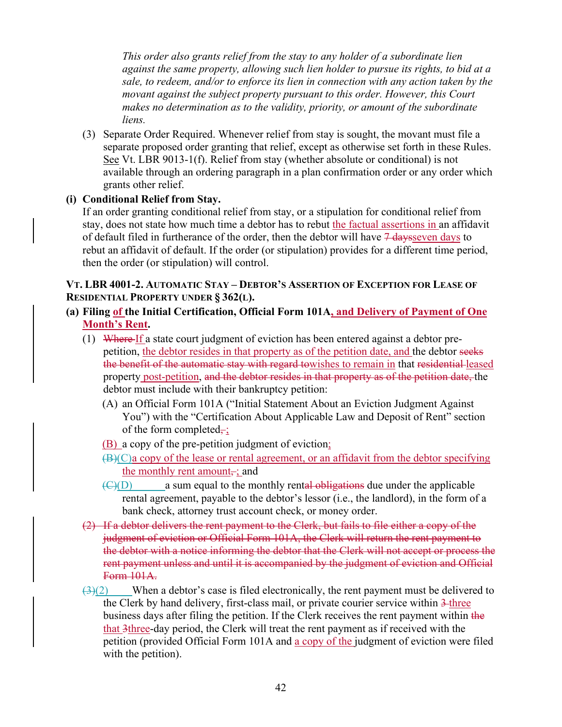*This order also grants relief from the stay to any holder of a subordinate lien against the same property, allowing such lien holder to pursue its rights, to bid at a sale, to redeem, and/or to enforce its lien in connection with any action taken by the movant against the subject property pursuant to this order. However, this Court makes no determination as to the validity, priority, or amount of the subordinate liens.* 

(3) Separate Order Required. Whenever relief from stay is sought, the movant must file a separate proposed order granting that relief, except as otherwise set forth in these Rules. See Vt. LBR 9013-1(f). Relief from stay (whether absolute or conditional) is not available through an ordering paragraph in a plan confirmation order or any order which grants other relief.

## **(i) Conditional Relief from Stay.**

If an order granting conditional relief from stay, or a stipulation for conditional relief from stay, does not state how much time a debtor has to rebut the factual assertions in an affidavit of default filed in furtherance of the order, then the debtor will have  $\frac{7 \text{ days}}{2 \text{ days}}$  to rebut an affidavit of default. If the order (or stipulation) provides for a different time period, then the order (or stipulation) will control.

### **VT. LBR 4001-2. AUTOMATIC STAY – DEBTOR'S ASSERTION OF EXCEPTION FOR LEASE OF RESIDENTIAL PROPERTY UNDER § 362(L).**

- **(a) Filing of the Initial Certification, Official Form 101A, and Delivery of Payment of One Month's Rent.** 
	- (1) Where If a state court judgment of eviction has been entered against a debtor prepetition, the debtor resides in that property as of the petition date, and the debtor seeks the benefit of the automatic stay with regard towishes to remain in that residential leased property post-petition, and the debtor resides in that property as of the petition date, the debtor must include with their bankruptcy petition:
		- (A) an Official Form 101A ("Initial Statement About an Eviction Judgment Against You") with the "Certification About Applicable Law and Deposit of Rent" section of the form completed,  $\div$ ;
		- (B) a copy of the pre-petition judgment of eviction;
		- $(B)(C)$ a copy of the lease or rental agreement, or an affidavit from the debtor specifying the monthly rent amount $\div$ ; and
		- $\langle \Theta | D \rangle$  a sum equal to the monthly rental obligations due under the applicable rental agreement, payable to the debtor's lessor (i.e., the landlord), in the form of a bank check, attorney trust account check, or money order.
	- (2) If a debtor delivers the rent payment to the Clerk, but fails to file either a copy of the judgment of eviction or Official Form 101A, the Clerk will return the rent payment to the debtor with a notice informing the debtor that the Clerk will not accept or process the rent payment unless and until it is accompanied by the judgment of eviction and Official Form 101A.
	- $\left(\frac{3}{2}\right)$  When a debtor's case is filed electronically, the rent payment must be delivered to the Clerk by hand delivery, first-class mail, or private courier service within 3-three business days after filing the petition. If the Clerk receives the rent payment within the that 3three-day period, the Clerk will treat the rent payment as if received with the petition (provided Official Form 101A and a copy of the judgment of eviction were filed with the petition).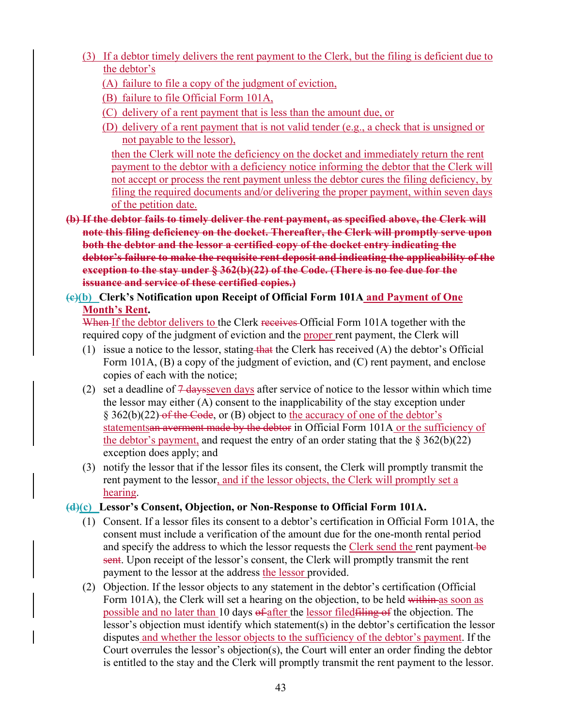- (3) If a debtor timely delivers the rent payment to the Clerk, but the filing is deficient due to the debtor's
	- (A) failure to file a copy of the judgment of eviction,
	- (B) failure to file Official Form 101A,
	- (C) delivery of a rent payment that is less than the amount due, or
	- (D) delivery of a rent payment that is not valid tender (e.g., a check that is unsigned or not payable to the lessor),

then the Clerk will note the deficiency on the docket and immediately return the rent payment to the debtor with a deficiency notice informing the debtor that the Clerk will not accept or process the rent payment unless the debtor cures the filing deficiency, by filing the required documents and/or delivering the proper payment, within seven days of the petition date.

**(b) If the debtor fails to timely deliver the rent payment, as specified above, the Clerk will note this filing deficiency on the docket. Thereafter, the Clerk will promptly serve upon both the debtor and the lessor a certified copy of the docket entry indicating the debtor's failure to make the requisite rent deposit and indicating the applicability of the exception to the stay under § 362(b)(22) of the Code. (There is no fee due for the issuance and service of these certified copies.)** 

## **(c)(b) Clerk's Notification upon Receipt of Official Form 101A and Payment of One Month's Rent.**

When If the debtor delivers to the Clerk receives Official Form 101A together with the required copy of the judgment of eviction and the proper rent payment, the Clerk will

- (1) issue a notice to the lessor, stating that the Clerk has received  $(A)$  the debtor's Official Form 101A, (B) a copy of the judgment of eviction, and (C) rent payment, and enclose copies of each with the notice;
- (2) set a deadline of  $\frac{7 \text{ days}}{2}$  days after service of notice to the lessor within which time the lessor may either (A) consent to the inapplicability of the stay exception under § 362(b)(22) of the Code, or (B) object to the accuracy of one of the debtor's statementsan averment made by the debtor in Official Form 101A or the sufficiency of the debtor's payment, and request the entry of an order stating that the  $\S 362(b)(22)$ exception does apply; and
- (3) notify the lessor that if the lessor files its consent, the Clerk will promptly transmit the rent payment to the lessor, and if the lessor objects, the Clerk will promptly set a hearing.

## **(d)(c) Lessor's Consent, Objection, or Non-Response to Official Form 101A.**

- (1) Consent. If a lessor files its consent to a debtor's certification in Official Form 101A, the consent must include a verification of the amount due for the one-month rental period and specify the address to which the lessor requests the Clerk send the rent payment-be sent. Upon receipt of the lessor's consent, the Clerk will promptly transmit the rent payment to the lessor at the address the lessor provided.
- (2) Objection. If the lessor objects to any statement in the debtor's certification (Official Form 101A), the Clerk will set a hearing on the objection, to be held within as soon as possible and no later than 10 days of after the lessor filedfiling of the objection. The lessor's objection must identify which statement(s) in the debtor's certification the lessor disputes and whether the lessor objects to the sufficiency of the debtor's payment. If the Court overrules the lessor's objection(s), the Court will enter an order finding the debtor is entitled to the stay and the Clerk will promptly transmit the rent payment to the lessor.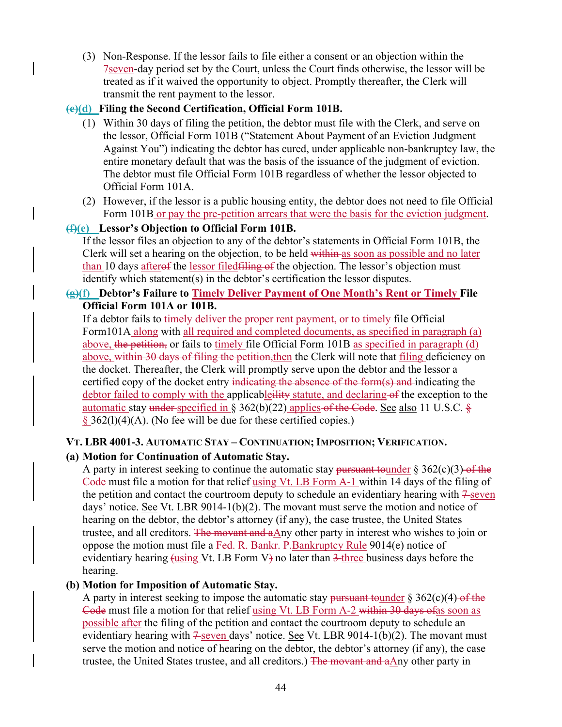(3) Non-Response. If the lessor fails to file either a consent or an objection within the 7seven-day period set by the Court, unless the Court finds otherwise, the lessor will be treated as if it waived the opportunity to object. Promptly thereafter, the Clerk will transmit the rent payment to the lessor.

### **(e)(d) Filing the Second Certification, Official Form 101B.**

- (1) Within 30 days of filing the petition, the debtor must file with the Clerk, and serve on the lessor, Official Form 101B ("Statement About Payment of an Eviction Judgment Against You") indicating the debtor has cured, under applicable non-bankruptcy law, the entire monetary default that was the basis of the issuance of the judgment of eviction. The debtor must file Official Form 101B regardless of whether the lessor objected to Official Form 101A.
- (2) However, if the lessor is a public housing entity, the debtor does not need to file Official Form 101B or pay the pre-petition arrears that were the basis for the eviction judgment.

#### **(f)(e) Lessor's Objection to Official Form 101B.**

If the lessor files an objection to any of the debtor's statements in Official Form 101B, the Clerk will set a hearing on the objection, to be held within as soon as possible and no later than 10 days after of the lessor filed filing of the objection. The lessor's objection must identify which statement(s) in the debtor's certification the lessor disputes.

### **(g)(f) Debtor's Failure to Timely Deliver Payment of One Month's Rent or Timely File Official Form 101A or 101B.**

If a debtor fails to timely deliver the proper rent payment, or to timely file Official Form101A along with all required and completed documents, as specified in paragraph (a) above, the petition, or fails to timely file Official Form 101B as specified in paragraph (d) above, within 30 days of filing the petition, then the Clerk will note that filing deficiency on the docket. Thereafter, the Clerk will promptly serve upon the debtor and the lessor a certified copy of the docket entry indicating the absence of the form(s) and indicating the debtor failed to comply with the applicableility statute, and declaring of the exception to the automatic stay under specified in § 362(b)(22) applies of the Code. See also 11 U.S.C.  $\frac{8}{5}$  $§$  362(1)(4)(A). (No fee will be due for these certified copies.)

#### **VT. LBR 4001-3. AUTOMATIC STAY – CONTINUATION; IMPOSITION; VERIFICATION.**

#### **(a) Motion for Continuation of Automatic Stay.**

A party in interest seeking to continue the automatic stay pursuant tounder  $\S 362(c)(3)$  of the Code must file a motion for that relief using Vt. LB Form A-1 within 14 days of the filing of the petition and contact the courtroom deputy to schedule an evidentiary hearing with  $7\text{-}$ seven days' notice. See Vt. LBR 9014-1(b)(2). The movant must serve the motion and notice of hearing on the debtor, the debtor's attorney (if any), the case trustee, the United States trustee, and all creditors. The movant and aAny other party in interest who wishes to join or oppose the motion must file a Fed. R. Bankr. P. Bankruptcy Rule 9014(e) notice of evidentiary hearing (using Vt. LB Form V) no later than 3-three business days before the hearing.

#### **(b) Motion for Imposition of Automatic Stay.**

A party in interest seeking to impose the automatic stay pursuant to under  $\S 362(c)(4)$  of the Code must file a motion for that relief using Vt. LB Form A-2 within 30 days ofas soon as possible after the filing of the petition and contact the courtroom deputy to schedule an evidentiary hearing with  $7\frac{2}{5}$  seven days' notice. See Vt. LBR 9014-1(b)(2). The movant must serve the motion and notice of hearing on the debtor, the debtor's attorney (if any), the case trustee, the United States trustee, and all creditors.) The movant and aAny other party in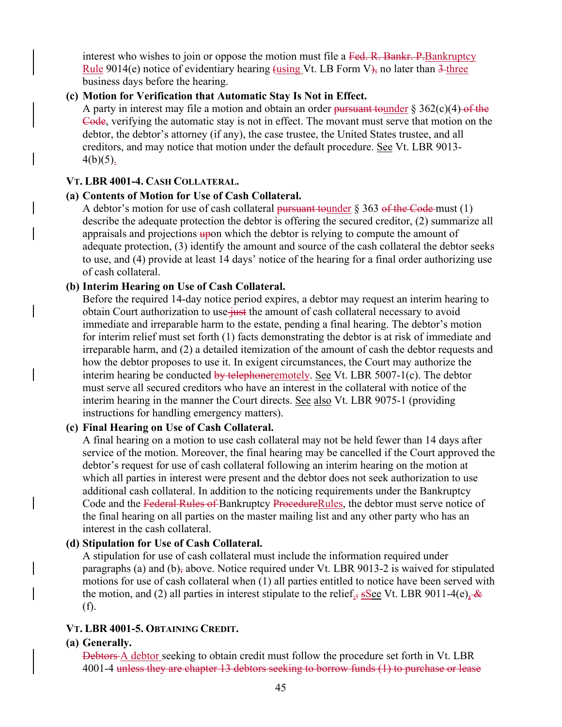interest who wishes to join or oppose the motion must file a Fed. R. Bankr. P. Bankruptcy Rule 9014(e) notice of evidentiary hearing (using Vt. LB Form  $V<sub>1</sub>$ , no later than  $3$ -three business days before the hearing.

#### **(c) Motion for Verification that Automatic Stay Is Not in Effect.**

A party in interest may file a motion and obtain an order pursuant tounder  $\S 362(c)(4)$  of the Code, verifying the automatic stay is not in effect. The movant must serve that motion on the debtor, the debtor's attorney (if any), the case trustee, the United States trustee, and all creditors, and may notice that motion under the default procedure. See Vt. LBR 9013-  $4(b)(5)$ .

#### **VT. LBR 4001-4. CASH COLLATERAL.**

#### **(a) Contents of Motion for Use of Cash Collateral.**

A debtor's motion for use of cash collateral pursuant tounder  $\S 363$  of the Code must (1) describe the adequate protection the debtor is offering the secured creditor, (2) summarize all appraisals and projections upon which the debtor is relying to compute the amount of adequate protection, (3) identify the amount and source of the cash collateral the debtor seeks to use, and (4) provide at least 14 days' notice of the hearing for a final order authorizing use of cash collateral.

#### **(b) Interim Hearing on Use of Cash Collateral.**

Before the required 14-day notice period expires, a debtor may request an interim hearing to obtain Court authorization to use just the amount of cash collateral necessary to avoid immediate and irreparable harm to the estate, pending a final hearing. The debtor's motion for interim relief must set forth (1) facts demonstrating the debtor is at risk of immediate and irreparable harm, and (2) a detailed itemization of the amount of cash the debtor requests and how the debtor proposes to use it. In exigent circumstances, the Court may authorize the interim hearing be conducted by telephoneremotely. See Vt. LBR  $5007-1(c)$ . The debtor must serve all secured creditors who have an interest in the collateral with notice of the interim hearing in the manner the Court directs. See also Vt. LBR 9075-1 (providing instructions for handling emergency matters).

#### **(c) Final Hearing on Use of Cash Collateral.**

A final hearing on a motion to use cash collateral may not be held fewer than 14 days after service of the motion. Moreover, the final hearing may be cancelled if the Court approved the debtor's request for use of cash collateral following an interim hearing on the motion at which all parties in interest were present and the debtor does not seek authorization to use additional cash collateral. In addition to the noticing requirements under the Bankruptcy Code and the Federal Rules of Bankruptcy ProcedureRules, the debtor must serve notice of the final hearing on all parties on the master mailing list and any other party who has an interest in the cash collateral.

#### **(d) Stipulation for Use of Cash Collateral.**

A stipulation for use of cash collateral must include the information required under paragraphs (a) and (b), above. Notice required under Vt. LBR 9013-2 is waived for stipulated motions for use of cash collateral when (1) all parties entitled to notice have been served with the motion, and (2) all parties in interest stipulate to the relief.,  $s$ See Vt. LBR 9011-4(e),  $\&$ (f).

#### **VT. LBR 4001-5. OBTAINING CREDIT.**

#### **(a) Generally.**

Debtors A debtor seeking to obtain credit must follow the procedure set forth in Vt. LBR 4001-4 unless they are chapter 13 debtors seeking to borrow funds (1) to purchase or lease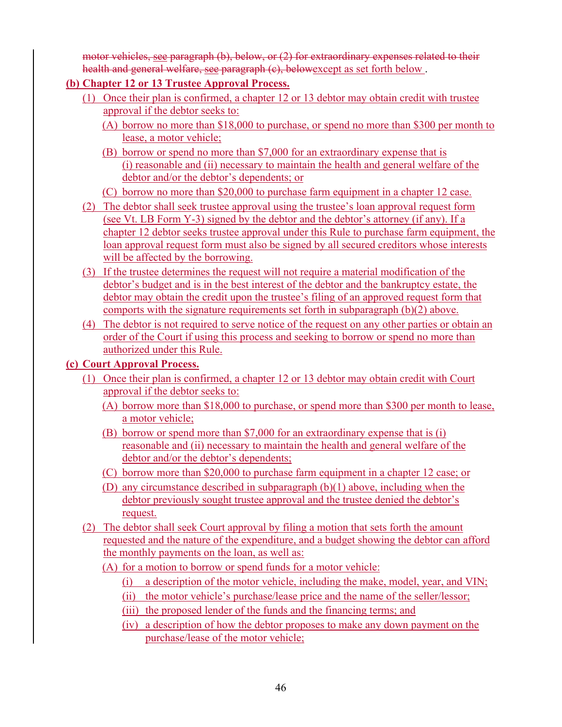motor vehicles, see paragraph (b), below, or (2) for extraordinary expenses related to their health and general welfare, see paragraph (c), belowexcept as set forth below.

- **(b) Chapter 12 or 13 Trustee Approval Process.** 
	- (1) Once their plan is confirmed, a chapter 12 or 13 debtor may obtain credit with trustee approval if the debtor seeks to:
		- (A) borrow no more than \$18,000 to purchase, or spend no more than \$300 per month to lease, a motor vehicle;
		- (B) borrow or spend no more than \$7,000 for an extraordinary expense that is (i) reasonable and (ii) necessary to maintain the health and general welfare of the debtor and/or the debtor's dependents; or
		- (C) borrow no more than \$20,000 to purchase farm equipment in a chapter 12 case.
	- (2) The debtor shall seek trustee approval using the trustee's loan approval request form (see Vt. LB Form Y-3) signed by the debtor and the debtor's attorney (if any). If a chapter 12 debtor seeks trustee approval under this Rule to purchase farm equipment, the loan approval request form must also be signed by all secured creditors whose interests will be affected by the borrowing.
	- (3) If the trustee determines the request will not require a material modification of the debtor's budget and is in the best interest of the debtor and the bankruptcy estate, the debtor may obtain the credit upon the trustee's filing of an approved request form that comports with the signature requirements set forth in subparagraph (b)(2) above.
	- (4) The debtor is not required to serve notice of the request on any other parties or obtain an order of the Court if using this process and seeking to borrow or spend no more than authorized under this Rule.

# **(c) Court Approval Process.**

- (1) Once their plan is confirmed, a chapter 12 or 13 debtor may obtain credit with Court approval if the debtor seeks to:
	- (A) borrow more than \$18,000 to purchase, or spend more than \$300 per month to lease, a motor vehicle;
	- (B) borrow or spend more than \$7,000 for an extraordinary expense that is (i) reasonable and (ii) necessary to maintain the health and general welfare of the debtor and/or the debtor's dependents;
	- (C) borrow more than \$20,000 to purchase farm equipment in a chapter 12 case; or
	- (D) any circumstance described in subparagraph (b)(1) above, including when the debtor previously sought trustee approval and the trustee denied the debtor's request.
- (2) The debtor shall seek Court approval by filing a motion that sets forth the amount requested and the nature of the expenditure, and a budget showing the debtor can afford the monthly payments on the loan, as well as:
	- (A) for a motion to borrow or spend funds for a motor vehicle:
		- (i) a description of the motor vehicle, including the make, model, year, and VIN;
		- (ii) the motor vehicle's purchase/lease price and the name of the seller/lessor;
		- (iii) the proposed lender of the funds and the financing terms; and
		- (iv) a description of how the debtor proposes to make any down payment on the purchase/lease of the motor vehicle;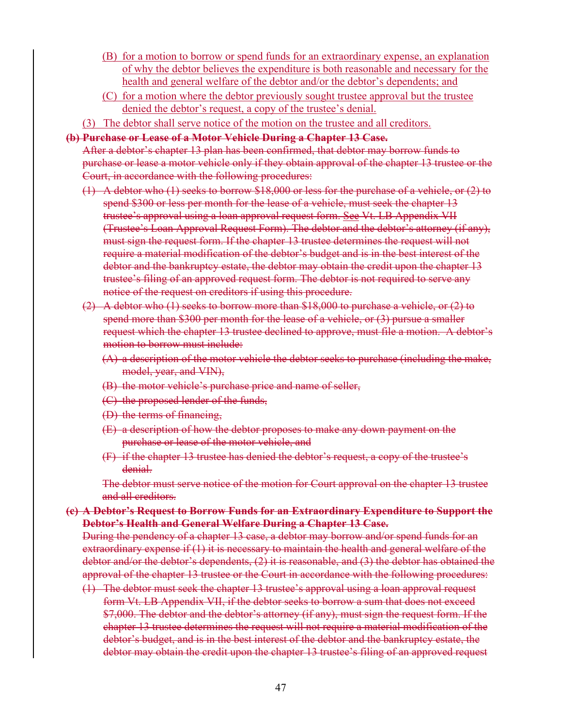- (B) for a motion to borrow or spend funds for an extraordinary expense, an explanation of why the debtor believes the expenditure is both reasonable and necessary for the health and general welfare of the debtor and/or the debtor's dependents; and
- (C) for a motion where the debtor previously sought trustee approval but the trustee denied the debtor's request, a copy of the trustee's denial.
- (3) The debtor shall serve notice of the motion on the trustee and all creditors.

#### **(b) Purchase or Lease of a Motor Vehicle During a Chapter 13 Case.**

After a debtor's chapter 13 plan has been confirmed, that debtor may borrow funds to purchase or lease a motor vehicle only if they obtain approval of the chapter 13 trustee or the Court, in accordance with the following procedures:

- (1) A debtor who (1) seeks to borrow \$18,000 or less for the purchase of a vehicle, or (2) to spend \$300 or less per month for the lease of a vehicle, must seek the chapter 13 trustee's approval using a loan approval request form. See Vt. LB Appendix VII (Trustee's Loan Approval Request Form). The debtor and the debtor's attorney (if any), must sign the request form. If the chapter 13 trustee determines the request will not require a material modification of the debtor's budget and is in the best interest of the debtor and the bankruptcy estate, the debtor may obtain the credit upon the chapter 13 trustee's filing of an approved request form. The debtor is not required to serve any notice of the request on creditors if using this procedure.
- (2) A debtor who (1) seeks to borrow more than \$18,000 to purchase a vehicle, or (2) to spend more than \$300 per month for the lease of a vehicle, or (3) pursue a smaller request which the chapter 13 trustee declined to approve, must file a motion. A debtor's motion to borrow must include:
	- $(A)$  a description of the motor vehicle the debtor seeks to purchase (including the make, model, year, and VIN),
	- (B) the motor vehicle's purchase price and name of seller,
	- (C) the proposed lender of the funds,
	- (D) the terms of financing,
	- (E) a description of how the debtor proposes to make any down payment on the purchase or lease of the motor vehicle, and
	- (F) if the chapter 13 trustee has denied the debtor's request, a copy of the trustee's denial.

The debtor must serve notice of the motion for Court approval on the chapter 13 trustee and all creditors.

**(c) A Debtor's Request to Borrow Funds for an Extraordinary Expenditure to Support the Debtor's Health and General Welfare During a Chapter 13 Case.** 

During the pendency of a chapter 13 case, a debtor may borrow and/or spend funds for an extraordinary expense if (1) it is necessary to maintain the health and general welfare of the debtor and/or the debtor's dependents, (2) it is reasonable, and (3) the debtor has obtained the approval of the chapter 13 trustee or the Court in accordance with the following procedures:

(1) The debtor must seek the chapter 13 trustee's approval using a loan approval request form Vt. LB Appendix VII, if the debtor seeks to borrow a sum that does not exceed \$7,000. The debtor and the debtor's attorney (if any), must sign the request form. If the chapter 13 trustee determines the request will not require a material modification of the debtor's budget, and is in the best interest of the debtor and the bankruptcy estate, the debtor may obtain the credit upon the chapter 13 trustee's filing of an approved request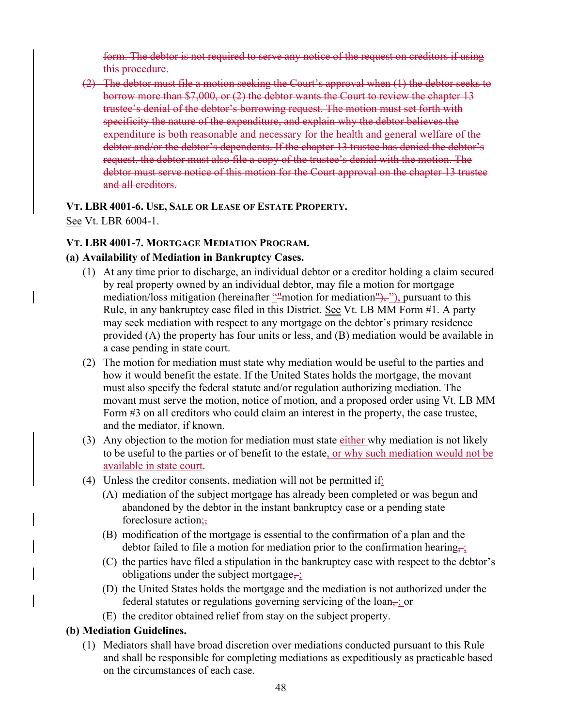form. The debtor is not required to serve any notice of the request on creditors if using this procedure.

(2) The debtor must file a motion seeking the Court's approval when (1) the debtor seeks to borrow more than \$7,000, or (2) the debtor wants the Court to review the chapter 13 trustee's denial of the debtor's borrowing request. The motion must set forth with specificity the nature of the expenditure, and explain why the debtor believes the expenditure is both reasonable and necessary for the health and general welfare of the debtor and/or the debtor's dependents. If the chapter 13 trustee has denied the debtor's request, the debtor must also file a copy of the trustee's denial with the motion. The debtor must serve notice of this motion for the Court approval on the chapter 13 trustee and all creditors.

# **VT. LBR 4001-6. USE, SALE OR LEASE OF ESTATE PROPERTY.**

See Vt. LBR 6004-1.

## **VT. LBR 4001-7. MORTGAGE MEDIATION PROGRAM.**

## **(a) Availability of Mediation in Bankruptcy Cases.**

- (1) At any time prior to discharge, an individual debtor or a creditor holding a claim secured by real property owned by an individual debtor, may file a motion for mortgage mediation/loss mitigation (hereinafter  $\frac{m}{n}$  motion for mediation  $\frac{m}{n}$ ,  $\frac{m}{n}$ ), pursuant to this Rule, in any bankruptcy case filed in this District. See Vt. LB MM Form #1. A party may seek mediation with respect to any mortgage on the debtor's primary residence provided (A) the property has four units or less, and (B) mediation would be available in a case pending in state court.
- (2) The motion for mediation must state why mediation would be useful to the parties and how it would benefit the estate. If the United States holds the mortgage, the movant must also specify the federal statute and/or regulation authorizing mediation. The movant must serve the motion, notice of motion, and a proposed order using Vt. LB MM Form #3 on all creditors who could claim an interest in the property, the case trustee, and the mediator, if known.
- (3) Any objection to the motion for mediation must state either why mediation is not likely to be useful to the parties or of benefit to the estate, or why such mediation would not be available in state court.
- (4) Unless the creditor consents, mediation will not be permitted if:
	- (A) mediation of the subject mortgage has already been completed or was begun and abandoned by the debtor in the instant bankruptcy case or a pending state foreclosure action;,
	- (B) modification of the mortgage is essential to the confirmation of a plan and the debtor failed to file a motion for mediation prior to the confirmation hearing,  $\frac{1}{2}$
	- (C) the parties have filed a stipulation in the bankruptcy case with respect to the debtor's obligations under the subject mortgage,;
	- (D) the United States holds the mortgage and the mediation is not authorized under the federal statutes or regulations governing servicing of the loan–; or
	- (E) the creditor obtained relief from stay on the subject property.

## **(b) Mediation Guidelines.**

(1) Mediators shall have broad discretion over mediations conducted pursuant to this Rule and shall be responsible for completing mediations as expeditiously as practicable based on the circumstances of each case.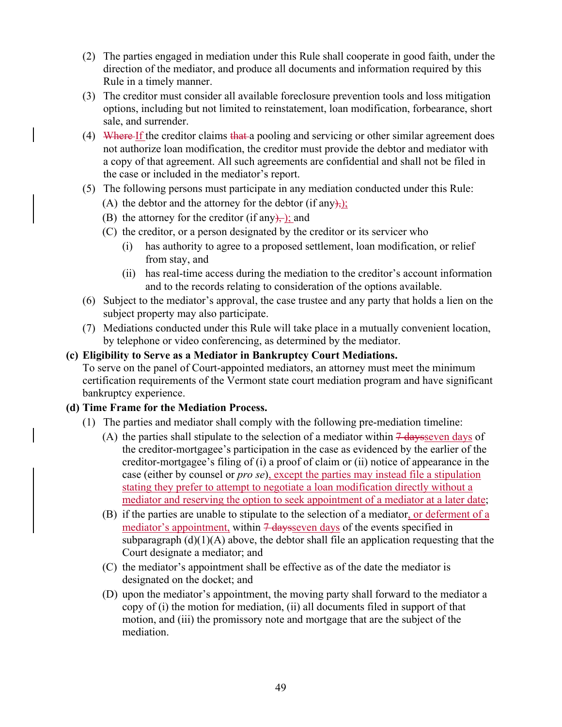- (2) The parties engaged in mediation under this Rule shall cooperate in good faith, under the direction of the mediator, and produce all documents and information required by this Rule in a timely manner.
- (3) The creditor must consider all available foreclosure prevention tools and loss mitigation options, including but not limited to reinstatement, loan modification, forbearance, short sale, and surrender.
- (4) Where If the creditor claims that a pooling and servicing or other similar agreement does not authorize loan modification, the creditor must provide the debtor and mediator with a copy of that agreement. All such agreements are confidential and shall not be filed in the case or included in the mediator's report.
- (5) The following persons must participate in any mediation conducted under this Rule:
	- (A) the debtor and the attorney for the debtor (if any);
	- (B) the attorney for the creditor (if any), ); and
	- (C) the creditor, or a person designated by the creditor or its servicer who
		- (i) has authority to agree to a proposed settlement, loan modification, or relief from stay, and
		- (ii) has real-time access during the mediation to the creditor's account information and to the records relating to consideration of the options available.
- (6) Subject to the mediator's approval, the case trustee and any party that holds a lien on the subject property may also participate.
- (7) Mediations conducted under this Rule will take place in a mutually convenient location, by telephone or video conferencing, as determined by the mediator.
- **(c) Eligibility to Serve as a Mediator in Bankruptcy Court Mediations.**

To serve on the panel of Court-appointed mediators, an attorney must meet the minimum certification requirements of the Vermont state court mediation program and have significant bankruptcy experience.

#### **(d) Time Frame for the Mediation Process.**

- (1) The parties and mediator shall comply with the following pre-mediation timeline:
	- (A) the parties shall stipulate to the selection of a mediator within  $\frac{1}{4}$  days seven days of the creditor-mortgagee's participation in the case as evidenced by the earlier of the creditor-mortgagee's filing of (i) a proof of claim or (ii) notice of appearance in the case (either by counsel or *pro se*), except the parties may instead file a stipulation stating they prefer to attempt to negotiate a loan modification directly without a mediator and reserving the option to seek appointment of a mediator at a later date;
	- (B) if the parties are unable to stipulate to the selection of a mediator, or deferment of a mediator's appointment, within  $7$  daysseven days of the events specified in subparagraph  $(d)(1)(A)$  above, the debtor shall file an application requesting that the Court designate a mediator; and
	- (C) the mediator's appointment shall be effective as of the date the mediator is designated on the docket; and
	- (D) upon the mediator's appointment, the moving party shall forward to the mediator a copy of (i) the motion for mediation, (ii) all documents filed in support of that motion, and (iii) the promissory note and mortgage that are the subject of the mediation.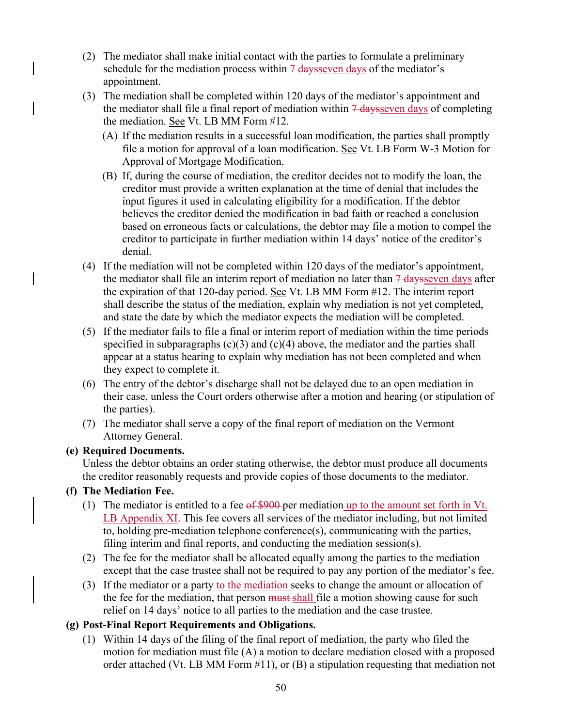- (2) The mediator shall make initial contact with the parties to formulate a preliminary schedule for the mediation process within  $\frac{7}{7}$  days of the mediator's appointment.
- (3) The mediation shall be completed within 120 days of the mediator's appointment and the mediator shall file a final report of mediation within  $\frac{1}{4}$  days seven days of completing the mediation. See Vt. LB MM Form #12.
	- (A) If the mediation results in a successful loan modification, the parties shall promptly file a motion for approval of a loan modification. See Vt. LB Form W-3 Motion for Approval of Mortgage Modification.
	- (B) If, during the course of mediation, the creditor decides not to modify the loan, the creditor must provide a written explanation at the time of denial that includes the input figures it used in calculating eligibility for a modification. If the debtor believes the creditor denied the modification in bad faith or reached a conclusion based on erroneous facts or calculations, the debtor may file a motion to compel the creditor to participate in further mediation within 14 days' notice of the creditor's denial.
- (4) If the mediation will not be completed within 120 days of the mediator's appointment, the mediator shall file an interim report of mediation no later than  $\frac{7}{4}$  days seven days after the expiration of that 120-day period. See Vt. LB MM Form #12. The interim report shall describe the status of the mediation, explain why mediation is not yet completed, and state the date by which the mediator expects the mediation will be completed.
- (5) If the mediator fails to file a final or interim report of mediation within the time periods specified in subparagraphs  $(c)(3)$  and  $(c)(4)$  above, the mediator and the parties shall appear at a status hearing to explain why mediation has not been completed and when they expect to complete it.
- (6) The entry of the debtor's discharge shall not be delayed due to an open mediation in their case, unless the Court orders otherwise after a motion and hearing (or stipulation of the parties).
- (7) The mediator shall serve a copy of the final report of mediation on the Vermont Attorney General.

## **(e) Required Documents.**

Unless the debtor obtains an order stating otherwise, the debtor must produce all documents the creditor reasonably requests and provide copies of those documents to the mediator.

## **(f) The Mediation Fee.**

- (1) The mediator is entitled to a fee  $\frac{64,990}{2}$  per mediation up to the amount set forth in Vt. LB Appendix XI. This fee covers all services of the mediator including, but not limited to, holding pre-mediation telephone conference(s), communicating with the parties, filing interim and final reports, and conducting the mediation session(s).
- (2) The fee for the mediator shall be allocated equally among the parties to the mediation except that the case trustee shall not be required to pay any portion of the mediator's fee.
- (3) If the mediator or a party to the mediation seeks to change the amount or allocation of the fee for the mediation, that person must shall file a motion showing cause for such relief on 14 days' notice to all parties to the mediation and the case trustee.

## **(g) Post-Final Report Requirements and Obligations.**

(1) Within 14 days of the filing of the final report of mediation, the party who filed the motion for mediation must file (A) a motion to declare mediation closed with a proposed order attached (Vt. LB MM Form #11), or (B) a stipulation requesting that mediation not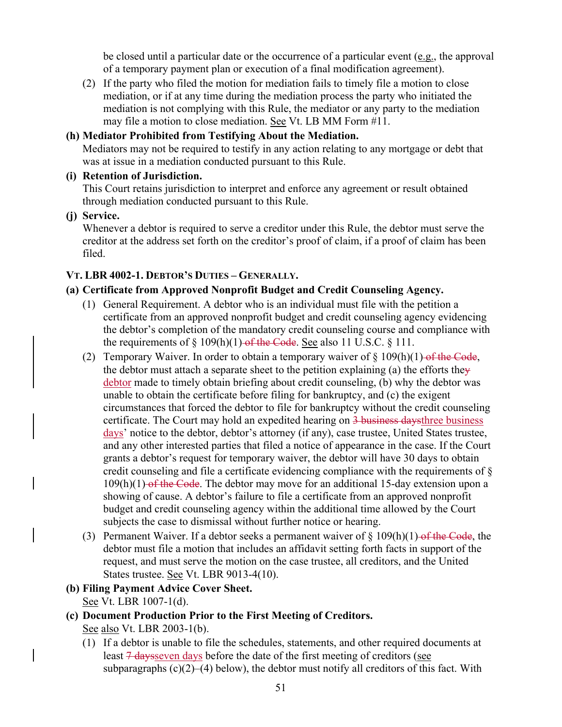be closed until a particular date or the occurrence of a particular event (e.g., the approval of a temporary payment plan or execution of a final modification agreement).

(2) If the party who filed the motion for mediation fails to timely file a motion to close mediation, or if at any time during the mediation process the party who initiated the mediation is not complying with this Rule, the mediator or any party to the mediation may file a motion to close mediation. See Vt. LB MM Form #11.

### **(h) Mediator Prohibited from Testifying About the Mediation.**

Mediators may not be required to testify in any action relating to any mortgage or debt that was at issue in a mediation conducted pursuant to this Rule.

#### **(i) Retention of Jurisdiction.**

This Court retains jurisdiction to interpret and enforce any agreement or result obtained through mediation conducted pursuant to this Rule.

**(j) Service.** 

Whenever a debtor is required to serve a creditor under this Rule, the debtor must serve the creditor at the address set forth on the creditor's proof of claim, if a proof of claim has been filed.

## **VT. LBR 4002-1. DEBTOR'S DUTIES – GENERALLY.**

## **(a) Certificate from Approved Nonprofit Budget and Credit Counseling Agency.**

- (1) General Requirement. A debtor who is an individual must file with the petition a certificate from an approved nonprofit budget and credit counseling agency evidencing the debtor's completion of the mandatory credit counseling course and compliance with the requirements of  $\S 109(h)(1)$  of the Code. See also 11 U.S.C.  $\S 111$ .
- (2) Temporary Waiver. In order to obtain a temporary waiver of  $\S$  109(h)(1)-of the Code, the debtor must attach a separate sheet to the petition explaining (a) the efforts they debtor made to timely obtain briefing about credit counseling, (b) why the debtor was unable to obtain the certificate before filing for bankruptcy, and (c) the exigent circumstances that forced the debtor to file for bankruptcy without the credit counseling certificate. The Court may hold an expedited hearing on 3 business daysthree business days' notice to the debtor, debtor's attorney (if any), case trustee, United States trustee, and any other interested parties that filed a notice of appearance in the case. If the Court grants a debtor's request for temporary waiver, the debtor will have 30 days to obtain credit counseling and file a certificate evidencing compliance with the requirements of §  $109(h)(1)$  of the Code. The debtor may move for an additional 15-day extension upon a showing of cause. A debtor's failure to file a certificate from an approved nonprofit budget and credit counseling agency within the additional time allowed by the Court subjects the case to dismissal without further notice or hearing.
- (3) Permanent Waiver. If a debtor seeks a permanent waiver of  $\S$  109(h)(1) of the Code, the debtor must file a motion that includes an affidavit setting forth facts in support of the request, and must serve the motion on the case trustee, all creditors, and the United States trustee. See Vt. LBR 9013-4(10).
- **(b) Filing Payment Advice Cover Sheet.**  See Vt. LBR 1007-1(d).

## **(c) Document Production Prior to the First Meeting of Creditors.**  See also Vt. LBR 2003-1(b).

(1) If a debtor is unable to file the schedules, statements, and other required documents at least <del>7 days</del> seven days before the date of the first meeting of creditors (see subparagraphs  $(c)(2)$ –(4) below), the debtor must notify all creditors of this fact. With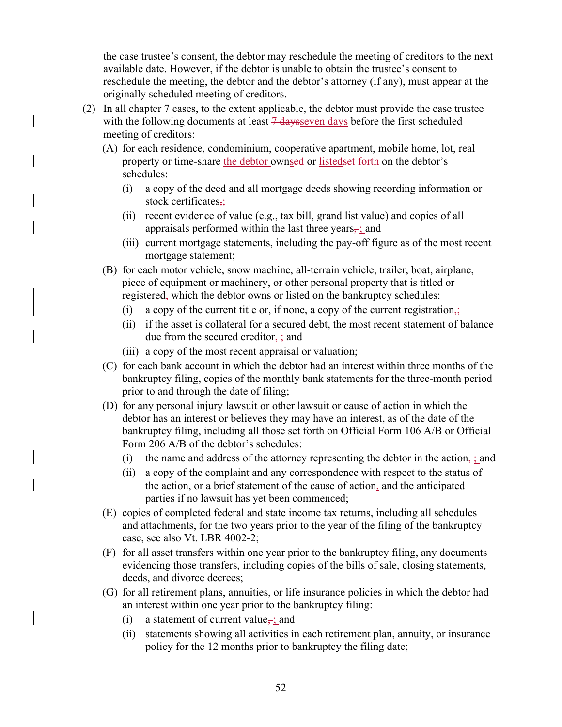the case trustee's consent, the debtor may reschedule the meeting of creditors to the next available date. However, if the debtor is unable to obtain the trustee's consent to reschedule the meeting, the debtor and the debtor's attorney (if any), must appear at the originally scheduled meeting of creditors.

- (2) In all chapter 7 cases, to the extent applicable, the debtor must provide the case trustee with the following documents at least  $7$  days seven days before the first scheduled meeting of creditors:
	- (A) for each residence, condominium, cooperative apartment, mobile home, lot, real property or time-share the debtor ownsed or listedset forth on the debtor's schedules:
		- (i) a copy of the deed and all mortgage deeds showing recording information or stock certificates,;
		- (ii) recent evidence of value (e.g., tax bill, grand list value) and copies of all appraisals performed within the last three years $\div$ ; and
		- (iii) current mortgage statements, including the pay-off figure as of the most recent mortgage statement;
	- (B) for each motor vehicle, snow machine, all-terrain vehicle, trailer, boat, airplane, piece of equipment or machinery, or other personal property that is titled or registered, which the debtor owns or listed on the bankruptcy schedules:
		- (i) a copy of the current title or, if none, a copy of the current registration,;
		- (ii) if the asset is collateral for a secured debt, the most recent statement of balance due from the secured creditor $\frac{1}{x}$ ; and
		- (iii) a copy of the most recent appraisal or valuation;
	- (C) for each bank account in which the debtor had an interest within three months of the bankruptcy filing, copies of the monthly bank statements for the three-month period prior to and through the date of filing;
	- (D) for any personal injury lawsuit or other lawsuit or cause of action in which the debtor has an interest or believes they may have an interest, as of the date of the bankruptcy filing, including all those set forth on Official Form 106 A/B or Official Form 206 A/B of the debtor's schedules:
		- (i) the name and address of the attorney representing the debtor in the action $\frac{1}{x}$  and
		- (ii) a copy of the complaint and any correspondence with respect to the status of the action, or a brief statement of the cause of action, and the anticipated parties if no lawsuit has yet been commenced;
	- (E) copies of completed federal and state income tax returns, including all schedules and attachments, for the two years prior to the year of the filing of the bankruptcy case, see also Vt. LBR 4002-2;
	- (F) for all asset transfers within one year prior to the bankruptcy filing, any documents evidencing those transfers, including copies of the bills of sale, closing statements, deeds, and divorce decrees;
	- (G) for all retirement plans, annuities, or life insurance policies in which the debtor had an interest within one year prior to the bankruptcy filing:
		- (i) a statement of current value, ; and
		- (ii) statements showing all activities in each retirement plan, annuity, or insurance policy for the 12 months prior to bankruptcy the filing date;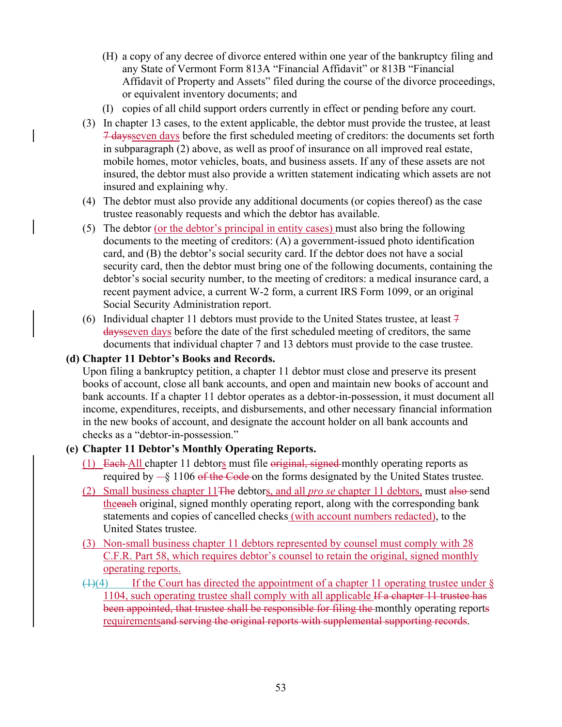- (H) a copy of any decree of divorce entered within one year of the bankruptcy filing and any State of Vermont Form 813A "Financial Affidavit" or 813B "Financial Affidavit of Property and Assets" filed during the course of the divorce proceedings, or equivalent inventory documents; and
- (I) copies of all child support orders currently in effect or pending before any court.
- (3) In chapter 13 cases, to the extent applicable, the debtor must provide the trustee, at least 7 daysseven days before the first scheduled meeting of creditors: the documents set forth in subparagraph (2) above, as well as proof of insurance on all improved real estate, mobile homes, motor vehicles, boats, and business assets. If any of these assets are not insured, the debtor must also provide a written statement indicating which assets are not insured and explaining why.
- (4) The debtor must also provide any additional documents (or copies thereof) as the case trustee reasonably requests and which the debtor has available.
- (5) The debtor (or the debtor's principal in entity cases) must also bring the following documents to the meeting of creditors: (A) a government-issued photo identification card, and (B) the debtor's social security card. If the debtor does not have a social security card, then the debtor must bring one of the following documents, containing the debtor's social security number, to the meeting of creditors: a medical insurance card, a recent payment advice, a current W-2 form, a current IRS Form 1099, or an original Social Security Administration report.
- (6) Individual chapter 11 debtors must provide to the United States trustee, at least  $\frac{1}{7}$ daysseven days before the date of the first scheduled meeting of creditors, the same documents that individual chapter 7 and 13 debtors must provide to the case trustee.

## **(d) Chapter 11 Debtor's Books and Records.**

Upon filing a bankruptcy petition, a chapter 11 debtor must close and preserve its present books of account, close all bank accounts, and open and maintain new books of account and bank accounts. If a chapter 11 debtor operates as a debtor-in-possession, it must document all income, expenditures, receipts, and disbursements, and other necessary financial information in the new books of account, and designate the account holder on all bank accounts and checks as a "debtor-in-possession."

#### **(e) Chapter 11 Debtor's Monthly Operating Reports.**

- (1) Each-All chapter 11 debtors must file original, signed monthly operating reports as required by  $-\xi$  1106 of the Code on the forms designated by the United States trustee.
- (2) Small business chapter 11The debtors, and all *pro se* chapter 11 debtors, must also send theeach original, signed monthly operating report, along with the corresponding bank statements and copies of cancelled checks (with account numbers redacted), to the United States trustee.
- (3) Non-small business chapter 11 debtors represented by counsel must comply with 28 C.F.R. Part 58, which requires debtor's counsel to retain the original, signed monthly operating reports.
- $(1)(4)$  If the Court has directed the appointment of a chapter 11 operating trustee under § 1104, such operating trustee shall comply with all applicable If a chapter 11 trustee has been appointed, that trustee shall be responsible for filing the monthly operating reports requirementsand serving the original reports with supplemental supporting records.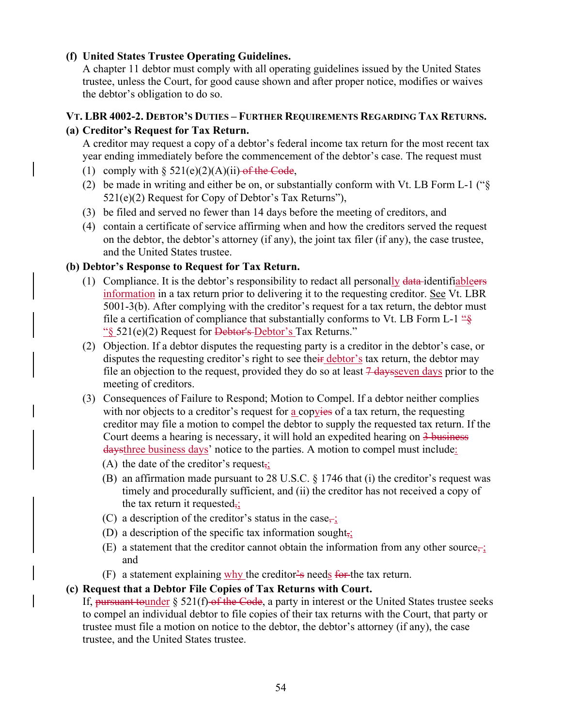## **(f) United States Trustee Operating Guidelines.**

A chapter 11 debtor must comply with all operating guidelines issued by the United States trustee, unless the Court, for good cause shown and after proper notice, modifies or waives the debtor's obligation to do so.

### **VT. LBR 4002-2. DEBTOR'S DUTIES – FURTHER REQUIREMENTS REGARDING TAX RETURNS.**

### **(a) Creditor's Request for Tax Return.**

A creditor may request a copy of a debtor's federal income tax return for the most recent tax year ending immediately before the commencement of the debtor's case. The request must

- (1) comply with  $\S$  521(e)(2)(A)(ii) of the Code,
- (2) be made in writing and either be on, or substantially conform with Vt. LB Form L-1 ("§ 521(e)(2) Request for Copy of Debtor's Tax Returns"),
- (3) be filed and served no fewer than 14 days before the meeting of creditors, and
- (4) contain a certificate of service affirming when and how the creditors served the request on the debtor, the debtor's attorney (if any), the joint tax filer (if any), the case trustee, and the United States trustee.

### **(b) Debtor's Response to Request for Tax Return.**

- (1) Compliance. It is the debtor's responsibility to redact all personally data-identifiableers information in a tax return prior to delivering it to the requesting creditor. See Vt. LBR 5001-3(b). After complying with the creditor's request for a tax return, the debtor must file a certification of compliance that substantially conforms to Vt. LB Form L-1  $\frac{16}{5}$ "§ 521(e)(2) Request for Debtor's Debtor's Tax Returns."
- (2) Objection. If a debtor disputes the requesting party is a creditor in the debtor's case, or disputes the requesting creditor's right to see their debtor's tax return, the debtor may file an objection to the request, provided they do so at least  $\frac{7 \text{ days}}{2 \text{ days}}$  prior to the meeting of creditors.
- (3) Consequences of Failure to Respond; Motion to Compel. If a debtor neither complies with nor objects to a creditor's request for a copyies of a tax return, the requesting creditor may file a motion to compel the debtor to supply the requested tax return. If the Court deems a hearing is necessary, it will hold an expedited hearing on 3 business daysthree business days' notice to the parties. A motion to compel must include:
	- (A) the date of the creditor's request,
	- (B) an affirmation made pursuant to 28 U.S.C. § 1746 that (i) the creditor's request was timely and procedurally sufficient, and (ii) the creditor has not received a copy of the tax return it requested $\frac{1}{2}$
	- (C) a description of the creditor's status in the case,:
	- (D) a description of the specific tax information sought $\frac{1}{2}$ ;
	- (E) a statement that the creditor cannot obtain the information from any other source, ; and
	- (F) a statement explaining  $why$  the creditor's needs for the tax return.

#### **(c) Request that a Debtor File Copies of Tax Returns with Court.**

If, pursuant tounder  $\S$  521(f) of the Code, a party in interest or the United States trustee seeks to compel an individual debtor to file copies of their tax returns with the Court, that party or trustee must file a motion on notice to the debtor, the debtor's attorney (if any), the case trustee, and the United States trustee.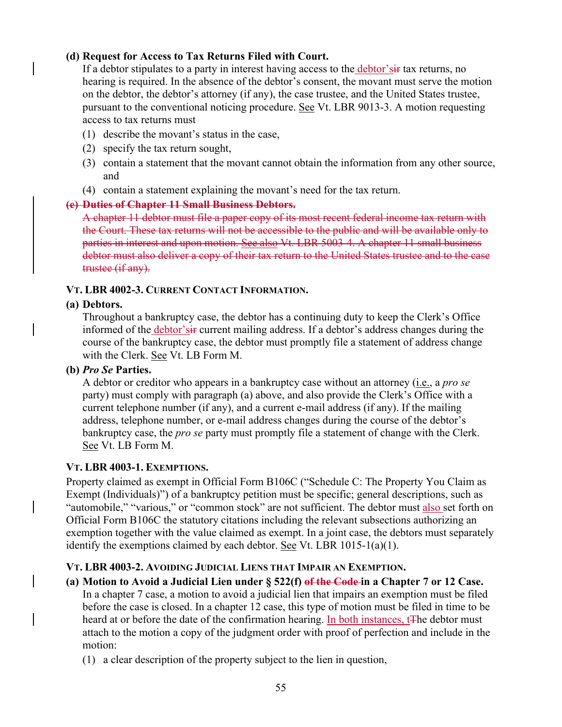### **(d) Request for Access to Tax Returns Filed with Court.**

If a debtor stipulates to a party in interest having access to the debtor'sir tax returns, no hearing is required. In the absence of the debtor's consent, the movant must serve the motion on the debtor, the debtor's attorney (if any), the case trustee, and the United States trustee, pursuant to the conventional noticing procedure. See Vt. LBR 9013-3. A motion requesting access to tax returns must

- (1) describe the movant's status in the case,
- (2) specify the tax return sought,
- (3) contain a statement that the movant cannot obtain the information from any other source, and
- (4) contain a statement explaining the movant's need for the tax return.

#### **(e) Duties of Chapter 11 Small Business Debtors.**

A chapter 11 debtor must file a paper copy of its most recent federal income tax return with the Court. These tax returns will not be accessible to the public and will be available only to parties in interest and upon motion. See also Vt. LBR 5003-4. A chapter 11 small business debtor must also deliver a copy of their tax return to the United States trustee and to the case trustee (if any).

### **VT. LBR 4002-3. CURRENT CONTACT INFORMATION.**

#### **(a) Debtors.**

Throughout a bankruptcy case, the debtor has a continuing duty to keep the Clerk's Office informed of the debtor'siff current mailing address. If a debtor's address changes during the course of the bankruptcy case, the debtor must promptly file a statement of address change with the Clerk. See Vt. LB Form M.

#### **(b)** *Pro Se* **Parties.**

A debtor or creditor who appears in a bankruptcy case without an attorney (i.e., a *pro se* party) must comply with paragraph (a) above, and also provide the Clerk's Office with a current telephone number (if any), and a current e-mail address (if any). If the mailing address, telephone number, or e-mail address changes during the course of the debtor's bankruptcy case, the *pro se* party must promptly file a statement of change with the Clerk. See Vt. LB Form M.

#### **VT. LBR 4003-1. EXEMPTIONS.**

Property claimed as exempt in Official Form B106C ("Schedule C: The Property You Claim as Exempt (Individuals)") of a bankruptcy petition must be specific; general descriptions, such as "automobile," "various," or "common stock" are not sufficient. The debtor must also set forth on Official Form B106C the statutory citations including the relevant subsections authorizing an exemption together with the value claimed as exempt. In a joint case, the debtors must separately identify the exemptions claimed by each debtor. See Vt. LBR 1015-1(a)(1).

#### **VT. LBR 4003-2. AVOIDING JUDICIAL LIENS THAT IMPAIR AN EXEMPTION.**

- **(a) Motion to Avoid a Judicial Lien under § 522(f) of the Code in a Chapter 7 or 12 Case.**  In a chapter 7 case, a motion to avoid a judicial lien that impairs an exemption must be filed before the case is closed. In a chapter 12 case, this type of motion must be filed in time to be heard at or before the date of the confirmation hearing. In both instances, t<sup>The debtor</sup> must attach to the motion a copy of the judgment order with proof of perfection and include in the motion:
	- (1) a clear description of the property subject to the lien in question,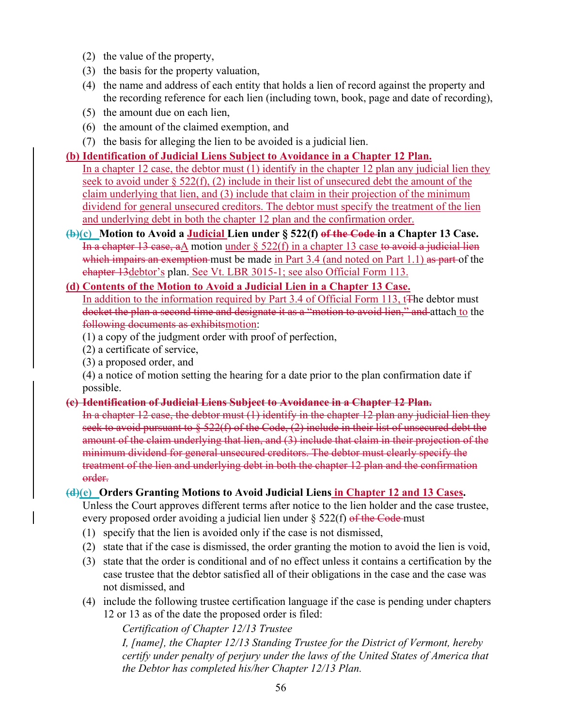- (2) the value of the property,
- (3) the basis for the property valuation,
- (4) the name and address of each entity that holds a lien of record against the property and the recording reference for each lien (including town, book, page and date of recording),
- (5) the amount due on each lien,
- (6) the amount of the claimed exemption, and
- (7) the basis for alleging the lien to be avoided is a judicial lien.

#### **(b) Identification of Judicial Liens Subject to Avoidance in a Chapter 12 Plan.**

In a chapter 12 case, the debtor must (1) identify in the chapter 12 plan any judicial lien they seek to avoid under § 522(f), (2) include in their list of unsecured debt the amount of the claim underlying that lien, and (3) include that claim in their projection of the minimum dividend for general unsecured creditors. The debtor must specify the treatment of the lien and underlying debt in both the chapter 12 plan and the confirmation order.

**(b)(c) Motion to Avoid a Judicial Lien under § 522(f) of the Code in a Chapter 13 Case.**  In a chapter 13 case, aA motion under  $\S$  522(f) in a chapter 13 case to avoid a judicial lien which impairs an exemption must be made in Part 3.4 (and noted on Part 1.1) as part of the chapter 13debtor's plan. See Vt. LBR 3015-1; see also Official Form 113.

#### **(d) Contents of the Motion to Avoid a Judicial Lien in a Chapter 13 Case.**  In addition to the information required by Part 3.4 of Official Form 113, t<sub>The debtor must</sub> docket the plan a second time and designate it as a "motion to avoid lien," and attach to the following documents as exhibitsmotion:

- (1) a copy of the judgment order with proof of perfection,
- (2) a certificate of service,
- (3) a proposed order, and

(4) a notice of motion setting the hearing for a date prior to the plan confirmation date if possible.

#### **(c) Identification of Judicial Liens Subject to Avoidance in a Chapter 12 Plan.**

In a chapter 12 case, the debtor must (1) identify in the chapter 12 plan any judicial lien they seek to avoid pursuant to  $\S$  522(f) of the Code, (2) include in their list of unsecured debt the amount of the claim underlying that lien, and (3) include that claim in their projection of the minimum dividend for general unsecured creditors. The debtor must clearly specify the treatment of the lien and underlying debt in both the chapter 12 plan and the confirmation order.

#### **(d)(e) Orders Granting Motions to Avoid Judicial Liens in Chapter 12 and 13 Cases.**

Unless the Court approves different terms after notice to the lien holder and the case trustee, every proposed order avoiding a judicial lien under  $\S$  522(f) of the Code-must

- (1) specify that the lien is avoided only if the case is not dismissed,
- (2) state that if the case is dismissed, the order granting the motion to avoid the lien is void,
- (3) state that the order is conditional and of no effect unless it contains a certification by the case trustee that the debtor satisfied all of their obligations in the case and the case was not dismissed, and
- (4) include the following trustee certification language if the case is pending under chapters 12 or 13 as of the date the proposed order is filed:

*Certification of Chapter 12/13 Trustee* 

*I, [name], the Chapter 12/13 Standing Trustee for the District of Vermont, hereby certify under penalty of perjury under the laws of the United States of America that the Debtor has completed his/her Chapter 12/13 Plan.*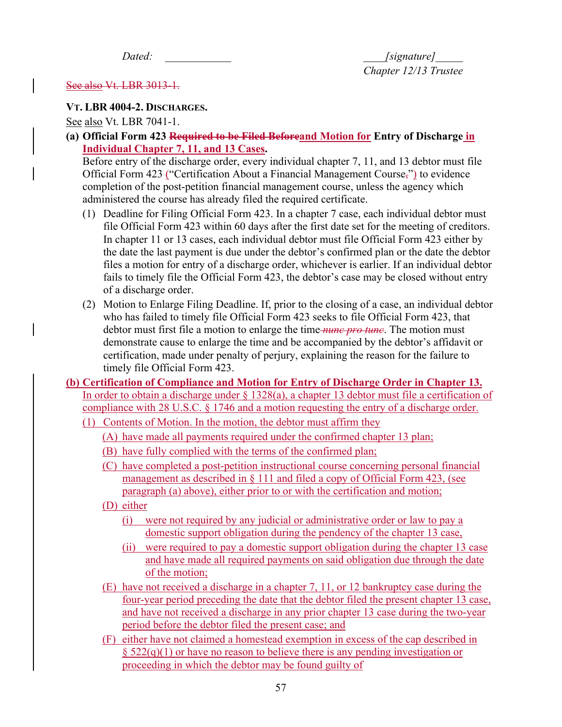*Dated:*  $\qquad \qquad$  [signature]  *Chapter 12/13 Trustee* 

#### See also Vt. LBR 3013-1.

#### **VT. LBR 4004-2. DISCHARGES.**

See also Vt. LBR 7041-1.

**(a) Official Form 423 Required to be Filed Beforeand Motion for Entry of Discharge in Individual Chapter 7, 11, and 13 Cases.** 

Before entry of the discharge order, every individual chapter 7, 11, and 13 debtor must file Official Form 423 ("Certification About a Financial Management Course,") to evidence completion of the post-petition financial management course, unless the agency which administered the course has already filed the required certificate.

- (1) Deadline for Filing Official Form 423. In a chapter 7 case, each individual debtor must file Official Form 423 within 60 days after the first date set for the meeting of creditors. In chapter 11 or 13 cases, each individual debtor must file Official Form 423 either by the date the last payment is due under the debtor's confirmed plan or the date the debtor files a motion for entry of a discharge order, whichever is earlier. If an individual debtor fails to timely file the Official Form 423, the debtor's case may be closed without entry of a discharge order.
- (2) Motion to Enlarge Filing Deadline. If, prior to the closing of a case, an individual debtor who has failed to timely file Official Form 423 seeks to file Official Form 423, that debtor must first file a motion to enlarge the time *nunc pro tunc*. The motion must demonstrate cause to enlarge the time and be accompanied by the debtor's affidavit or certification, made under penalty of perjury, explaining the reason for the failure to timely file Official Form 423.
- **(b) Certification of Compliance and Motion for Entry of Discharge Order in Chapter 13.**  In order to obtain a discharge under  $\S$  1328(a), a chapter 13 debtor must file a certification of compliance with 28 U.S.C. § 1746 and a motion requesting the entry of a discharge order.
	- (1) Contents of Motion. In the motion, the debtor must affirm they
		- (A) have made all payments required under the confirmed chapter 13 plan;
		- (B) have fully complied with the terms of the confirmed plan;
		- (C) have completed a post-petition instructional course concerning personal financial management as described in § 111 and filed a copy of Official Form 423, (see paragraph (a) above), either prior to or with the certification and motion;
		- (D) either
			- (i) were not required by any judicial or administrative order or law to pay a domestic support obligation during the pendency of the chapter 13 case,
			- (ii) were required to pay a domestic support obligation during the chapter 13 case and have made all required payments on said obligation due through the date of the motion;
		- (E) have not received a discharge in a chapter 7, 11, or 12 bankruptcy case during the four-year period preceding the date that the debtor filed the present chapter 13 case, and have not received a discharge in any prior chapter 13 case during the two-year period before the debtor filed the present case; and
		- (F) either have not claimed a homestead exemption in excess of the cap described in  $\S 522(q)(1)$  or have no reason to believe there is any pending investigation or proceeding in which the debtor may be found guilty of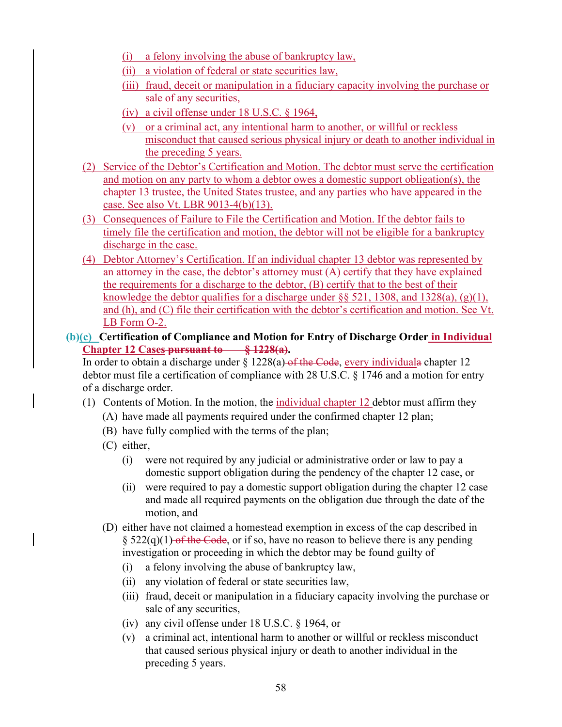- (i) a felony involving the abuse of bankruptcy law,
- (ii) a violation of federal or state securities law,
- (iii) fraud, deceit or manipulation in a fiduciary capacity involving the purchase or sale of any securities,
- (iv) a civil offense under 18 U.S.C. § 1964,
- (v) or a criminal act, any intentional harm to another, or willful or reckless misconduct that caused serious physical injury or death to another individual in the preceding 5 years.
- (2) Service of the Debtor's Certification and Motion. The debtor must serve the certification and motion on any party to whom a debtor owes a domestic support obligation(s), the chapter 13 trustee, the United States trustee, and any parties who have appeared in the case. See also Vt. LBR 9013-4(b)(13).
- (3) Consequences of Failure to File the Certification and Motion. If the debtor fails to timely file the certification and motion, the debtor will not be eligible for a bankruptcy discharge in the case.
- (4) Debtor Attorney's Certification. If an individual chapter 13 debtor was represented by an attorney in the case, the debtor's attorney must (A) certify that they have explained the requirements for a discharge to the debtor, (B) certify that to the best of their knowledge the debtor qualifies for a discharge under  $\S$ § 521, 1308, and 1328(a), (g)(1), and (h), and (C) file their certification with the debtor's certification and motion. See Vt. LB Form O-2.
- **(b)(c) Certification of Compliance and Motion for Entry of Discharge Order in Individual Chapter 12 Cases pursuant to § 1228(a).**

In order to obtain a discharge under  $\S 1228(a)$  of the Code, every individuala chapter 12 debtor must file a certification of compliance with 28 U.S.C. § 1746 and a motion for entry of a discharge order.

- (1) Contents of Motion. In the motion, the individual chapter 12 debtor must affirm they
	- (A) have made all payments required under the confirmed chapter 12 plan;
	- (B) have fully complied with the terms of the plan;
	- (C) either,
		- (i) were not required by any judicial or administrative order or law to pay a domestic support obligation during the pendency of the chapter 12 case, or
		- (ii) were required to pay a domestic support obligation during the chapter 12 case and made all required payments on the obligation due through the date of the motion, and
	- (D) either have not claimed a homestead exemption in excess of the cap described in §  $522(q)(1)$  of the Code, or if so, have no reason to believe there is any pending investigation or proceeding in which the debtor may be found guilty of
		- (i) a felony involving the abuse of bankruptcy law,
		- (ii) any violation of federal or state securities law,
		- (iii) fraud, deceit or manipulation in a fiduciary capacity involving the purchase or sale of any securities,
		- (iv) any civil offense under 18 U.S.C. § 1964, or
		- (v) a criminal act, intentional harm to another or willful or reckless misconduct that caused serious physical injury or death to another individual in the preceding 5 years.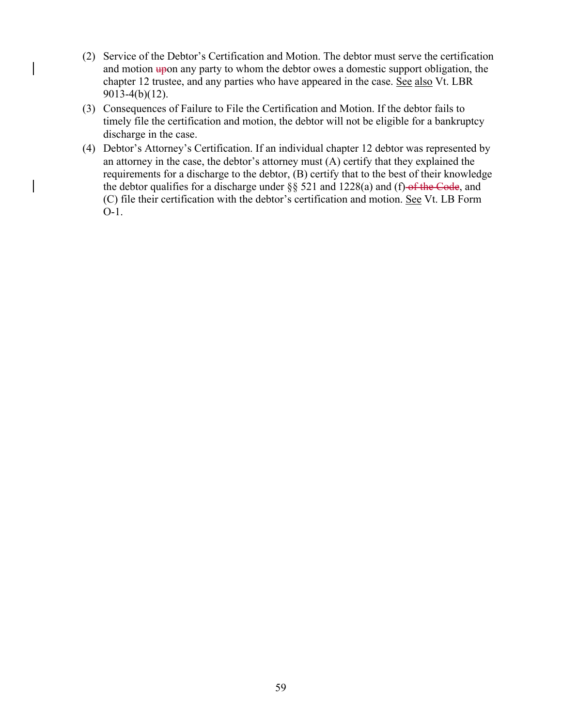- (2) Service of the Debtor's Certification and Motion. The debtor must serve the certification and motion  $\frac{u}{v}$  any party to whom the debtor owes a domestic support obligation, the chapter 12 trustee, and any parties who have appeared in the case. See also Vt. LBR 9013-4(b)(12).
- (3) Consequences of Failure to File the Certification and Motion. If the debtor fails to timely file the certification and motion, the debtor will not be eligible for a bankruptcy discharge in the case.
- (4) Debtor's Attorney's Certification. If an individual chapter 12 debtor was represented by an attorney in the case, the debtor's attorney must (A) certify that they explained the requirements for a discharge to the debtor, (B) certify that to the best of their knowledge the debtor qualifies for a discharge under  $\S$ § 521 and 1228(a) and (f) of the Code, and (C) file their certification with the debtor's certification and motion. See Vt. LB Form O-1.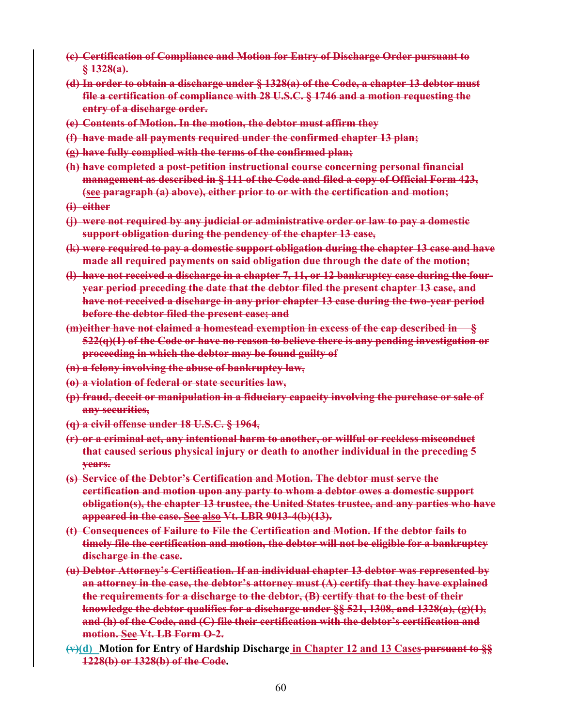- **(c) Certification of Compliance and Motion for Entry of Discharge Order pursuant to § 1328(a).**
- **(d) In order to obtain a discharge under § 1328(a) of the Code, a chapter 13 debtor must file a certification of compliance with 28 U.S.C. § 1746 and a motion requesting the entry of a discharge order.**
- **(e) Contents of Motion. In the motion, the debtor must affirm they**
- **(f) have made all payments required under the confirmed chapter 13 plan;**
- **(g) have fully complied with the terms of the confirmed plan;**
- **(h) have completed a post-petition instructional course concerning personal financial management as described in § 111 of the Code and filed a copy of Official Form 423, (see paragraph (a) above), either prior to or with the certification and motion;**
- **(i) either**
- **(j) were not required by any judicial or administrative order or law to pay a domestic support obligation during the pendency of the chapter 13 case,**
- **(k) were required to pay a domestic support obligation during the chapter 13 case and have made all required payments on said obligation due through the date of the motion;**
- **(l) have not received a discharge in a chapter 7, 11, or 12 bankruptcy case during the fouryear period preceding the date that the debtor filed the present chapter 13 case, and have not received a discharge in any prior chapter 13 case during the two-year period before the debtor filed the present case; and**
- **(m)either have not claimed a homestead exemption in excess of the cap described in 522(q)(1) of the Code or have no reason to believe there is any pending investigation or proceeding in which the debtor may be found guilty of**
- **(n) a felony involving the abuse of bankruptcy law,**
- **(o) a violation of federal or state securities law,**
- **(p) fraud, deceit or manipulation in a fiduciary capacity involving the purchase or sale of any securities,**
- **(q) a civil offense under 18 U.S.C. § 1964,**
- **(r) or a criminal act, any intentional harm to another, or willful or reckless misconduct that caused serious physical injury or death to another individual in the preceding 5 years.**
- **(s) Service of the Debtor's Certification and Motion. The debtor must serve the certification and motion upon any party to whom a debtor owes a domestic support obligation(s), the chapter 13 trustee, the United States trustee, and any parties who have appeared in the case. See also Vt. LBR 9013-4(b)(13).**
- **(t) Consequences of Failure to File the Certification and Motion. If the debtor fails to timely file the certification and motion, the debtor will not be eligible for a bankruptcy discharge in the case.**
- **(u) Debtor Attorney's Certification. If an individual chapter 13 debtor was represented by an attorney in the case, the debtor's attorney must (A) certify that they have explained the requirements for a discharge to the debtor, (B) certify that to the best of their knowledge the debtor qualifies for a discharge under §§ 521, 1308, and 1328(a), (g)(1), and (h) of the Code, and (C) file their certification with the debtor's certification and motion. See Vt. LB Form O-2.**
- **(v)(d) Motion for Entry of Hardship Discharge in Chapter 12 and 13 Cases pursuant to §§ 1228(b) or 1328(b) of the Code.**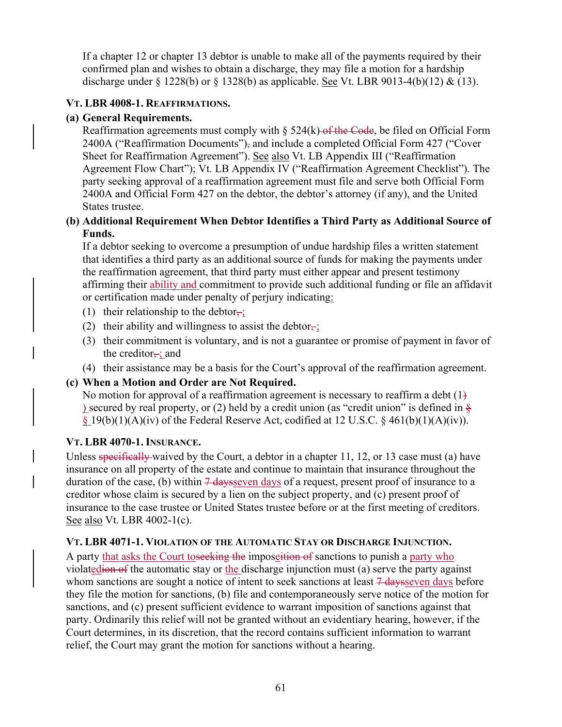If a chapter 12 or chapter 13 debtor is unable to make all of the payments required by their confirmed plan and wishes to obtain a discharge, they may file a motion for a hardship discharge under  $\S 1228(b)$  or  $\S 1328(b)$  as applicable. See Vt. LBR 9013-4(b)(12) & (13).

# **VT. LBR 4008-1. REAFFIRMATIONS.**

# **(a) General Requirements.**

Reaffirmation agreements must comply with  $\S$  524(k) of the Code, be filed on Official Form 2400A ("Reaffirmation Documents"), and include a completed Official Form 427 ("Cover Sheet for Reaffirmation Agreement"). See also Vt. LB Appendix III ("Reaffirmation Agreement Flow Chart"); Vt. LB Appendix IV ("Reaffirmation Agreement Checklist"). The party seeking approval of a reaffirmation agreement must file and serve both Official Form 2400A and Official Form 427 on the debtor, the debtor's attorney (if any), and the United States trustee.

# **(b) Additional Requirement When Debtor Identifies a Third Party as Additional Source of Funds.**

If a debtor seeking to overcome a presumption of undue hardship files a written statement that identifies a third party as an additional source of funds for making the payments under the reaffirmation agreement, that third party must either appear and present testimony affirming their ability and commitment to provide such additional funding or file an affidavit or certification made under penalty of perjury indicating:

- (1) their relationship to the debtor,
- (2) their ability and willingness to assist the debtor $\overline{\mathbf{r}}$ ;
- (3) their commitment is voluntary, and is not a guarantee or promise of payment in favor of the creditor $\frac{1}{x}$ ; and
- (4) their assistance may be a basis for the Court's approval of the reaffirmation agreement.

## **(c) When a Motion and Order are Not Required.**

No motion for approval of a reaffirmation agreement is necessary to reaffirm a debt  $(1)$ ) secured by real property, or (2) held by a credit union (as "credit union" is defined in  $\frac{8}{5}$  $\S 19(b)(1)(A)(iv)$  of the Federal Reserve Act, codified at 12 U.S.C.  $\S 461(b)(1)(A)(iv)$ .

## **VT. LBR 4070-1. INSURANCE.**

Unless specifically waived by the Court, a debtor in a chapter 11, 12, or 13 case must (a) have insurance on all property of the estate and continue to maintain that insurance throughout the duration of the case, (b) within  $\frac{7 \text{ days}}{2}$  days of a request, present proof of insurance to a creditor whose claim is secured by a lien on the subject property, and (c) present proof of insurance to the case trustee or United States trustee before or at the first meeting of creditors. See also Vt. LBR 4002-1(c).

## **VT. LBR 4071-1. VIOLATION OF THE AUTOMATIC STAY OR DISCHARGE INJUNCTION.**

A party that asks the Court to seeking the imposettion of sanctions to punish a party who violatedion of the automatic stay or the discharge injunction must (a) serve the party against whom sanctions are sought a notice of intent to seek sanctions at least  $7$  days seven days before they file the motion for sanctions, (b) file and contemporaneously serve notice of the motion for sanctions, and (c) present sufficient evidence to warrant imposition of sanctions against that party. Ordinarily this relief will not be granted without an evidentiary hearing, however, if the Court determines, in its discretion, that the record contains sufficient information to warrant relief, the Court may grant the motion for sanctions without a hearing.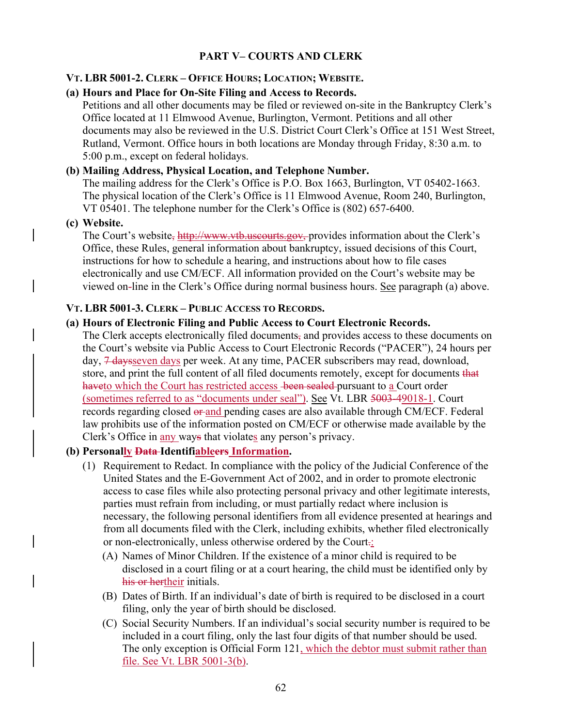# **PART V– COURTS AND CLERK**

### **VT. LBR 5001-2. CLERK – OFFICE HOURS; LOCATION; WEBSITE.**

### **(a) Hours and Place for On-Site Filing and Access to Records.**

Petitions and all other documents may be filed or reviewed on-site in the Bankruptcy Clerk's Office located at 11 Elmwood Avenue, Burlington, Vermont. Petitions and all other documents may also be reviewed in the U.S. District Court Clerk's Office at 151 West Street, Rutland, Vermont. Office hours in both locations are Monday through Friday, 8:30 a.m. to 5:00 p.m., except on federal holidays.

### **(b) Mailing Address, Physical Location, and Telephone Number.**

The mailing address for the Clerk's Office is P.O. Box 1663, Burlington, VT 05402-1663. The physical location of the Clerk's Office is 11 Elmwood Avenue, Room 240, Burlington, VT 05401. The telephone number for the Clerk's Office is (802) 657-6400.

#### **(c) Website.**

The Court's website, http://www.vtb.uscourts.gov, provides information about the Clerk's Office, these Rules, general information about bankruptcy, issued decisions of this Court, instructions for how to schedule a hearing, and instructions about how to file cases electronically and use CM/ECF. All information provided on the Court's website may be viewed on-line in the Clerk's Office during normal business hours. See paragraph (a) above.

### **VT. LBR 5001-3. CLERK – PUBLIC ACCESS TO RECORDS.**

### **(a) Hours of Electronic Filing and Public Access to Court Electronic Records.**

The Clerk accepts electronically filed documents, and provides access to these documents on the Court's website via Public Access to Court Electronic Records ("PACER"), 24 hours per day, 7 <del>days</del> seven days per week. At any time, PACER subscribers may read, download, store, and print the full content of all filed documents remotely, except for documents that haveto which the Court has restricted access been sealed pursuant to a Court order (sometimes referred to as "documents under seal"). See Vt. LBR 5003-49018-1. Court records regarding closed  $\theta$  and pending cases are also available through CM/ECF. Federal law prohibits use of the information posted on CM/ECF or otherwise made available by the Clerk's Office in any ways that violates any person's privacy.

#### **(b) Personally Data Identifiableers Information.**

- (1) Requirement to Redact. In compliance with the policy of the Judicial Conference of the United States and the E-Government Act of 2002, and in order to promote electronic access to case files while also protecting personal privacy and other legitimate interests, parties must refrain from including, or must partially redact where inclusion is necessary, the following personal identifiers from all evidence presented at hearings and from all documents filed with the Clerk, including exhibits, whether filed electronically or non-electronically, unless otherwise ordered by the Court.:
	- (A) Names of Minor Children. If the existence of a minor child is required to be disclosed in a court filing or at a court hearing, the child must be identified only by his or hertheir initials.
	- (B) Dates of Birth. If an individual's date of birth is required to be disclosed in a court filing, only the year of birth should be disclosed.
	- (C) Social Security Numbers. If an individual's social security number is required to be included in a court filing, only the last four digits of that number should be used. The only exception is Official Form 121, which the debtor must submit rather than file. See Vt. LBR 5001-3(b).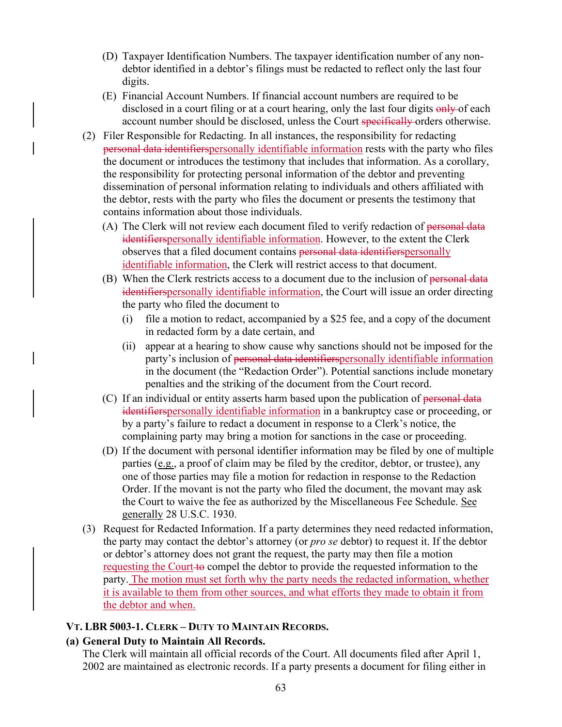- (D) Taxpayer Identification Numbers. The taxpayer identification number of any nondebtor identified in a debtor's filings must be redacted to reflect only the last four digits.
- (E) Financial Account Numbers. If financial account numbers are required to be disclosed in a court filing or at a court hearing, only the last four digits  $\frac{\text{only}}{\text{only}}$  of each account number should be disclosed, unless the Court specifically orders otherwise.
- (2) Filer Responsible for Redacting. In all instances, the responsibility for redacting personal data identifierspersonally identifiable information rests with the party who files the document or introduces the testimony that includes that information. As a corollary, the responsibility for protecting personal information of the debtor and preventing dissemination of personal information relating to individuals and others affiliated with the debtor, rests with the party who files the document or presents the testimony that contains information about those individuals.
	- (A) The Clerk will not review each document filed to verify redaction of personal data identifierspersonally identifiable information. However, to the extent the Clerk observes that a filed document contains personal data identifierspersonally identifiable information, the Clerk will restrict access to that document.
	- (B) When the Clerk restricts access to a document due to the inclusion of personal data identifierspersonally identifiable information, the Court will issue an order directing the party who filed the document to
		- (i) file a motion to redact, accompanied by a \$25 fee, and a copy of the document in redacted form by a date certain, and
		- (ii) appear at a hearing to show cause why sanctions should not be imposed for the party's inclusion of personal data identifiers personally identifiable information in the document (the "Redaction Order"). Potential sanctions include monetary penalties and the striking of the document from the Court record.
	- (C) If an individual or entity asserts harm based upon the publication of  $personal data$ identifierspersonally identifiable information in a bankruptcy case or proceeding, or by a party's failure to redact a document in response to a Clerk's notice, the complaining party may bring a motion for sanctions in the case or proceeding.
	- (D) If the document with personal identifier information may be filed by one of multiple parties (e.g., a proof of claim may be filed by the creditor, debtor, or trustee), any one of those parties may file a motion for redaction in response to the Redaction Order. If the movant is not the party who filed the document, the movant may ask the Court to waive the fee as authorized by the Miscellaneous Fee Schedule. See generally 28 U.S.C. 1930.
- (3) Request for Redacted Information. If a party determines they need redacted information, the party may contact the debtor's attorney (or *pro se* debtor) to request it. If the debtor or debtor's attorney does not grant the request, the party may then file a motion requesting the Court to compel the debtor to provide the requested information to the party. The motion must set forth why the party needs the redacted information, whether it is available to them from other sources, and what efforts they made to obtain it from the debtor and when.

#### **VT. LBR 5003-1. CLERK – DUTY TO MAINTAIN RECORDS.**

## **(a) General Duty to Maintain All Records.**

The Clerk will maintain all official records of the Court. All documents filed after April 1, 2002 are maintained as electronic records. If a party presents a document for filing either in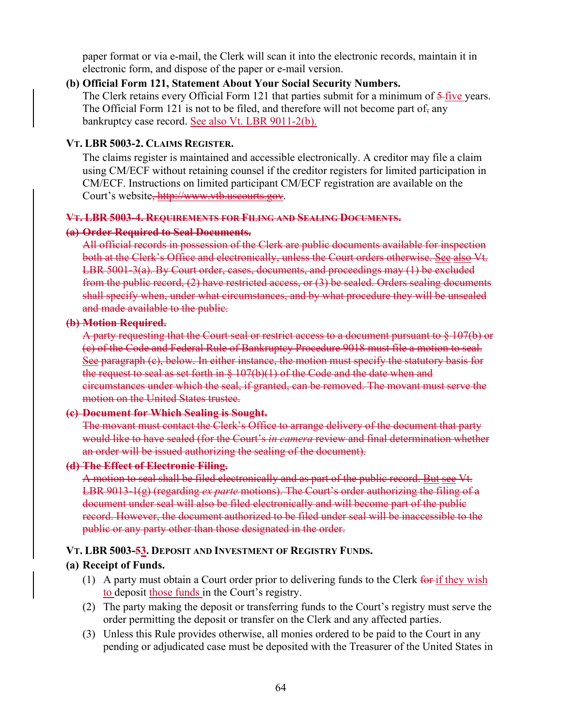paper format or via e-mail, the Clerk will scan it into the electronic records, maintain it in electronic form, and dispose of the paper or e-mail version.

#### **(b) Official Form 121, Statement About Your Social Security Numbers.**

The Clerk retains every Official Form 121 that parties submit for a minimum of 5-five years. The Official Form 121 is not to be filed, and therefore will not become part of, any bankruptcy case record. See also Vt. LBR 9011-2(b).

#### **VT. LBR 5003-2. CLAIMS REGISTER.**

The claims register is maintained and accessible electronically. A creditor may file a claim using CM/ECF without retaining counsel if the creditor registers for limited participation in CM/ECF. Instructions on limited participant CM/ECF registration are available on the Court's website, http://www.vtb.uscourts.gov.

#### **VT. LBR 5003-4. REQUIREMENTS FOR FILING AND SEALING DOCUMENTS.**

#### **(a) Order Required to Seal Documents.**

All official records in possession of the Clerk are public documents available for inspection both at the Clerk's Office and electronically, unless the Court orders otherwise. See also Vt. LBR 5001-3(a). By Court order, cases, documents, and proceedings may (1) be excluded from the public record, (2) have restricted access, or (3) be sealed. Orders sealing documents shall specify when, under what circumstances, and by what procedure they will be unsealed and made available to the public.

#### **(b) Motion Required.**

A party requesting that the Court seal or restrict access to a document pursuant to § 107(b) or (c) of the Code and Federal Rule of Bankruptcy Procedure 9018 must file a motion to seal. See paragraph (c), below. In either instance, the motion must specify the statutory basis for the request to seal as set forth in  $\S 107(b)(1)$  of the Code and the date when and circumstances under which the seal, if granted, can be removed. The movant must serve the motion on the United States trustee.

#### **(c) Document for Which Sealing is Sought.**

The movant must contact the Clerk's Office to arrange delivery of the document that party would like to have sealed (for the Court's *in camera* review and final determination whether an order will be issued authorizing the sealing of the document).

#### **(d) The Effect of Electronic Filing.**

A motion to seal shall be filed electronically and as part of the public record. But see Vt. LBR 9013-1(g) (regarding *ex parte* motions). The Court's order authorizing the filing of a document under seal will also be filed electronically and will become part of the public record. However, the document authorized to be filed under seal will be inaccessible to the public or any party other than those designated in the order.

#### **VT. LBR 5003-53. DEPOSIT AND INVESTMENT OF REGISTRY FUNDS.**

#### **(a) Receipt of Funds.**

- (1) A party must obtain a Court order prior to delivering funds to the Clerk  $\frac{6}{100}$  for  $\frac{1}{100}$  wish to deposit those funds in the Court's registry.
- (2) The party making the deposit or transferring funds to the Court's registry must serve the order permitting the deposit or transfer on the Clerk and any affected parties.
- (3) Unless this Rule provides otherwise, all monies ordered to be paid to the Court in any pending or adjudicated case must be deposited with the Treasurer of the United States in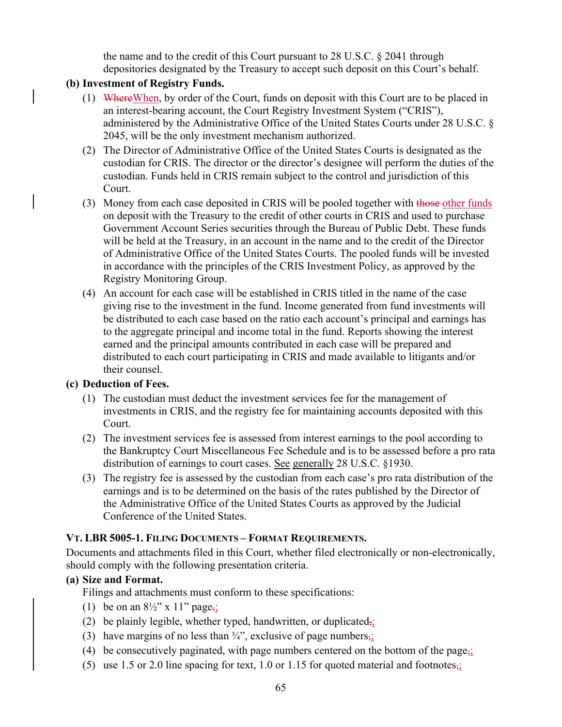the name and to the credit of this Court pursuant to 28 U.S.C. § 2041 through depositories designated by the Treasury to accept such deposit on this Court's behalf.

## **(b) Investment of Registry Funds.**

- (1) WhereWhen, by order of the Court, funds on deposit with this Court are to be placed in an interest-bearing account, the Court Registry Investment System ("CRIS"), administered by the Administrative Office of the United States Courts under 28 U.S.C. § 2045, will be the only investment mechanism authorized.
- (2) The Director of Administrative Office of the United States Courts is designated as the custodian for CRIS. The director or the director's designee will perform the duties of the custodian. Funds held in CRIS remain subject to the control and jurisdiction of this Court.
- (3) Money from each case deposited in CRIS will be pooled together with those other funds on deposit with the Treasury to the credit of other courts in CRIS and used to purchase Government Account Series securities through the Bureau of Public Debt. These funds will be held at the Treasury, in an account in the name and to the credit of the Director of Administrative Office of the United States Courts. The pooled funds will be invested in accordance with the principles of the CRIS Investment Policy, as approved by the Registry Monitoring Group.
- (4) An account for each case will be established in CRIS titled in the name of the case giving rise to the investment in the fund. Income generated from fund investments will be distributed to each case based on the ratio each account's principal and earnings has to the aggregate principal and income total in the fund. Reports showing the interest earned and the principal amounts contributed in each case will be prepared and distributed to each court participating in CRIS and made available to litigants and/or their counsel.

## **(c) Deduction of Fees.**

- (1) The custodian must deduct the investment services fee for the management of investments in CRIS, and the registry fee for maintaining accounts deposited with this Court.
- (2) The investment services fee is assessed from interest earnings to the pool according to the Bankruptcy Court Miscellaneous Fee Schedule and is to be assessed before a pro rata distribution of earnings to court cases. See generally 28 U.S.C. §1930.
- (3) The registry fee is assessed by the custodian from each case's pro rata distribution of the earnings and is to be determined on the basis of the rates published by the Director of the Administrative Office of the United States Courts as approved by the Judicial Conference of the United States.

# **VT. LBR 5005-1. FILING DOCUMENTS – FORMAT REQUIREMENTS.**

Documents and attachments filed in this Court, whether filed electronically or non-electronically, should comply with the following presentation criteria.

## **(a) Size and Format.**

Filings and attachments must conform to these specifications:

- (1) be on an  $8\frac{1}{2}$ " x 11" page<sub>7</sub>;
- (2) be plainly legible, whether typed, handwritten, or duplicated $\frac{1}{2}$ ;
- (3) have margins of no less than  $\frac{3}{4}$ , exclusive of page numbers<sub>7</sub>;
- (4) be consecutively paginated, with page numbers centered on the bottom of the page<sub> $\frac{1}{2}$ </sub>
- (5) use 1.5 or 2.0 line spacing for text, 1.0 or 1.15 for quoted material and footnotes<sub> $\frac{1}{2}$ </sub>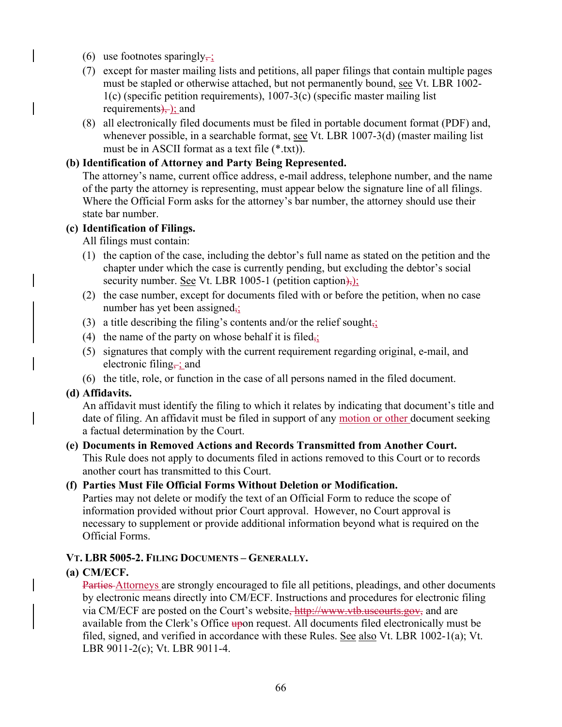- (6) use footnotes sparingly $\div$ ;
- (7) except for master mailing lists and petitions, all paper filings that contain multiple pages must be stapled or otherwise attached, but not permanently bound, see Vt. LBR 1002- 1(c) (specific petition requirements), 1007-3(c) (specific master mailing list requirements), ; and
- (8) all electronically filed documents must be filed in portable document format (PDF) and, whenever possible, in a searchable format, see Vt. LBR 1007-3(d) (master mailing list must be in ASCII format as a text file (\*.txt)).

### **(b) Identification of Attorney and Party Being Represented.**

The attorney's name, current office address, e-mail address, telephone number, and the name of the party the attorney is representing, must appear below the signature line of all filings. Where the Official Form asks for the attorney's bar number, the attorney should use their state bar number.

#### **(c) Identification of Filings.**

All filings must contain:

- (1) the caption of the case, including the debtor's full name as stated on the petition and the chapter under which the case is currently pending, but excluding the debtor's social security number. <u>See</u> Vt. LBR 1005-1 (petition caption),
- (2) the case number, except for documents filed with or before the petition, when no case number has yet been assigned,;
- (3) a title describing the filing's contents and/or the relief sought $\frac{1}{2}$ ;
- (4) the name of the party on whose behalf it is filed<sub> $\frac{1}{2}$ </sub>
- (5) signatures that comply with the current requirement regarding original, e-mail, and electronic filing,  $\frac{1}{2}$  and
- (6) the title, role, or function in the case of all persons named in the filed document.

## **(d) Affidavits.**

An affidavit must identify the filing to which it relates by indicating that document's title and date of filing. An affidavit must be filed in support of any motion or other document seeking a factual determination by the Court.

#### **(e) Documents in Removed Actions and Records Transmitted from Another Court.**  This Rule does not apply to documents filed in actions removed to this Court or to records another court has transmitted to this Court.

## **(f) Parties Must File Official Forms Without Deletion or Modification.**

Parties may not delete or modify the text of an Official Form to reduce the scope of information provided without prior Court approval. However, no Court approval is necessary to supplement or provide additional information beyond what is required on the Official Forms.

## **VT. LBR 5005-2. FILING DOCUMENTS – GENERALLY.**

## **(a) CM/ECF.**

Parties Attorneys are strongly encouraged to file all petitions, pleadings, and other documents by electronic means directly into CM/ECF. Instructions and procedures for electronic filing via CM/ECF are posted on the Court's website, http://www.vtb.uscourts.gov, and are available from the Clerk's Office upon request. All documents filed electronically must be filed, signed, and verified in accordance with these Rules. See also Vt. LBR 1002-1(a); Vt. LBR 9011-2(c); Vt. LBR 9011-4.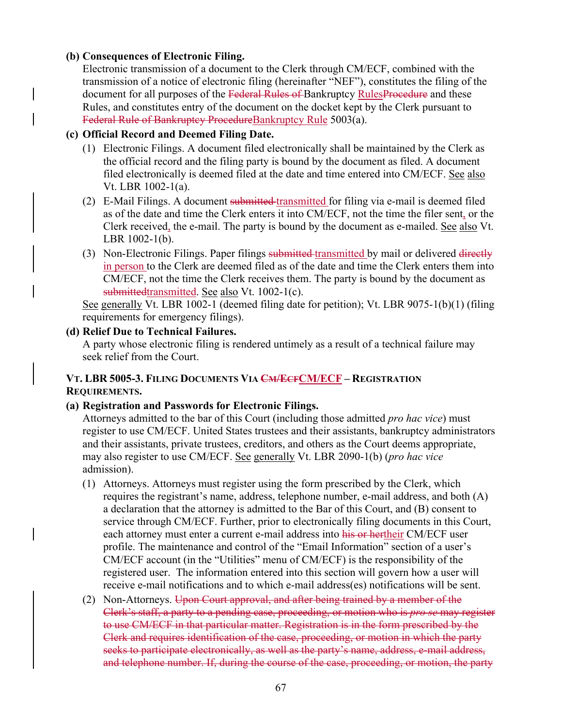### **(b) Consequences of Electronic Filing.**

Electronic transmission of a document to the Clerk through CM/ECF, combined with the transmission of a notice of electronic filing (hereinafter "NEF"), constitutes the filing of the document for all purposes of the Federal Rules of Bankruptcy RulesProcedure and these Rules, and constitutes entry of the document on the docket kept by the Clerk pursuant to Federal Rule of Bankruptcy ProcedureBankruptcy Rule 5003(a).

### **(c) Official Record and Deemed Filing Date.**

- (1) Electronic Filings. A document filed electronically shall be maintained by the Clerk as the official record and the filing party is bound by the document as filed. A document filed electronically is deemed filed at the date and time entered into CM/ECF. See also Vt. LBR 1002-1(a).
- (2) E-Mail Filings. A document submitted transmitted for filing via e-mail is deemed filed as of the date and time the Clerk enters it into CM/ECF, not the time the filer sent, or the Clerk received, the e-mail. The party is bound by the document as e-mailed. See also Vt. LBR 1002-1(b).
- (3) Non-Electronic Filings. Paper filings submitted transmitted by mail or delivered directly in person to the Clerk are deemed filed as of the date and time the Clerk enters them into CM/ECF, not the time the Clerk receives them. The party is bound by the document as submittedtransmitted. See also Vt. 1002-1(c).

See generally Vt. LBR 1002-1 (deemed filing date for petition); Vt. LBR 9075-1(b)(1) (filing requirements for emergency filings).

### **(d) Relief Due to Technical Failures.**

A party whose electronic filing is rendered untimely as a result of a technical failure may seek relief from the Court.

# **VT. LBR 5005-3. FILING DOCUMENTS VIA CM/ECFCM/ECF – REGISTRATION REQUIREMENTS.**

## **(a) Registration and Passwords for Electronic Filings.**

Attorneys admitted to the bar of this Court (including those admitted *pro hac vice*) must register to use CM/ECF. United States trustees and their assistants, bankruptcy administrators and their assistants, private trustees, creditors, and others as the Court deems appropriate, may also register to use CM/ECF. See generally Vt. LBR 2090-1(b) (*pro hac vice* admission).

- (1) Attorneys. Attorneys must register using the form prescribed by the Clerk, which requires the registrant's name, address, telephone number, e-mail address, and both (A) a declaration that the attorney is admitted to the Bar of this Court, and (B) consent to service through CM/ECF. Further, prior to electronically filing documents in this Court, each attorney must enter a current e-mail address into his or hertheir CM/ECF user profile. The maintenance and control of the "Email Information" section of a user's CM/ECF account (in the "Utilities" menu of CM/ECF) is the responsibility of the registered user. The information entered into this section will govern how a user will receive e-mail notifications and to which e-mail address(es) notifications will be sent.
- (2) Non-Attorneys. Upon Court approval, and after being trained by a member of the Clerk's staff, a party to a pending case, proceeding, or motion who is *pro se* may register to use CM/ECF in that particular matter. Registration is in the form prescribed by the Clerk and requires identification of the case, proceeding, or motion in which the party seeks to participate electronically, as well as the party's name, address, e-mail address, and telephone number. If, during the course of the case, proceeding, or motion, the party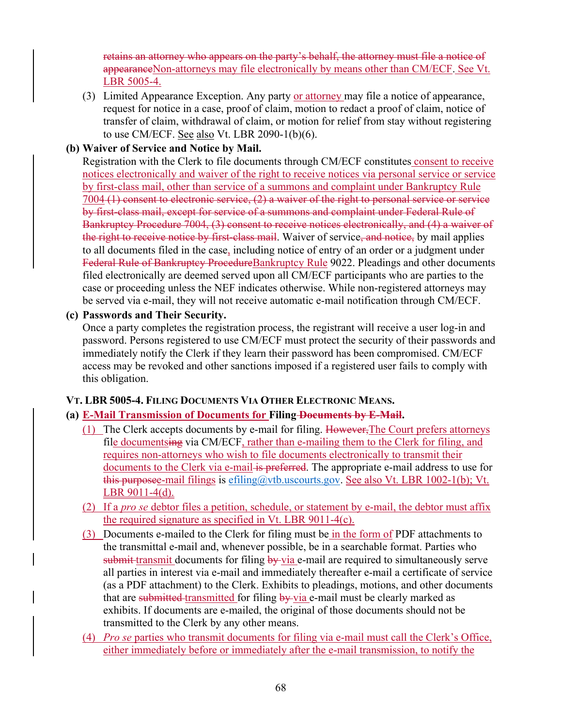retains an attorney who appears on the party's behalf, the attorney must file a notice of appearanceNon-attorneys may file electronically by means other than CM/ECF. See Vt. LBR 5005-4.

(3) Limited Appearance Exception. Any party or attorney may file a notice of appearance, request for notice in a case, proof of claim, motion to redact a proof of claim, notice of transfer of claim, withdrawal of claim, or motion for relief from stay without registering to use CM/ECF. See also Vt. LBR 2090-1(b)(6).

### **(b) Waiver of Service and Notice by Mail.**

Registration with the Clerk to file documents through CM/ECF constitutes consent to receive notices electronically and waiver of the right to receive notices via personal service or service by first-class mail, other than service of a summons and complaint under Bankruptcy Rule 7004 (1) consent to electronic service, (2) a waiver of the right to personal service or service by first-class mail, except for service of a summons and complaint under Federal Rule of Bankruptcy Procedure 7004, (3) consent to receive notices electronically, and (4) a waiver of the right to receive notice by first-class mail. Waiver of service, and notice, by mail applies to all documents filed in the case, including notice of entry of an order or a judgment under Federal Rule of Bankruptcy ProcedureBankruptcy Rule 9022. Pleadings and other documents filed electronically are deemed served upon all CM/ECF participants who are parties to the case or proceeding unless the NEF indicates otherwise. While non-registered attorneys may be served via e-mail, they will not receive automatic e-mail notification through CM/ECF.

#### **(c) Passwords and Their Security.**

Once a party completes the registration process, the registrant will receive a user log-in and password. Persons registered to use CM/ECF must protect the security of their passwords and immediately notify the Clerk if they learn their password has been compromised. CM/ECF access may be revoked and other sanctions imposed if a registered user fails to comply with this obligation.

## **VT. LBR 5005-4. FILING DOCUMENTS VIA OTHER ELECTRONIC MEANS.**

#### **(a) E-Mail Transmission of Documents for Filing Documents by E-Mail.**

- (1) The Clerk accepts documents by e-mail for filing. However,The Court prefers attorneys file documentsing via CM/ECF, rather than e-mailing them to the Clerk for filing, and requires non-attorneys who wish to file documents electronically to transmit their documents to the Clerk via e-mail is preferred. The appropriate e-mail address to use for this purposee-mail filings is efiling@vtb.uscourts.gov. See also Vt. LBR 1002-1(b); Vt. LBR 9011-4(d).
- (2) If a *pro se* debtor files a petition, schedule, or statement by e-mail, the debtor must affix the required signature as specified in Vt. LBR 9011-4(c).
- (3) Documents e-mailed to the Clerk for filing must be in the form of PDF attachments to the transmittal e-mail and, whenever possible, be in a searchable format. Parties who  $s$ ubmit transmit documents for filing by via e-mail are required to simultaneously serve all parties in interest via e-mail and immediately thereafter e-mail a certificate of service (as a PDF attachment) to the Clerk. Exhibits to pleadings, motions, and other documents that are submitted transmitted for filing by via e-mail must be clearly marked as exhibits. If documents are e-mailed, the original of those documents should not be transmitted to the Clerk by any other means.
- (4) *Pro se* parties who transmit documents for filing via e-mail must call the Clerk's Office, either immediately before or immediately after the e-mail transmission, to notify the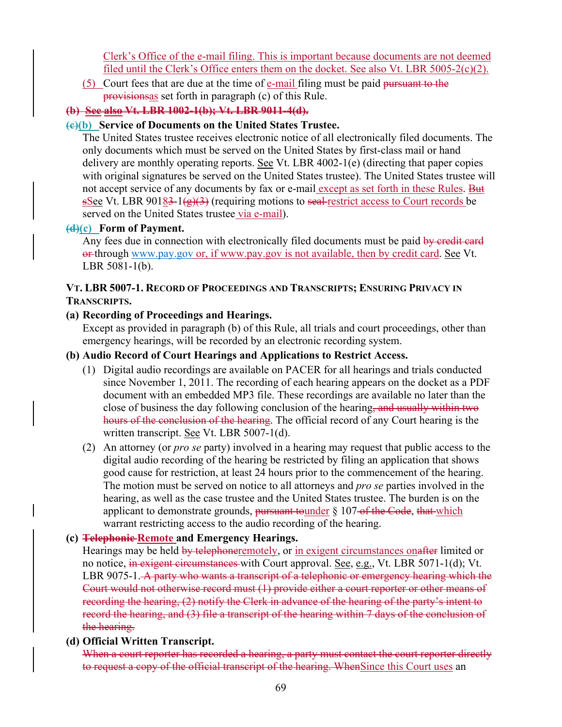Clerk's Office of the e-mail filing. This is important because documents are not deemed filed until the Clerk's Office enters them on the docket. See also Vt. LBR 5005-2(c)(2).

(5) Court fees that are due at the time of e-mail filing must be paid pursuant to the provisionsas set forth in paragraph (c) of this Rule.

# **(b) See also Vt. LBR 1002-1(b); Vt. LBR 9011-4(d).**

## **(c)(b) Service of Documents on the United States Trustee.**

The United States trustee receives electronic notice of all electronically filed documents. The only documents which must be served on the United States by first-class mail or hand delivery are monthly operating reports. See Vt. LBR 4002-1(e) (directing that paper copies with original signatures be served on the United States trustee). The United States trustee will not accept service of any documents by fax or e-mail except as set forth in these Rules. But sSee Vt. LBR 90183-1( $\frac{g}{3}$ ) (requiring motions to seal-restrict access to Court records be served on the United States trustee via e-mail).

## **(d)(c) Form of Payment.**

Any fees due in connection with electronically filed documents must be paid by credit card or through www.pay.gov or, if www.pay.gov is not available, then by credit card. See Vt. LBR 5081-1(b).

### **VT. LBR 5007-1. RECORD OF PROCEEDINGS AND TRANSCRIPTS; ENSURING PRIVACY IN TRANSCRIPTS.**

## **(a) Recording of Proceedings and Hearings.**

Except as provided in paragraph (b) of this Rule, all trials and court proceedings, other than emergency hearings, will be recorded by an electronic recording system.

## **(b) Audio Record of Court Hearings and Applications to Restrict Access.**

- (1) Digital audio recordings are available on PACER for all hearings and trials conducted since November 1, 2011. The recording of each hearing appears on the docket as a PDF document with an embedded MP3 file. These recordings are available no later than the close of business the day following conclusion of the hearing, and usually within two hours of the conclusion of the hearing. The official record of any Court hearing is the written transcript. See Vt. LBR 5007-1(d).
- (2) An attorney (or *pro se* party) involved in a hearing may request that public access to the digital audio recording of the hearing be restricted by filing an application that shows good cause for restriction, at least 24 hours prior to the commencement of the hearing. The motion must be served on notice to all attorneys and *pro se* parties involved in the hearing, as well as the case trustee and the United States trustee. The burden is on the applicant to demonstrate grounds, pursuant tounder § 107-of the Code, that which warrant restricting access to the audio recording of the hearing.

## **(c) Telephonic Remote and Emergency Hearings.**

Hearings may be held by telephoneremotely, or in exigent circumstances on after limited or no notice, in exigent circumstances with Court approval. See, e.g., Vt. LBR 5071-1(d); Vt. LBR 9075-1. A party who wants a transcript of a telephonic or emergency hearing which the Court would not otherwise record must (1) provide either a court reporter or other means of recording the hearing, (2) notify the Clerk in advance of the hearing of the party's intent to record the hearing, and (3) file a transcript of the hearing within 7 days of the conclusion of the hearing.

## **(d) Official Written Transcript.**

When a court reporter has recorded a hearing, a party must contact the court reporter directly to request a copy of the official transcript of the hearing. When Since this Court uses an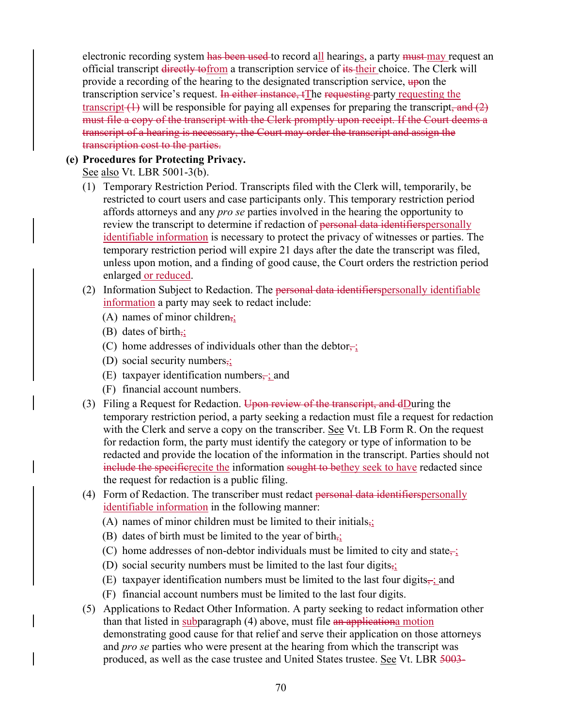electronic recording system has been used to record all hearings, a party must may request an official transcript directly tofrom a transcription service of its their choice. The Clerk will provide a recording of the hearing to the designated transcription service, upon the transcription service's request. In either instance, tThe requesting party requesting the transcript  $(1)$  will be responsible for paying all expenses for preparing the transcript, and  $(2)$ must file a copy of the transcript with the Clerk promptly upon receipt. If the Court deems a transcript of a hearing is necessary, the Court may order the transcript and assign the transcription cost to the parties.

## **(e) Procedures for Protecting Privacy.**

See also Vt. LBR 5001-3(b).

- (1) Temporary Restriction Period. Transcripts filed with the Clerk will, temporarily, be restricted to court users and case participants only. This temporary restriction period affords attorneys and any *pro se* parties involved in the hearing the opportunity to review the transcript to determine if redaction of personal data identifierspersonally identifiable information is necessary to protect the privacy of witnesses or parties. The temporary restriction period will expire 21 days after the date the transcript was filed, unless upon motion, and a finding of good cause, the Court orders the restriction period enlarged or reduced.
- (2) Information Subject to Redaction. The personal data identifierspersonally identifiable information a party may seek to redact include:
	- (A) names of minor children,;
	- (B) dates of birth $\frac{1}{2}$ ;
	- (C) home addresses of individuals other than the debtor $\frac{1}{x}$ .
	- (D) social security numbers,;
	- (E) taxpayer identification numbers $\div$ ; and
	- (F) financial account numbers.
- (3) Filing a Request for Redaction. Upon review of the transcript, and dDuring the temporary restriction period, a party seeking a redaction must file a request for redaction with the Clerk and serve a copy on the transcriber. See Vt. LB Form R. On the request for redaction form, the party must identify the category or type of information to be redacted and provide the location of the information in the transcript. Parties should not include the specificative the information sought to bethey seek to have redacted since the request for redaction is a public filing.
- (4) Form of Redaction. The transcriber must redact personal data identifiers personally identifiable information in the following manner:
	- (A) names of minor children must be limited to their initials $\frac{1}{2}$ ;
	- (B) dates of birth must be limited to the year of birth $\frac{1}{2}$ ;
	- (C) home addresses of non-debtor individuals must be limited to city and state $\overline{\phantom{a}}$ ;
	- (D) social security numbers must be limited to the last four digits $\frac{1}{2}$ ;
	- (E) taxpayer identification numbers must be limited to the last four digits $\frac{1}{2}$ ; and
	- (F) financial account numbers must be limited to the last four digits.
- (5) Applications to Redact Other Information. A party seeking to redact information other than that listed in subparagraph (4) above, must file an applicationa motion demonstrating good cause for that relief and serve their application on those attorneys and *pro se* parties who were present at the hearing from which the transcript was produced, as well as the case trustee and United States trustee. See Vt. LBR 5003-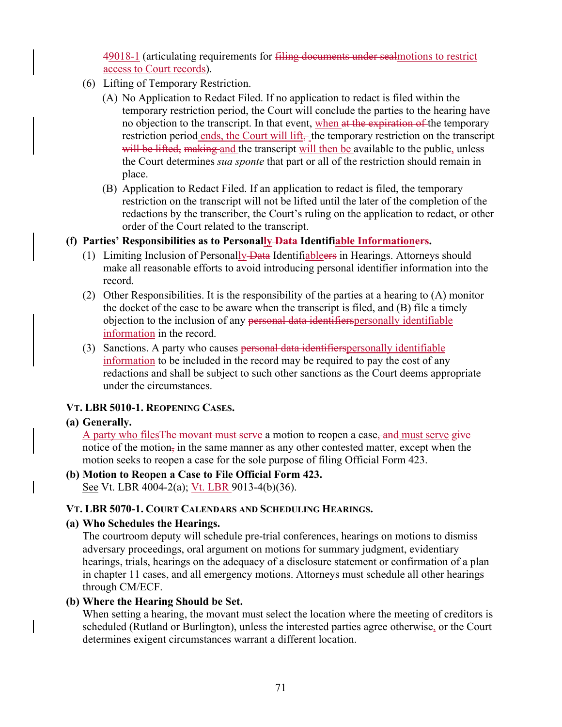49018-1 (articulating requirements for filing documents under sealmotions to restrict access to Court records).

- (6) Lifting of Temporary Restriction.
	- (A) No Application to Redact Filed. If no application to redact is filed within the temporary restriction period, the Court will conclude the parties to the hearing have no objection to the transcript. In that event, when at the expiration of the temporary restriction period ends, the Court will lift $_{\overline{r}}$  the temporary restriction on the transcript will be lifted, making and the transcript will then be available to the public, unless the Court determines *sua sponte* that part or all of the restriction should remain in place.
	- (B) Application to Redact Filed. If an application to redact is filed, the temporary restriction on the transcript will not be lifted until the later of the completion of the redactions by the transcriber, the Court's ruling on the application to redact, or other order of the Court related to the transcript.
- **(f) Parties' Responsibilities as to Personally Data Identifiable Informationers.** 
	- (1) Limiting Inclusion of Personally Data Identifiables in Hearings. Attorneys should make all reasonable efforts to avoid introducing personal identifier information into the record.
	- (2) Other Responsibilities. It is the responsibility of the parties at a hearing to (A) monitor the docket of the case to be aware when the transcript is filed, and (B) file a timely objection to the inclusion of any personal data identifiers personally identifiable information in the record.
	- (3) Sanctions. A party who causes personal data identifiers personally identifiable information to be included in the record may be required to pay the cost of any redactions and shall be subject to such other sanctions as the Court deems appropriate under the circumstances.

#### **VT. LBR 5010-1. REOPENING CASES.**

#### **(a) Generally.**

A party who files The movant must serve a motion to reopen a case, and must serve give notice of the motion, in the same manner as any other contested matter, except when the motion seeks to reopen a case for the sole purpose of filing Official Form 423.

#### **(b) Motion to Reopen a Case to File Official Form 423.**  See Vt. LBR 4004-2(a); <u>Vt. LBR 9013-4(b)</u>(36).

#### **VT. LBR 5070-1. COURT CALENDARS AND SCHEDULING HEARINGS.**

#### **(a) Who Schedules the Hearings.**

The courtroom deputy will schedule pre-trial conferences, hearings on motions to dismiss adversary proceedings, oral argument on motions for summary judgment, evidentiary hearings, trials, hearings on the adequacy of a disclosure statement or confirmation of a plan in chapter 11 cases, and all emergency motions. Attorneys must schedule all other hearings through CM/ECF.

#### **(b) Where the Hearing Should be Set.**

When setting a hearing, the movant must select the location where the meeting of creditors is scheduled (Rutland or Burlington), unless the interested parties agree otherwise, or the Court determines exigent circumstances warrant a different location.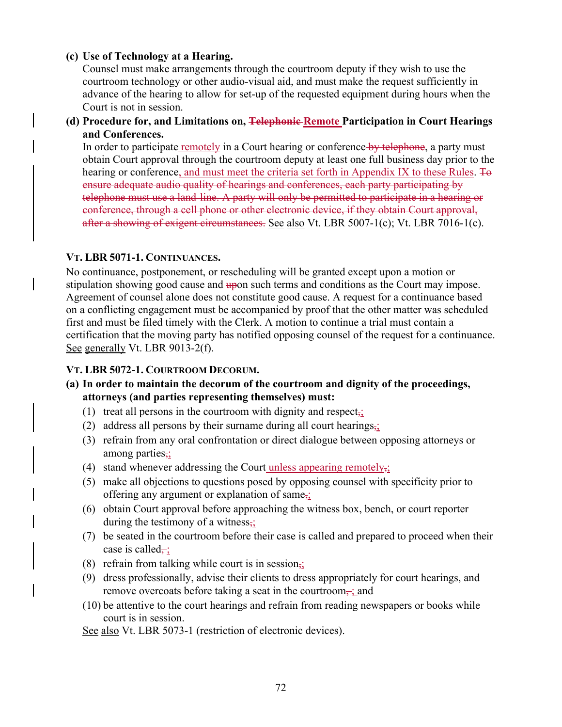#### **(c) Use of Technology at a Hearing.**

Counsel must make arrangements through the courtroom deputy if they wish to use the courtroom technology or other audio-visual aid, and must make the request sufficiently in advance of the hearing to allow for set-up of the requested equipment during hours when the Court is not in session.

**(d) Procedure for, and Limitations on, Telephonic Remote Participation in Court Hearings and Conferences.** 

In order to participate remotely in a Court hearing or conference by telephone, a party must obtain Court approval through the courtroom deputy at least one full business day prior to the hearing or conference, and must meet the criteria set forth in Appendix IX to these Rules. To ensure adequate audio quality of hearings and conferences, each party participating by telephone must use a land-line. A party will only be permitted to participate in a hearing or conference, through a cell phone or other electronic device, if they obtain Court approval, after a showing of exigent circumstances. See also Vt. LBR 5007-1(c); Vt. LBR 7016-1(c).

### **VT. LBR 5071-1. CONTINUANCES.**

No continuance, postponement, or rescheduling will be granted except upon a motion or stipulation showing good cause and upon such terms and conditions as the Court may impose. Agreement of counsel alone does not constitute good cause. A request for a continuance based on a conflicting engagement must be accompanied by proof that the other matter was scheduled first and must be filed timely with the Clerk. A motion to continue a trial must contain a certification that the moving party has notified opposing counsel of the request for a continuance. See generally Vt. LBR 9013-2(f).

## **VT. LBR 5072-1. COURTROOM DECORUM.**

- **(a) In order to maintain the decorum of the courtroom and dignity of the proceedings, attorneys (and parties representing themselves) must:** 
	- (1) treat all persons in the courtroom with dignity and respect,;
	- (2) address all persons by their surname during all court hearings,;
	- (3) refrain from any oral confrontation or direct dialogue between opposing attorneys or among parties,;
	- (4) stand whenever addressing the Court unless appearing remotely $\frac{1}{2}$ ;
	- (5) make all objections to questions posed by opposing counsel with specificity prior to offering any argument or explanation of same<sub>52</sub>
	- (6) obtain Court approval before approaching the witness box, bench, or court reporter during the testimony of a witness,;
	- (7) be seated in the courtroom before their case is called and prepared to proceed when their case is called $\div$ ;
	- (8) refrain from talking while court is in session<sub>5</sub>;
	- (9) dress professionally, advise their clients to dress appropriately for court hearings, and remove overcoats before taking a seat in the courtroom $\frac{1}{x}$ ; and
	- (10) be attentive to the court hearings and refrain from reading newspapers or books while court is in session.
	- See also Vt. LBR 5073-1 (restriction of electronic devices).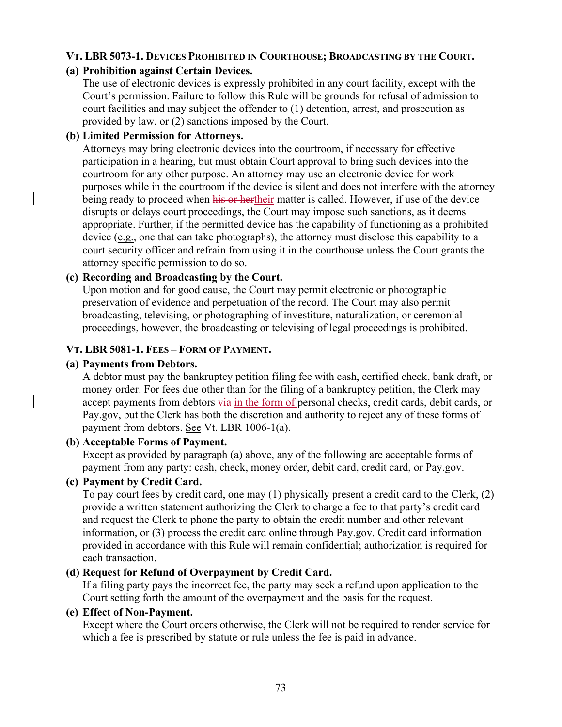# **VT. LBR 5073-1. DEVICES PROHIBITED IN COURTHOUSE; BROADCASTING BY THE COURT.**

# **(a) Prohibition against Certain Devices.**

The use of electronic devices is expressly prohibited in any court facility, except with the Court's permission. Failure to follow this Rule will be grounds for refusal of admission to court facilities and may subject the offender to (1) detention, arrest, and prosecution as provided by law, or (2) sanctions imposed by the Court.

# **(b) Limited Permission for Attorneys.**

Attorneys may bring electronic devices into the courtroom, if necessary for effective participation in a hearing, but must obtain Court approval to bring such devices into the courtroom for any other purpose. An attorney may use an electronic device for work purposes while in the courtroom if the device is silent and does not interfere with the attorney being ready to proceed when his or hertheir matter is called. However, if use of the device disrupts or delays court proceedings, the Court may impose such sanctions, as it deems appropriate. Further, if the permitted device has the capability of functioning as a prohibited device  $(e.g.,)$  one that can take photographs), the attorney must disclose this capability to a court security officer and refrain from using it in the courthouse unless the Court grants the attorney specific permission to do so.

# **(c) Recording and Broadcasting by the Court.**

Upon motion and for good cause, the Court may permit electronic or photographic preservation of evidence and perpetuation of the record. The Court may also permit broadcasting, televising, or photographing of investiture, naturalization, or ceremonial proceedings, however, the broadcasting or televising of legal proceedings is prohibited.

# **VT. LBR 5081-1. FEES – FORM OF PAYMENT.**

# **(a) Payments from Debtors.**

A debtor must pay the bankruptcy petition filing fee with cash, certified check, bank draft, or money order. For fees due other than for the filing of a bankruptcy petition, the Clerk may accept payments from debtors via in the form of personal checks, credit cards, debit cards, or Pay.gov, but the Clerk has both the discretion and authority to reject any of these forms of payment from debtors. See Vt. LBR 1006-1(a).

## **(b) Acceptable Forms of Payment.**

Except as provided by paragraph (a) above, any of the following are acceptable forms of payment from any party: cash, check, money order, debit card, credit card, or Pay.gov.

# **(c) Payment by Credit Card.**

To pay court fees by credit card, one may (1) physically present a credit card to the Clerk, (2) provide a written statement authorizing the Clerk to charge a fee to that party's credit card and request the Clerk to phone the party to obtain the credit number and other relevant information, or (3) process the credit card online through Pay.gov. Credit card information provided in accordance with this Rule will remain confidential; authorization is required for each transaction.

# **(d) Request for Refund of Overpayment by Credit Card.**

If a filing party pays the incorrect fee, the party may seek a refund upon application to the Court setting forth the amount of the overpayment and the basis for the request.

## **(e) Effect of Non-Payment.**

Except where the Court orders otherwise, the Clerk will not be required to render service for which a fee is prescribed by statute or rule unless the fee is paid in advance.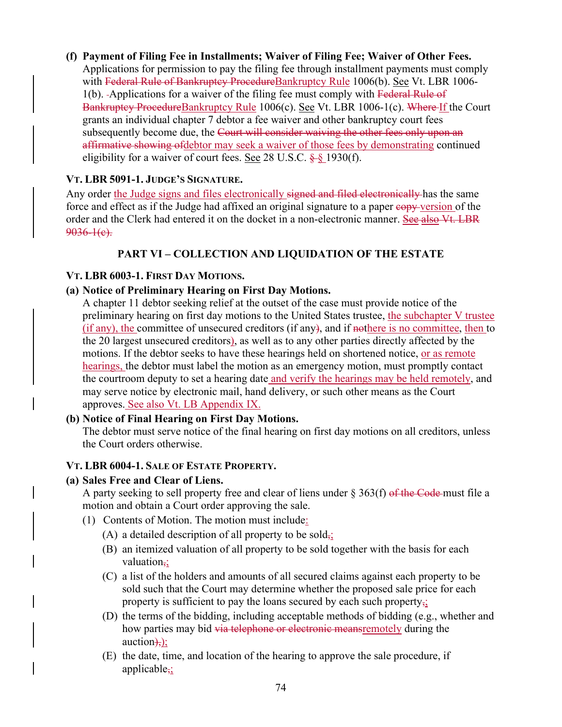### **(f) Payment of Filing Fee in Installments; Waiver of Filing Fee; Waiver of Other Fees.**  Applications for permission to pay the filing fee through installment payments must comply with Federal Rule of Bankruptey ProcedureBankruptcy Rule 1006(b). See Vt. LBR 1006-1(b). Applications for a waiver of the filing fee must comply with Federal Rule of Bankruptcy ProcedureBankruptcy Rule 1006(c). See Vt. LBR 1006-1(c). Where If the Court grants an individual chapter 7 debtor a fee waiver and other bankruptcy court fees subsequently become due, the Court will consider waiving the other fees only upon an affirmative showing of debtor may seek a waiver of those fees by demonstrating continued eligibility for a waiver of court fees. See 28 U.S.C.  $\frac{1}{2}$  § 1930(f).

# **VT. LBR 5091-1. JUDGE'S SIGNATURE.**

Any order the Judge signs and files electronically signed and filed electronically has the same force and effect as if the Judge had affixed an original signature to a paper copy version of the order and the Clerk had entered it on the docket in a non-electronic manner. See also Vt. LBR  $9036-1(e)$ .

# **PART VI – COLLECTION AND LIQUIDATION OF THE ESTATE**

# **VT. LBR 6003-1. FIRST DAY MOTIONS.**

# **(a) Notice of Preliminary Hearing on First Day Motions.**

A chapter 11 debtor seeking relief at the outset of the case must provide notice of the preliminary hearing on first day motions to the United States trustee, the subchapter V trustee (if any), the committee of unsecured creditors (if any), and if nothere is no committee, then to the 20 largest unsecured creditors), as well as to any other parties directly affected by the motions. If the debtor seeks to have these hearings held on shortened notice, or as remote hearings, the debtor must label the motion as an emergency motion, must promptly contact the courtroom deputy to set a hearing date and verify the hearings may be held remotely, and may serve notice by electronic mail, hand delivery, or such other means as the Court approves. See also Vt. LB Appendix IX.

## **(b) Notice of Final Hearing on First Day Motions.**

The debtor must serve notice of the final hearing on first day motions on all creditors, unless the Court orders otherwise.

## **VT. LBR 6004-1. SALE OF ESTATE PROPERTY.**

## **(a) Sales Free and Clear of Liens.**

A party seeking to sell property free and clear of liens under  $\S 363(f)$  of the Code must file a motion and obtain a Court order approving the sale.

- (1) Contents of Motion. The motion must include:
	- (A) a detailed description of all property to be sold $\frac{1}{2}$ .
	- (B) an itemized valuation of all property to be sold together with the basis for each valuation.:
	- (C) a list of the holders and amounts of all secured claims against each property to be sold such that the Court may determine whether the proposed sale price for each property is sufficient to pay the loans secured by each such property,;
	- (D) the terms of the bidding, including acceptable methods of bidding (e.g., whether and how parties may bid via telephone or electronic means remotely during the  $\arctan\frac{1}{2}$ ;
	- (E) the date, time, and location of the hearing to approve the sale procedure, if applicable,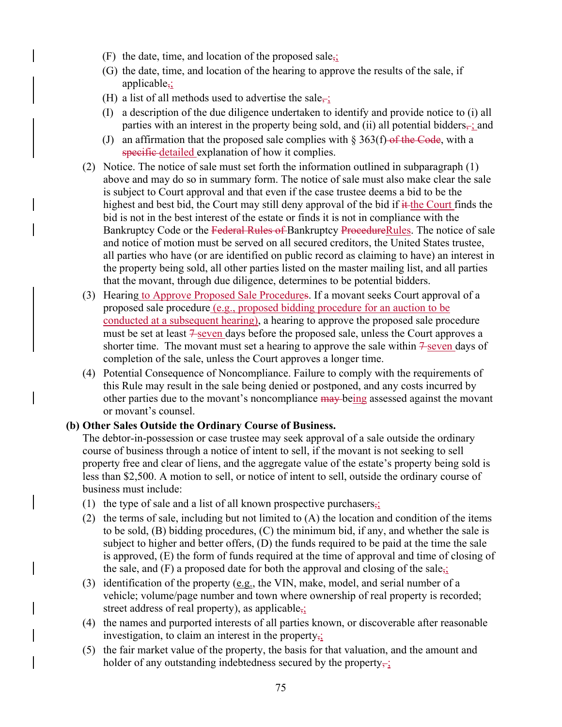- (F) the date, time, and location of the proposed sale<sub> $\overline{z}$ </sub>;
- (G) the date, time, and location of the hearing to approve the results of the sale, if applicable,
- (H) a list of all methods used to advertise the sale $\div$ ;
- (I) a description of the due diligence undertaken to identify and provide notice to (i) all parties with an interest in the property being sold, and (ii) all potential bidders $\frac{1}{x}$  and
- (J) an affirmation that the proposed sale complies with  $\S 363(f)$  of the Code, with a specific-detailed explanation of how it complies.
- (2) Notice. The notice of sale must set forth the information outlined in subparagraph (1) above and may do so in summary form. The notice of sale must also make clear the sale is subject to Court approval and that even if the case trustee deems a bid to be the highest and best bid, the Court may still deny approval of the bid if  $\#$  the Court finds the bid is not in the best interest of the estate or finds it is not in compliance with the Bankruptcy Code or the Federal Rules of Bankruptcy ProcedureRules. The notice of sale and notice of motion must be served on all secured creditors, the United States trustee, all parties who have (or are identified on public record as claiming to have) an interest in the property being sold, all other parties listed on the master mailing list, and all parties that the movant, through due diligence, determines to be potential bidders.
- (3) Hearing to Approve Proposed Sale Procedures. If a movant seeks Court approval of a proposed sale procedure (e.g., proposed bidding procedure for an auction to be conducted at a subsequent hearing), a hearing to approve the proposed sale procedure must be set at least  $\frac{7}{5}$  seven days before the proposed sale, unless the Court approves a shorter time. The movant must set a hearing to approve the sale within  $\frac{2}{5}$  seven days of completion of the sale, unless the Court approves a longer time.
- (4) Potential Consequence of Noncompliance. Failure to comply with the requirements of this Rule may result in the sale being denied or postponed, and any costs incurred by other parties due to the movant's noncompliance may being assessed against the movant or movant's counsel.

#### **(b) Other Sales Outside the Ordinary Course of Business.**

The debtor-in-possession or case trustee may seek approval of a sale outside the ordinary course of business through a notice of intent to sell, if the movant is not seeking to sell property free and clear of liens, and the aggregate value of the estate's property being sold is less than \$2,500. A motion to sell, or notice of intent to sell, outside the ordinary course of business must include:

- (1) the type of sale and a list of all known prospective purchasers,;
- (2) the terms of sale, including but not limited to  $(A)$  the location and condition of the items to be sold, (B) bidding procedures, (C) the minimum bid, if any, and whether the sale is subject to higher and better offers, (D) the funds required to be paid at the time the sale is approved, (E) the form of funds required at the time of approval and time of closing of the sale, and  $(F)$  a proposed date for both the approval and closing of the sale<sub>5</sub>;
- (3) identification of the property (e.g., the VIN, make, model, and serial number of a vehicle; volume/page number and town where ownership of real property is recorded; street address of real property), as applicable,
- (4) the names and purported interests of all parties known, or discoverable after reasonable investigation, to claim an interest in the property,;
- (5) the fair market value of the property, the basis for that valuation, and the amount and holder of any outstanding indebtedness secured by the property $\frac{1}{2}$ .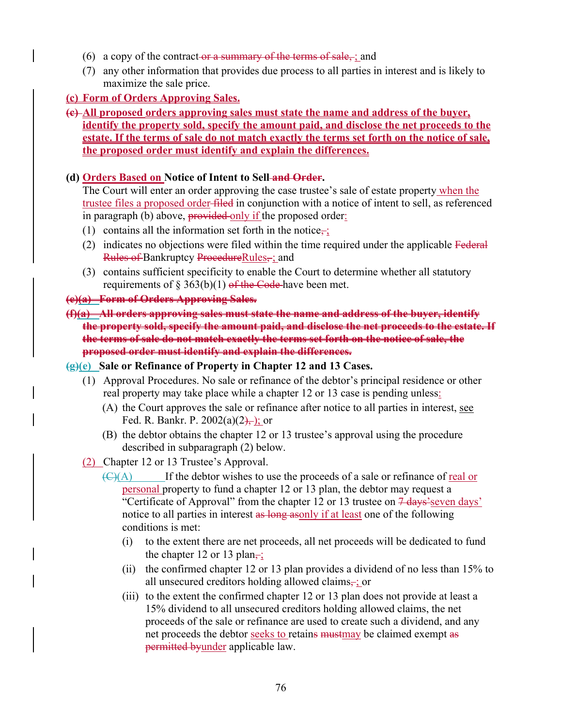- (6) a copy of the contract-or a summary of the terms of sale, ; and
- (7) any other information that provides due process to all parties in interest and is likely to maximize the sale price.

# **(c) Form of Orders Approving Sales.**

**(c) All proposed orders approving sales must state the name and address of the buyer, identify the property sold, specify the amount paid, and disclose the net proceeds to the estate. If the terms of sale do not match exactly the terms set forth on the notice of sale, the proposed order must identify and explain the differences.** 

# **(d) Orders Based on Notice of Intent to Sell and Order.**

The Court will enter an order approving the case trustee's sale of estate property when the trustee files a proposed order filed in conjunction with a notice of intent to sell, as referenced in paragraph (b) above, provided only if the proposed order:

- (1) contains all the information set forth in the notice $\overline{\mathbf{r}}$ ;
- (2) indicates no objections were filed within the time required under the applicable Federal Rules of Bankruptcy ProcedureRules, ; and
- (3) contains sufficient specificity to enable the Court to determine whether all statutory requirements of § 363(b)(1) of the Code-have been met.

### **(e)(a) Form of Orders Approving Sales.**

**(f)(a) All orders approving sales must state the name and address of the buyer, identify the property sold, specify the amount paid, and disclose the net proceeds to the estate. If the terms of sale do not match exactly the terms set forth on the notice of sale, the proposed order must identify and explain the differences.** 

#### **(g)(e) Sale or Refinance of Property in Chapter 12 and 13 Cases.**

- (1) Approval Procedures. No sale or refinance of the debtor's principal residence or other real property may take place while a chapter 12 or 13 case is pending unless:
	- (A) the Court approves the sale or refinance after notice to all parties in interest, see Fed. R. Bankr. P.  $2002(a)(2)$ , ; or
	- (B) the debtor obtains the chapter 12 or 13 trustee's approval using the procedure described in subparagraph (2) below.
- (2) Chapter 12 or 13 Trustee's Approval.
	- $\overline{(C)(A)}$  If the debtor wishes to use the proceeds of a sale or refinance of real or personal property to fund a chapter 12 or 13 plan, the debtor may request a "Certificate of Approval" from the chapter 12 or 13 trustee on  $\frac{7 \text{ days}}{\text{seven days}}$ notice to all parties in interest as long asonly if at least one of the following conditions is met:
		- (i) to the extent there are net proceeds, all net proceeds will be dedicated to fund the chapter 12 or 13 plan–;
		- (ii) the confirmed chapter 12 or 13 plan provides a dividend of no less than 15% to all unsecured creditors holding allowed claims, ; or
		- (iii) to the extent the confirmed chapter 12 or 13 plan does not provide at least a 15% dividend to all unsecured creditors holding allowed claims, the net proceeds of the sale or refinance are used to create such a dividend, and any net proceeds the debtor seeks to retains mustmay be claimed exempt as permitted byunder applicable law.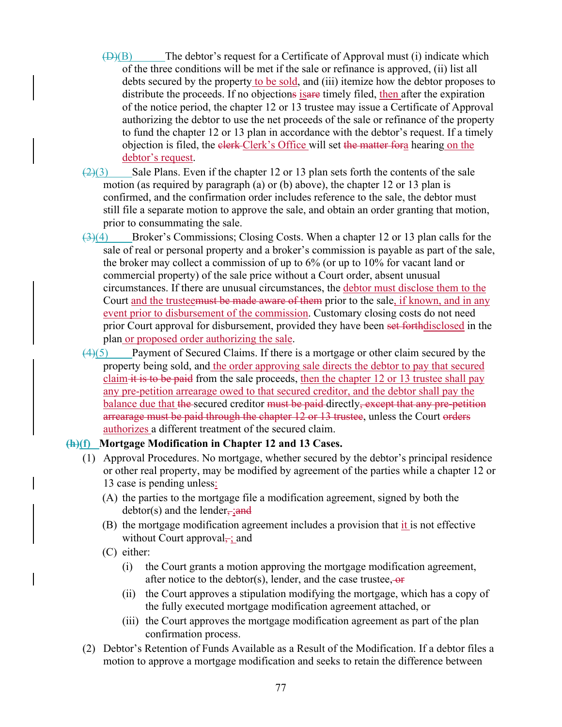- $(\bigoplus)(B)$  The debtor's request for a Certificate of Approval must (i) indicate which of the three conditions will be met if the sale or refinance is approved, (ii) list all debts secured by the property to be sold, and (iii) itemize how the debtor proposes to distribute the proceeds. If no objections is a timely filed, then after the expiration of the notice period, the chapter 12 or 13 trustee may issue a Certificate of Approval authorizing the debtor to use the net proceeds of the sale or refinance of the property to fund the chapter 12 or 13 plan in accordance with the debtor's request. If a timely objection is filed, the elerk-Clerk's Office will set the matter fora hearing on the debtor's request.
- $\left(\frac{2}{3}\right)$  Sale Plans. Even if the chapter 12 or 13 plan sets forth the contents of the sale motion (as required by paragraph (a) or (b) above), the chapter 12 or 13 plan is confirmed, and the confirmation order includes reference to the sale, the debtor must still file a separate motion to approve the sale, and obtain an order granting that motion, prior to consummating the sale.
- $\left(3\right)(4)$  Broker's Commissions; Closing Costs. When a chapter 12 or 13 plan calls for the sale of real or personal property and a broker's commission is payable as part of the sale, the broker may collect a commission of up to 6% (or up to 10% for vacant land or commercial property) of the sale price without a Court order, absent unusual circumstances. If there are unusual circumstances, the debtor must disclose them to the Court and the trusteemust be made aware of them prior to the sale, if known, and in any event prior to disbursement of the commission. Customary closing costs do not need prior Court approval for disbursement, provided they have been set forthdisclosed in the plan or proposed order authorizing the sale.
- (4)(5) Payment of Secured Claims. If there is a mortgage or other claim secured by the property being sold, and the order approving sale directs the debtor to pay that secured claim it is to be paid from the sale proceeds, then the chapter 12 or 13 trustee shall pay any pre-petition arrearage owed to that secured creditor, and the debtor shall pay the balance due that the secured creditor must be paid directly, except that any pre-petition arrearage must be paid through the chapter 12 or 13 trustee, unless the Court orders authorizes a different treatment of the secured claim.

#### **(h)(f) Mortgage Modification in Chapter 12 and 13 Cases.**

- (1) Approval Procedures. No mortgage, whether secured by the debtor's principal residence or other real property, may be modified by agreement of the parties while a chapter 12 or 13 case is pending unless:
	- (A) the parties to the mortgage file a modification agreement, signed by both the  $debtor(s)$  and the lender, ; and
	- (B) the mortgage modification agreement includes a provision that  $\underline{it}$  is not effective without Court approval $\div$ ; and
	- (C) either:
		- (i) the Court grants a motion approving the mortgage modification agreement, after notice to the debtor(s), lender, and the case trustee,  $-$ or
		- (ii) the Court approves a stipulation modifying the mortgage, which has a copy of the fully executed mortgage modification agreement attached, or
		- (iii) the Court approves the mortgage modification agreement as part of the plan confirmation process.
- (2) Debtor's Retention of Funds Available as a Result of the Modification. If a debtor files a motion to approve a mortgage modification and seeks to retain the difference between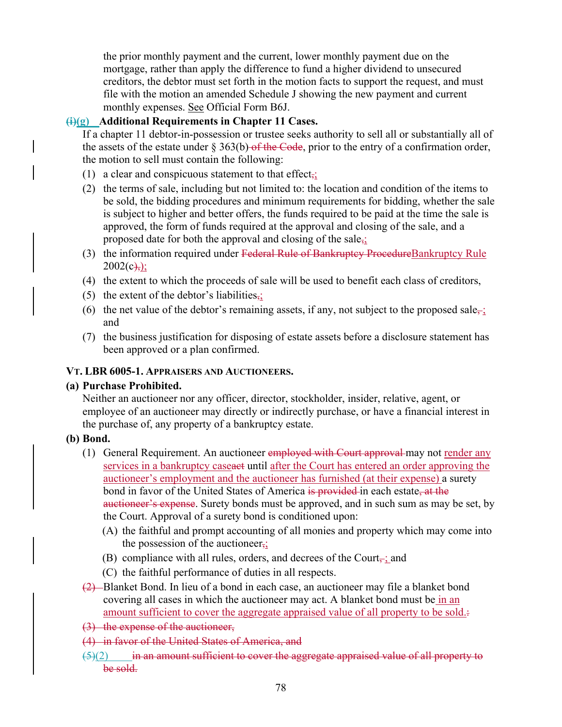the prior monthly payment and the current, lower monthly payment due on the mortgage, rather than apply the difference to fund a higher dividend to unsecured creditors, the debtor must set forth in the motion facts to support the request, and must file with the motion an amended Schedule J showing the new payment and current monthly expenses. See Official Form B6J.

#### **(i)(g) Additional Requirements in Chapter 11 Cases.**

If a chapter 11 debtor-in-possession or trustee seeks authority to sell all or substantially all of the assets of the estate under  $\S 363(b)$  of the Code, prior to the entry of a confirmation order, the motion to sell must contain the following:

- (1) a clear and conspicuous statement to that effect,;
- (2) the terms of sale, including but not limited to: the location and condition of the items to be sold, the bidding procedures and minimum requirements for bidding, whether the sale is subject to higher and better offers, the funds required to be paid at the time the sale is approved, the form of funds required at the approval and closing of the sale, and a proposed date for both the approval and closing of the sale,;
- (3) the information required under Federal Rule of Bankruptcy ProcedureBankruptcy Rule  $2002(c)$ ;
- (4) the extent to which the proceeds of sale will be used to benefit each class of creditors,
- (5) the extent of the debtor's liabilities,;
- (6) the net value of the debtor's remaining assets, if any, not subject to the proposed sale–; and
- (7) the business justification for disposing of estate assets before a disclosure statement has been approved or a plan confirmed.

#### **VT. LBR 6005-1. APPRAISERS AND AUCTIONEERS.**

#### **(a) Purchase Prohibited.**

Neither an auctioneer nor any officer, director, stockholder, insider, relative, agent, or employee of an auctioneer may directly or indirectly purchase, or have a financial interest in the purchase of, any property of a bankruptcy estate.

#### **(b) Bond.**

- (1) General Requirement. An auctioneer employed with Court approval may not render any services in a bankruptcy caseaset until after the Court has entered an order approving the auctioneer's employment and the auctioneer has furnished (at their expense) a surety bond in favor of the United States of America is provided in each estate, at the auctioneer's expense. Surety bonds must be approved, and in such sum as may be set, by the Court. Approval of a surety bond is conditioned upon:
	- (A) the faithful and prompt accounting of all monies and property which may come into the possession of the auctioneer,;
	- (B) compliance with all rules, orders, and decrees of the Court $\frac{1}{x}$  and
	- (C) the faithful performance of duties in all respects.
- (2) Blanket Bond. In lieu of a bond in each case, an auctioneer may file a blanket bond covering all cases in which the auctioneer may act. A blanket bond must be in an amount sufficient to cover the aggregate appraised value of all property to be sold.:
- (3) the expense of the auctioneer,
- (4) in favor of the United States of America, and
- $\frac{5}{2}$  in an amount sufficient to cover the aggregate appraised value of all property to be sold.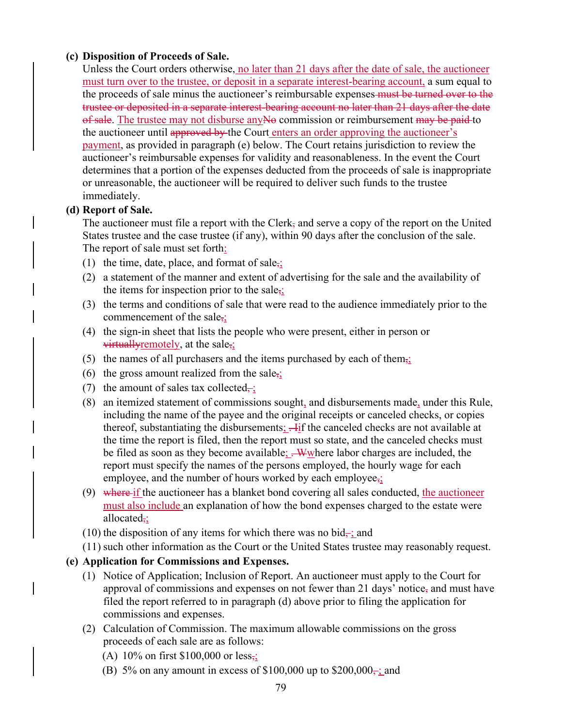## **(c) Disposition of Proceeds of Sale.**

Unless the Court orders otherwise, no later than 21 days after the date of sale, the auctioneer must turn over to the trustee, or deposit in a separate interest-bearing account, a sum equal to the proceeds of sale minus the auctioneer's reimbursable expenses must be turned over to the trustee or deposited in a separate interest-bearing account no later than 21 days after the date of sale. The trustee may not disburse any No commission or reimbursement may be paid to the auctioneer until approved by the Court enters an order approving the auctioneer's payment, as provided in paragraph (e) below. The Court retains jurisdiction to review the auctioneer's reimbursable expenses for validity and reasonableness. In the event the Court determines that a portion of the expenses deducted from the proceeds of sale is inappropriate or unreasonable, the auctioneer will be required to deliver such funds to the trustee immediately.

## **(d) Report of Sale.**

The auctioneer must file a report with the Clerk, and serve a copy of the report on the United States trustee and the case trustee (if any), within 90 days after the conclusion of the sale. The report of sale must set forth:

- (1) the time, date, place, and format of sale<sub> $\overline{5}$ </sub>;
- (2) a statement of the manner and extent of advertising for the sale and the availability of the items for inspection prior to the sale<sub>5</sub>;
- (3) the terms and conditions of sale that were read to the audience immediately prior to the commencement of the sale<sub>5</sub>;
- (4) the sign-in sheet that lists the people who were present, either in person or virtually remotely, at the sale<sub>i</sub>;
- (5) the names of all purchasers and the items purchased by each of them<sub> $\overline{1}$ </sub>;
- (6) the gross amount realized from the sale<sub>5</sub>;
- (7) the amount of sales tax collected $\frac{1}{x}$ ;
- (8) an itemized statement of commissions sought, and disbursements made, under this Rule, including the name of the payee and the original receipts or canceled checks, or copies thereof, substantiating the disbursements:  $\frac{1}{11}$  the canceled checks are not available at the time the report is filed, then the report must so state, and the canceled checks must be filed as soon as they become available;  $\frac{W}{w}$  where labor charges are included, the report must specify the names of the persons employed, the hourly wage for each employee, and the number of hours worked by each employee $\frac{1}{2}$ .
- (9) where if the auctioneer has a blanket bond covering all sales conducted, the auctioneer must also include an explanation of how the bond expenses charged to the estate were allocated,;
- (10) the disposition of any items for which there was no bid<sub> $\pm$ </sub> and
- (11) such other information as the Court or the United States trustee may reasonably request.

## **(e) Application for Commissions and Expenses.**

- (1) Notice of Application; Inclusion of Report. An auctioneer must apply to the Court for approval of commissions and expenses on not fewer than 21 days' notice, and must have filed the report referred to in paragraph (d) above prior to filing the application for commissions and expenses.
- (2) Calculation of Commission. The maximum allowable commissions on the gross proceeds of each sale are as follows:
	- (A) 10% on first \$100,000 or less<sub>7</sub>;
	- (B) 5% on any amount in excess of \$100,000 up to \$200,000 $\frac{1}{2}$  and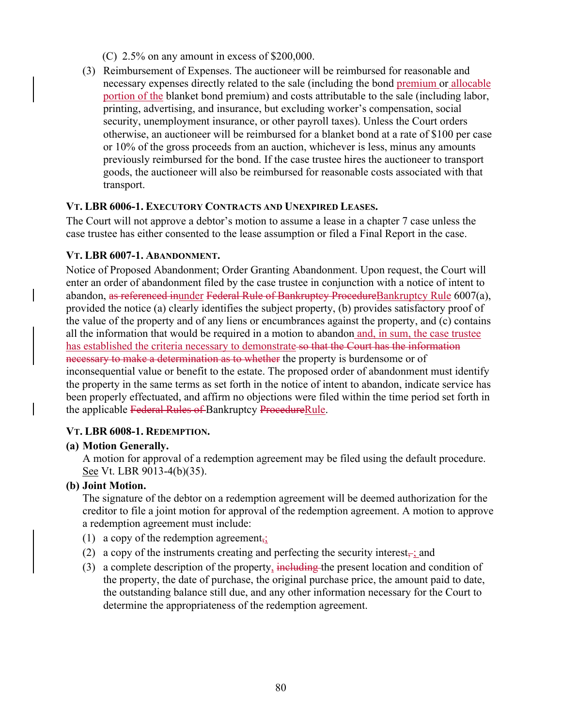(C) 2.5% on any amount in excess of \$200,000.

(3) Reimbursement of Expenses. The auctioneer will be reimbursed for reasonable and necessary expenses directly related to the sale (including the bond premium or allocable portion of the blanket bond premium) and costs attributable to the sale (including labor, printing, advertising, and insurance, but excluding worker's compensation, social security, unemployment insurance, or other payroll taxes). Unless the Court orders otherwise, an auctioneer will be reimbursed for a blanket bond at a rate of \$100 per case or 10% of the gross proceeds from an auction, whichever is less, minus any amounts previously reimbursed for the bond. If the case trustee hires the auctioneer to transport goods, the auctioneer will also be reimbursed for reasonable costs associated with that transport.

### **VT. LBR 6006-1. EXECUTORY CONTRACTS AND UNEXPIRED LEASES.**

The Court will not approve a debtor's motion to assume a lease in a chapter 7 case unless the case trustee has either consented to the lease assumption or filed a Final Report in the case.

### **VT. LBR 6007-1. ABANDONMENT.**

Notice of Proposed Abandonment; Order Granting Abandonment. Upon request, the Court will enter an order of abandonment filed by the case trustee in conjunction with a notice of intent to abandon, as referenced inunder Federal Rule of Bankruptcy ProcedureBankruptcy Rule 6007(a), provided the notice (a) clearly identifies the subject property, (b) provides satisfactory proof of the value of the property and of any liens or encumbrances against the property, and (c) contains all the information that would be required in a motion to abandon and, in sum, the case trustee has established the criteria necessary to demonstrate so that the Court has the information necessary to make a determination as to whether the property is burdensome or of inconsequential value or benefit to the estate. The proposed order of abandonment must identify the property in the same terms as set forth in the notice of intent to abandon, indicate service has been properly effectuated, and affirm no objections were filed within the time period set forth in the applicable Federal Rules of Bankruptcy ProcedureRule.

#### **VT. LBR 6008-1. REDEMPTION.**

#### **(a) Motion Generally.**

A motion for approval of a redemption agreement may be filed using the default procedure. See Vt. LBR 9013-4(b)(35).

## **(b) Joint Motion.**

The signature of the debtor on a redemption agreement will be deemed authorization for the creditor to file a joint motion for approval of the redemption agreement. A motion to approve a redemption agreement must include:

- (1) a copy of the redemption agreement<sub> $\frac{1}{2}$ </sub>
- (2) a copy of the instruments creating and perfecting the security interest $\frac{1}{x}$  and
- (3) a complete description of the property, including the present location and condition of the property, the date of purchase, the original purchase price, the amount paid to date, the outstanding balance still due, and any other information necessary for the Court to determine the appropriateness of the redemption agreement.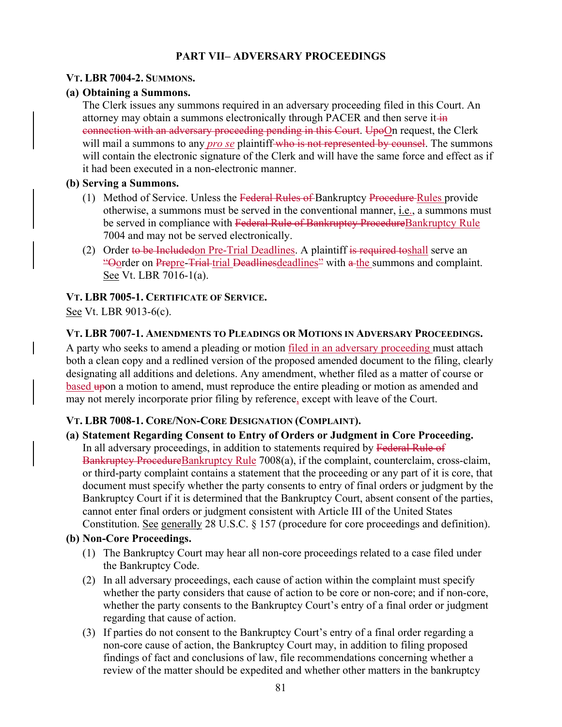# **PART VII– ADVERSARY PROCEEDINGS**

### **VT. LBR 7004-2. SUMMONS.**

### **(a) Obtaining a Summons.**

The Clerk issues any summons required in an adversary proceeding filed in this Court. An attorney may obtain a summons electronically through PACER and then serve it  $\frac{1}{n}$ connection with an adversary proceeding pending in this Court. UpoOn request, the Clerk will mail a summons to any *pro se* plaintiff who is not represented by counsel. The summons will contain the electronic signature of the Clerk and will have the same force and effect as if it had been executed in a non-electronic manner.

### **(b) Serving a Summons.**

- (1) Method of Service. Unless the Federal Rules of Bankruptcy Procedure Rules provide otherwise, a summons must be served in the conventional manner, i.e., a summons must be served in compliance with Federal Rule of Bankruptcy ProcedureBankruptcy Rule 7004 and may not be served electronically.
- (2) Order to be Includedon Pre-Trial Deadlines. A plaintiff is required to shall serve an "Oorder on Prepre-Trial trial Deadlinesdeadlines" with a the summons and complaint. See Vt. LBR 7016-1(a).

## **VT. LBR 7005-1. CERTIFICATE OF SERVICE.**

See Vt. LBR 9013-6(c).

### **VT. LBR 7007-1. AMENDMENTS TO PLEADINGS OR MOTIONS IN ADVERSARY PROCEEDINGS.**

A party who seeks to amend a pleading or motion filed in an adversary proceeding must attach both a clean copy and a redlined version of the proposed amended document to the filing, clearly designating all additions and deletions. Any amendment, whether filed as a matter of course or based upon a motion to amend, must reproduce the entire pleading or motion as amended and may not merely incorporate prior filing by reference, except with leave of the Court.

## **VT. LBR 7008-1. CORE/NON-CORE DESIGNATION (COMPLAINT).**

## **(a) Statement Regarding Consent to Entry of Orders or Judgment in Core Proceeding.**

In all adversary proceedings, in addition to statements required by Federal Rule of Bankruptcy ProcedureBankruptcy Rule 7008(a), if the complaint, counterclaim, cross-claim, or third-party complaint contains a statement that the proceeding or any part of it is core, that document must specify whether the party consents to entry of final orders or judgment by the Bankruptcy Court if it is determined that the Bankruptcy Court, absent consent of the parties, cannot enter final orders or judgment consistent with Article III of the United States Constitution. See generally 28 U.S.C. § 157 (procedure for core proceedings and definition).

#### **(b) Non-Core Proceedings.**

- (1) The Bankruptcy Court may hear all non-core proceedings related to a case filed under the Bankruptcy Code.
- (2) In all adversary proceedings, each cause of action within the complaint must specify whether the party considers that cause of action to be core or non-core; and if non-core, whether the party consents to the Bankruptcy Court's entry of a final order or judgment regarding that cause of action.
- (3) If parties do not consent to the Bankruptcy Court's entry of a final order regarding a non-core cause of action, the Bankruptcy Court may, in addition to filing proposed findings of fact and conclusions of law, file recommendations concerning whether a review of the matter should be expedited and whether other matters in the bankruptcy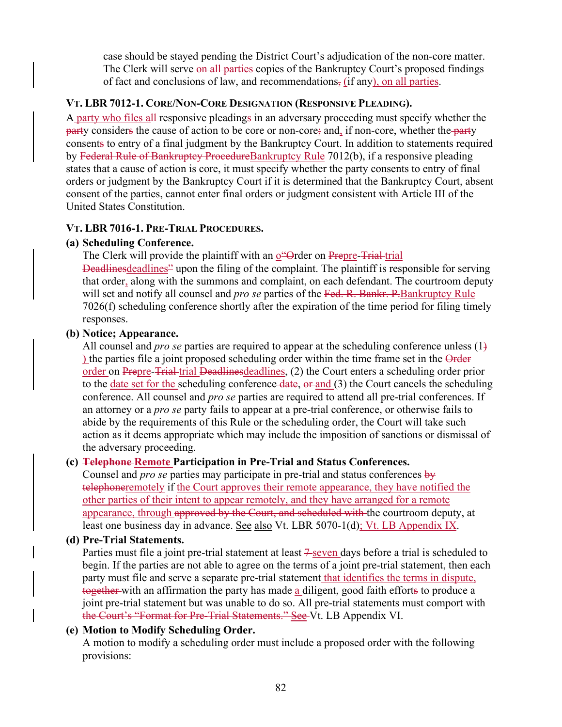case should be stayed pending the District Court's adjudication of the non-core matter. The Clerk will serve on all parties copies of the Bankruptcy Court's proposed findings of fact and conclusions of law, and recommendations, (if any), on all parties.

### **VT. LBR 7012-1. CORE/NON-CORE DESIGNATION (RESPONSIVE PLEADING).**

A party who files all responsive pleadings in an adversary proceeding must specify whether the party considers the cause of action to be core or non-core; and, if non-core, whether the party consents to entry of a final judgment by the Bankruptcy Court. In addition to statements required by Federal Rule of Bankruptcy ProcedureBankruptcy Rule 7012(b), if a responsive pleading states that a cause of action is core, it must specify whether the party consents to entry of final orders or judgment by the Bankruptcy Court if it is determined that the Bankruptcy Court, absent consent of the parties, cannot enter final orders or judgment consistent with Article III of the United States Constitution.

### **VT. LBR 7016-1. PRE-TRIAL PROCEDURES.**

### **(a) Scheduling Conference.**

The Clerk will provide the plaintiff with an over-Deadlinesdeadlines<sup>2</sup> upon the filing of the complaint. The plaintiff is responsible for serving that order, along with the summons and complaint, on each defendant. The courtroom deputy will set and notify all counsel and *pro se* parties of the Fed. R. Bankr. P.Bankruptcy Rule 7026(f) scheduling conference shortly after the expiration of the time period for filing timely responses.

### **(b) Notice; Appearance.**

All counsel and *pro se* parties are required to appear at the scheduling conference unless (1) ) the parties file a joint proposed scheduling order within the time frame set in the Order order on Prepre-Trial trial Deadlines deadlines, (2) the Court enters a scheduling order prior to the date set for the scheduling conference-date, or and (3) the Court cancels the scheduling conference. All counsel and *pro se* parties are required to attend all pre-trial conferences. If an attorney or a *pro se* party fails to appear at a pre-trial conference, or otherwise fails to abide by the requirements of this Rule or the scheduling order, the Court will take such action as it deems appropriate which may include the imposition of sanctions or dismissal of the adversary proceeding.

## **(c) Telephone Remote Participation in Pre-Trial and Status Conferences.**

Counsel and *pro se* parties may participate in pre-trial and status conferences by telephoneremotely if the Court approves their remote appearance, they have notified the other parties of their intent to appear remotely, and they have arranged for a remote appearance, through approved by the Court, and scheduled with the courtroom deputy, at least one business day in advance. See also Vt. LBR 5070-1(d); Vt. LB Appendix IX.

#### **(d) Pre-Trial Statements.**

Parties must file a joint pre-trial statement at least  $\frac{1}{2}$ -seven days before a trial is scheduled to begin. If the parties are not able to agree on the terms of a joint pre-trial statement, then each party must file and serve a separate pre-trial statement that identifies the terms in dispute, together with an affirmation the party has made a diligent, good faith efforts to produce a joint pre-trial statement but was unable to do so. All pre-trial statements must comport with the Court's "Format for Pre-Trial Statements." See Vt. LB Appendix VI.

## **(e) Motion to Modify Scheduling Order.**

A motion to modify a scheduling order must include a proposed order with the following provisions: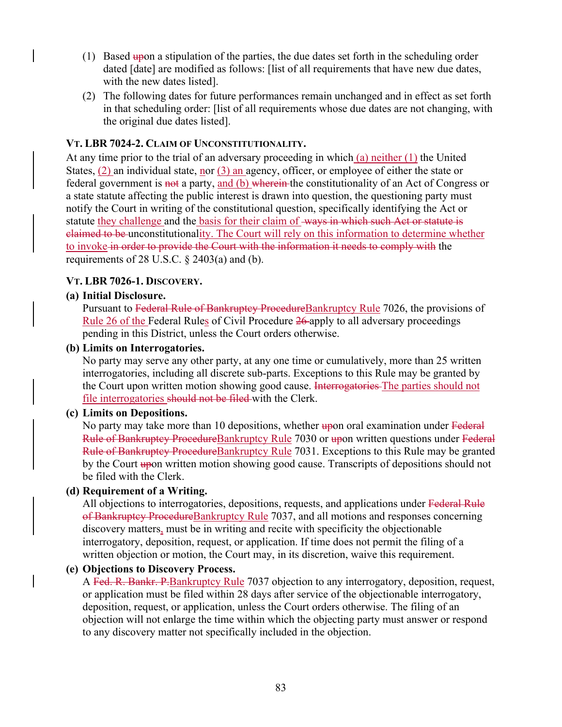- $(1)$  Based upon a stipulation of the parties, the due dates set forth in the scheduling order dated [date] are modified as follows: [list of all requirements that have new due dates, with the new dates listed].
- (2) The following dates for future performances remain unchanged and in effect as set forth in that scheduling order: [list of all requirements whose due dates are not changing, with the original due dates listed].

#### **VT. LBR 7024-2. CLAIM OF UNCONSTITUTIONALITY.**

At any time prior to the trial of an adversary proceeding in which (a) neither (1) the United States,  $(2)$  an individual state, nor  $(3)$  an agency, officer, or employee of either the state or federal government is not a party, and (b) wherein the constitutionality of an Act of Congress or a state statute affecting the public interest is drawn into question, the questioning party must notify the Court in writing of the constitutional question, specifically identifying the Act or statute they challenge and the basis for their claim of ways in which such Act or statute is claimed to be unconstitutionality. The Court will rely on this information to determine whether to invoke in order to provide the Court with the information it needs to comply with the requirements of 28 U.S.C.  $\S$  2403(a) and (b).

### **VT. LBR 7026-1. DISCOVERY.**

### **(a) Initial Disclosure.**

Pursuant to Federal Rule of Bankruptcy Procedure Bankruptcy Rule 7026, the provisions of Rule 26 of the Federal Rules of Civil Procedure 26 apply to all adversary proceedings pending in this District, unless the Court orders otherwise.

#### **(b) Limits on Interrogatories.**

No party may serve any other party, at any one time or cumulatively, more than 25 written interrogatories, including all discrete sub-parts. Exceptions to this Rule may be granted by the Court upon written motion showing good cause. Interrogatories The parties should not file interrogatories should not be filed with the Clerk.

#### **(c) Limits on Depositions.**

No party may take more than 10 depositions, whether upon oral examination under Federal Rule of Bankruptcy Procedure Bankruptcy Rule 7030 or upon written questions under Federal Rule of Bankruptcy ProcedureBankruptcy Rule 7031. Exceptions to this Rule may be granted by the Court upon written motion showing good cause. Transcripts of depositions should not be filed with the Clerk.

#### **(d) Requirement of a Writing.**

All objections to interrogatories, depositions, requests, and applications under Federal Rule of Bankruptcy ProcedureBankruptcy Rule 7037, and all motions and responses concerning discovery matters, must be in writing and recite with specificity the objectionable interrogatory, deposition, request, or application. If time does not permit the filing of a written objection or motion, the Court may, in its discretion, waive this requirement.

## **(e) Objections to Discovery Process.**

A Fed. R. Bankr. P. Bankruptcy Rule 7037 objection to any interrogatory, deposition, request, or application must be filed within 28 days after service of the objectionable interrogatory, deposition, request, or application, unless the Court orders otherwise. The filing of an objection will not enlarge the time within which the objecting party must answer or respond to any discovery matter not specifically included in the objection.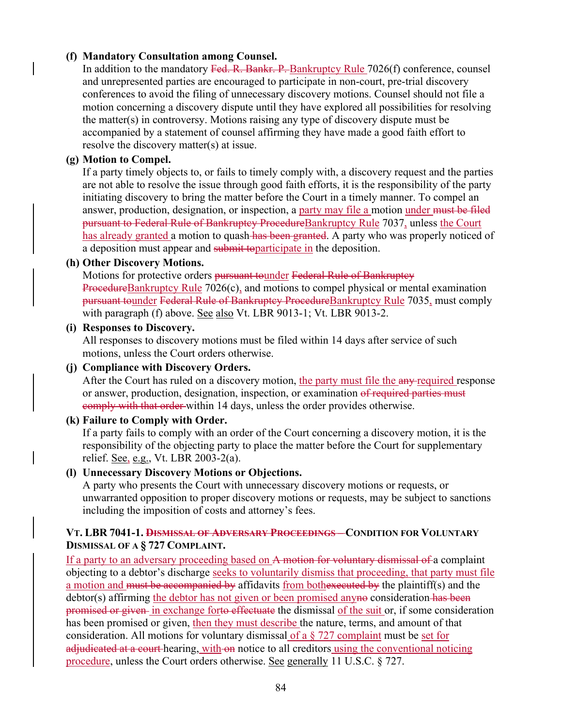## **(f) Mandatory Consultation among Counsel.**

In addition to the mandatory Fed. R. Bankr. P. Bankruptcy Rule 7026(f) conference, counsel and unrepresented parties are encouraged to participate in non-court, pre-trial discovery conferences to avoid the filing of unnecessary discovery motions. Counsel should not file a motion concerning a discovery dispute until they have explored all possibilities for resolving the matter(s) in controversy. Motions raising any type of discovery dispute must be accompanied by a statement of counsel affirming they have made a good faith effort to resolve the discovery matter(s) at issue.

#### **(g) Motion to Compel.**

If a party timely objects to, or fails to timely comply with, a discovery request and the parties are not able to resolve the issue through good faith efforts, it is the responsibility of the party initiating discovery to bring the matter before the Court in a timely manner. To compel an answer, production, designation, or inspection, a party may file a motion under must be filed pursuant to Federal Rule of Bankruptcy ProcedureBankruptcy Rule 7037, unless the Court has already granted a motion to quash-has been granted. A party who was properly noticed of a deposition must appear and submit toparticipate in the deposition.

#### **(h) Other Discovery Motions.**

Motions for protective orders pursuant tounder Federal Rule of Bankruptcy ProcedureBankruptcy Rule 7026(c), and motions to compel physical or mental examination pursuant tounder Federal Rule of Bankruptcy Procedure Bankruptcy Rule 7035, must comply with paragraph (f) above. See also Vt. LBR 9013-1; Vt. LBR 9013-2.

#### **(i) Responses to Discovery.**

All responses to discovery motions must be filed within 14 days after service of such motions, unless the Court orders otherwise.

#### **(j) Compliance with Discovery Orders.**

After the Court has ruled on a discovery motion, the party must file the any required response or answer, production, designation, inspection, or examination of required parties must comply with that order within 14 days, unless the order provides otherwise.

#### **(k) Failure to Comply with Order.**

If a party fails to comply with an order of the Court concerning a discovery motion, it is the responsibility of the objecting party to place the matter before the Court for supplementary relief. See, e.g., Vt. LBR 2003-2(a).

#### **(l) Unnecessary Discovery Motions or Objections.**

A party who presents the Court with unnecessary discovery motions or requests, or unwarranted opposition to proper discovery motions or requests, may be subject to sanctions including the imposition of costs and attorney's fees.

#### **VT. LBR 7041-1. DISMISSAL OF ADVERSARY PROCEEDINGS – CONDITION FOR VOLUNTARY DISMISSAL OF A § 727 COMPLAINT.**

If a party to an adversary proceeding based on A motion for voluntary dismissal of a complaint objecting to a debtor's discharge seeks to voluntarily dismiss that proceeding, that party must file a motion and must be accompanied by affidavits from bothexecuted by the plaintiff(s) and the debtor(s) affirming the debtor has not given or been promised any no consideration has been promised or given in exchange forto effectuate the dismissal of the suit or, if some consideration has been promised or given, then they must describe the nature, terms, and amount of that consideration. All motions for voluntary dismissal of a § 727 complaint must be set for adjudicated at a court hearing, with on notice to all creditors using the conventional noticing procedure, unless the Court orders otherwise. See generally 11 U.S.C. § 727.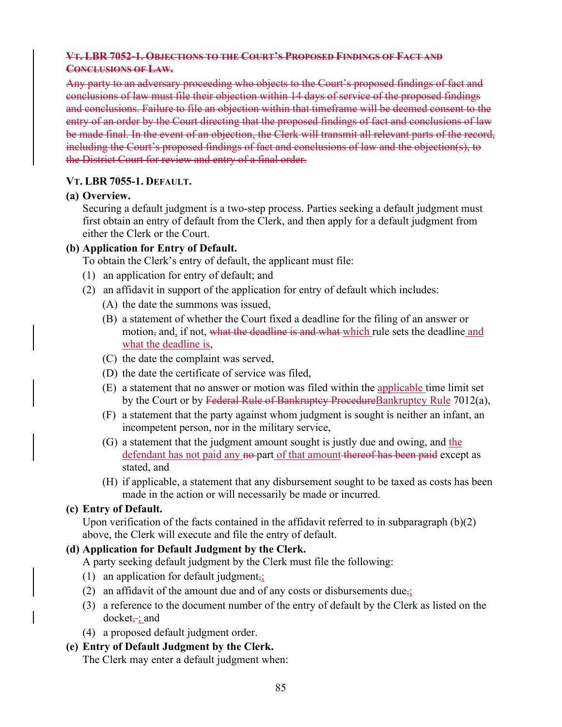### **VT. LBR 7052-1. OBJECTIONS TO THE COURT'S PROPOSED FINDINGS OF FACT AND CONCLUSIONS OF LAW.**

Any party to an adversary proceeding who objects to the Court's proposed findings of fact and conclusions of law must file their objection within 14 days of service of the proposed findings and conclusions. Failure to file an objection within that timeframe will be deemed consent to the entry of an order by the Court directing that the proposed findings of fact and conclusions of law be made final. In the event of an objection, the Clerk will transmit all relevant parts of the record, including the Court's proposed findings of fact and conclusions of law and the objection(s), to the District Court for review and entry of a final order.

### **VT. LBR 7055-1. DEFAULT.**

### **(a) Overview.**

Securing a default judgment is a two-step process. Parties seeking a default judgment must first obtain an entry of default from the Clerk, and then apply for a default judgment from either the Clerk or the Court.

## **(b) Application for Entry of Default.**

To obtain the Clerk's entry of default, the applicant must file:

- (1) an application for entry of default; and
- (2) an affidavit in support of the application for entry of default which includes:
	- (A) the date the summons was issued,
	- (B) a statement of whether the Court fixed a deadline for the filing of an answer or motion, and, if not, what the deadline is and what which rule sets the deadline and what the deadline is,
	- (C) the date the complaint was served,
	- (D) the date the certificate of service was filed,
	- (E) a statement that no answer or motion was filed within the applicable time limit set by the Court or by Federal Rule of Bankruptcy Procedure Bankruptcy Rule 7012(a),
	- (F) a statement that the party against whom judgment is sought is neither an infant, an incompetent person, nor in the military service,
	- (G) a statement that the judgment amount sought is justly due and owing, and the defendant has not paid any no-part of that amount thereof has been paid except as stated, and
	- (H) if applicable, a statement that any disbursement sought to be taxed as costs has been made in the action or will necessarily be made or incurred.

## **(c) Entry of Default.**

Upon verification of the facts contained in the affidavit referred to in subparagraph (b)(2) above, the Clerk will execute and file the entry of default.

## **(d) Application for Default Judgment by the Clerk.**

A party seeking default judgment by the Clerk must file the following:

- (1) an application for default judgment<sub> $\overline{\mathbf{t}}$ </sub>
- (2) an affidavit of the amount due and of any costs or disbursements due<sub>5</sub>;
- (3) a reference to the document number of the entry of default by the Clerk as listed on the  $d$ ocket $\div$ ; and
- (4) a proposed default judgment order.

## **(e) Entry of Default Judgment by the Clerk.**

The Clerk may enter a default judgment when: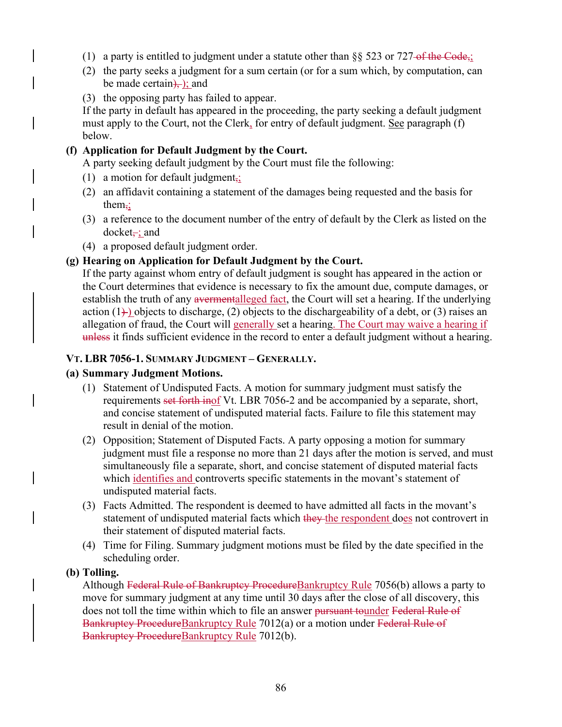- (1) a party is entitled to judgment under a statute other than  $\S$ § 523 or 727-of the Code,;
- (2) the party seeks a judgment for a sum certain (or for a sum which, by computation, can be made certain $)$ , and
- (3) the opposing party has failed to appear.

If the party in default has appeared in the proceeding, the party seeking a default judgment must apply to the Court, not the Clerk, for entry of default judgment. See paragraph (f) below.

# **(f) Application for Default Judgment by the Court.**

A party seeking default judgment by the Court must file the following:

- (1) a motion for default judgment<sub>i</sub>;
- (2) an affidavit containing a statement of the damages being requested and the basis for them $\div$
- (3) a reference to the document number of the entry of default by the Clerk as listed on the  $docket, and$
- (4) a proposed default judgment order.

# **(g) Hearing on Application for Default Judgment by the Court.**

If the party against whom entry of default judgment is sought has appeared in the action or the Court determines that evidence is necessary to fix the amount due, compute damages, or establish the truth of any avermentalleged fact, the Court will set a hearing. If the underlying action  $(1)$  objects to discharge, (2) objects to the dischargeability of a debt, or (3) raises an allegation of fraud, the Court will generally set a hearing. The Court may waive a hearing if unless it finds sufficient evidence in the record to enter a default judgment without a hearing.

# **VT. LBR 7056-1. SUMMARY JUDGMENT – GENERALLY.**

## **(a) Summary Judgment Motions.**

- (1) Statement of Undisputed Facts. A motion for summary judgment must satisfy the requirements set forth inof Vt. LBR 7056-2 and be accompanied by a separate, short, and concise statement of undisputed material facts. Failure to file this statement may result in denial of the motion.
- (2) Opposition; Statement of Disputed Facts. A party opposing a motion for summary judgment must file a response no more than 21 days after the motion is served, and must simultaneously file a separate, short, and concise statement of disputed material facts which identifies and controverts specific statements in the movant's statement of undisputed material facts.
- (3) Facts Admitted. The respondent is deemed to have admitted all facts in the movant's statement of undisputed material facts which they the respondent does not controvert in their statement of disputed material facts.
- (4) Time for Filing. Summary judgment motions must be filed by the date specified in the scheduling order.

## **(b) Tolling.**

Although Federal Rule of Bankruptcy ProcedureBankruptcy Rule 7056(b) allows a party to move for summary judgment at any time until 30 days after the close of all discovery, this does not toll the time within which to file an answer pursuant tounder Federal Rule of Bankruptcy Procedure Bankruptcy Rule 7012(a) or a motion under Federal Rule of Bankruptcy ProcedureBankruptcy Rule 7012(b).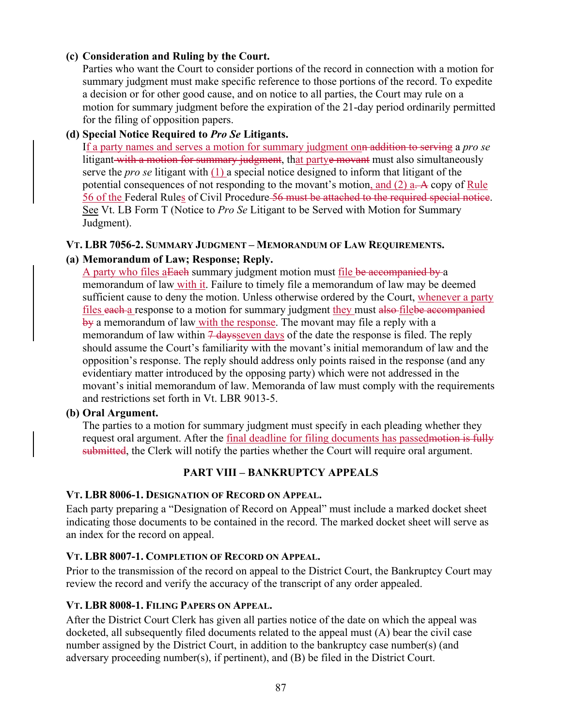### **(c) Consideration and Ruling by the Court.**

Parties who want the Court to consider portions of the record in connection with a motion for summary judgment must make specific reference to those portions of the record. To expedite a decision or for other good cause, and on notice to all parties, the Court may rule on a motion for summary judgment before the expiration of the 21-day period ordinarily permitted for the filing of opposition papers.

## **(d) Special Notice Required to** *Pro Se* **Litigants.**

If a party names and serves a motion for summary judgment onn addition to serving a *pro se* litigant with a motion for summary judgment, that partye movant must also simultaneously serve the *pro se* litigant with (1) a special notice designed to inform that litigant of the potential consequences of not responding to the movant's motion, and  $(2)$  a. A copy of Rule 56 of the Federal Rules of Civil Procedure 56 must be attached to the required special notice. See Vt. LB Form T (Notice to *Pro Se* Litigant to be Served with Motion for Summary Judgment).

#### **VT. LBR 7056-2. SUMMARY JUDGMENT – MEMORANDUM OF LAW REQUIREMENTS.**

## **(a) Memorandum of Law; Response; Reply.**

A party who files a Each summary judgment motion must file be accompanied by a memorandum of law with it. Failure to timely file a memorandum of law may be deemed sufficient cause to deny the motion. Unless otherwise ordered by the Court, whenever a party files each a response to a motion for summary judgment they must also filebe accompanied by a memorandum of law with the response. The movant may file a reply with a memorandum of law within  $\frac{7}{4}$  days even days of the date the response is filed. The reply should assume the Court's familiarity with the movant's initial memorandum of law and the opposition's response. The reply should address only points raised in the response (and any evidentiary matter introduced by the opposing party) which were not addressed in the movant's initial memorandum of law. Memoranda of law must comply with the requirements and restrictions set forth in Vt. LBR 9013-5.

#### **(b) Oral Argument.**

The parties to a motion for summary judgment must specify in each pleading whether they request oral argument. After the final deadline for filing documents has passed motion is fully submitted, the Clerk will notify the parties whether the Court will require oral argument.

## **PART VIII – BANKRUPTCY APPEALS**

#### **VT. LBR 8006-1. DESIGNATION OF RECORD ON APPEAL.**

Each party preparing a "Designation of Record on Appeal" must include a marked docket sheet indicating those documents to be contained in the record. The marked docket sheet will serve as an index for the record on appeal.

## **VT. LBR 8007-1. COMPLETION OF RECORD ON APPEAL.**

Prior to the transmission of the record on appeal to the District Court, the Bankruptcy Court may review the record and verify the accuracy of the transcript of any order appealed.

## **VT. LBR 8008-1. FILING PAPERS ON APPEAL.**

After the District Court Clerk has given all parties notice of the date on which the appeal was docketed, all subsequently filed documents related to the appeal must (A) bear the civil case number assigned by the District Court, in addition to the bankruptcy case number(s) (and adversary proceeding number(s), if pertinent), and (B) be filed in the District Court.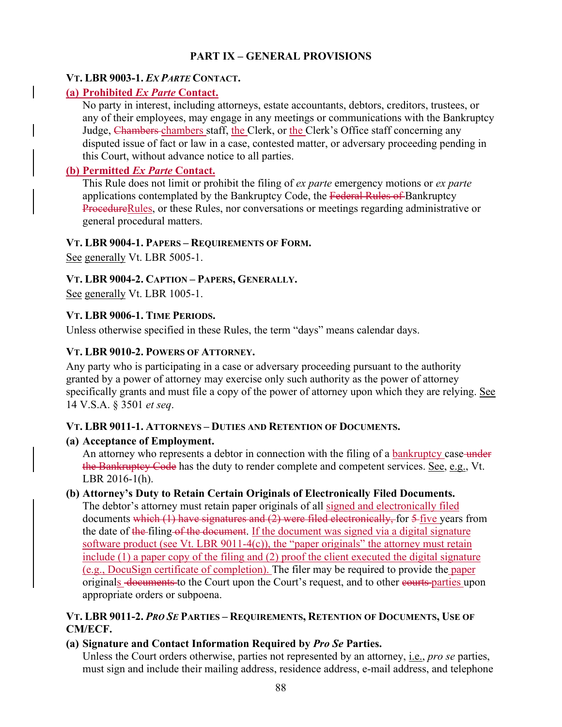# **PART IX – GENERAL PROVISIONS**

### **VT. LBR 9003-1.** *EX PARTE* **CONTACT.**

# **(a) Prohibited** *Ex Parte* **Contact.**

No party in interest, including attorneys, estate accountants, debtors, creditors, trustees, or any of their employees, may engage in any meetings or communications with the Bankruptcy Judge, Chambers chambers staff, the Clerk, or the Clerk's Office staff concerning any disputed issue of fact or law in a case, contested matter, or adversary proceeding pending in this Court, without advance notice to all parties.

# **(b) Permitted** *Ex Parte* **Contact.**

This Rule does not limit or prohibit the filing of *ex parte* emergency motions or *ex parte* applications contemplated by the Bankruptcy Code, the Federal Rules of Bankruptcy ProcedureRules, or these Rules, nor conversations or meetings regarding administrative or general procedural matters.

### **VT. LBR 9004-1. PAPERS – REQUIREMENTS OF FORM.**

See generally Vt. LBR 5005-1.

## **VT. LBR 9004-2. CAPTION – PAPERS, GENERALLY.**

See generally Vt. LBR 1005-1.

## **VT. LBR 9006-1. TIME PERIODS.**

Unless otherwise specified in these Rules, the term "days" means calendar days.

## **VT. LBR 9010-2. POWERS OF ATTORNEY.**

Any party who is participating in a case or adversary proceeding pursuant to the authority granted by a power of attorney may exercise only such authority as the power of attorney specifically grants and must file a copy of the power of attorney upon which they are relying. See 14 V.S.A. § 3501 *et seq*.

## **VT. LBR 9011-1. ATTORNEYS – DUTIES AND RETENTION OF DOCUMENTS.**

## **(a) Acceptance of Employment.**

An attorney who represents a debtor in connection with the filing of a **bankruptcy** case-under the Bankruptcy Code has the duty to render complete and competent services. See, e.g., Vt. LBR 2016-1(h).

## **(b) Attorney's Duty to Retain Certain Originals of Electronically Filed Documents.**

The debtor's attorney must retain paper originals of all signed and electronically filed documents which (1) have signatures and (2) were filed electronically, for 5-five years from the date of the filing of the document. If the document was signed via a digital signature software product (see Vt. LBR 9011-4 $(c)$ ), the "paper originals" the attorney must retain include (1) a paper copy of the filing and (2) proof the client executed the digital signature (e.g., DocuSign certificate of completion). The filer may be required to provide the paper originals documents to the Court upon the Court's request, and to other courts parties upon appropriate orders or subpoena.

## **VT. LBR 9011-2.** *PRO SE* **PARTIES – REQUIREMENTS, RETENTION OF DOCUMENTS, USE OF CM/ECF.**

# **(a) Signature and Contact Information Required by** *Pro Se* **Parties.**

Unless the Court orders otherwise, parties not represented by an attorney, i.e., *pro se* parties, must sign and include their mailing address, residence address, e-mail address, and telephone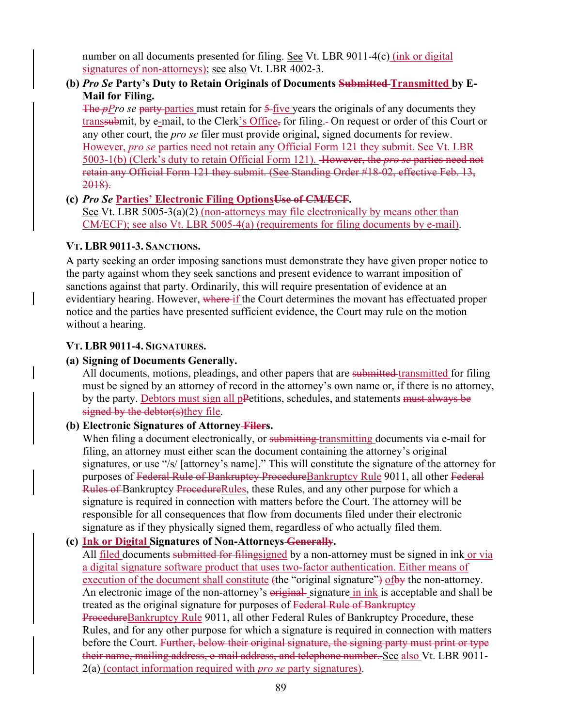number on all documents presented for filing. See Vt. LBR 9011-4(c) (ink or digital signatures of non-attorneys); see also Vt. LBR 4002-3.

# **(b)** *Pro Se* **Party's Duty to Retain Originals of Documents Submitted Transmitted by E-Mail for Filing.**

The *pPro se* party parties must retain for 5-five years the originals of any documents they transsubmit, by e-mail, to the Clerk's Office, for filing. On request or order of this Court or any other court, the *pro se* filer must provide original, signed documents for review. However, *pro se* parties need not retain any Official Form 121 they submit. See Vt. LBR 5003-1(b) (Clerk's duty to retain Official Form 121). However, the *pro se* parties need not retain any Official Form 121 they submit. (See Standing Order #18-02, effective Feb. 13, 2018).

**(c)** *Pro Se* **Parties' Electronic Filing OptionsUse of CM/ECF.**  See Vt. LBR 5005-3(a)(2) (non-attorneys may file electronically by means other than CM/ECF); see also Vt. LBR 5005-4(a) (requirements for filing documents by e-mail).

### **VT. LBR 9011-3. SANCTIONS.**

A party seeking an order imposing sanctions must demonstrate they have given proper notice to the party against whom they seek sanctions and present evidence to warrant imposition of sanctions against that party. Ordinarily, this will require presentation of evidence at an evidentiary hearing. However, where if the Court determines the movant has effectuated proper notice and the parties have presented sufficient evidence, the Court may rule on the motion without a hearing.

### **VT. LBR 9011-4. SIGNATURES.**

### **(a) Signing of Documents Generally.**

All documents, motions, pleadings, and other papers that are submitted transmitted for filing must be signed by an attorney of record in the attorney's own name or, if there is no attorney, by the party. Debtors must sign all pPetitions, schedules, and statements must always be signed by the debtor(s)they file.

#### **(b) Electronic Signatures of Attorney Filers.**

When filing a document electronically, or submitting transmitting documents via e-mail for filing, an attorney must either scan the document containing the attorney's original signatures, or use "/s/ [attorney's name]." This will constitute the signature of the attorney for purposes of Federal Rule of Bankruptcy ProcedureBankruptcy Rule 9011, all other Federal Rules of Bankruptcy ProcedureRules, these Rules, and any other purpose for which a signature is required in connection with matters before the Court. The attorney will be responsible for all consequences that flow from documents filed under their electronic signature as if they physically signed them, regardless of who actually filed them.

#### **(c) Ink or Digital Signatures of Non-Attorneys Generally.**

All filed documents submitted for filingsigned by a non-attorney must be signed in ink or via a digital signature software product that uses two-factor authentication. Either means of execution of the document shall constitute (the "original signature") of by the non-attorney. An electronic image of the non-attorney's original signature in ink is acceptable and shall be treated as the original signature for purposes of Federal Rule of Bankruptcy ProcedureBankruptcy Rule 9011, all other Federal Rules of Bankruptcy Procedure, these Rules, and for any other purpose for which a signature is required in connection with matters before the Court. Further, below their original signature, the signing party must print or type their name, mailing address, e-mail address, and telephone number. See also Vt. LBR 9011-2(a) (contact information required with *pro se* party signatures).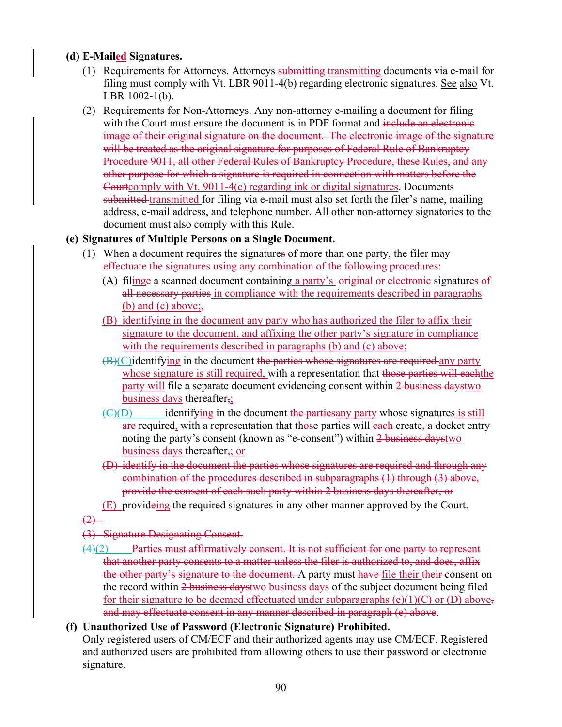# **(d) E-Mailed Signatures.**

- (1) Requirements for Attorneys. Attorneys submitting transmitting documents via e-mail for filing must comply with Vt. LBR 9011-4(b) regarding electronic signatures. See also Vt. LBR 1002-1(b).
- (2) Requirements for Non-Attorneys. Any non-attorney e-mailing a document for filing with the Court must ensure the document is in PDF format and include an electronic image of their original signature on the document. The electronic image of the signature will be treated as the original signature for purposes of Federal Rule of Bankruptcy Procedure 9011, all other Federal Rules of Bankruptcy Procedure, these Rules, and any other purpose for which a signature is required in connection with matters before the Courtcomply with Vt. 9011-4(c) regarding ink or digital signatures. Documents submitted transmitted for filing via e-mail must also set forth the filer's name, mailing address, e-mail address, and telephone number. All other non-attorney signatories to the document must also comply with this Rule.

## **(e) Signatures of Multiple Persons on a Single Document.**

- (1) When a document requires the signatures of more than one party, the filer may effectuate the signatures using any combination of the following procedures:
	- (A) filinge a scanned document containing a party's -original or electronic-signatures of all necessary parties in compliance with the requirements described in paragraphs (b) and (c) above;
	- (B) identifying in the document any party who has authorized the filer to affix their signature to the document, and affixing the other party's signature in compliance with the requirements described in paragraphs (b) and (c) above;
	- $(B)(C)$  identifying in the document the parties whose signatures are required any party whose signature is still required, with a representation that those parties will each the party will file a separate document evidencing consent within 2 business daystwo business days thereafter $\frac{1}{2}$
	- $\overline{(C)(D)}$  identifying in the document the partiesany party whose signatures is still are required, with a representation that those parties will each-create, a docket entry noting the party's consent (known as "e-consent") within 2 business daystwo business days thereafter,; or
	- (D) identify in the document the parties whose signatures are required and through any combination of the procedures described in subparagraphs (1) through (3) above, provide the consent of each such party within 2 business days thereafter, or
	- (E) provideing the required signatures in any other manner approved by the Court.

 $(2)$ 

## (3) Signature Designating Consent.

(4)(2) Parties must affirmatively consent. It is not sufficient for one party to represent that another party consents to a matter unless the filer is authorized to, and does, affix the other party's signature to the document. A party must have file their their consent on the record within 2 business daystwo business days of the subject document being filed for their signature to be deemed effectuated under subparagraphs (e)(1)(C) or (D) above, and may effectuate consent in any manner described in paragraph (e) above.

# **(f) Unauthorized Use of Password (Electronic Signature) Prohibited.**

Only registered users of CM/ECF and their authorized agents may use CM/ECF. Registered and authorized users are prohibited from allowing others to use their password or electronic signature.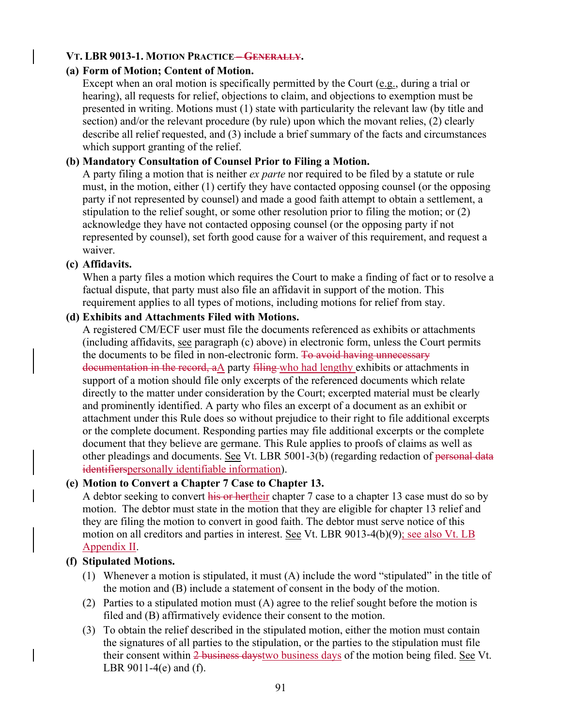### **VT. LBR 9013-1. MOTION PRACTICE – GENERALLY.**

### **(a) Form of Motion; Content of Motion.**

Except when an oral motion is specifically permitted by the Court (e.g., during a trial or hearing), all requests for relief, objections to claim, and objections to exemption must be presented in writing. Motions must (1) state with particularity the relevant law (by title and section) and/or the relevant procedure (by rule) upon which the movant relies, (2) clearly describe all relief requested, and (3) include a brief summary of the facts and circumstances which support granting of the relief.

### **(b) Mandatory Consultation of Counsel Prior to Filing a Motion.**

A party filing a motion that is neither *ex parte* nor required to be filed by a statute or rule must, in the motion, either (1) certify they have contacted opposing counsel (or the opposing party if not represented by counsel) and made a good faith attempt to obtain a settlement, a stipulation to the relief sought, or some other resolution prior to filing the motion; or (2) acknowledge they have not contacted opposing counsel (or the opposing party if not represented by counsel), set forth good cause for a waiver of this requirement, and request a waiver.

#### **(c) Affidavits.**

When a party files a motion which requires the Court to make a finding of fact or to resolve a factual dispute, that party must also file an affidavit in support of the motion. This requirement applies to all types of motions, including motions for relief from stay.

#### **(d) Exhibits and Attachments Filed with Motions.**

A registered CM/ECF user must file the documents referenced as exhibits or attachments (including affidavits, see paragraph (c) above) in electronic form, unless the Court permits the documents to be filed in non-electronic form. To avoid having unnecessary documentation in the record, aA party filing who had lengthy exhibits or attachments in support of a motion should file only excerpts of the referenced documents which relate directly to the matter under consideration by the Court; excerpted material must be clearly and prominently identified. A party who files an excerpt of a document as an exhibit or attachment under this Rule does so without prejudice to their right to file additional excerpts or the complete document. Responding parties may file additional excerpts or the complete document that they believe are germane. This Rule applies to proofs of claims as well as other pleadings and documents. See Vt. LBR 5001-3(b) (regarding redaction of personal data identifierspersonally identifiable information).

#### **(e) Motion to Convert a Chapter 7 Case to Chapter 13.**

A debtor seeking to convert his or hertheir chapter 7 case to a chapter 13 case must do so by motion. The debtor must state in the motion that they are eligible for chapter 13 relief and they are filing the motion to convert in good faith. The debtor must serve notice of this motion on all creditors and parties in interest. See Vt. LBR 9013-4(b)(9); see also Vt. LB Appendix II.

#### **(f) Stipulated Motions.**

- (1) Whenever a motion is stipulated, it must (A) include the word "stipulated" in the title of the motion and (B) include a statement of consent in the body of the motion.
- (2) Parties to a stipulated motion must (A) agree to the relief sought before the motion is filed and (B) affirmatively evidence their consent to the motion.
- (3) To obtain the relief described in the stipulated motion, either the motion must contain the signatures of all parties to the stipulation, or the parties to the stipulation must file their consent within 2 business daystwo business days of the motion being filed. See Vt. LBR 9011-4(e) and (f).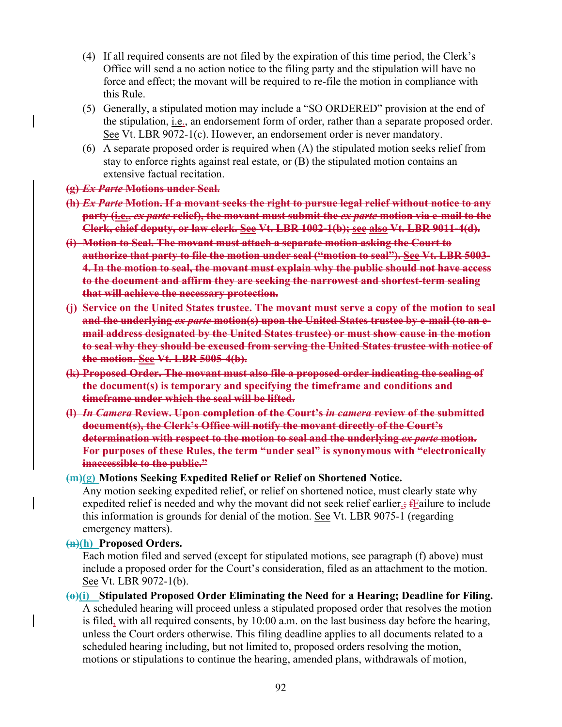- (4) If all required consents are not filed by the expiration of this time period, the Clerk's Office will send a no action notice to the filing party and the stipulation will have no force and effect; the movant will be required to re-file the motion in compliance with this Rule.
- (5) Generally, a stipulated motion may include a "SO ORDERED" provision at the end of the stipulation, i.e., an endorsement form of order, rather than a separate proposed order. See Vt. LBR 9072-1(c). However, an endorsement order is never mandatory.
- (6) A separate proposed order is required when (A) the stipulated motion seeks relief from stay to enforce rights against real estate, or (B) the stipulated motion contains an extensive factual recitation.

#### **(g)** *Ex Parte* **Motions under Seal.**

- **(h)** *Ex Parte* **Motion. If a movant seeks the right to pursue legal relief without notice to any party (i.e.,** *ex parte* **relief), the movant must submit the** *ex parte* **motion via e-mail to the Clerk, chief deputy, or law clerk. See Vt. LBR 1002-1(b); see also Vt. LBR 9011-4(d).**
- **(i) Motion to Seal. The movant must attach a separate motion asking the Court to authorize that party to file the motion under seal ("motion to seal"). See Vt. LBR 5003- 4. In the motion to seal, the movant must explain why the public should not have access to the document and affirm they are seeking the narrowest and shortest-term sealing that will achieve the necessary protection.**
- **(j) Service on the United States trustee. The movant must serve a copy of the motion to seal and the underlying** *ex parte* **motion(s) upon the United States trustee by e-mail (to an email address designated by the United States trustee) or must show cause in the motion to seal why they should be excused from serving the United States trustee with notice of the motion. See Vt. LBR 5005-4(b).**
- **(k) Proposed Order. The movant must also file a proposed order indicating the sealing of the document(s) is temporary and specifying the timeframe and conditions and timeframe under which the seal will be lifted.**
- **(l)** *In Camera* **Review. Upon completion of the Court's** *in camera* **review of the submitted document(s), the Clerk's Office will notify the movant directly of the Court's determination with respect to the motion to seal and the underlying** *ex parte* **motion. For purposes of these Rules, the term "under seal" is synonymous with "electronically inaccessible to the public."**

#### **(m)(g) Motions Seeking Expedited Relief or Relief on Shortened Notice.**

Any motion seeking expedited relief, or relief on shortened notice, must clearly state why expedited relief is needed and why the movant did not seek relief earlier<sub>s</sub>; frequency include this information is grounds for denial of the motion. See Vt. LBR 9075-1 (regarding emergency matters).

#### **(n)(h) Proposed Orders.**

Each motion filed and served (except for stipulated motions, see paragraph (f) above) must include a proposed order for the Court's consideration, filed as an attachment to the motion. See Vt. LBR 9072-1(b).

**(o)(i) Stipulated Proposed Order Eliminating the Need for a Hearing; Deadline for Filing.**  A scheduled hearing will proceed unless a stipulated proposed order that resolves the motion is filed, with all required consents, by 10:00 a.m. on the last business day before the hearing, unless the Court orders otherwise. This filing deadline applies to all documents related to a scheduled hearing including, but not limited to, proposed orders resolving the motion, motions or stipulations to continue the hearing, amended plans, withdrawals of motion,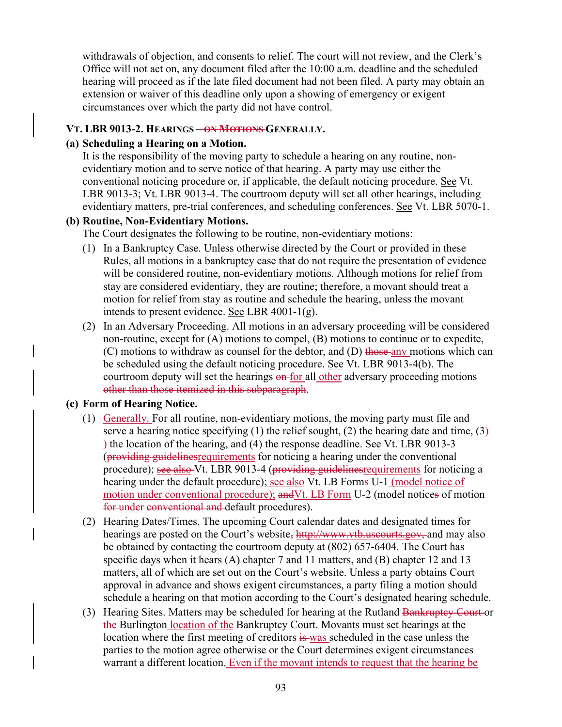withdrawals of objection, and consents to relief. The court will not review, and the Clerk's Office will not act on, any document filed after the 10:00 a.m. deadline and the scheduled hearing will proceed as if the late filed document had not been filed. A party may obtain an extension or waiver of this deadline only upon a showing of emergency or exigent circumstances over which the party did not have control.

#### **VT. LBR 9013-2. HEARINGS – ON MOTIONS GENERALLY.**

#### **(a) Scheduling a Hearing on a Motion.**

It is the responsibility of the moving party to schedule a hearing on any routine, nonevidentiary motion and to serve notice of that hearing. A party may use either the conventional noticing procedure or, if applicable, the default noticing procedure. See Vt. LBR 9013-3; Vt. LBR 9013-4. The courtroom deputy will set all other hearings, including evidentiary matters, pre-trial conferences, and scheduling conferences. See Vt. LBR 5070-1.

#### **(b) Routine, Non-Evidentiary Motions.**

The Court designates the following to be routine, non-evidentiary motions:

- (1) In a Bankruptcy Case. Unless otherwise directed by the Court or provided in these Rules, all motions in a bankruptcy case that do not require the presentation of evidence will be considered routine, non-evidentiary motions. Although motions for relief from stay are considered evidentiary, they are routine; therefore, a movant should treat a motion for relief from stay as routine and schedule the hearing, unless the movant intends to present evidence. See LBR 4001-1(g).
- (2) In an Adversary Proceeding. All motions in an adversary proceeding will be considered non-routine, except for (A) motions to compel, (B) motions to continue or to expedite,  $(C)$  motions to withdraw as counsel for the debtor, and  $(D)$  those any motions which can be scheduled using the default noticing procedure. See Vt. LBR 9013-4(b). The courtroom deputy will set the hearings on for all other adversary proceeding motions other than those itemized in this subparagraph.

#### **(c) Form of Hearing Notice.**

- (1) Generally. For all routine, non-evidentiary motions, the moving party must file and serve a hearing notice specifying (1) the relief sought, (2) the hearing date and time,  $(3)$ ) the location of the hearing, and (4) the response deadline. See Vt. LBR 9013-3 (providing guidelinesrequirements for noticing a hearing under the conventional procedure); see also Vt. LBR 9013-4 (providing guidelines requirements for noticing a hearing under the default procedure); see also Vt. LB Forms U-1 (model notice of motion under conventional procedure); and Vt. LB Form U-2 (model notices of motion for under conventional and default procedures).
- (2) Hearing Dates/Times. The upcoming Court calendar dates and designated times for hearings are posted on the Court's website, http://www.vtb.uscourts.gov, and may also be obtained by contacting the courtroom deputy at (802) 657-6404. The Court has specific days when it hears (A) chapter 7 and 11 matters, and (B) chapter 12 and 13 matters, all of which are set out on the Court's website. Unless a party obtains Court approval in advance and shows exigent circumstances, a party filing a motion should schedule a hearing on that motion according to the Court's designated hearing schedule.
- (3) Hearing Sites. Matters may be scheduled for hearing at the Rutland Bankruptey Court-or the Burlington location of the Bankruptcy Court. Movants must set hearings at the location where the first meeting of creditors is was scheduled in the case unless the parties to the motion agree otherwise or the Court determines exigent circumstances warrant a different location. Even if the movant intends to request that the hearing be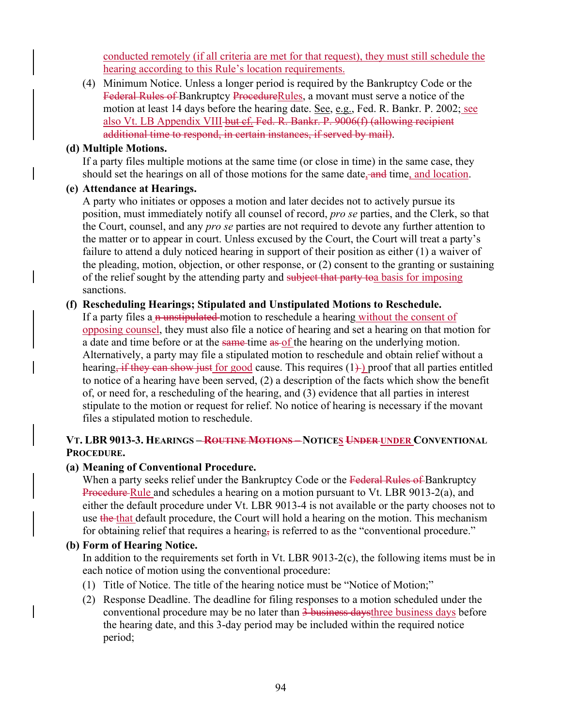conducted remotely (if all criteria are met for that request), they must still schedule the hearing according to this Rule's location requirements.

(4) Minimum Notice. Unless a longer period is required by the Bankruptcy Code or the Federal Rules of Bankruptcy ProcedureRules, a movant must serve a notice of the motion at least 14 days before the hearing date. See, e.g., Fed. R. Bankr. P. 2002; see also Vt. LB Appendix VIII but cf. Fed. R. Bankr. P. 9006(f) (allowing recipient additional time to respond, in certain instances, if served by mail).

#### **(d) Multiple Motions.**

If a party files multiple motions at the same time (or close in time) in the same case, they should set the hearings on all of those motions for the same date, and time, and location.

#### **(e) Attendance at Hearings.**

A party who initiates or opposes a motion and later decides not to actively pursue its position, must immediately notify all counsel of record, *pro se* parties, and the Clerk, so that the Court, counsel, and any *pro se* parties are not required to devote any further attention to the matter or to appear in court. Unless excused by the Court, the Court will treat a party's failure to attend a duly noticed hearing in support of their position as either (1) a waiver of the pleading, motion, objection, or other response, or (2) consent to the granting or sustaining of the relief sought by the attending party and subject that party to a basis for imposing sanctions.

#### **(f) Rescheduling Hearings; Stipulated and Unstipulated Motions to Reschedule.**

If a party files a n unstipulated motion to reschedule a hearing without the consent of opposing counsel, they must also file a notice of hearing and set a hearing on that motion for a date and time before or at the same-time as of the hearing on the underlying motion. Alternatively, a party may file a stipulated motion to reschedule and obtain relief without a hearing, if they can show just for good cause. This requires  $(1)$  proof that all parties entitled to notice of a hearing have been served, (2) a description of the facts which show the benefit of, or need for, a rescheduling of the hearing, and (3) evidence that all parties in interest stipulate to the motion or request for relief. No notice of hearing is necessary if the movant files a stipulated motion to reschedule.

### **VT. LBR 9013-3. HEARINGS – ROUTINE MOTIONS – NOTICES UNDER UNDER CONVENTIONAL PROCEDURE.**

#### **(a) Meaning of Conventional Procedure.**

When a party seeks relief under the Bankruptcy Code or the Federal Rules of Bankruptcy Procedure Rule and schedules a hearing on a motion pursuant to Vt. LBR 9013-2(a), and either the default procedure under Vt. LBR 9013-4 is not available or the party chooses not to use the that default procedure, the Court will hold a hearing on the motion. This mechanism for obtaining relief that requires a hearing, is referred to as the "conventional procedure."

### **(b) Form of Hearing Notice.**

In addition to the requirements set forth in Vt. LBR 9013-2(c), the following items must be in each notice of motion using the conventional procedure:

- (1) Title of Notice. The title of the hearing notice must be "Notice of Motion;"
- (2) Response Deadline. The deadline for filing responses to a motion scheduled under the conventional procedure may be no later than 3 business daysthree business days before the hearing date, and this 3-day period may be included within the required notice period;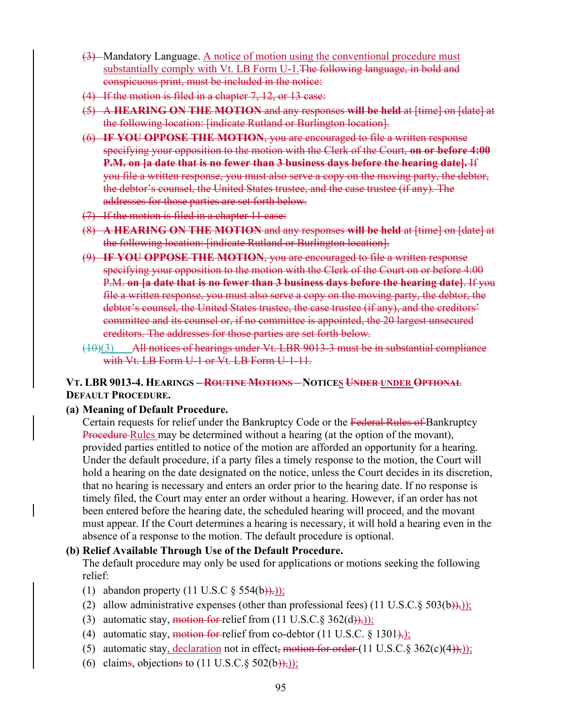- (3) Mandatory Language. A notice of motion using the conventional procedure must substantially comply with Vt. LB Form U-1. The following language, in bold and conspicuous print, must be included in the notice:
- (4) If the motion is filed in a chapter 7, 12, or 13 case:
- (5) A **HEARING ON THE MOTION** and any responses **will be held** at [time] on [date] at the following location: [indicate Rutland or Burlington location].
- (6) **IF YOU OPPOSE THE MOTION**, you are encouraged to file a written response specifying your opposition to the motion with the Clerk of the Court, **on or before 4:00 P.M. on [a date that is no fewer than 3 business days before the hearing date].** If you file a written response, you must also serve a copy on the moving party, the debtor, the debtor's counsel, the United States trustee, and the case trustee (if any). The addresses for those parties are set forth below.
- (7) If the motion is filed in a chapter 11 case:
- (8) **A HEARING ON THE MOTION** and any responses **will be held** at [time] on [date] at the following location: [indicate Rutland or Burlington location].
- (9) **IF YOU OPPOSE THE MOTION**, you are encouraged to file a written response specifying your opposition to the motion with the Clerk of the Court on or before 4:00 P.M. **on [a date that is no fewer than 3 business days before the hearing date]**. If you file a written response, you must also serve a copy on the moving party, the debtor, the debtor's counsel, the United States trustee, the case trustee (if any), and the creditors' committee and its counsel or, if no committee is appointed, the 20 largest unsecured creditors. The addresses for those parties are set forth below.
- (10)(3) All notices of hearings under Vt. LBR 9013-3 must be in substantial compliance with Vt. LB Form U-1 or Vt. LB Form U-1-11.

#### **VT. LBR 9013-4. HEARINGS – ROUTINE MOTIONS – NOTICES UNDER UNDER OPTIONAL DEFAULT PROCEDURE.**

**(a) Meaning of Default Procedure.** 

Certain requests for relief under the Bankruptcy Code or the Federal Rules of Bankruptcy Procedure Rules may be determined without a hearing (at the option of the movant), provided parties entitled to notice of the motion are afforded an opportunity for a hearing. Under the default procedure, if a party files a timely response to the motion, the Court will hold a hearing on the date designated on the notice, unless the Court decides in its discretion, that no hearing is necessary and enters an order prior to the hearing date. If no response is timely filed, the Court may enter an order without a hearing. However, if an order has not been entered before the hearing date, the scheduled hearing will proceed, and the movant must appear. If the Court determines a hearing is necessary, it will hold a hearing even in the absence of a response to the motion. The default procedure is optional.

#### **(b) Relief Available Through Use of the Default Procedure.**

The default procedure may only be used for applications or motions seeking the following relief:

- (1) abandon property  $(11 \text{ U.S. C } \S 554(b))$ ;
- (2) allow administrative expenses (other than professional fees)  $(11 \text{ U.S.C.} \S 503(b))$ ;
- (3) automatic stay, motion for relief from  $(11 \text{ U.S.C.} \S 362(d)),$
- (4) automatic stay, motion for relief from co-debtor  $(11 \text{ U.S.C. } § 1301)$ ;
- (5) automatic stay, declaration not in effect, motion for order  $(11 \text{ U.S.C.} \S 362(c)(4))$ ;
- (6) claims, objections to  $(11$  U.S.C. § 502(b)),);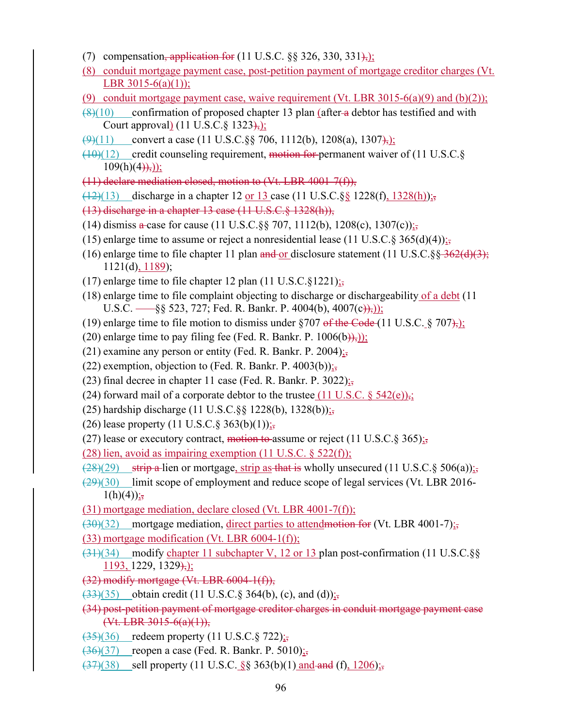- (7) compensation, application for  $(11 \text{ U.S.C.} \$ §§ 326, 330, 331 $\text{)}$ ;
- (8) conduit mortgage payment case, post-petition payment of mortgage creditor charges (Vt. LBR 3015-6(a)(1));
- (9) conduit mortgage payment case, waive requirement (Vt. LBR 3015-6(a)(9) and (b)(2));
- $(8)(10)$  confirmation of proposed chapter 13 plan (after a debtor has testified and with Court approval) (11 U.S.C. § 1323), i.
- $\left(\frac{9}{11}\right)$  convert a case (11 U.S.C.§§ 706, 1112(b), 1208(a), 1307<del>),</del>);
- $(10)(12)$  credit counseling requirement, motion for permanent waiver of (11 U.S.C. $\S$ )  $109(h)(4)$ ,);
- (11) declare mediation closed, motion to (Vt. LBR 4001-7(f)),
- $(12)(13)$  discharge in a chapter 12 or 13 case (11 U.S.C. §§ 1228(f), 1328(h));
- (13) discharge in a chapter 13 case (11 U.S.C.§ 1328(h)),
- (14) dismiss a case for cause (11 U.S.C. §§ 707, 1112(b), 1208(c), 1307(c));
- (15) enlarge time to assume or reject a nonresidential lease (11 U.S.C. § 365(d)(4));
- (16) enlarge time to file chapter 11 plan and or disclosure statement (11 U.S.C. $\S_8$  $\rightarrow$   $\frac{362}{(d)(3)}$ ;  $1121(d), 1189$ ;
- (17) enlarge time to file chapter 12 plan (11 U.S.C. $\S$ 1221);
- (18) enlarge time to file complaint objecting to discharge or dischargeability of a debt (11 U.S.C.  $\frac{1}{8}$  523, 727; Fed. R. Bankr. P. 4004(b), 4007(c)),
- (19) enlarge time to file motion to dismiss under  $\S 707$  of the Code (11 U.S.C. § 707),
- (20) enlarge time to pay filing fee (Fed. R. Bankr. P.  $1006(b)$ ),);
- (21) examine any person or entity (Fed. R. Bankr. P. 2004);
- (22) exemption, objection to (Fed. R. Bankr. P. 4003(b)) $\frac{1}{25}$
- (23) final decree in chapter 11 case (Fed. R. Bankr. P. 3022);
- (24) forward mail of a corporate debtor to the trustee (11 U.S.C.  $\S$  542(e)),;
- (25) hardship discharge (11 U.S.C. §§ 1228(b), 1328(b));
- (26) lease property  $(11 \text{ U.S.C.} \S 363(b)(1));$
- (27) lease or executory contract, motion to assume or reject (11 U.S.C. § 365);
- (28) lien, avoid as impairing exemption (11 U.S.C.  $\S$  522(f));
- $\frac{128}{29}$  strip a lien or mortgage, strip as that is wholly unsecured (11 U.S.C. § 506(a));
- $(29)(30)$  limit scope of employment and reduce scope of legal services (Vt. LBR 2016- $1(h)(4)$ ;
- (31) mortgage mediation, declare closed (Vt. LBR 4001-7(f));
- $(30)(32)$  mortgage mediation, direct parties to attendmotion for (Vt. LBR 4001-7);
- $(33)$  mortgage modification (Vt. LBR  $6004-1(f)$ );
- $(31)(34)$  modify chapter 11 subchapter V, 12 or 13 plan post-confirmation (11 U.S.C.§§  $1193, 1229, 1329,$ ;
- (32) modify mortgage (Vt. LBR 6004-1(f)),
- $(33)(35)$  obtain credit (11 U.S.C. § 364(b), (c), and (d)) $\frac{1}{25}$
- (34) post-petition payment of mortgage creditor charges in conduit mortgage payment case  $($ Vt. LBR 3015-6(a)(1)),
- $(35)(36)$  redeem property (11 U.S.C. § 722);
- $(36)(37)$  reopen a case (Fed. R. Bankr. P. 5010);
- $\left(\frac{37}{38}\right)$  sell property (11 U.S.C. §§ 363(b)(1) and and (f), 1206);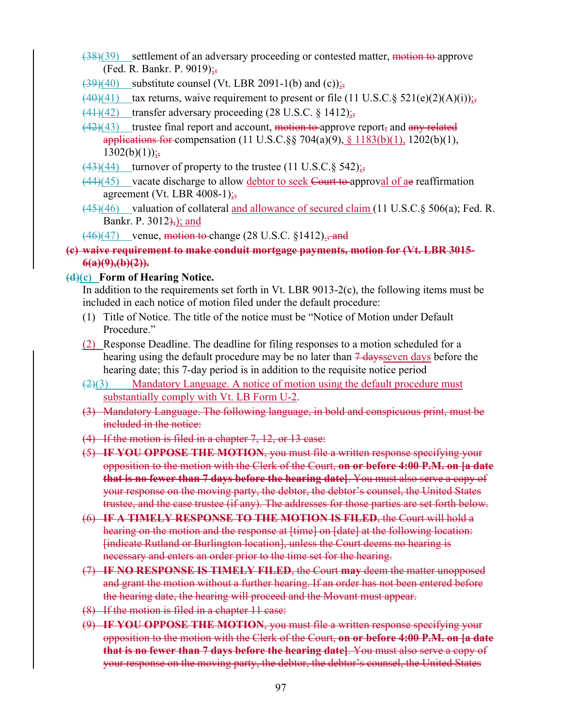- $(38)(39)$  settlement of an adversary proceeding or contested matter, motion to approve (Fed. R. Bankr. P. 9019);,
- $\left(\frac{39}{40}\right)$  substitute counsel (Vt. LBR 2091-1(b) and (c));
- $(40)(41)$  tax returns, waive requirement to present or file (11 U.S.C. § 521(e)(2)(A)(i));
- $(41)(42)$  transfer adversary proceeding  $(28 \text{ U.S.C. } § 1412);$
- $(42)(43)$  trustee final report and account, motion to approve report, and any related applications for compensation (11 U.S.C. §§ 704(a)(9), §  $1183(b)(1)$ , 1202(b)(1),  $1302(b)(1))$ ;
- $\frac{(43)(44)}{1 \cdot 10^{13}}$  turnover of property to the trustee (11 U.S.C. § 542);
- $(44)(45)$  vacate discharge to allow debtor to seek Court to approval of ae reaffirmation agreement (Vt. LBR 4008-1) $\frac{1}{25}$
- (45)(46) valuation of collateral and allowance of secured claim (11 U.S.C.§ 506(a); Fed. R. Bankr. P.  $3012$ <sup>2</sup>; and
- $(46)(47)$  venue, motion to change (28 U.S.C. §1412)., and

### **(c) waive requirement to make conduit mortgage payments, motion for (Vt. LBR 3015- 6(a)(9),(b)(2)).**

#### **(d)(c) Form of Hearing Notice.**

In addition to the requirements set forth in Vt. LBR 9013-2(c), the following items must be included in each notice of motion filed under the default procedure:

- (1) Title of Notice. The title of the notice must be "Notice of Motion under Default Procedure."
- (2) Response Deadline. The deadline for filing responses to a motion scheduled for a hearing using the default procedure may be no later than  $\frac{7 \text{ days}}{4 \text{ days}}$  before the hearing date; this 7-day period is in addition to the requisite notice period
- $(2)(3)$  Mandatory Language. A notice of motion using the default procedure must substantially comply with Vt. LB Form U-2.
- (3) Mandatory Language. The following language, in bold and conspicuous print, must be included in the notice:
- (4) If the motion is filed in a chapter 7, 12, or 13 case:
- (5) **IF YOU OPPOSE THE MOTION**, you must file a written response specifying your opposition to the motion with the Clerk of the Court, **on or before 4:00 P.M. on [a date that is no fewer than 7 days before the hearing date]**. You must also serve a copy of your response on the moving party, the debtor, the debtor's counsel, the United States trustee, and the case trustee (if any). The addresses for those parties are set forth below.
- (6) **IF A TIMELY RESPONSE TO THE MOTION IS FILED**, the Court will hold a hearing on the motion and the response at [time] on [date] at the following location: [indicate Rutland or Burlington location], unless the Court deems no hearing is necessary and enters an order prior to the time set for the hearing.
- (7) **IF NO RESPONSE IS TIMELY FILED**, the Court **may** deem the matter unopposed and grant the motion without a further hearing. If an order has not been entered before the hearing date, the hearing will proceed and the Movant must appear.
- (8) If the motion is filed in a chapter 11 case:
- (9) **IF YOU OPPOSE THE MOTION**, you must file a written response specifying your opposition to the motion with the Clerk of the Court, **on or before 4:00 P.M. on [a date that is no fewer than 7 days before the hearing date]**. You must also serve a copy of your response on the moving party, the debtor, the debtor's counsel, the United States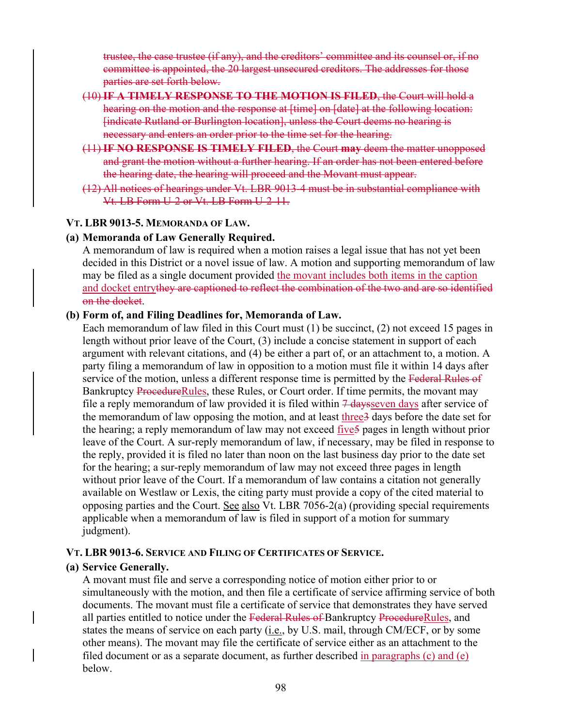trustee, the case trustee (if any), and the creditors' committee and its counsel or, if no committee is appointed, the 20 largest unsecured creditors. The addresses for those parties are set forth below.

- (10) **IF A TIMELY RESPONSE TO THE MOTION IS FILED**, the Court will hold a hearing on the motion and the response at [time] on [date] at the following location: [indicate Rutland or Burlington location], unless the Court deems no hearing is necessary and enters an order prior to the time set for the hearing.
- (11) **IF NO RESPONSE IS TIMELY FILED**, the Court **may** deem the matter unopposed and grant the motion without a further hearing. If an order has not been entered before the hearing date, the hearing will proceed and the Movant must appear.
- (12) All notices of hearings under Vt. LBR 9013-4 must be in substantial compliance with Vt. LB Form U-2 or Vt. LB Form U-2-11.

#### **VT. LBR 9013-5. MEMORANDA OF LAW.**

#### **(a) Memoranda of Law Generally Required.**

A memorandum of law is required when a motion raises a legal issue that has not yet been decided in this District or a novel issue of law. A motion and supporting memorandum of law may be filed as a single document provided the movant includes both items in the caption and docket entrythey are captioned to reflect the combination of the two and are so identified on the docket.

#### **(b) Form of, and Filing Deadlines for, Memoranda of Law.**

Each memorandum of law filed in this Court must (1) be succinct, (2) not exceed 15 pages in length without prior leave of the Court, (3) include a concise statement in support of each argument with relevant citations, and (4) be either a part of, or an attachment to, a motion. A party filing a memorandum of law in opposition to a motion must file it within 14 days after service of the motion, unless a different response time is permitted by the Federal Rules of Bankruptcy ProcedureRules, these Rules, or Court order. If time permits, the movant may file a reply memorandum of law provided it is filed within  $\frac{1}{4}$  days even days after service of the memorandum of law opposing the motion, and at least three3 days before the date set for the hearing; a reply memorandum of law may not exceed five5 pages in length without prior leave of the Court. A sur-reply memorandum of law, if necessary, may be filed in response to the reply, provided it is filed no later than noon on the last business day prior to the date set for the hearing; a sur-reply memorandum of law may not exceed three pages in length without prior leave of the Court. If a memorandum of law contains a citation not generally available on Westlaw or Lexis, the citing party must provide a copy of the cited material to opposing parties and the Court. See also Vt. LBR 7056-2(a) (providing special requirements applicable when a memorandum of law is filed in support of a motion for summary judgment).

#### **VT. LBR 9013-6. SERVICE AND FILING OF CERTIFICATES OF SERVICE.**

#### **(a) Service Generally.**

A movant must file and serve a corresponding notice of motion either prior to or simultaneously with the motion, and then file a certificate of service affirming service of both documents. The movant must file a certificate of service that demonstrates they have served all parties entitled to notice under the Federal Rules of Bankruptcy ProcedureRules, and states the means of service on each party  $(i.e., by U.S. mail, through CM/ECF, or by some$ other means). The movant may file the certificate of service either as an attachment to the filed document or as a separate document, as further described  $\frac{1}{2}$  in paragraphs (c) and (e) below.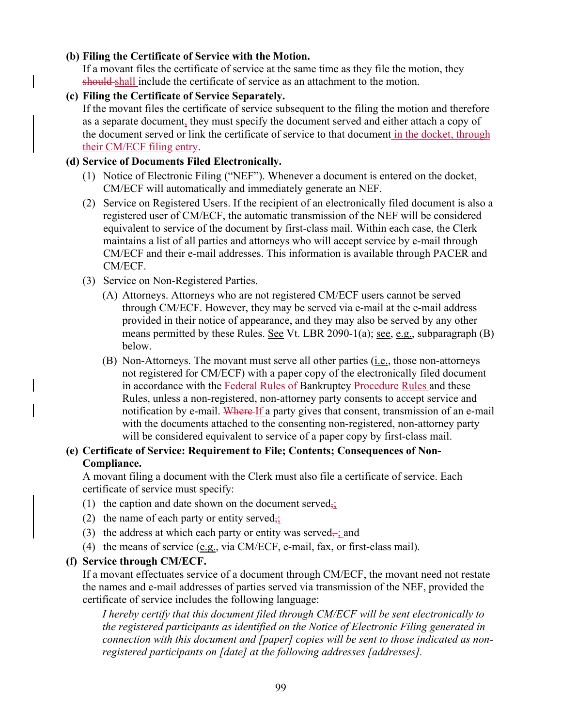# **(b) Filing the Certificate of Service with the Motion.**

If a movant files the certificate of service at the same time as they file the motion, they should shall include the certificate of service as an attachment to the motion.

# **(c) Filing the Certificate of Service Separately.**

If the movant files the certificate of service subsequent to the filing the motion and therefore as a separate document, they must specify the document served and either attach a copy of the document served or link the certificate of service to that document in the docket, through their CM/ECF filing entry.

# **(d) Service of Documents Filed Electronically.**

- (1) Notice of Electronic Filing ("NEF"). Whenever a document is entered on the docket, CM/ECF will automatically and immediately generate an NEF.
- (2) Service on Registered Users. If the recipient of an electronically filed document is also a registered user of CM/ECF, the automatic transmission of the NEF will be considered equivalent to service of the document by first-class mail. Within each case, the Clerk maintains a list of all parties and attorneys who will accept service by e-mail through CM/ECF and their e-mail addresses. This information is available through PACER and CM/ECF.
- (3) Service on Non-Registered Parties.
	- (A) Attorneys. Attorneys who are not registered CM/ECF users cannot be served through CM/ECF. However, they may be served via e-mail at the e-mail address provided in their notice of appearance, and they may also be served by any other means permitted by these Rules. See Vt. LBR 2090-1(a); see, e.g., subparagraph (B) below.
	- (B) Non-Attorneys. The movant must serve all other parties (i.e., those non-attorneys not registered for CM/ECF) with a paper copy of the electronically filed document in accordance with the Federal Rules of Bankruptcy Procedure Rules and these Rules, unless a non-registered, non-attorney party consents to accept service and notification by e-mail. Where If a party gives that consent, transmission of an e-mail with the documents attached to the consenting non-registered, non-attorney party will be considered equivalent to service of a paper copy by first-class mail.

# **(e) Certificate of Service: Requirement to File; Contents; Consequences of Non-Compliance.**

A movant filing a document with the Clerk must also file a certificate of service. Each certificate of service must specify:

- (1) the caption and date shown on the document served<sub>5</sub>;
- (2) the name of each party or entity served<sub> $\frac{1}{2}$ </sub>
- (3) the address at which each party or entity was served $\frac{1}{x}$  and
- (4) the means of service  $(e.g., via CM/ECF, e-mail, fax, or first-class mail).$

# **(f) Service through CM/ECF.**

If a movant effectuates service of a document through CM/ECF, the movant need not restate the names and e-mail addresses of parties served via transmission of the NEF, provided the certificate of service includes the following language:

*I hereby certify that this document filed through CM/ECF will be sent electronically to the registered participants as identified on the Notice of Electronic Filing generated in connection with this document and [paper] copies will be sent to those indicated as nonregistered participants on [date] at the following addresses [addresses].*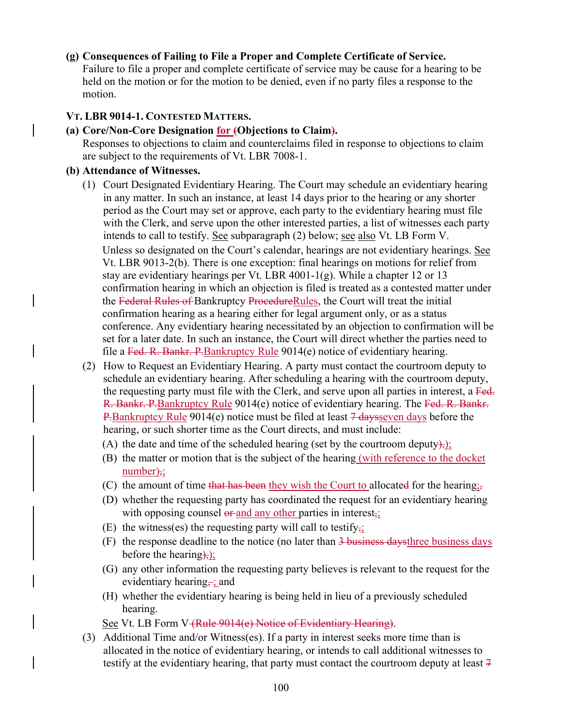#### **(g) Consequences of Failing to File a Proper and Complete Certificate of Service.**

Failure to file a proper and complete certificate of service may be cause for a hearing to be held on the motion or for the motion to be denied, even if no party files a response to the motion.

#### **VT. LBR 9014-1. CONTESTED MATTERS.**

# **(a) Core/Non-Core Designation for (Objections to Claim).**

Responses to objections to claim and counterclaims filed in response to objections to claim are subject to the requirements of Vt. LBR 7008-1.

#### **(b) Attendance of Witnesses.**

- (1) Court Designated Evidentiary Hearing. The Court may schedule an evidentiary hearing in any matter. In such an instance, at least 14 days prior to the hearing or any shorter period as the Court may set or approve, each party to the evidentiary hearing must file with the Clerk, and serve upon the other interested parties, a list of witnesses each party intends to call to testify. See subparagraph (2) below; see also Vt. LB Form V. Unless so designated on the Court's calendar, hearings are not evidentiary hearings. See Vt. LBR 9013-2(b). There is one exception: final hearings on motions for relief from stay are evidentiary hearings per Vt. LBR 4001-1(g). While a chapter 12 or 13 confirmation hearing in which an objection is filed is treated as a contested matter under the Federal Rules of Bankruptcy ProcedureRules, the Court will treat the initial confirmation hearing as a hearing either for legal argument only, or as a status conference. Any evidentiary hearing necessitated by an objection to confirmation will be set for a later date. In such an instance, the Court will direct whether the parties need to file a Fed. R. Bankr. P. Bankruptcy Rule 9014(e) notice of evidentiary hearing.
- (2) How to Request an Evidentiary Hearing. A party must contact the courtroom deputy to schedule an evidentiary hearing. After scheduling a hearing with the courtroom deputy, the requesting party must file with the Clerk, and serve upon all parties in interest, a Fed. R. Bankr. P.Bankruptcy Rule 9014(e) notice of evidentiary hearing. The Fed. R. Bankr. P.Bankruptcy Rule 9014(e) notice must be filed at least  $\frac{7 \text{ days}}{4 \text{ days}}$  before the hearing, or such shorter time as the Court directs, and must include:
	- (A) the date and time of the scheduled hearing (set by the courtroom deputy), $\sum$
	- (B) the matter or motion that is the subject of the hearing (with reference to the docket  $number);$
	- (C) the amount of time that has been they wish the Court to allocated for the hearing;
	- (D) whether the requesting party has coordinated the request for an evidentiary hearing with opposing counsel  $\theta$  and any other parties in interest,
	- (E) the witness(es) the requesting party will call to testify<sub>7</sub>;
	- (F) the response deadline to the notice (no later than 3 business daysthree business days before the hearing $\frac{1}{2}$ ;
	- (G) any other information the requesting party believes is relevant to the request for the evidentiary hearing, ; and
	- (H) whether the evidentiary hearing is being held in lieu of a previously scheduled hearing.

See Vt. LB Form V (Rule 9014(e) Notice of Evidentiary Hearing).

(3) Additional Time and/or Witness(es). If a party in interest seeks more time than is allocated in the notice of evidentiary hearing, or intends to call additional witnesses to testify at the evidentiary hearing, that party must contact the courtroom deputy at least  $7$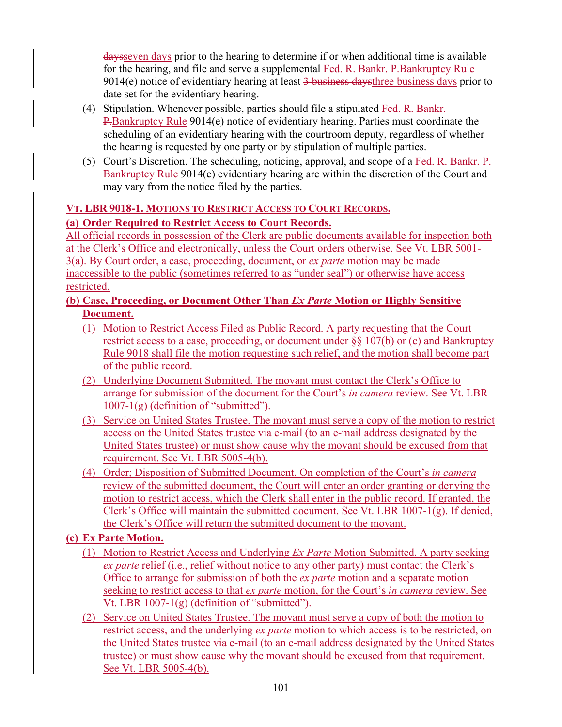daysseven days prior to the hearing to determine if or when additional time is available for the hearing, and file and serve a supplemental Fed. R. Bankr. P. Bankruptcy Rule  $9014(e)$  notice of evidentiary hearing at least  $\frac{3}{9}$  business daysthree business days prior to date set for the evidentiary hearing.

- (4) Stipulation. Whenever possible, parties should file a stipulated Fed. R. Bankr. P.Bankruptcy Rule 9014(e) notice of evidentiary hearing. Parties must coordinate the scheduling of an evidentiary hearing with the courtroom deputy, regardless of whether the hearing is requested by one party or by stipulation of multiple parties.
- (5) Court's Discretion. The scheduling, noticing, approval, and scope of a Fed. R. Bankr. P. Bankruptcy Rule 9014(e) evidentiary hearing are within the discretion of the Court and may vary from the notice filed by the parties.

# **VT. LBR 9018-1. MOTIONS TO RESTRICT ACCESS TO COURT RECORDS.**

# **(a) Order Required to Restrict Access to Court Records.**

All official records in possession of the Clerk are public documents available for inspection both at the Clerk's Office and electronically, unless the Court orders otherwise. See Vt. LBR 5001- 3(a). By Court order, a case, proceeding, document, or *ex parte* motion may be made inaccessible to the public (sometimes referred to as "under seal") or otherwise have access restricted.

# **(b) Case, Proceeding, or Document Other Than** *Ex Parte* **Motion or Highly Sensitive Document.**

- (1) Motion to Restrict Access Filed as Public Record. A party requesting that the Court restrict access to a case, proceeding, or document under §§ 107(b) or (c) and Bankruptcy Rule 9018 shall file the motion requesting such relief, and the motion shall become part of the public record.
- (2) Underlying Document Submitted. The movant must contact the Clerk's Office to arrange for submission of the document for the Court's *in camera* review. See Vt. LBR  $1007-1(g)$  (definition of "submitted").
- (3) Service on United States Trustee. The movant must serve a copy of the motion to restrict access on the United States trustee via e-mail (to an e-mail address designated by the United States trustee) or must show cause why the movant should be excused from that requirement. See Vt. LBR 5005-4(b).
- (4) Order; Disposition of Submitted Document. On completion of the Court's *in camera* review of the submitted document, the Court will enter an order granting or denying the motion to restrict access, which the Clerk shall enter in the public record. If granted, the Clerk's Office will maintain the submitted document. See Vt. LBR 1007-1(g). If denied, the Clerk's Office will return the submitted document to the movant.

# **(c) Ex Parte Motion.**

- (1) Motion to Restrict Access and Underlying *Ex Parte* Motion Submitted. A party seeking *ex parte* relief (i.e., relief without notice to any other party) must contact the Clerk's Office to arrange for submission of both the *ex parte* motion and a separate motion seeking to restrict access to that *ex parte* motion, for the Court's *in camera* review. See Vt. LBR  $1007-1(g)$  (definition of "submitted").
- (2) Service on United States Trustee. The movant must serve a copy of both the motion to restrict access, and the underlying *ex parte* motion to which access is to be restricted, on the United States trustee via e-mail (to an e-mail address designated by the United States trustee) or must show cause why the movant should be excused from that requirement. See Vt. LBR 5005-4(b).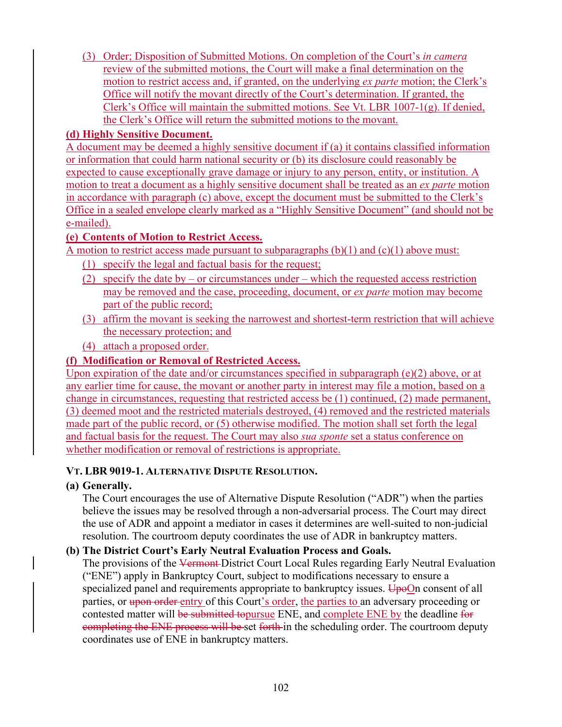(3) Order; Disposition of Submitted Motions. On completion of the Court's *in camera* review of the submitted motions, the Court will make a final determination on the motion to restrict access and, if granted, on the underlying *ex parte* motion; the Clerk's Office will notify the movant directly of the Court's determination. If granted, the Clerk's Office will maintain the submitted motions. See Vt. LBR 1007-1(g). If denied, the Clerk's Office will return the submitted motions to the movant.

### **(d) Highly Sensitive Document.**

A document may be deemed a highly sensitive document if (a) it contains classified information or information that could harm national security or (b) its disclosure could reasonably be expected to cause exceptionally grave damage or injury to any person, entity, or institution. A motion to treat a document as a highly sensitive document shall be treated as an *ex parte* motion in accordance with paragraph (c) above, except the document must be submitted to the Clerk's Office in a sealed envelope clearly marked as a "Highly Sensitive Document" (and should not be e-mailed).

# **(e) Contents of Motion to Restrict Access.**

A motion to restrict access made pursuant to subparagraphs  $(b)(1)$  and  $(c)(1)$  above must:

- (1) specify the legal and factual basis for the request;
- (2) specify the date by or circumstances under which the requested access restriction may be removed and the case, proceeding, document, or *ex parte* motion may become part of the public record;
- (3) affirm the movant is seeking the narrowest and shortest-term restriction that will achieve the necessary protection; and
- (4) attach a proposed order.

# **(f) Modification or Removal of Restricted Access.**

Upon expiration of the date and/or circumstances specified in subparagraph (e)(2) above, or at any earlier time for cause, the movant or another party in interest may file a motion, based on a change in circumstances, requesting that restricted access be (1) continued, (2) made permanent, (3) deemed moot and the restricted materials destroyed, (4) removed and the restricted materials made part of the public record, or (5) otherwise modified. The motion shall set forth the legal and factual basis for the request. The Court may also *sua sponte* set a status conference on whether modification or removal of restrictions is appropriate.

# **VT. LBR 9019-1. ALTERNATIVE DISPUTE RESOLUTION.**

# **(a) Generally.**

The Court encourages the use of Alternative Dispute Resolution ("ADR") when the parties believe the issues may be resolved through a non-adversarial process. The Court may direct the use of ADR and appoint a mediator in cases it determines are well-suited to non-judicial resolution. The courtroom deputy coordinates the use of ADR in bankruptcy matters.

# **(b) The District Court's Early Neutral Evaluation Process and Goals.**

The provisions of the Vermont-District Court Local Rules regarding Early Neutral Evaluation ("ENE") apply in Bankruptcy Court, subject to modifications necessary to ensure a specialized panel and requirements appropriate to bankruptcy issues. UpoOn consent of all parties, or upon order entry of this Court's order, the parties to an adversary proceeding or contested matter will be submitted topursue ENE, and complete ENE by the deadline for completing the ENE process will be set forth in the scheduling order. The courtroom deputy coordinates use of ENE in bankruptcy matters.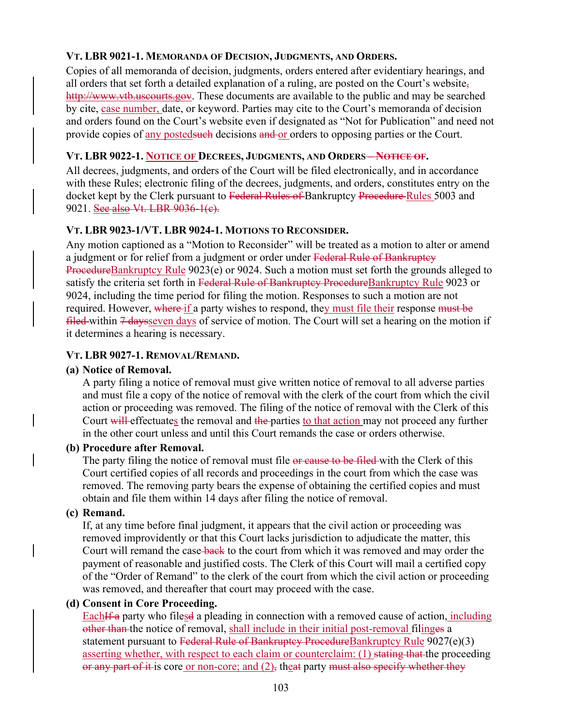# **VT. LBR 9021-1. MEMORANDA OF DECISION, JUDGMENTS, AND ORDERS.**

Copies of all memoranda of decision, judgments, orders entered after evidentiary hearings, and all orders that set forth a detailed explanation of a ruling, are posted on the Court's website, http://www.vtb.uscourts.gov. These documents are available to the public and may be searched by cite, case number, date, or keyword. Parties may cite to the Court's memoranda of decision and orders found on the Court's website even if designated as "Not for Publication" and need not provide copies of any posted such decisions and or orders to opposing parties or the Court.

# **VT. LBR 9022-1. NOTICE OF DECREES, JUDGMENTS, AND ORDERS – NOTICE OF.**

All decrees, judgments, and orders of the Court will be filed electronically, and in accordance with these Rules; electronic filing of the decrees, judgments, and orders, constitutes entry on the docket kept by the Clerk pursuant to Federal Rules of Bankruptcy Procedure Rules 5003 and 9021. See also Vt. LBR 9036-1(e).

# **VT. LBR 9023-1/VT. LBR 9024-1. MOTIONS TO RECONSIDER.**

Any motion captioned as a "Motion to Reconsider" will be treated as a motion to alter or amend a judgment or for relief from a judgment or order under Federal Rule of Bankruptcy ProcedureBankruptcy Rule 9023(e) or 9024. Such a motion must set forth the grounds alleged to satisfy the criteria set forth in Federal Rule of Bankruptcy ProcedureBankruptcy Rule 9023 or 9024, including the time period for filing the motion. Responses to such a motion are not required. However, where if a party wishes to respond, they must file their response must be  $filed$  within  $\frac{1}{4}$  daysseven days of service of motion. The Court will set a hearing on the motion if it determines a hearing is necessary.

# **VT. LBR 9027-1. REMOVAL/REMAND.**

# **(a) Notice of Removal.**

A party filing a notice of removal must give written notice of removal to all adverse parties and must file a copy of the notice of removal with the clerk of the court from which the civil action or proceeding was removed. The filing of the notice of removal with the Clerk of this Court will effectuates the removal and the parties to that action may not proceed any further in the other court unless and until this Court remands the case or orders otherwise.

# **(b) Procedure after Removal.**

The party filing the notice of removal must file or cause to be filed with the Clerk of this Court certified copies of all records and proceedings in the court from which the case was removed. The removing party bears the expense of obtaining the certified copies and must obtain and file them within 14 days after filing the notice of removal.

# **(c) Remand.**

If, at any time before final judgment, it appears that the civil action or proceeding was removed improvidently or that this Court lacks jurisdiction to adjudicate the matter, this Court will remand the case-back to the court from which it was removed and may order the payment of reasonable and justified costs. The Clerk of this Court will mail a certified copy of the "Order of Remand" to the clerk of the court from which the civil action or proceeding was removed, and thereafter that court may proceed with the case.

# **(d) Consent in Core Proceeding.**

Each<sub>Iff</sub> a party who filesd a pleading in connection with a removed cause of action, *including* other than the notice of removal, shall include in their initial post-removal filinges a statement pursuant to Federal Rule of Bankruptcy ProcedureBankruptcy Rule 9027(e)(3) asserting whether, with respect to each claim or counterclaim: (1) stating that the proceeding or any part of it is core or non-core; and  $(2)$ , theat party must also specify whether they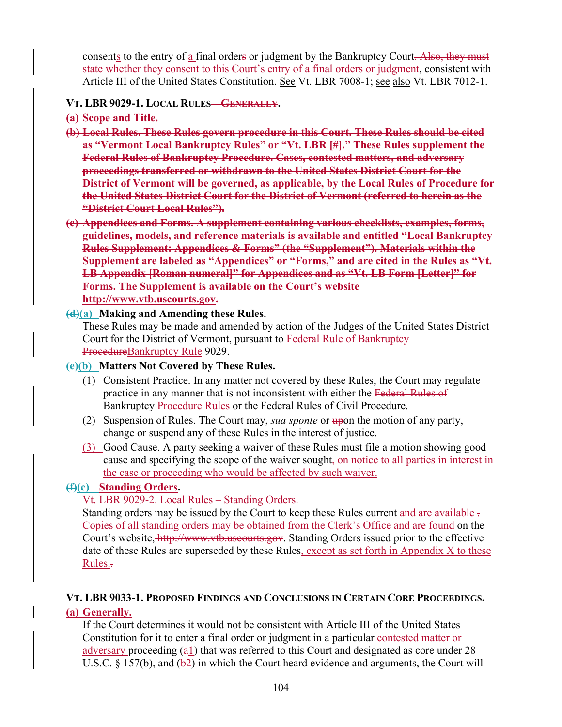consents to the entry of a final orders or judgment by the Bankruptcy Court. Also, they must state whether they consent to this Court's entry of a final orders or judgment, consistent with Article III of the United States Constitution. See Vt. LBR 7008-1; see also Vt. LBR 7012-1.

#### **VT. LBR 9029-1. LOCAL RULES – GENERALLY.**

**(a) Scope and Title.** 

- **(b) Local Rules. These Rules govern procedure in this Court. These Rules should be cited as "Vermont Local Bankruptcy Rules" or "Vt. LBR [#]." These Rules supplement the Federal Rules of Bankruptcy Procedure. Cases, contested matters, and adversary proceedings transferred or withdrawn to the United States District Court for the District of Vermont will be governed, as applicable, by the Local Rules of Procedure for the United States District Court for the District of Vermont (referred to herein as the "District Court Local Rules").**
- **(c) Appendices and Forms. A supplement containing various checklists, examples, forms, guidelines, models, and reference materials is available and entitled "Local Bankruptcy Rules Supplement: Appendices & Forms" (the "Supplement"). Materials within the Supplement are labeled as "Appendices" or "Forms," and are cited in the Rules as "Vt. LB Appendix [Roman numeral]" for Appendices and as "Vt. LB Form [Letter]" for Forms. The Supplement is available on the Court's website http://www.vtb.uscourts.gov.**

### **(d)(a) Making and Amending these Rules.**

These Rules may be made and amended by action of the Judges of the United States District Court for the District of Vermont, pursuant to Federal Rule of Bankruptcy ProcedureBankruptcy Rule 9029.

### **(e)(b) Matters Not Covered by These Rules.**

- (1) Consistent Practice. In any matter not covered by these Rules, the Court may regulate practice in any manner that is not inconsistent with either the Federal Rules of Bankruptcy Procedure Rules or the Federal Rules of Civil Procedure.
- (2) Suspension of Rules. The Court may, *sua sponte* or upon the motion of any party, change or suspend any of these Rules in the interest of justice.
- (3) Good Cause. A party seeking a waiver of these Rules must file a motion showing good cause and specifying the scope of the waiver sought, on notice to all parties in interest in the case or proceeding who would be affected by such waiver.

# **(f)(c) Standing Orders.**

# Vt. LBR 9029-2. Local Rules – Standing Orders.

Standing orders may be issued by the Court to keep these Rules current and are available . Copies of all standing orders may be obtained from the Clerk's Office and are found on the Court's website, http://www.vtb.uscourts.gov. Standing Orders issued prior to the effective date of these Rules are superseded by these Rules, except as set forth in Appendix  $X$  to these Rules..

#### **VT. LBR 9033-1. PROPOSED FINDINGS AND CONCLUSIONS IN CERTAIN CORE PROCEEDINGS. (a) Generally.**

If the Court determines it would not be consistent with Article III of the United States Constitution for it to enter a final order or judgment in a particular contested matter or adversary proceeding  $(a_1)$  that was referred to this Court and designated as core under 28 U.S.C. § 157(b), and  $(\frac{1}{2})$  in which the Court heard evidence and arguments, the Court will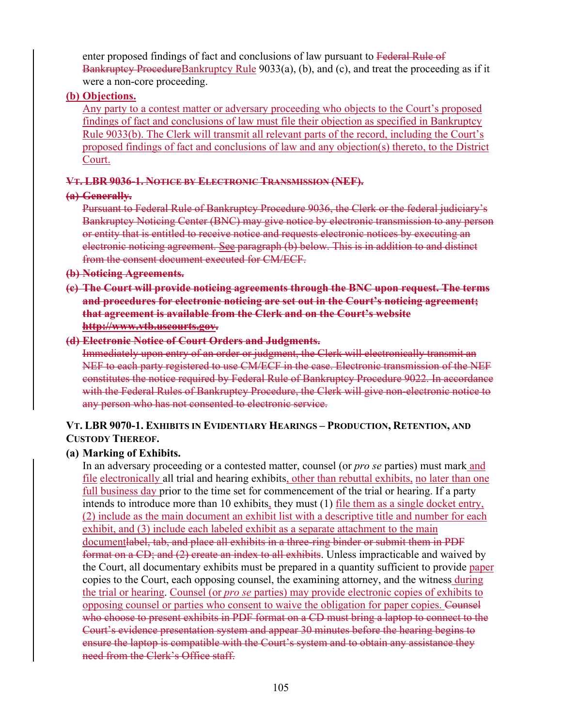enter proposed findings of fact and conclusions of law pursuant to Federal Rule of Bankruptcy ProcedureBankruptcy Rule 9033(a), (b), and (c), and treat the proceeding as if it were a non-core proceeding.

#### **(b) Objections.**

Any party to a contest matter or adversary proceeding who objects to the Court's proposed findings of fact and conclusions of law must file their objection as specified in Bankruptcy Rule 9033(b). The Clerk will transmit all relevant parts of the record, including the Court's proposed findings of fact and conclusions of law and any objection(s) thereto, to the District Court.

# **VT. LBR 9036-1. NOTICE BY ELECTRONIC TRANSMISSION (NEF).**

### **(a) Generally.**

Pursuant to Federal Rule of Bankruptcy Procedure 9036, the Clerk or the federal judiciary's Bankruptcy Noticing Center (BNC) may give notice by electronic transmission to any person or entity that is entitled to receive notice and requests electronic notices by executing an electronic noticing agreement. See paragraph (b) below. This is in addition to and distinct from the consent document executed for CM/ECF.

#### **(b) Noticing Agreements.**

**(c) The Court will provide noticing agreements through the BNC upon request. The terms and procedures for electronic noticing are set out in the Court's noticing agreement; that agreement is available from the Clerk and on the Court's website http://www.vtb.uscourts.gov.** 

# **(d) Electronic Notice of Court Orders and Judgments.**

Immediately upon entry of an order or judgment, the Clerk will electronically transmit an NEF to each party registered to use CM/ECF in the case. Electronic transmission of the NEF constitutes the notice required by Federal Rule of Bankruptcy Procedure 9022. In accordance with the Federal Rules of Bankruptcy Procedure, the Clerk will give non-electronic notice to any person who has not consented to electronic service.

# **VT. LBR 9070-1. EXHIBITS IN EVIDENTIARY HEARINGS – PRODUCTION, RETENTION, AND CUSTODY THEREOF.**

# **(a) Marking of Exhibits.**

In an adversary proceeding or a contested matter, counsel (or *pro se* parties) must mark and file electronically all trial and hearing exhibits, other than rebuttal exhibits, no later than one full business day prior to the time set for commencement of the trial or hearing. If a party intends to introduce more than 10 exhibits, they must (1) <u>file them as a single docket entry</u>, (2) include as the main document an exhibit list with a descriptive title and number for each exhibit, and (3) include each labeled exhibit as a separate attachment to the main documentlabel, tab, and place all exhibits in a three-ring binder or submit them in PDF format on a CD; and (2) create an index to all exhibits. Unless impracticable and waived by the Court, all documentary exhibits must be prepared in a quantity sufficient to provide paper copies to the Court, each opposing counsel, the examining attorney, and the witness during the trial or hearing. Counsel (or *pro se* parties) may provide electronic copies of exhibits to opposing counsel or parties who consent to waive the obligation for paper copies. Counsel who choose to present exhibits in PDF format on a CD must bring a laptop to connect to the Court's evidence presentation system and appear 30 minutes before the hearing begins to ensure the laptop is compatible with the Court's system and to obtain any assistance they need from the Clerk's Office staff.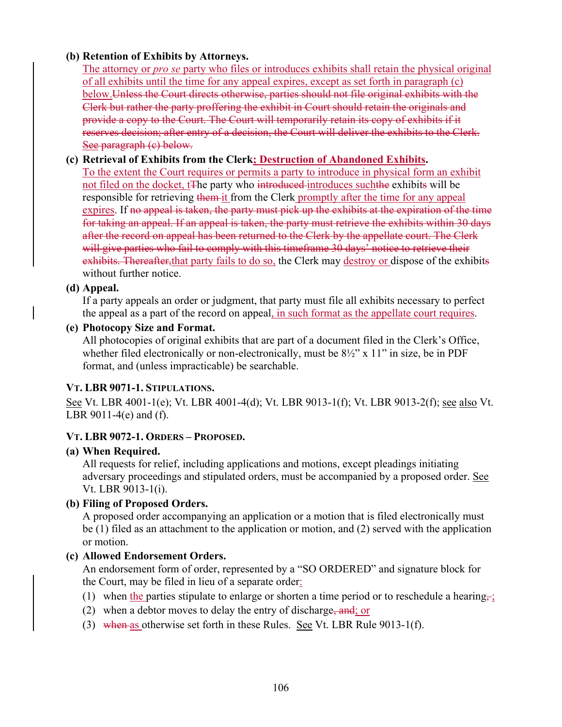# **(b) Retention of Exhibits by Attorneys.**

The attorney or *pro se* party who files or introduces exhibits shall retain the physical original of all exhibits until the time for any appeal expires, except as set forth in paragraph (c) below. Unless the Court directs otherwise, parties should not file original exhibits with the Clerk but rather the party proffering the exhibit in Court should retain the originals and provide a copy to the Court. The Court will temporarily retain its copy of exhibits if it reserves decision; after entry of a decision, the Court will deliver the exhibits to the Clerk. See paragraph (c) below.

# **(c) Retrieval of Exhibits from the Clerk; Destruction of Abandoned Exhibits.**

To the extent the Court requires or permits a party to introduce in physical form an exhibit not filed on the docket, t<sub>The party</sub> who introduced introduces such the exhibits will be responsible for retrieving them it from the Clerk promptly after the time for any appeal expires. If no appeal is taken, the party must pick up the exhibits at the expiration of the time for taking an appeal. If an appeal is taken, the party must retrieve the exhibits within 30 days after the record on appeal has been returned to the Clerk by the appellate court. The Clerk will give parties who fail to comply with this timeframe 30 days' notice to retrieve their exhibits. Thereafter, that party fails to do so, the Clerk may destroy or dispose of the exhibits without further notice.

# **(d) Appeal.**

If a party appeals an order or judgment, that party must file all exhibits necessary to perfect the appeal as a part of the record on appeal, in such format as the appellate court requires.

### **(e) Photocopy Size and Format.**

All photocopies of original exhibits that are part of a document filed in the Clerk's Office, whether filed electronically or non-electronically, must be  $8\frac{1}{2}$ " x 11" in size, be in PDF format, and (unless impracticable) be searchable.

# **VT. LBR 9071-1. STIPULATIONS.**

See Vt. LBR 4001-1(e); Vt. LBR 4001-4(d); Vt. LBR 9013-1(f); Vt. LBR 9013-2(f); see also Vt. LBR 9011-4(e) and (f).

# **VT. LBR 9072-1. ORDERS – PROPOSED.**

# **(a) When Required.**

All requests for relief, including applications and motions, except pleadings initiating adversary proceedings and stipulated orders, must be accompanied by a proposed order. See Vt. LBR 9013-1(i).

# **(b) Filing of Proposed Orders.**

A proposed order accompanying an application or a motion that is filed electronically must be (1) filed as an attachment to the application or motion, and (2) served with the application or motion.

# **(c) Allowed Endorsement Orders.**

An endorsement form of order, represented by a "SO ORDERED" and signature block for the Court, may be filed in lieu of a separate order:

- (1) when the parties stipulate to enlarge or shorten a time period or to reschedule a hearing,
- (2) when a debtor moves to delay the entry of discharge, and; or
- (3) when as otherwise set forth in these Rules. See Vt. LBR Rule  $9013-1(f)$ .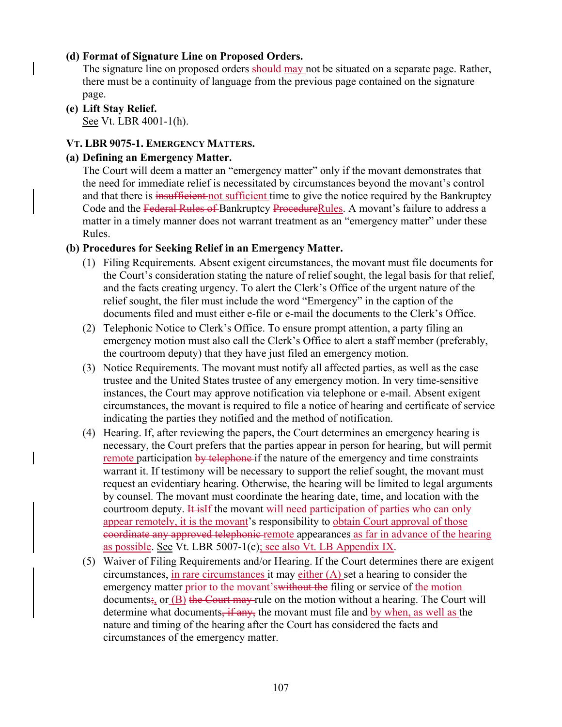### **(d) Format of Signature Line on Proposed Orders.**

The signature line on proposed orders should may not be situated on a separate page. Rather, there must be a continuity of language from the previous page contained on the signature page.

**(e) Lift Stay Relief.**  See Vt. LBR 4001-1(h).

#### **VT. LBR 9075-1. EMERGENCY MATTERS.**

#### **(a) Defining an Emergency Matter.**

The Court will deem a matter an "emergency matter" only if the movant demonstrates that the need for immediate relief is necessitated by circumstances beyond the movant's control and that there is insufficient not sufficient time to give the notice required by the Bankruptcy Code and the Federal Rules of Bankruptcy ProcedureRules. A movant's failure to address a matter in a timely manner does not warrant treatment as an "emergency matter" under these Rules.

### **(b) Procedures for Seeking Relief in an Emergency Matter.**

- (1) Filing Requirements. Absent exigent circumstances, the movant must file documents for the Court's consideration stating the nature of relief sought, the legal basis for that relief, and the facts creating urgency. To alert the Clerk's Office of the urgent nature of the relief sought, the filer must include the word "Emergency" in the caption of the documents filed and must either e-file or e-mail the documents to the Clerk's Office.
- (2) Telephonic Notice to Clerk's Office. To ensure prompt attention, a party filing an emergency motion must also call the Clerk's Office to alert a staff member (preferably, the courtroom deputy) that they have just filed an emergency motion.
- (3) Notice Requirements. The movant must notify all affected parties, as well as the case trustee and the United States trustee of any emergency motion. In very time-sensitive instances, the Court may approve notification via telephone or e-mail. Absent exigent circumstances, the movant is required to file a notice of hearing and certificate of service indicating the parties they notified and the method of notification.
- (4) Hearing. If, after reviewing the papers, the Court determines an emergency hearing is necessary, the Court prefers that the parties appear in person for hearing, but will permit remote participation by telephone if the nature of the emergency and time constraints warrant it. If testimony will be necessary to support the relief sought, the movant must request an evidentiary hearing. Otherwise, the hearing will be limited to legal arguments by counsel. The movant must coordinate the hearing date, time, and location with the courtroom deputy. It is if the movant will need participation of parties who can only appear remotely, it is the movant's responsibility to obtain Court approval of those coordinate any approved telephonic remote appearances as far in advance of the hearing as possible. See Vt. LBR 5007-1(c); see also Vt. LB Appendix IX.
- (5) Waiver of Filing Requirements and/or Hearing. If the Court determines there are exigent circumstances, in rare circumstances it may either  $(A)$  set a hearing to consider the emergency matter prior to the movant'swithout the filing or service of the motion documents<sub>i</sub>, or  $(B)$  the Court may rule on the motion without a hearing. The Court will determine what documents, if any, the movant must file and by when, as well as the nature and timing of the hearing after the Court has considered the facts and circumstances of the emergency matter.